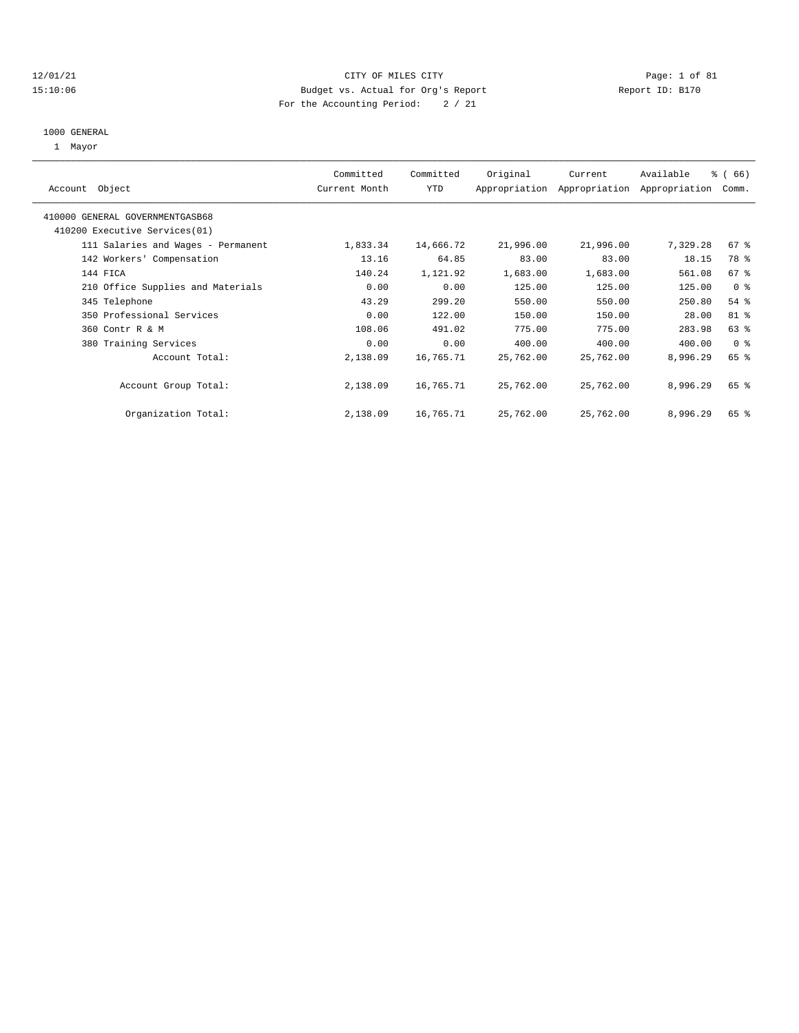#### 12/01/21 CITY OF MILES CITY Page: 1 of 81 15:10:06 Budget vs. Actual for Org's Report Report ID: B170 For the Accounting Period: 2 / 21

# 1000 GENERAL

1 Mayor

| Object<br>Account                  | Committed<br>Current Month | Committed<br><b>YTD</b> | Original  | Current<br>Appropriation Appropriation | Available<br>Appropriation | % (66)<br>Comm. |
|------------------------------------|----------------------------|-------------------------|-----------|----------------------------------------|----------------------------|-----------------|
| 410000 GENERAL GOVERNMENTGASB68    |                            |                         |           |                                        |                            |                 |
| 410200 Executive Services (01)     |                            |                         |           |                                        |                            |                 |
| 111 Salaries and Wages - Permanent | 1,833.34                   | 14,666.72               | 21,996.00 | 21,996.00                              | 7,329.28                   | 67 %            |
| 142 Workers' Compensation          | 13.16                      | 64.85                   | 83.00     | 83.00                                  | 18.15                      | 78 %            |
| 144 FICA                           | 140.24                     | 1,121.92                | 1,683.00  | 1,683.00                               | 561.08                     | 67 %            |
| 210 Office Supplies and Materials  | 0.00                       | 0.00                    | 125.00    | 125.00                                 | 125.00                     | 0 <sup>8</sup>  |
| 345 Telephone                      | 43.29                      | 299.20                  | 550.00    | 550.00                                 | 250.80                     | $54$ %          |
| 350 Professional Services          | 0.00                       | 122.00                  | 150.00    | 150.00                                 | 28.00                      | 81 %            |
| 360 Contr R & M                    | 108.06                     | 491.02                  | 775.00    | 775.00                                 | 283.98                     | 63 %            |
| 380 Training Services              | 0.00                       | 0.00                    | 400.00    | 400.00                                 | 400.00                     | 0 <sup>8</sup>  |
| Account Total:                     | 2,138.09                   | 16,765.71               | 25,762.00 | 25,762.00                              | 8,996.29                   | 65 %            |
| Account Group Total:               | 2,138.09                   | 16,765.71               | 25,762.00 | 25,762.00                              | 8,996.29                   | 65 %            |
| Organization Total:                | 2,138.09                   | 16,765.71               | 25,762.00 | 25,762.00                              | 8,996.29                   | 65 %            |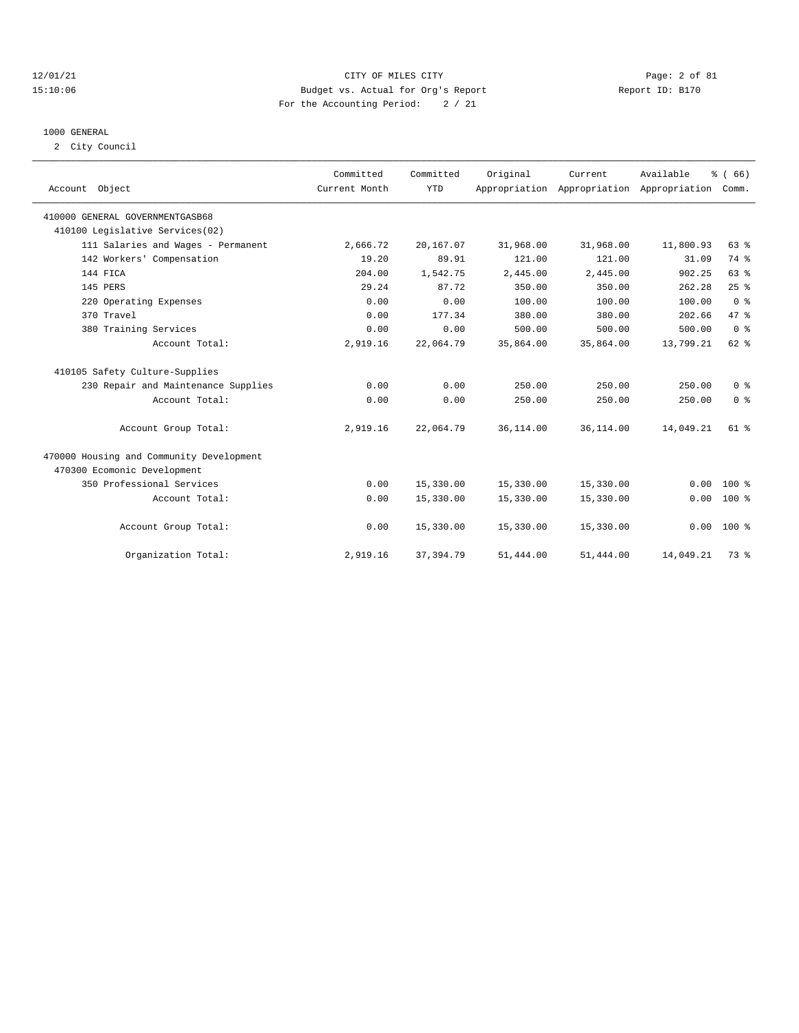#### 12/01/21 CITY OF MILES CITY Page: 2 of 81 15:10:06 Budget vs. Actual for Org's Report Report ID: B170 For the Accounting Period: 2 / 21

#### 1000 GENERAL

2 City Council

| Account Object                           | Committed<br>Current Month | Committed<br><b>YTD</b> | Original   | Current<br>Appropriation Appropriation Appropriation Comm. | Available | % (66)         |
|------------------------------------------|----------------------------|-------------------------|------------|------------------------------------------------------------|-----------|----------------|
| 410000 GENERAL GOVERNMENTGASB68          |                            |                         |            |                                                            |           |                |
| 410100 Legislative Services(02)          |                            |                         |            |                                                            |           |                |
| 111 Salaries and Wages - Permanent       | 2,666.72                   | 20,167.07               | 31,968.00  | 31,968.00                                                  | 11,800.93 | 63 %           |
| 142 Workers' Compensation                | 19.20                      | 89.91                   | 121.00     | 121.00                                                     | 31.09     | 74 %           |
| 144 FICA                                 | 204.00                     | 1,542.75                | 2,445.00   | 2,445.00                                                   | 902.25    | 63%            |
| 145 PERS                                 | 29.24                      | 87.72                   | 350.00     | 350.00                                                     | 262.28    | 25%            |
| 220 Operating Expenses                   | 0.00                       | 0.00                    | 100.00     | 100.00                                                     | 100.00    | 0 <sup>8</sup> |
| 370 Travel                               | 0.00                       | 177.34                  | 380.00     | 380.00                                                     | 202.66    | 47.8           |
| 380 Training Services                    | 0.00                       | 0.00                    | 500.00     | 500.00                                                     | 500.00    | 0 <sup>8</sup> |
| Account Total:                           | 2,919.16                   | 22,064.79               | 35,864.00  | 35,864.00                                                  | 13,799.21 | 62 %           |
| 410105 Safety Culture-Supplies           |                            |                         |            |                                                            |           |                |
| 230 Repair and Maintenance Supplies      | 0.00                       | 0.00                    | 250.00     | 250.00                                                     | 250.00    | 0 <sup>8</sup> |
| Account Total:                           | 0.00                       | 0.00                    | 250.00     | 250.00                                                     | 250.00    | 0 <sup>8</sup> |
| Account Group Total:                     | 2,919.16                   | 22,064.79               | 36, 114.00 | 36,114.00                                                  | 14,049.21 | $61$ $%$       |
| 470000 Housing and Community Development |                            |                         |            |                                                            |           |                |
| 470300 Ecomonic Development              |                            |                         |            |                                                            |           |                |
| 350 Professional Services                | 0.00                       | 15,330.00               | 15,330.00  | 15,330.00                                                  | 0.00      | $100*$         |
| Account Total:                           | 0.00                       | 15,330.00               | 15,330.00  | 15,330.00                                                  | 0.00      | 100 %          |
| Account Group Total:                     | 0.00                       | 15,330.00               | 15,330.00  | 15,330.00                                                  |           | $0.00 100$ %   |
| Organization Total:                      | 2,919.16                   | 37, 394.79              | 51,444.00  | 51,444.00                                                  | 14,049.21 | 73.8           |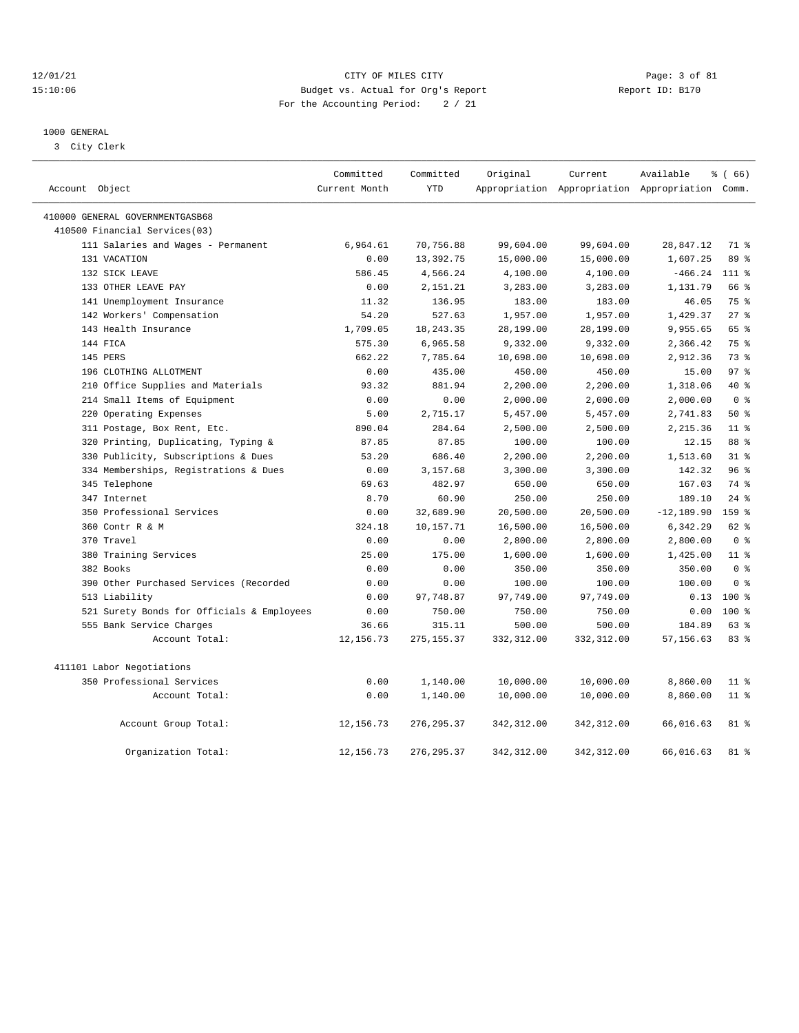#### 12/01/21 CITY OF MILES CITY Page: 3 of 81 15:10:06 Budget vs. Actual for Org's Report Report ID: B170 For the Accounting Period: 2 / 21

#### 1000 GENERAL

3 City Clerk

|                |                                            | Committed     | Committed   | Original    | Current                                         | Available     | 8 ( 66 )        |
|----------------|--------------------------------------------|---------------|-------------|-------------|-------------------------------------------------|---------------|-----------------|
| Account Object |                                            | Current Month | <b>YTD</b>  |             | Appropriation Appropriation Appropriation Comm. |               |                 |
|                | 410000 GENERAL GOVERNMENTGASB68            |               |             |             |                                                 |               |                 |
|                | 410500 Financial Services(03)              |               |             |             |                                                 |               |                 |
|                | 111 Salaries and Wages - Permanent         | 6,964.61      | 70,756.88   | 99,604.00   | 99,604.00                                       | 28,847.12     | 71 %            |
|                | 131 VACATION                               | 0.00          | 13,392.75   | 15,000.00   | 15,000.00                                       | 1,607.25      | 89 %            |
|                | 132 SICK LEAVE                             | 586.45        | 4,566.24    | 4,100.00    | 4,100.00                                        | $-466.24$     | $111*$          |
|                | 133 OTHER LEAVE PAY                        | 0.00          | 2,151.21    | 3,283.00    | 3,283.00                                        | 1,131.79      | 66 %            |
|                | 141 Unemployment Insurance                 | 11.32         | 136.95      | 183.00      | 183.00                                          | 46.05         | 75 %            |
|                | 142 Workers' Compensation                  | 54.20         | 527.63      | 1,957.00    | 1,957.00                                        | 1,429.37      | $27$ %          |
|                | 143 Health Insurance                       | 1,709.05      | 18, 243.35  | 28,199.00   | 28,199.00                                       | 9,955.65      | 65 %            |
|                | 144 FICA                                   | 575.30        | 6,965.58    | 9,332.00    | 9,332.00                                        | 2,366.42      | 75 %            |
|                | 145 PERS                                   | 662.22        | 7,785.64    | 10,698.00   | 10,698.00                                       | 2,912.36      | 73 %            |
|                | 196 CLOTHING ALLOTMENT                     | 0.00          | 435.00      | 450.00      | 450.00                                          | 15.00         | 97 <sub>8</sub> |
|                | 210 Office Supplies and Materials          | 93.32         | 881.94      | 2,200.00    | 2,200.00                                        | 1,318.06      | $40*$           |
|                | 214 Small Items of Equipment               | 0.00          | 0.00        | 2,000.00    | 2,000.00                                        | 2,000.00      | 0 <sup>8</sup>  |
|                | 220 Operating Expenses                     | 5.00          | 2,715.17    | 5,457.00    | 5,457.00                                        | 2,741.83      | 50%             |
|                | 311 Postage, Box Rent, Etc.                | 890.04        | 284.64      | 2,500.00    | 2,500.00                                        | 2,215.36      | 11 <sup>8</sup> |
|                | 320 Printing, Duplicating, Typing &        | 87.85         | 87.85       | 100.00      | 100.00                                          | 12.15         | 88 %            |
|                | 330 Publicity, Subscriptions & Dues        | 53.20         | 686.40      | 2,200.00    | 2,200.00                                        | 1,513.60      | $31$ %          |
|                | 334 Memberships, Registrations & Dues      | 0.00          | 3,157.68    | 3,300.00    | 3,300.00                                        | 142.32        | 96%             |
|                | 345 Telephone                              | 69.63         | 482.97      | 650.00      | 650.00                                          | 167.03        | 74 %            |
|                | 347 Internet                               | 8.70          | 60.90       | 250.00      | 250.00                                          | 189.10        | 24%             |
|                | 350 Professional Services                  | 0.00          | 32,689.90   | 20,500.00   | 20,500.00                                       | $-12, 189.90$ | 159 %           |
|                | 360 Contr R & M                            | 324.18        | 10,157.71   | 16,500.00   | 16,500.00                                       | 6,342.29      | 62 %            |
|                | 370 Travel                                 | 0.00          | 0.00        | 2,800.00    | 2,800.00                                        | 2,800.00      | 0 <sup>8</sup>  |
|                | 380 Training Services                      | 25.00         | 175.00      | 1,600.00    | 1,600.00                                        | 1,425.00      | 11 <sup>8</sup> |
|                | 382 Books                                  | 0.00          | 0.00        | 350.00      | 350.00                                          | 350.00        | 0 <sup>8</sup>  |
|                | 390 Other Purchased Services (Recorded     | 0.00          | 0.00        | 100.00      | 100.00                                          | 100.00        | 0 <sup>8</sup>  |
|                | 513 Liability                              | 0.00          | 97,748.87   | 97,749.00   | 97,749.00                                       | 0.13          | $100*$          |
|                | 521 Surety Bonds for Officials & Employees | 0.00          | 750.00      | 750.00      | 750.00                                          | 0.00          | $100*$          |
|                | 555 Bank Service Charges                   | 36.66         | 315.11      | 500.00      | 500.00                                          | 184.89        | 63 %            |
|                | Account Total:                             | 12, 156.73    | 275, 155.37 | 332, 312.00 | 332, 312.00                                     | 57, 156.63    | 83%             |
|                | 411101 Labor Negotiations                  |               |             |             |                                                 |               |                 |
|                | 350 Professional Services                  | 0.00          | 1,140.00    | 10,000.00   | 10,000.00                                       | 8,860.00      | 11 <sup>8</sup> |
|                | Account Total:                             | 0.00          | 1,140.00    | 10,000.00   | 10,000.00                                       | 8,860.00      | 11 %            |
|                | Account Group Total:                       | 12, 156.73    | 276, 295.37 | 342, 312.00 | 342, 312.00                                     | 66,016.63     | $81*$           |
|                | Organization Total:                        | 12, 156.73    | 276, 295.37 | 342, 312.00 | 342, 312.00                                     | 66,016.63     | 81 %            |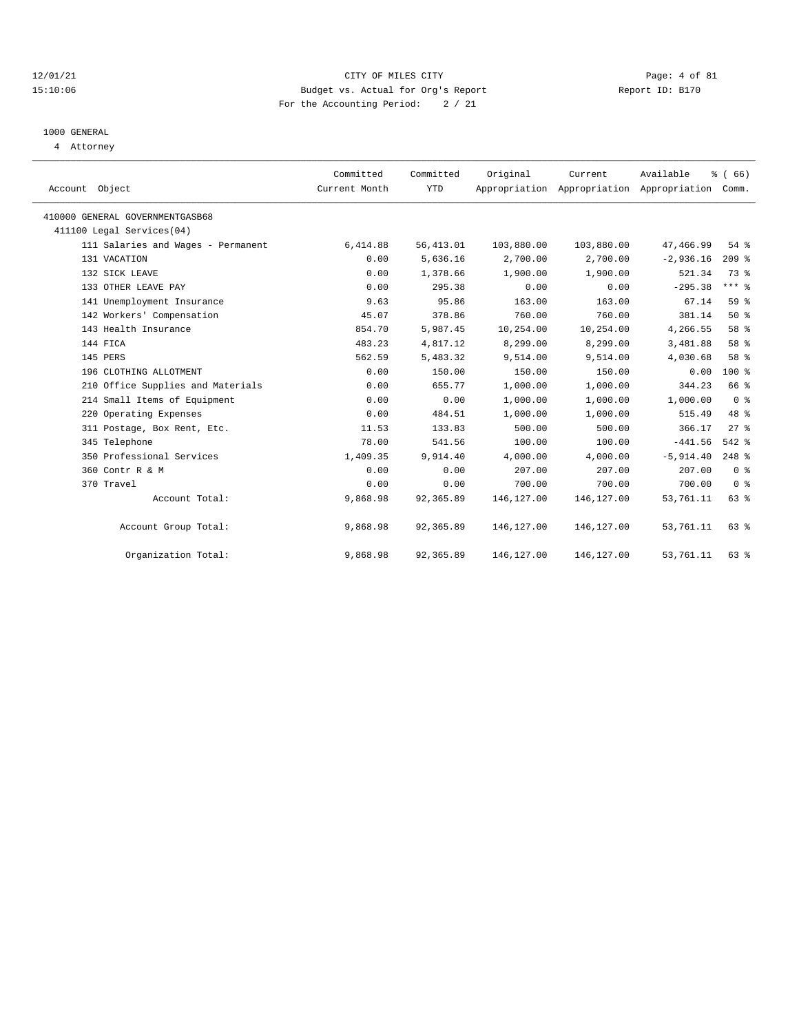#### 12/01/21 CITY OF MILES CITY Page: 4 of 81 15:10:06 Budget vs. Actual for Org's Report Report ID: B170 For the Accounting Period: 2 / 21

# 1000 GENERAL

4 Attorney

| Account Object                     | Committed<br>Current Month | Committed<br><b>YTD</b> | Original   | Current<br>Appropriation Appropriation Appropriation Comm. | Available    | % (66)         |
|------------------------------------|----------------------------|-------------------------|------------|------------------------------------------------------------|--------------|----------------|
| 410000 GENERAL GOVERNMENTGASB68    |                            |                         |            |                                                            |              |                |
| 411100 Legal Services(04)          |                            |                         |            |                                                            |              |                |
| 111 Salaries and Wages - Permanent | 6,414.88                   | 56, 413.01              | 103,880.00 | 103,880.00                                                 | 47,466.99    | 54%            |
| 131 VACATION                       | 0.00                       | 5,636.16                | 2,700.00   | 2,700.00                                                   | $-2,936.16$  | $209$ %        |
| 132 SICK LEAVE                     | 0.00                       | 1,378.66                | 1,900.00   | 1,900.00                                                   | 521.34       | 73.8           |
| 133 OTHER LEAVE PAY                | 0.00                       | 295.38                  | 0.00       | 0.00                                                       | $-295.38$    | $***$ 8        |
| 141 Unemployment Insurance         | 9.63                       | 95.86                   | 163.00     | 163.00                                                     | 67.14        | 59 %           |
| 142 Workers' Compensation          | 45.07                      | 378.86                  | 760.00     | 760.00                                                     | 381.14       | 50%            |
| 143 Health Insurance               | 854.70                     | 5,987.45                | 10,254.00  | 10,254.00                                                  | 4,266.55     | 58 %           |
| 144 FICA                           | 483.23                     | 4,817.12                | 8,299.00   | 8,299.00                                                   | 3,481.88     | 58 %           |
| 145 PERS                           | 562.59                     | 5,483.32                | 9,514.00   | 9,514.00                                                   | 4,030.68     | 58 %           |
| 196 CLOTHING ALLOTMENT             | 0.00                       | 150.00                  | 150.00     | 150.00                                                     | 0.00         | $100*$         |
| 210 Office Supplies and Materials  | 0.00                       | 655.77                  | 1,000.00   | 1,000.00                                                   | 344.23       | 66 %           |
| 214 Small Items of Equipment       | 0.00                       | 0.00                    | 1,000.00   | 1,000.00                                                   | 1,000.00     | 0 <sup>8</sup> |
| 220 Operating Expenses             | 0.00                       | 484.51                  | 1,000.00   | 1,000.00                                                   | 515.49       | 48 %           |
| 311 Postage, Box Rent, Etc.        | 11.53                      | 133.83                  | 500.00     | 500.00                                                     | 366.17       | $27$ $%$       |
| 345 Telephone                      | 78.00                      | 541.56                  | 100.00     | 100.00                                                     | $-441.56$    | 542 %          |
| 350 Professional Services          | 1,409.35                   | 9,914.40                | 4,000.00   | 4,000.00                                                   | $-5, 914.40$ | $248$ %        |
| 360 Contr R & M                    | 0.00                       | 0.00                    | 207.00     | 207.00                                                     | 207.00       | 0 <sup>8</sup> |
| 370 Travel                         | 0.00                       | 0.00                    | 700.00     | 700.00                                                     | 700.00       | 0 <sup>8</sup> |
| Account Total:                     | 9,868.98                   | 92,365.89               | 146,127.00 | 146, 127.00                                                | 53,761.11    | 63 %           |
| Account Group Total:               | 9,868.98                   | 92,365.89               | 146,127.00 | 146,127.00                                                 | 53,761.11    | 63 %           |
| Organization Total:                | 9,868.98                   | 92,365.89               | 146,127.00 | 146,127.00                                                 | 53,761.11    | 63 %           |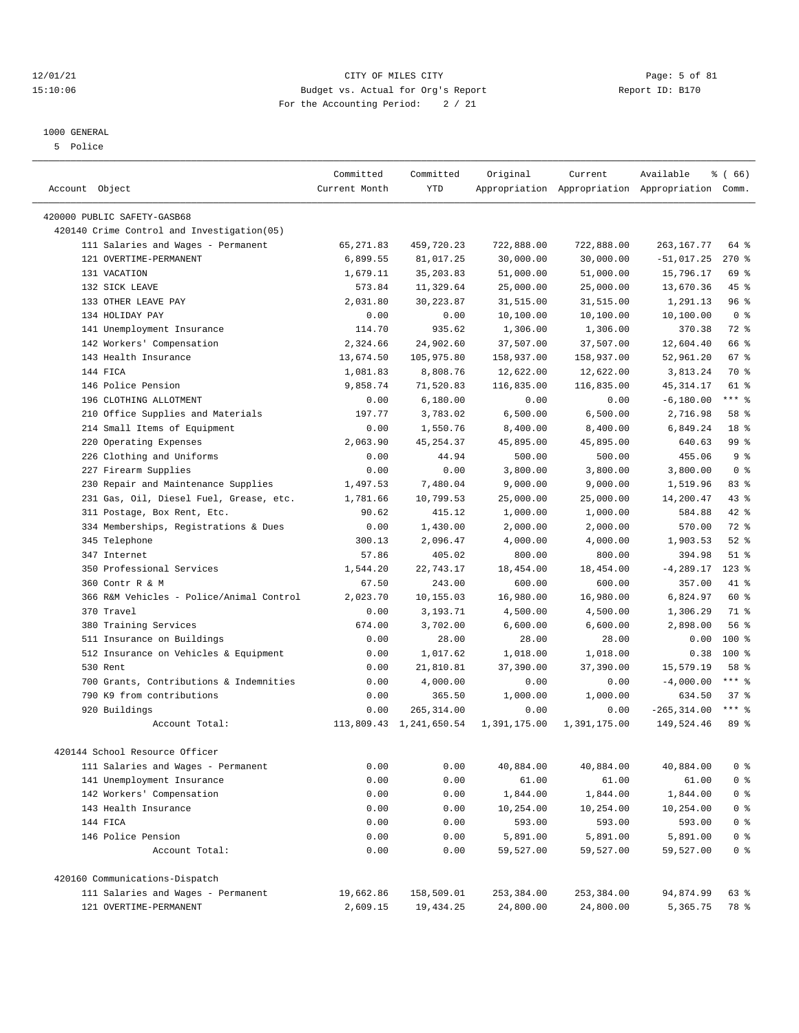#### 12/01/21 Page: 5 of 81 CITY OF MILES CITY OF MILES CITY CONTRIBUTION CONTRIBUTION Page: 5 of 81<br>15:10:06 Budget vs. Actual for Org's Report Contribution (Report ID: B170 15:10:06 Budget vs. Actual for Org's Report For the Accounting Period: 2 / 21

————————————————————————————————————————————————————————————————————————————————————————————————————————————————————————————————————

# 1000 GENERAL

5 Police

|                                                        | Committed         | Committed               | Original           | Current             | Available                                       | % (66)          |
|--------------------------------------------------------|-------------------|-------------------------|--------------------|---------------------|-------------------------------------------------|-----------------|
| Account Object                                         | Current Month     | <b>YTD</b>              |                    |                     | Appropriation Appropriation Appropriation Comm. |                 |
| 420000 PUBLIC SAFETY-GASB68                            |                   |                         |                    |                     |                                                 |                 |
| 420140 Crime Control and Investigation(05)             |                   |                         |                    |                     |                                                 |                 |
| 111 Salaries and Wages - Permanent                     | 65, 271.83        | 459,720.23              | 722,888.00         | 722,888.00          | 263, 167.77                                     | 64 %            |
| 121 OVERTIME-PERMANENT                                 | 6,899.55          | 81,017.25               | 30,000.00          | 30,000.00           | $-51,017.25$                                    | 270%            |
| 131 VACATION                                           | 1,679.11          | 35, 203.83              | 51,000.00          | 51,000.00           | 15,796.17                                       | 69 %            |
| 132 SICK LEAVE                                         | 573.84            | 11,329.64               | 25,000.00          | 25,000.00           | 13,670.36                                       | $45$ %          |
| 133 OTHER LEAVE PAY                                    | 2,031.80          | 30, 223.87              | 31,515.00          | 31,515.00           | 1,291.13                                        | 96%             |
| 134 HOLIDAY PAY                                        | 0.00              | 0.00                    | 10,100.00          | 10,100.00           | 10,100.00                                       | 0 <sup>8</sup>  |
| 141 Unemployment Insurance                             | 114.70            | 935.62                  | 1,306.00           | 1,306.00            | 370.38                                          | 72 %            |
| 142 Workers' Compensation                              | 2,324.66          | 24,902.60               | 37,507.00          | 37,507.00           | 12,604.40                                       | 66 %            |
| 143 Health Insurance                                   | 13,674.50         | 105,975.80              | 158,937.00         | 158,937.00          | 52,961.20                                       | 67 %            |
| 144 FICA                                               | 1,081.83          | 8,808.76                | 12,622.00          | 12,622.00           | 3,813.24                                        | 70 %            |
| 146 Police Pension                                     | 9,858.74          | 71,520.83               | 116,835.00         | 116,835.00          | 45, 314.17                                      | 61 %            |
| 196 CLOTHING ALLOTMENT                                 | 0.00              | 6,180.00                | 0.00               | 0.00                | $-6, 180.00$                                    | $***$ $_{8}$    |
| 210 Office Supplies and Materials                      | 197.77            | 3,783.02                | 6,500.00           | 6,500.00            | 2,716.98                                        | 58 %            |
| 214 Small Items of Equipment                           | 0.00              | 1,550.76                | 8,400.00           | 8,400.00            | 6,849.24                                        | 18 <sup>8</sup> |
| 220 Operating Expenses                                 | 2,063.90          | 45, 254.37              | 45,895.00          | 45,895.00           | 640.63                                          | 99 %            |
| 226 Clothing and Uniforms                              | 0.00              | 44.94                   | 500.00             | 500.00              | 455.06                                          | 9 <sup>8</sup>  |
| 227 Firearm Supplies                                   | 0.00              | 0.00                    | 3,800.00           | 3,800.00            | 3,800.00                                        | 0 <sup>8</sup>  |
| 230 Repair and Maintenance Supplies                    | 1,497.53          | 7,480.04                | 9,000.00           | 9,000.00            | 1,519.96                                        | 83 %            |
| 231 Gas, Oil, Diesel Fuel, Grease, etc.                | 1,781.66          | 10,799.53               | 25,000.00          | 25,000.00           | 14,200.47                                       | 43 %            |
| 311 Postage, Box Rent, Etc.                            | 90.62             | 415.12                  | 1,000.00           | 1,000.00            | 584.88                                          | 42 %            |
| 334 Memberships, Registrations & Dues                  | 0.00              | 1,430.00                | 2,000.00           | 2,000.00            | 570.00                                          | 72 %            |
| 345 Telephone                                          | 300.13            | 2,096.47                |                    |                     | 1,903.53                                        | $52$ $%$        |
| 347 Internet                                           | 57.86             | 405.02                  | 4,000.00<br>800.00 | 4,000.00<br>800.00  | 394.98                                          | $51$ %          |
| 350 Professional Services                              |                   |                         |                    |                     |                                                 | $123$ %         |
| 360 Contr R & M                                        | 1,544.20<br>67.50 | 22,743.17<br>243.00     | 18,454.00          | 18,454.00<br>600.00 | $-4, 289.17$<br>357.00                          | 41 %            |
|                                                        |                   |                         | 600.00             |                     |                                                 | 60 %            |
| 366 R&M Vehicles - Police/Animal Control<br>370 Travel | 2,023.70          | 10,155.03               | 16,980.00          | 16,980.00           | 6,824.97                                        | 71 %            |
|                                                        | 0.00              | 3,193.71                | 4,500.00           | 4,500.00            | 1,306.29                                        |                 |
| 380 Training Services                                  | 674.00            | 3,702.00                | 6,600.00           | 6,600.00            | 2,898.00                                        | 56%             |
| 511 Insurance on Buildings                             | 0.00              | 28.00                   | 28.00              | 28.00               | 0.00                                            | 100 %           |
| 512 Insurance on Vehicles & Equipment                  | 0.00              | 1,017.62                | 1,018.00           | 1,018.00            | 0.38                                            | $100*$          |
| 530 Rent                                               | 0.00              | 21,810.81               | 37,390.00          | 37,390.00           | 15,579.19                                       | 58 %            |
| 700 Grants, Contributions & Indemnities                | 0.00              | 4,000.00                | 0.00               | 0.00                | $-4,000.00$                                     | $***$ $%$       |
| 790 K9 from contributions                              | 0.00              | 365.50                  | 1,000.00           | 1,000.00            | 634.50                                          | 37%             |
| 920 Buildings                                          | 0.00              | 265, 314.00             | 0.00               | 0.00                | $-265, 314.00$                                  | $***$ 8         |
| Account Total:                                         |                   | 113,809.43 1,241,650.54 | 1,391,175.00       | 1,391,175.00        | 149,524.46                                      | 89 %            |
| 420144 School Resource Officer                         |                   |                         |                    |                     |                                                 |                 |
| 111 Salaries and Wages - Permanent                     | 0.00              | 0.00                    | 40,884.00          | 40,884.00           | 40,884.00                                       | 0 <sup>8</sup>  |
| 141 Unemployment Insurance                             | 0.00              | 0.00                    | 61.00              | 61.00               | 61.00                                           | 0 <sup>8</sup>  |
| 142 Workers' Compensation                              | 0.00              | 0.00                    | 1,844.00           | 1,844.00            | 1,844.00                                        | 0 <sup>8</sup>  |
| 143 Health Insurance                                   | 0.00              | 0.00                    | 10,254.00          | 10,254.00           | 10,254.00                                       | 0 <sup>8</sup>  |
| 144 FICA                                               | 0.00              | 0.00                    | 593.00             | 593.00              | 593.00                                          | 0 <sup>8</sup>  |
| 146 Police Pension                                     | 0.00              | 0.00                    | 5,891.00           | 5,891.00            | 5,891.00                                        | 0 <sup>8</sup>  |
| Account Total:                                         | 0.00              | 0.00                    | 59,527.00          | 59,527.00           | 59,527.00                                       | 0 <sup>8</sup>  |
| 420160 Communications-Dispatch                         |                   |                         |                    |                     |                                                 |                 |
| 111 Salaries and Wages - Permanent                     | 19,662.86         | 158,509.01              | 253,384.00         | 253,384.00          | 94,874.99                                       | 63 %            |
| 121 OVERTIME-PERMANENT                                 | 2,609.15          | 19,434.25               | 24,800.00          | 24,800.00           | 5,365.75                                        | 78 %            |
|                                                        |                   |                         |                    |                     |                                                 |                 |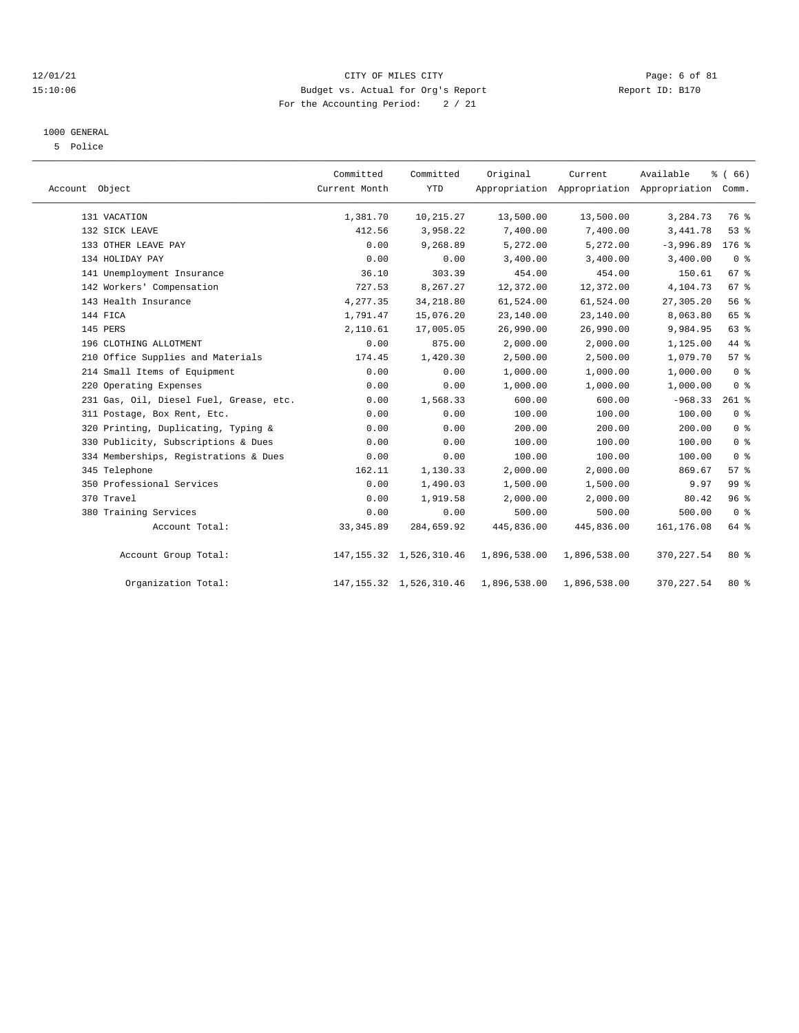#### 12/01/21 CITY OF MILES CITY Page: 6 of 81 15:10:06 Budget vs. Actual for Org's Report Report ID: B170 For the Accounting Period: 2 / 21

#### 1000 GENERAL

5 Police

| Account Object                          | Committed<br>Current Month | Committed<br><b>YTD</b>    | Original     | Current      | Available<br>Appropriation Appropriation Appropriation Comm. | % (66)          |  |
|-----------------------------------------|----------------------------|----------------------------|--------------|--------------|--------------------------------------------------------------|-----------------|--|
| 131 VACATION                            | 1,381.70                   | 10,215.27                  | 13,500.00    | 13,500.00    | 3,284.73                                                     | 76 %            |  |
| 132 SICK LEAVE                          | 412.56                     | 3,958.22                   | 7,400.00     | 7,400.00     | 3,441.78                                                     | 53%             |  |
| 133 OTHER LEAVE PAY                     | 0.00                       | 9,268.89                   | 5,272.00     | 5,272.00     | $-3,996.89$                                                  | $176$ %         |  |
| 134 HOLIDAY PAY                         | 0.00                       | 0.00                       | 3,400.00     | 3,400.00     | 3,400.00                                                     | 0 <sup>8</sup>  |  |
| 141 Unemployment Insurance              | 36.10                      | 303.39                     | 454.00       | 454.00       | 150.61                                                       | 67 %            |  |
| 142 Workers' Compensation               | 727.53                     | 8,267.27                   | 12,372.00    | 12,372.00    | 4,104.73                                                     | 67 %            |  |
| 143 Health Insurance                    | 4,277.35                   | 34,218.80                  | 61,524.00    | 61,524.00    | 27,305.20                                                    | 56 %            |  |
| 144 FICA                                | 1,791.47                   | 15,076.20                  | 23,140.00    | 23,140.00    | 8,063.80                                                     | 65 %            |  |
| 145 PERS                                | 2,110.61                   | 17,005.05                  | 26,990.00    | 26,990.00    | 9,984.95                                                     | 63 %            |  |
| 196 CLOTHING ALLOTMENT                  | 0.00                       | 875.00                     | 2,000.00     | 2,000.00     | 1,125.00                                                     | 44 %            |  |
| 210 Office Supplies and Materials       | 174.45                     | 1,420.30                   | 2,500.00     | 2,500.00     | 1,079.70                                                     | 57%             |  |
| 214 Small Items of Equipment            | 0.00                       | 0.00                       | 1,000.00     | 1,000.00     | 1,000.00                                                     | 0 <sup>8</sup>  |  |
| 220 Operating Expenses                  | 0.00                       | 0.00                       | 1,000.00     | 1,000.00     | 1,000.00                                                     | 0 <sup>8</sup>  |  |
| 231 Gas, Oil, Diesel Fuel, Grease, etc. | 0.00                       | 1,568.33                   | 600.00       | 600.00       | $-968.33$                                                    | $261$ %         |  |
| 311 Postage, Box Rent, Etc.             | 0.00                       | 0.00                       | 100.00       | 100.00       | 100.00                                                       | 0 <sup>8</sup>  |  |
| 320 Printing, Duplicating, Typing &     | 0.00                       | 0.00                       | 200.00       | 200.00       | 200.00                                                       | 0 <sup>8</sup>  |  |
| 330 Publicity, Subscriptions & Dues     | 0.00                       | 0.00                       | 100.00       | 100.00       | 100.00                                                       | 0 <sup>8</sup>  |  |
| 334 Memberships, Registrations & Dues   | 0.00                       | 0.00                       | 100.00       | 100.00       | 100.00                                                       | 0 <sup>8</sup>  |  |
| 345 Telephone                           | 162.11                     | 1,130.33                   | 2,000.00     | 2,000.00     | 869.67                                                       | 57%             |  |
| 350 Professional Services               | 0.00                       | 1,490.03                   | 1,500.00     | 1,500.00     | 9.97                                                         | 99 <sub>8</sub> |  |
| 370 Travel                              | 0.00                       | 1,919.58                   | 2,000.00     | 2,000.00     | 80.42                                                        | 96%             |  |
| 380 Training Services                   | 0.00                       | 0.00                       | 500.00       | 500.00       | 500.00                                                       | 0 <sup>8</sup>  |  |
| Account Total:                          | 33, 345.89                 | 284,659.92                 | 445,836.00   | 445,836.00   | 161, 176.08                                                  | 64 %            |  |
| Account Group Total:                    |                            | 147, 155.32 1, 526, 310.46 | 1,896,538.00 | 1,896,538.00 | 370, 227.54                                                  | $80*$           |  |
| Organization Total:                     |                            | 147, 155.32 1, 526, 310.46 | 1,896,538.00 | 1,896,538.00 | 370, 227.54                                                  | 80%             |  |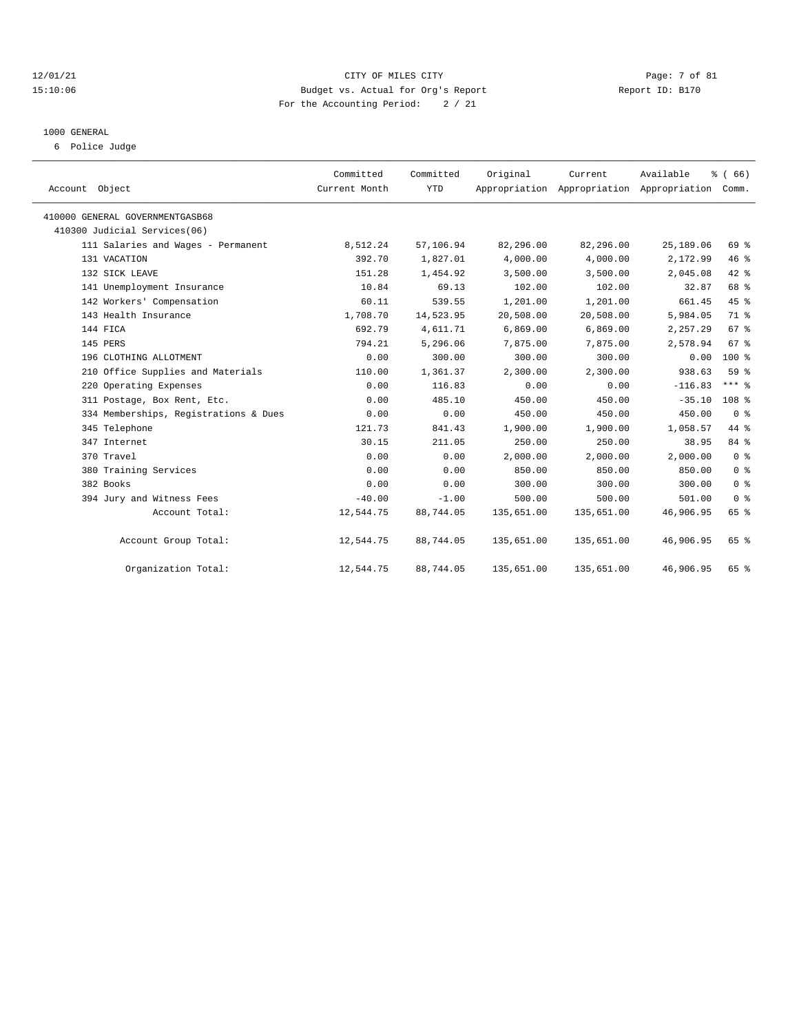#### 12/01/21 CITY OF MILES CITY Page: 7 of 81 15:10:06 Budget vs. Actual for Org's Report Report ID: B170 For the Accounting Period: 2 / 21

# 1000 GENERAL

6 Police Judge

| Account Object                        | Committed<br>Current Month | Committed<br><b>YTD</b> | Original   | Current    | Available<br>Appropriation Appropriation Appropriation | % (66)<br>Comm.  |
|---------------------------------------|----------------------------|-------------------------|------------|------------|--------------------------------------------------------|------------------|
| 410000 GENERAL GOVERNMENTGASB68       |                            |                         |            |            |                                                        |                  |
| 410300 Judicial Services(06)          |                            |                         |            |            |                                                        |                  |
| 111 Salaries and Wages - Permanent    | 8,512.24                   | 57,106.94               | 82,296.00  | 82,296.00  | 25,189.06                                              | 69 %             |
| 131 VACATION                          | 392.70                     | 1,827.01                | 4,000.00   | 4,000.00   | 2,172.99                                               | 46 %             |
| 132 SICK LEAVE                        | 151.28                     | 1,454.92                | 3,500.00   | 3,500.00   | 2,045.08                                               | $42$ $%$         |
| 141 Unemployment Insurance            | 10.84                      | 69.13                   | 102.00     | 102.00     | 32.87                                                  | 68 %             |
| 142 Workers' Compensation             | 60.11                      | 539.55                  | 1,201.00   | 1,201.00   | 661.45                                                 | 45%              |
| 143 Health Insurance                  | 1,708.70                   | 14,523.95               | 20,508.00  | 20,508.00  | 5,984.05                                               | 71 %             |
| 144 FICA                              | 692.79                     | 4,611.71                | 6,869.00   | 6,869.00   | 2,257.29                                               | 67 <sup>8</sup>  |
| 145 PERS                              | 794.21                     | 5,296.06                | 7,875.00   | 7,875.00   | 2,578.94                                               | 67 <sup>8</sup>  |
| 196 CLOTHING ALLOTMENT                | 0.00                       | 300.00                  | 300.00     | 300.00     | 0.00                                                   | 100 %            |
| 210 Office Supplies and Materials     | 110.00                     | 1,361.37                | 2,300.00   | 2,300.00   | 938.63                                                 | 59 %             |
| 220 Operating Expenses                | 0.00                       | 116.83                  | 0.00       | 0.00       | $-116.83$                                              | $***$ $%$        |
| 311 Postage, Box Rent, Etc.           | 0.00                       | 485.10                  | 450.00     | 450.00     | $-35.10$                                               | 108 <sup>8</sup> |
| 334 Memberships, Registrations & Dues | 0.00                       | 0.00                    | 450.00     | 450.00     | 450.00                                                 | 0 <sup>8</sup>   |
| 345 Telephone                         | 121.73                     | 841.43                  | 1,900.00   | 1,900.00   | 1,058.57                                               | 44 %             |
| 347 Internet                          | 30.15                      | 211.05                  | 250.00     | 250.00     | 38.95                                                  | 84 %             |
| 370 Travel                            | 0.00                       | 0.00                    | 2,000.00   | 2,000.00   | 2,000.00                                               | 0 <sup>8</sup>   |
| 380 Training Services                 | 0.00                       | 0.00                    | 850.00     | 850.00     | 850.00                                                 | 0 <sup>8</sup>   |
| 382 Books                             | 0.00                       | 0.00                    | 300.00     | 300.00     | 300.00                                                 | 0 <sup>8</sup>   |
| 394 Jury and Witness Fees             | $-40.00$                   | $-1.00$                 | 500.00     | 500.00     | 501.00                                                 | 0 <sup>8</sup>   |
| Account Total:                        | 12,544.75                  | 88,744.05               | 135,651.00 | 135,651.00 | 46,906.95                                              | 65 %             |
| Account Group Total:                  | 12,544.75                  | 88,744.05               | 135,651.00 | 135,651.00 | 46,906.95                                              | 65 %             |
| Organization Total:                   | 12,544.75                  | 88,744.05               | 135,651.00 | 135,651.00 | 46,906.95                                              | 65 %             |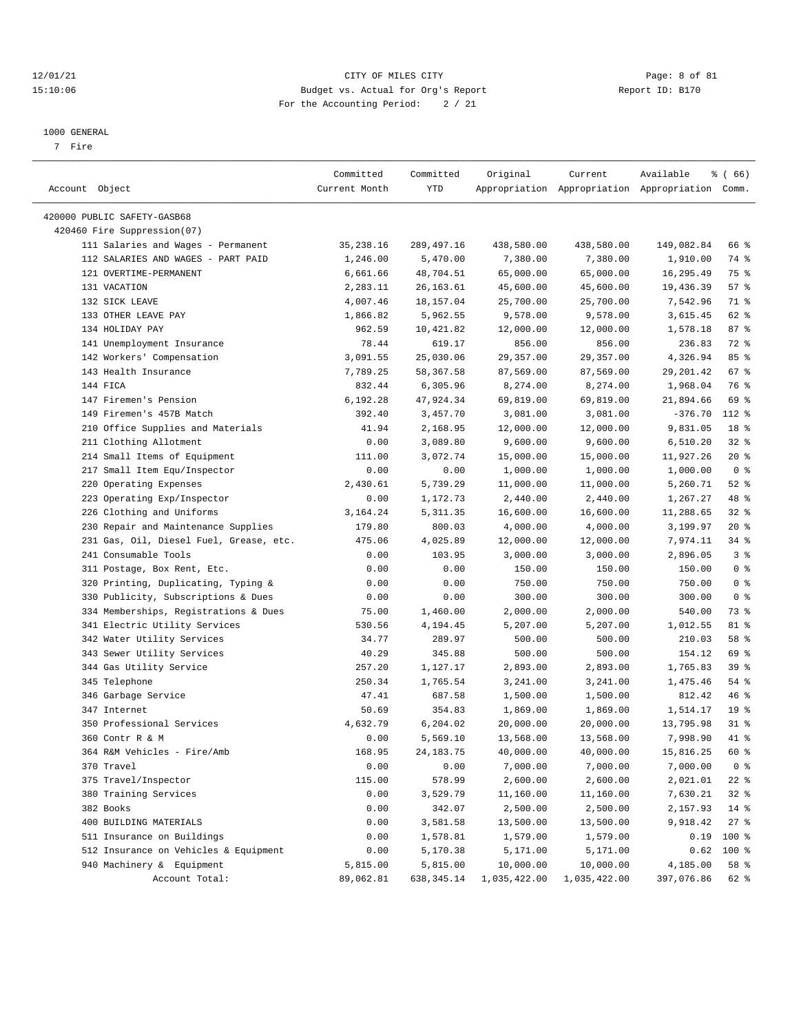#### 12/01/21 CITY OF MILES CITY Page: 8 of 81 15:10:06 Budget vs. Actual for Org's Report Report ID: B170 For the Accounting Period: 2 / 21

————————————————————————————————————————————————————————————————————————————————————————————————————————————————————————————————————

#### 1000 GENERAL

7 Fire

|                                         | Committed     | Committed  | Original     | Current      | Available                                       | $\frac{3}{6}$ (66) |
|-----------------------------------------|---------------|------------|--------------|--------------|-------------------------------------------------|--------------------|
| Account Object                          | Current Month | YTD        |              |              | Appropriation Appropriation Appropriation Comm. |                    |
| 420000 PUBLIC SAFETY-GASB68             |               |            |              |              |                                                 |                    |
| 420460 Fire Suppression(07)             |               |            |              |              |                                                 |                    |
| 111 Salaries and Wages - Permanent      | 35,238.16     | 289,497.16 | 438,580.00   | 438,580.00   | 149,082.84                                      | 66 %               |
| 112 SALARIES AND WAGES - PART PAID      | 1,246.00      | 5,470.00   | 7,380.00     | 7,380.00     | 1,910.00                                        | 74 %               |
| 121 OVERTIME-PERMANENT                  | 6,661.66      | 48,704.51  | 65,000.00    | 65,000.00    | 16,295.49                                       | 75 %               |
| 131 VACATION                            | 2,283.11      | 26, 163.61 | 45,600.00    | 45,600.00    | 19,436.39                                       | 57%                |
| 132 SICK LEAVE                          | 4,007.46      | 18,157.04  | 25,700.00    | 25,700.00    | 7,542.96                                        | 71 %               |
| 133 OTHER LEAVE PAY                     | 1,866.82      | 5,962.55   | 9,578.00     | 9,578.00     | 3,615.45                                        | 62 %               |
| 134 HOLIDAY PAY                         | 962.59        | 10,421.82  | 12,000.00    | 12,000.00    | 1,578.18                                        | 87%                |
| 141 Unemployment Insurance              | 78.44         | 619.17     | 856.00       | 856.00       | 236.83                                          | 72 %               |
| 142 Workers' Compensation               | 3,091.55      | 25,030.06  | 29,357.00    | 29,357.00    | 4,326.94                                        | 85%                |
| 143 Health Insurance                    | 7,789.25      | 58,367.58  | 87,569.00    | 87,569.00    | 29,201.42                                       | 67 %               |
| 144 FICA                                | 832.44        |            |              |              | 1,968.04                                        | 76 %               |
|                                         |               | 6,305.96   | 8,274.00     | 8,274.00     |                                                 |                    |
| 147 Firemen's Pension                   | 6,192.28      | 47,924.34  | 69,819.00    | 69,819.00    | 21,894.66                                       | 69 %               |
| 149 Firemen's 457B Match                | 392.40        | 3,457.70   | 3,081.00     | 3,081.00     | $-376.70$                                       | 112 %              |
| 210 Office Supplies and Materials       | 41.94         | 2,168.95   | 12,000.00    | 12,000.00    | 9,831.05                                        | 18 <sup>8</sup>    |
| 211 Clothing Allotment                  | 0.00          | 3,089.80   | 9,600.00     | 9,600.00     | 6,510.20                                        | 328                |
| 214 Small Items of Equipment            | 111.00        | 3,072.74   | 15,000.00    | 15,000.00    | 11,927.26                                       | $20*$              |
| 217 Small Item Equ/Inspector            | 0.00          | 0.00       | 1,000.00     | 1,000.00     | 1,000.00                                        | 0 <sup>8</sup>     |
| 220 Operating Expenses                  | 2,430.61      | 5,739.29   | 11,000.00    | 11,000.00    | 5,260.71                                        | $52$ $%$           |
| 223 Operating Exp/Inspector             | 0.00          | 1,172.73   | 2,440.00     | 2,440.00     | 1,267.27                                        | 48 %               |
| 226 Clothing and Uniforms               | 3, 164. 24    | 5,311.35   | 16,600.00    | 16,600.00    | 11,288.65                                       | 32 %               |
| 230 Repair and Maintenance Supplies     | 179.80        | 800.03     | 4,000.00     | 4,000.00     | 3,199.97                                        | $20*$              |
| 231 Gas, Oil, Diesel Fuel, Grease, etc. | 475.06        | 4,025.89   | 12,000.00    | 12,000.00    | 7,974.11                                        | 34%                |
| 241 Consumable Tools                    | 0.00          | 103.95     | 3,000.00     | 3,000.00     | 2,896.05                                        | 3%                 |
| 311 Postage, Box Rent, Etc.             | 0.00          | 0.00       | 150.00       | 150.00       | 150.00                                          | 0 <sup>8</sup>     |
| 320 Printing, Duplicating, Typing &     | 0.00          | 0.00       | 750.00       | 750.00       | 750.00                                          | 0 <sup>8</sup>     |
| 330 Publicity, Subscriptions & Dues     | 0.00          | 0.00       | 300.00       | 300.00       | 300.00                                          | 0 <sup>8</sup>     |
| 334 Memberships, Registrations & Dues   | 75.00         | 1,460.00   | 2,000.00     | 2,000.00     | 540.00                                          | 73 %               |
| 341 Electric Utility Services           | 530.56        | 4,194.45   | 5,207.00     | 5,207.00     | 1,012.55                                        | 81 %               |
| 342 Water Utility Services              | 34.77         | 289.97     | 500.00       | 500.00       | 210.03                                          | 58 %               |
| 343 Sewer Utility Services              | 40.29         | 345.88     | 500.00       | 500.00       | 154.12                                          | 69 %               |
| 344 Gas Utility Service                 | 257.20        | 1,127.17   | 2,893.00     | 2,893.00     | 1,765.83                                        | 39%                |
| 345 Telephone                           | 250.34        | 1,765.54   | 3,241.00     | 3,241.00     | 1,475.46                                        | 54 %               |
| 346 Garbage Service                     | 47.41         | 687.58     | 1,500.00     | 1,500.00     | 812.42                                          | 46%                |
| 347 Internet                            | 50.69         | 354.83     | 1,869.00     | 1,869.00     | 1,514.17                                        | 19 <sup>°</sup>    |
| 350 Professional Services               | 4,632.79      | 6,204.02   | 20,000.00    | 20,000.00    | 13,795.98                                       | $31$ %             |
| 360 Contr R & M                         | 0.00          | 5,569.10   | 13,568.00    | 13,568.00    | 7,998.90                                        | 41 %               |
| 364 R&M Vehicles - Fire/Amb             | 168.95        | 24,183.75  | 40,000.00    | 40,000.00    | 15,816.25                                       | 60 %               |
| 370 Travel                              | 0.00          | 0.00       | 7,000.00     | 7,000.00     | 7,000.00                                        | 0 <sup>8</sup>     |
| 375 Travel/Inspector                    | 115.00        | 578.99     | 2,600.00     | 2,600.00     | 2,021.01                                        | $22$ %             |
| 380 Training Services                   | 0.00          | 3,529.79   | 11,160.00    | 11,160.00    | 7,630.21                                        | 32%                |
| 382 Books                               | 0.00          | 342.07     | 2,500.00     | 2,500.00     | 2,157.93                                        | $14$ %             |
| 400 BUILDING MATERIALS                  | 0.00          | 3,581.58   | 13,500.00    | 13,500.00    | 9,918.42                                        | $27$ %             |
| 511 Insurance on Buildings              | 0.00          | 1,578.81   | 1,579.00     | 1,579.00     | 0.19                                            | 100 %              |
| 512 Insurance on Vehicles & Equipment   | 0.00          | 5,170.38   | 5,171.00     | 5,171.00     | 0.62                                            | 100 %              |
| 940 Machinery & Equipment               | 5,815.00      | 5,815.00   | 10,000.00    | 10,000.00    | 4,185.00                                        | 58 %               |
| Account Total:                          | 89,062.81     | 638,345.14 | 1,035,422.00 | 1,035,422.00 | 397,076.86                                      | 62 %               |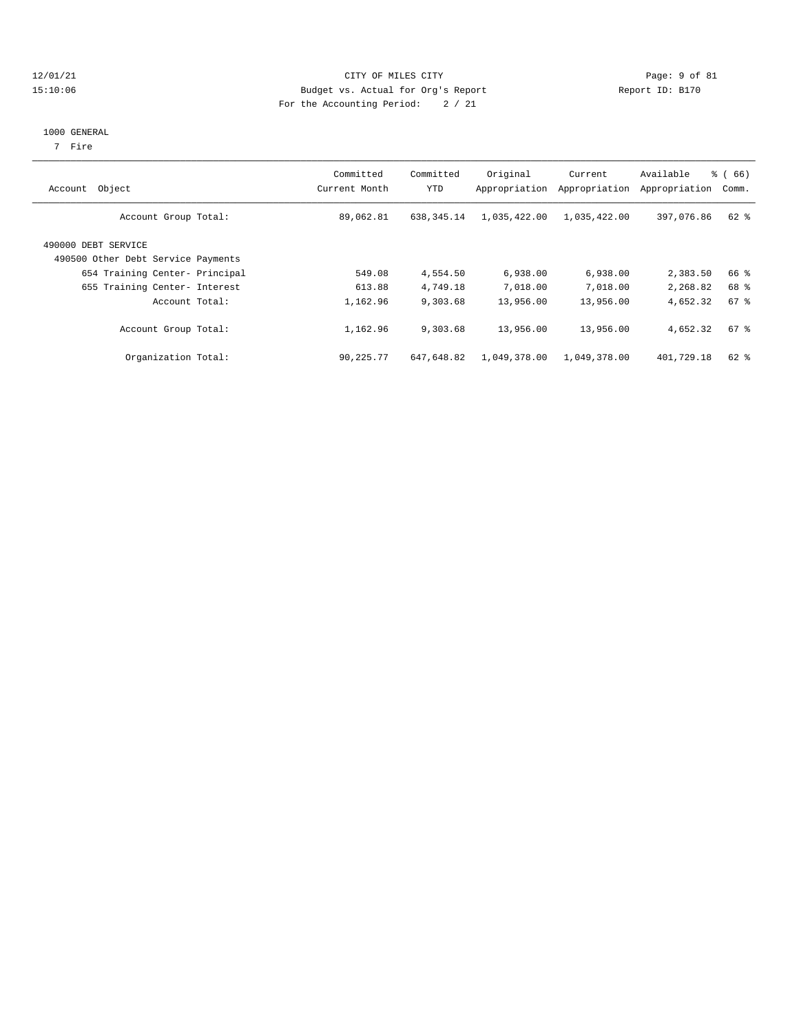#### 12/01/21 CITY OF MILES CITY Page: 9 of 81 15:10:06 Budget vs. Actual for Org's Report Report ID: B170 For the Accounting Period: 2 / 21

### 1000 GENERAL

7 Fire

| Object<br>Account                                         | Committed<br>Current Month | Committed<br>YTD | Original<br>Appropriation | Current<br>Appropriation | Available<br>Appropriation | $\frac{3}{6}$ (66)<br>Comm. |
|-----------------------------------------------------------|----------------------------|------------------|---------------------------|--------------------------|----------------------------|-----------------------------|
| Account Group Total:                                      | 89,062.81                  | 638, 345.14      | 1,035,422.00              | 1,035,422.00             | 397,076.86                 | 62 %                        |
| 490000 DEBT SERVICE<br>490500 Other Debt Service Payments |                            |                  |                           |                          |                            |                             |
| 654 Training Center- Principal                            | 549.08                     | 4,554.50         | 6,938.00                  | 6,938.00                 | 2,383.50                   | 66 %                        |
| 655 Training Center- Interest                             | 613.88                     | 4,749.18         | 7,018.00                  | 7,018.00                 | 2,268.82                   | 68 %                        |
| Account Total:                                            | 1,162.96                   | 9,303.68         | 13,956.00                 | 13,956.00                | 4,652.32                   | $67$ $%$                    |
| Account Group Total:                                      | 1,162.96                   | 9,303.68         | 13,956.00                 | 13,956.00                | 4,652.32                   | $67$ $%$                    |
| Organization Total:                                       | 90,225.77                  | 647,648.82       | 1,049,378.00              | 1,049,378.00             | 401,729.18                 | $62$ $%$                    |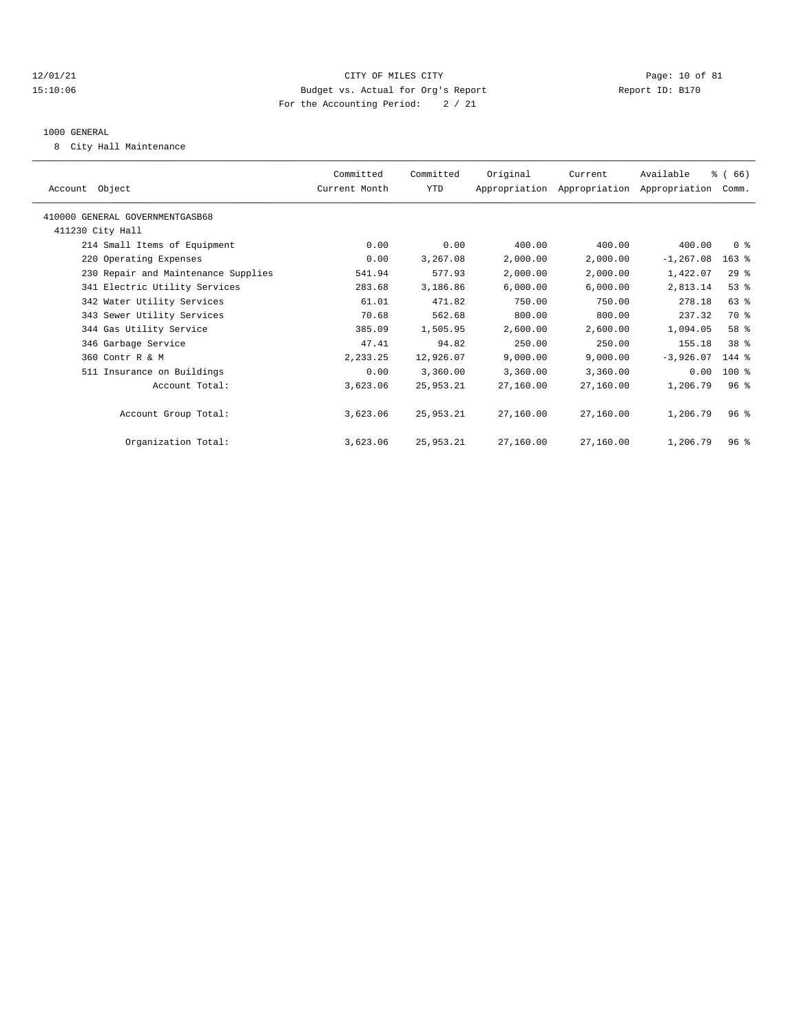#### 12/01/21 Page: 10 of 81 15:10:06 Budget vs. Actual for Org's Report Report ID: B170 For the Accounting Period: 2 / 21

#### 1000 GENERAL

8 City Hall Maintenance

| Account Object                      | Committed<br>Current Month | Committed<br><b>YTD</b> | Original  | Current<br>Appropriation Appropriation Appropriation | Available    | % (66)<br>Comm. |
|-------------------------------------|----------------------------|-------------------------|-----------|------------------------------------------------------|--------------|-----------------|
| 410000 GENERAL GOVERNMENTGASB68     |                            |                         |           |                                                      |              |                 |
| 411230 City Hall                    |                            |                         |           |                                                      |              |                 |
| 214 Small Items of Equipment        | 0.00                       | 0.00                    | 400.00    | 400.00                                               | 400.00       | 0 <sup>8</sup>  |
| 220 Operating Expenses              | 0.00                       | 3,267.08                | 2,000.00  | 2,000.00                                             | $-1, 267.08$ | $163$ %         |
| 230 Repair and Maintenance Supplies | 541.94                     | 577.93                  | 2,000.00  | 2,000.00                                             | 1,422.07     | 29%             |
| 341 Electric Utility Services       | 283.68                     | 3,186.86                | 6,000.00  | 6,000.00                                             | 2,813.14     | 53%             |
| 342 Water Utility Services          | 61.01                      | 471.82                  | 750.00    | 750.00                                               | 278.18       | 63 %            |
| 343 Sewer Utility Services          | 70.68                      | 562.68                  | 800.00    | 800.00                                               | 237.32       | 70 %            |
| 344 Gas Utility Service             | 385.09                     | 1,505.95                | 2,600.00  | 2,600.00                                             | 1,094.05     | 58 %            |
| 346 Garbage Service                 | 47.41                      | 94.82                   | 250.00    | 250.00                                               | 155.18       | 38 %            |
| 360 Contr R & M                     | 2,233.25                   | 12,926.07               | 9,000.00  | 9,000.00                                             | $-3,926.07$  | $144$ %         |
| 511 Insurance on Buildings          | 0.00                       | 3,360.00                | 3,360.00  | 3,360.00                                             | 0.00         | 100 %           |
| Account Total:                      | 3,623.06                   | 25,953.21               | 27,160.00 | 27,160.00                                            | 1,206.79     | 96 <sup>8</sup> |
| Account Group Total:                | 3,623.06                   | 25,953.21               | 27,160.00 | 27,160.00                                            | 1,206.79     | $96*$           |
| Organization Total:                 | 3,623.06                   | 25,953.21               | 27,160.00 | 27,160.00                                            | 1,206.79     | $96*$           |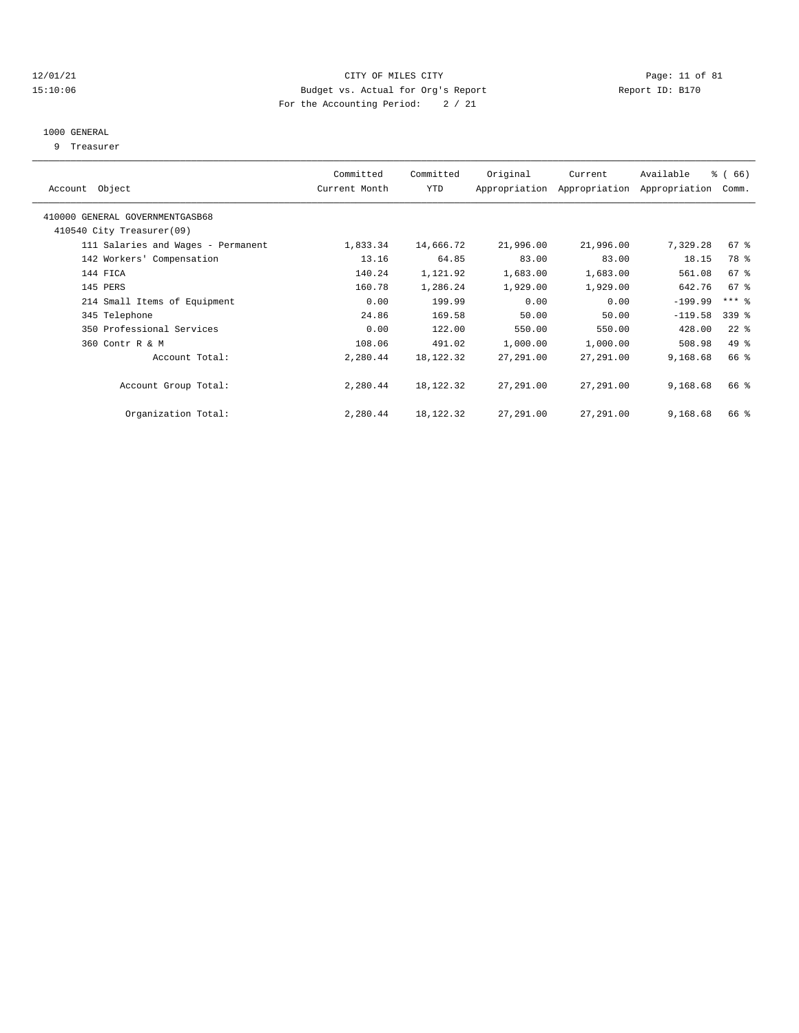#### 12/01/21 Page: 11 of 81 15:10:06 Budget vs. Actual for Org's Report Report ID: B170 For the Accounting Period: 2 / 21

#### 1000 GENERAL

9 Treasurer

| Object<br>Account                  | Committed<br>Current Month | Committed<br><b>YTD</b> | Original  | Current<br>Appropriation Appropriation | Available<br>Appropriation | % (66)<br>Comm.     |  |
|------------------------------------|----------------------------|-------------------------|-----------|----------------------------------------|----------------------------|---------------------|--|
|                                    |                            |                         |           |                                        |                            |                     |  |
| 410000 GENERAL GOVERNMENTGASB68    |                            |                         |           |                                        |                            |                     |  |
| 410540 City Treasurer(09)          |                            |                         |           |                                        |                            |                     |  |
| 111 Salaries and Wages - Permanent | 1,833.34                   | 14,666.72               | 21,996.00 | 21,996.00                              | 7,329.28                   | 67 %                |  |
| 142 Workers' Compensation          | 13.16                      | 64.85                   | 83.00     | 83.00                                  | 18.15                      | 78 %                |  |
| 144 FICA                           | 140.24                     | 1,121.92                | 1,683.00  | 1,683.00                               | 561.08                     | 67 %                |  |
| 145 PERS                           | 160.78                     | 1,286.24                | 1,929.00  | 1,929.00                               | 642.76                     | 67 <sup>8</sup>     |  |
| 214 Small Items of Equipment       | 0.00                       | 199.99                  | 0.00      | 0.00                                   | $-199.99$                  | $***$ $\frac{6}{5}$ |  |
| 345 Telephone                      | 24.86                      | 169.58                  | 50.00     | 50.00                                  | $-119.58$                  | 339 %               |  |
| 350 Professional Services          | 0.00                       | 122.00                  | 550.00    | 550.00                                 | 428.00                     | $22$ $%$            |  |
| 360 Contr R & M                    | 108.06                     | 491.02                  | 1,000.00  | 1,000.00                               | 508.98                     | 49 %                |  |
| Account Total:                     | 2,280.44                   | 18,122.32               | 27,291.00 | 27,291.00                              | 9,168.68                   | 66 %                |  |
| Account Group Total:               | 2,280.44                   | 18,122.32               | 27,291.00 | 27,291.00                              | 9,168.68                   | 66 %                |  |
| Organization Total:                | 2,280.44                   | 18,122.32               | 27,291.00 | 27,291.00                              | 9,168.68                   | 66 %                |  |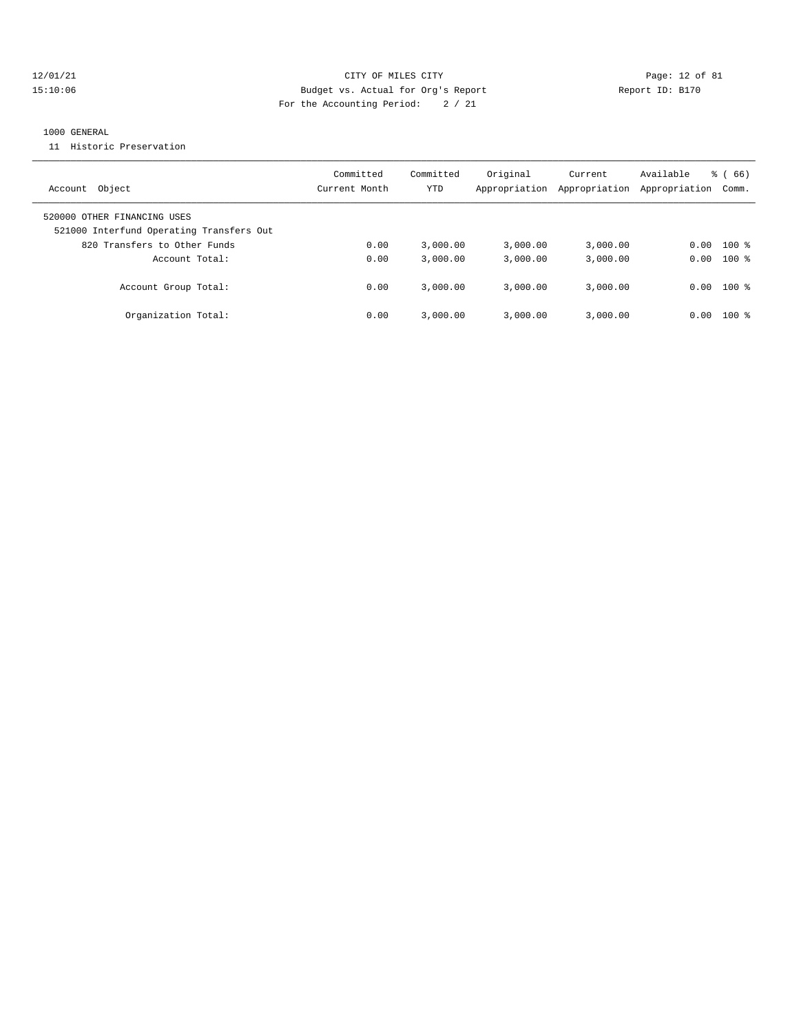#### 12/01/21 Page: 12 of 81 15:10:06 Budget vs. Actual for Org's Report Report ID: B170 For the Accounting Period: 2 / 21

#### 1000 GENERAL

11 Historic Preservation

| Account Object                                                          | Committed<br>Current Month | Committed<br>YTD | Original<br>Appropriation | Current<br>Appropriation | Available<br>Appropriation | $\frac{6}{6}$ (66)<br>Comm. |
|-------------------------------------------------------------------------|----------------------------|------------------|---------------------------|--------------------------|----------------------------|-----------------------------|
| 520000 OTHER FINANCING USES<br>521000 Interfund Operating Transfers Out |                            |                  |                           |                          |                            |                             |
| 820 Transfers to Other Funds                                            | 0.00                       | 3.000.00         | 3.000.00                  | 3,000.00                 | 0.00                       | $100*$                      |
| Account Total:                                                          | 0.00                       | 3.000.00         | 3.000.00                  | 3,000.00                 |                            | $0.00$ 100 %                |
| Account Group Total:                                                    | 0.00                       | 3.000.00         | 3.000.00                  | 3,000.00                 | 0.00                       | $100$ %                     |
| Organization Total:                                                     | 0.00                       | 3.000.00         | 3.000.00                  | 3,000.00                 | 0.00                       | $100$ %                     |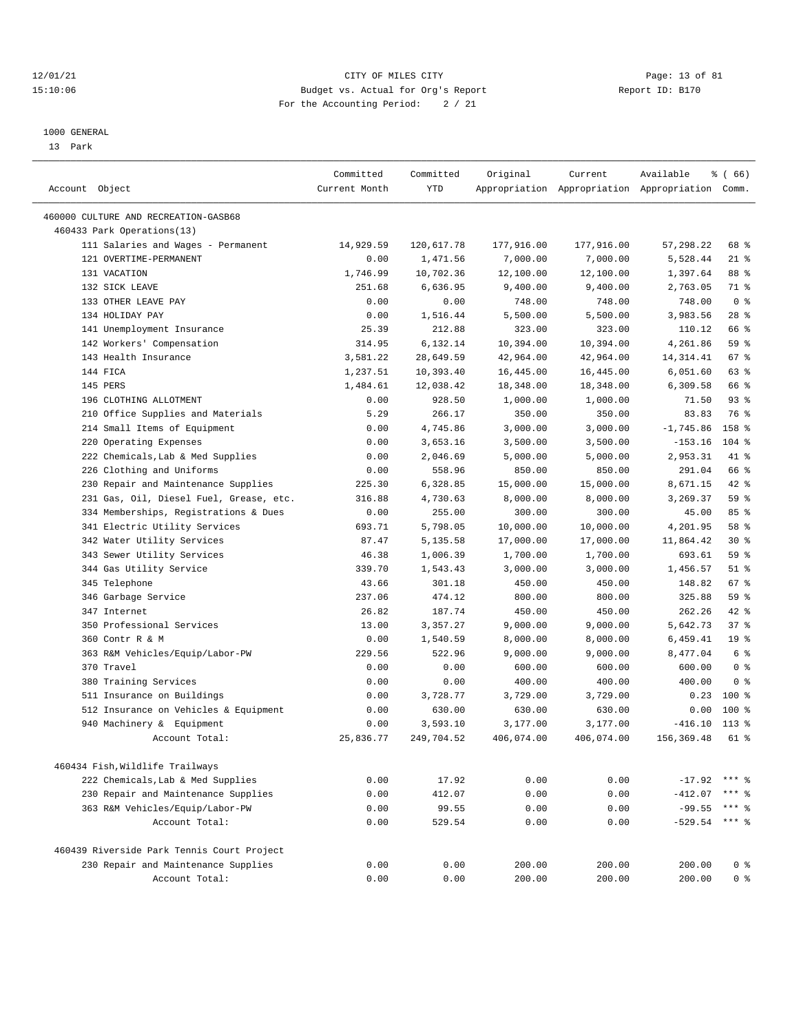#### 12/01/21 Page: 13 of 81 15:10:06 Budget vs. Actual for Org's Report Report ID: B170 For the Accounting Period: 2 / 21

————————————————————————————————————————————————————————————————————————————————————————————————————————————————————————————————————

#### 1000 GENERAL

13 Park

| Account Object                             | Committed<br>Current Month | Committed<br><b>YTD</b> | Original   | Current    | Available<br>Appropriation Appropriation Appropriation Comm. | <sub>රි</sub> (66) |  |
|--------------------------------------------|----------------------------|-------------------------|------------|------------|--------------------------------------------------------------|--------------------|--|
|                                            |                            |                         |            |            |                                                              |                    |  |
| 460000 CULTURE AND RECREATION-GASB68       |                            |                         |            |            |                                                              |                    |  |
| 460433 Park Operations(13)                 |                            |                         |            |            |                                                              |                    |  |
| 111 Salaries and Wages - Permanent         | 14,929.59                  | 120,617.78              | 177,916.00 | 177,916.00 | 57,298.22                                                    | 68 %               |  |
| 121 OVERTIME-PERMANENT                     | 0.00                       | 1,471.56                | 7,000.00   | 7,000.00   | 5,528.44                                                     | $21$ %             |  |
| 131 VACATION                               | 1,746.99                   | 10,702.36               | 12,100.00  | 12,100.00  | 1,397.64                                                     | 88 %               |  |
| 132 SICK LEAVE                             | 251.68                     | 6,636.95                | 9,400.00   | 9,400.00   | 2,763.05                                                     | 71 %               |  |
| 133 OTHER LEAVE PAY                        | 0.00                       | 0.00                    | 748.00     | 748.00     | 748.00                                                       | 0 <sup>8</sup>     |  |
| 134 HOLIDAY PAY                            | 0.00                       | 1,516.44                | 5,500.00   | 5,500.00   | 3,983.56                                                     | $28$ %             |  |
| 141 Unemployment Insurance                 | 25.39                      | 212.88                  | 323.00     | 323.00     | 110.12                                                       | 66 %               |  |
| 142 Workers' Compensation                  | 314.95                     | 6,132.14                | 10,394.00  | 10,394.00  | 4,261.86                                                     | 59 %               |  |
| 143 Health Insurance                       | 3,581.22                   | 28,649.59               | 42,964.00  | 42,964.00  | 14, 314. 41                                                  | 67 %               |  |
| 144 FICA                                   | 1,237.51                   | 10,393.40               | 16,445.00  | 16,445.00  | 6,051.60                                                     | 63 %               |  |
| 145 PERS                                   | 1,484.61                   | 12,038.42               | 18,348.00  | 18,348.00  | 6,309.58                                                     | 66 %               |  |
| 196 CLOTHING ALLOTMENT                     | 0.00                       | 928.50                  | 1,000.00   | 1,000.00   | 71.50                                                        | $93$ $%$           |  |
| 210 Office Supplies and Materials          | 5.29                       | 266.17                  | 350.00     | 350.00     | 83.83                                                        | 76 %               |  |
| 214 Small Items of Equipment               | 0.00                       | 4,745.86                | 3,000.00   | 3,000.00   | $-1,745.86$                                                  | 158 %              |  |
| 220 Operating Expenses                     | 0.00                       | 3,653.16                | 3,500.00   | 3,500.00   | $-153.16$                                                    | 104 %              |  |
| 222 Chemicals, Lab & Med Supplies          | 0.00                       | 2,046.69                | 5,000.00   | 5,000.00   | 2,953.31                                                     | 41 %               |  |
| 226 Clothing and Uniforms                  | 0.00                       | 558.96                  | 850.00     | 850.00     | 291.04                                                       | 66 %               |  |
| 230 Repair and Maintenance Supplies        | 225.30                     | 6,328.85                | 15,000.00  | 15,000.00  | 8,671.15                                                     | 42 %               |  |
| 231 Gas, Oil, Diesel Fuel, Grease, etc.    | 316.88                     | 4,730.63                | 8,000.00   | 8,000.00   | 3,269.37                                                     | 59 %               |  |
| 334 Memberships, Registrations & Dues      | 0.00                       | 255.00                  | 300.00     | 300.00     | 45.00                                                        | 85%                |  |
| 341 Electric Utility Services              | 693.71                     | 5,798.05                | 10,000.00  | 10,000.00  | 4,201.95                                                     | 58 %               |  |
| 342 Water Utility Services                 | 87.47                      | 5,135.58                | 17,000.00  | 17,000.00  | 11,864.42                                                    | $30*$              |  |
| 343 Sewer Utility Services                 | 46.38                      | 1,006.39                | 1,700.00   | 1,700.00   | 693.61                                                       | 59 %               |  |
| 344 Gas Utility Service                    | 339.70                     | 1,543.43                | 3,000.00   | 3,000.00   | 1,456.57                                                     | $51$ %             |  |
| 345 Telephone                              | 43.66                      | 301.18                  | 450.00     | 450.00     | 148.82                                                       | 67 %               |  |
| 346 Garbage Service                        | 237.06                     | 474.12                  | 800.00     | 800.00     | 325.88                                                       | 59 %               |  |
| 347 Internet                               | 26.82                      | 187.74                  | 450.00     | 450.00     | 262.26                                                       | 42 %               |  |
| 350 Professional Services                  | 13.00                      | 3,357.27                | 9,000.00   | 9,000.00   | 5,642.73                                                     | 37%                |  |
| 360 Contr R & M                            | 0.00                       | 1,540.59                | 8,000.00   | 8,000.00   | 6,459.41                                                     | 19 <sup>°</sup>    |  |
| 363 R&M Vehicles/Equip/Labor-PW            | 229.56                     | 522.96                  | 9,000.00   | 9,000.00   | 8,477.04                                                     | 6 %                |  |
| 370 Travel                                 | 0.00                       | 0.00                    | 600.00     | 600.00     | 600.00                                                       | 0 <sup>8</sup>     |  |
| 380 Training Services                      | 0.00                       | 0.00                    | 400.00     | 400.00     | 400.00                                                       | 0 <sup>8</sup>     |  |
| 511 Insurance on Buildings                 | 0.00                       | 3,728.77                | 3,729.00   | 3,729.00   | 0.23                                                         | 100 %              |  |
| 512 Insurance on Vehicles & Equipment      | 0.00                       | 630.00                  | 630.00     | 630.00     | 0.00                                                         | 100 %              |  |
| 940 Machinery & Equipment                  | 0.00                       | 3,593.10                | 3,177.00   | 3,177.00   | $-416.10$                                                    | $113*$             |  |
| Account Total:                             | 25,836.77                  | 249,704.52              | 406,074.00 | 406,074.00 | 156,369.48                                                   | 61 %               |  |
|                                            |                            |                         |            |            |                                                              |                    |  |
| 460434 Fish, Wildlife Trailways            |                            |                         |            |            |                                                              |                    |  |
| 222 Chemicals, Lab & Med Supplies          | 0.00                       | 17.92                   | 0.00       | 0.00       | $-17.92$                                                     | *** *              |  |
| 230 Repair and Maintenance Supplies        | 0.00                       | 412.07                  | 0.00       | 0.00       | $-412.07$                                                    | *** 응              |  |
| 363 R&M Vehicles/Equip/Labor-PW            | 0.00                       | 99.55                   | 0.00       | 0.00       | $-99.55$                                                     | *** 응              |  |
| Account Total:                             | 0.00                       | 529.54                  | 0.00       | 0.00       | $-529.54$                                                    | *** 응              |  |
| 460439 Riverside Park Tennis Court Project |                            |                         |            |            |                                                              |                    |  |
| 230 Repair and Maintenance Supplies        | 0.00                       | 0.00                    | 200.00     | 200.00     | 200.00                                                       | 0 <sup>8</sup>     |  |
| Account Total:                             | 0.00                       | 0.00                    | 200.00     | 200.00     | 200.00                                                       | 0 <sup>8</sup>     |  |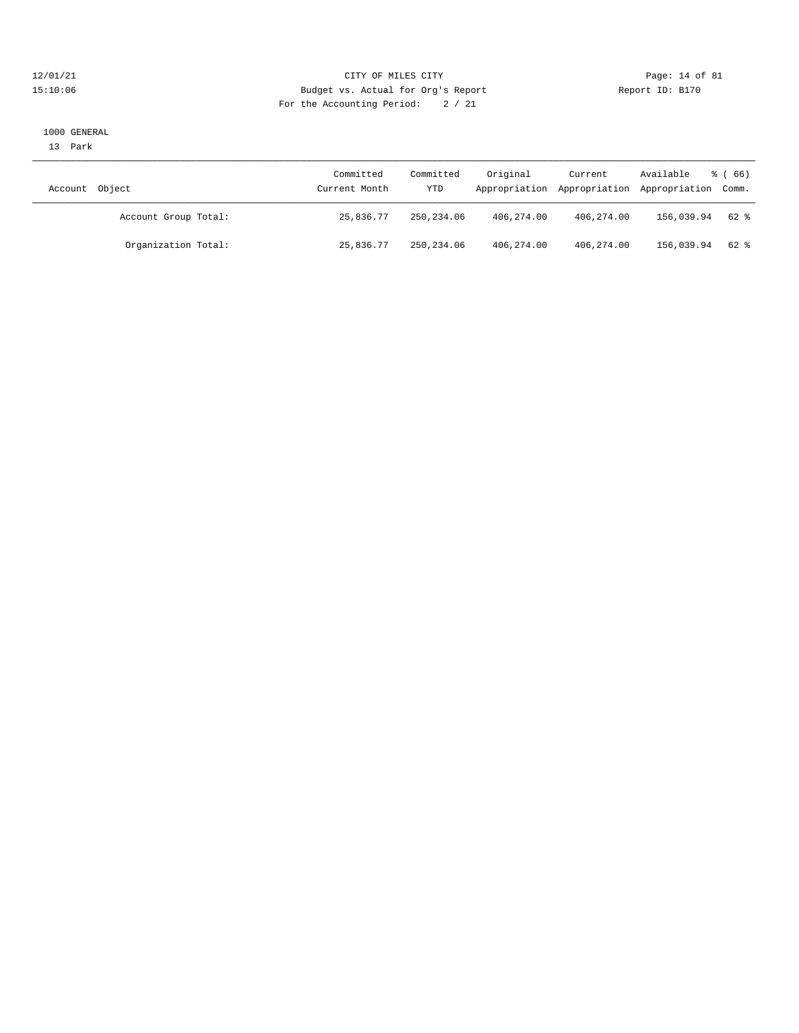#### 12/01/21 Page: 14 of 81<br>
12/01/21 Page: 14 of 81<br>
Budget vs. Actual for Org's Report Physics (Report ID: B170 15:10:06 Budget vs. Actual for Org's Report For the Accounting Period: 2 / 21

#### 1000 GENERAL

13 Park

| Object<br>Account    | Committed<br>Current Month | Committed<br>YTD | Original   | Current      | Available<br>Appropriation Appropriation Appropriation Comm. | <sub>ර</sub> ි (66) |
|----------------------|----------------------------|------------------|------------|--------------|--------------------------------------------------------------|---------------------|
| Account Group Total: | 25,836.77                  | 250,234.06       | 406,274.00 | 406,274.00   | 156,039.94                                                   | 62 %                |
| Organization Total:  | 25,836.77                  | 250, 234, 06     | 406,274.00 | 406, 274, 00 | 156,039.94                                                   | $62$ $%$            |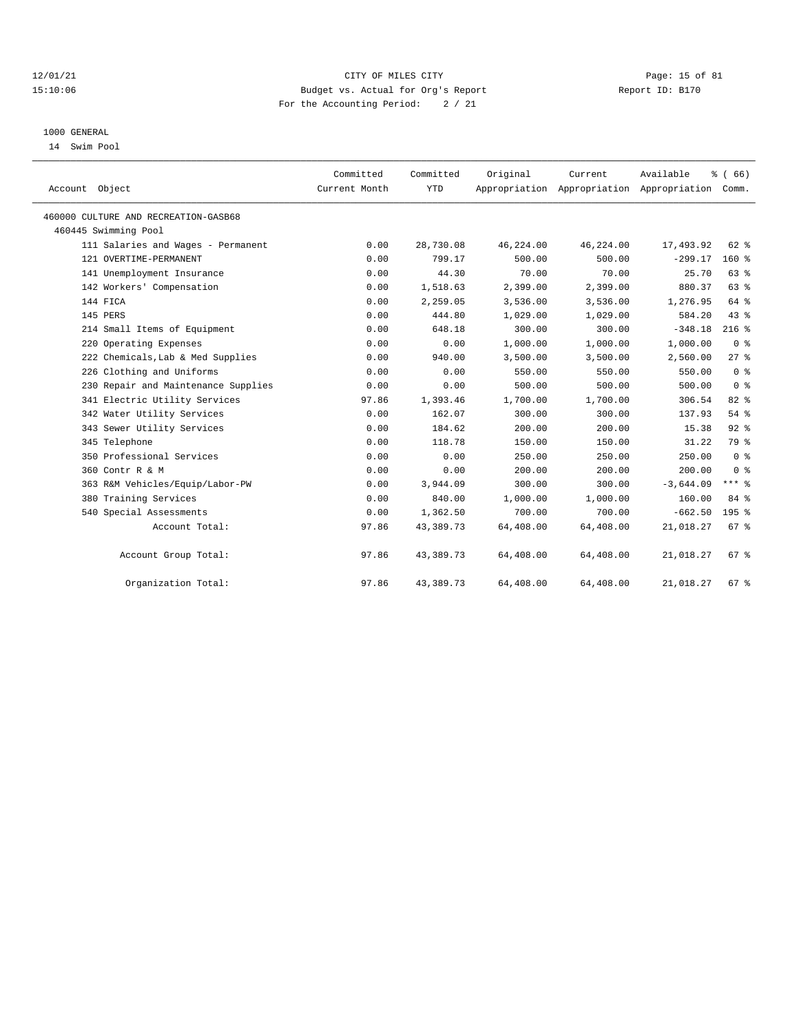#### 12/01/21 Page: 15 of 81 15:10:06 Budget vs. Actual for Org's Report Report ID: B170 For the Accounting Period: 2 / 21

#### 1000 GENERAL

14 Swim Pool

| Account Object                       | Committed<br>Current Month | Committed<br><b>YTD</b> | Original  | Current<br>Appropriation Appropriation Appropriation Comm. | Available   | % (66)           |  |
|--------------------------------------|----------------------------|-------------------------|-----------|------------------------------------------------------------|-------------|------------------|--|
| 460000 CULTURE AND RECREATION-GASB68 |                            |                         |           |                                                            |             |                  |  |
| 460445 Swimming Pool                 |                            |                         |           |                                                            |             |                  |  |
| 111 Salaries and Wages - Permanent   | 0.00                       | 28,730.08               | 46,224.00 | 46,224.00                                                  | 17,493.92   | 62 %             |  |
| 121 OVERTIME-PERMANENT               | 0.00                       | 799.17                  | 500.00    | 500.00                                                     | $-299.17$   | 160%             |  |
| 141 Unemployment Insurance           | 0.00                       | 44.30                   | 70.00     | 70.00                                                      | 25.70       | 63%              |  |
| 142 Workers' Compensation            | 0.00                       | 1,518.63                | 2,399.00  | 2,399.00                                                   | 880.37      | 63%              |  |
| 144 FICA                             | 0.00                       | 2,259.05                | 3,536.00  | 3,536.00                                                   | 1,276.95    | 64 %             |  |
| 145 PERS                             | 0.00                       | 444.80                  | 1,029.00  | 1,029.00                                                   | 584.20      | 43.8             |  |
| 214 Small Items of Equipment         | 0.00                       | 648.18                  | 300.00    | 300.00                                                     | $-348.18$   | $216$ %          |  |
| 220 Operating Expenses               | 0.00                       | 0.00                    | 1,000.00  | 1,000.00                                                   | 1,000.00    | 0 <sup>8</sup>   |  |
| 222 Chemicals, Lab & Med Supplies    | 0.00                       | 940.00                  | 3,500.00  | 3,500.00                                                   | 2,560.00    | $27$ $%$         |  |
| 226 Clothing and Uniforms            | 0.00                       | 0.00                    | 550.00    | 550.00                                                     | 550.00      | 0 <sup>8</sup>   |  |
| 230 Repair and Maintenance Supplies  | 0.00                       | 0.00                    | 500.00    | 500.00                                                     | 500.00      | 0 <sup>8</sup>   |  |
| 341 Electric Utility Services        | 97.86                      | 1,393.46                | 1,700.00  | 1,700.00                                                   | 306.54      | 82 %             |  |
| 342 Water Utility Services           | 0.00                       | 162.07                  | 300.00    | 300.00                                                     | 137.93      | 54%              |  |
| 343 Sewer Utility Services           | 0.00                       | 184.62                  | 200.00    | 200.00                                                     | 15.38       | 92%              |  |
| 345 Telephone                        | 0.00                       | 118.78                  | 150.00    | 150.00                                                     | 31.22       | 79 %             |  |
| 350 Professional Services            | 0.00                       | 0.00                    | 250.00    | 250.00                                                     | 250.00      | 0 <sup>8</sup>   |  |
| 360 Contr R & M                      | 0.00                       | 0.00                    | 200.00    | 200.00                                                     | 200.00      | 0 <sup>8</sup>   |  |
| 363 R&M Vehicles/Equip/Labor-PW      | 0.00                       | 3,944.09                | 300.00    | 300.00                                                     | $-3,644.09$ | $***$ $-$        |  |
| 380 Training Services                | 0.00                       | 840.00                  | 1,000.00  | 1,000.00                                                   | 160.00      | 84 %             |  |
| 540 Special Assessments              | 0.00                       | 1,362.50                | 700.00    | 700.00                                                     | $-662.50$   | 195 <sub>8</sub> |  |
| Account Total:                       | 97.86                      | 43,389.73               | 64,408.00 | 64,408.00                                                  | 21,018.27   | 67%              |  |
| Account Group Total:                 | 97.86                      | 43,389.73               | 64,408.00 | 64,408.00                                                  | 21,018.27   | 67%              |  |
| Organization Total:                  | 97.86                      | 43,389.73               | 64,408.00 | 64,408.00                                                  | 21,018.27   | 67%              |  |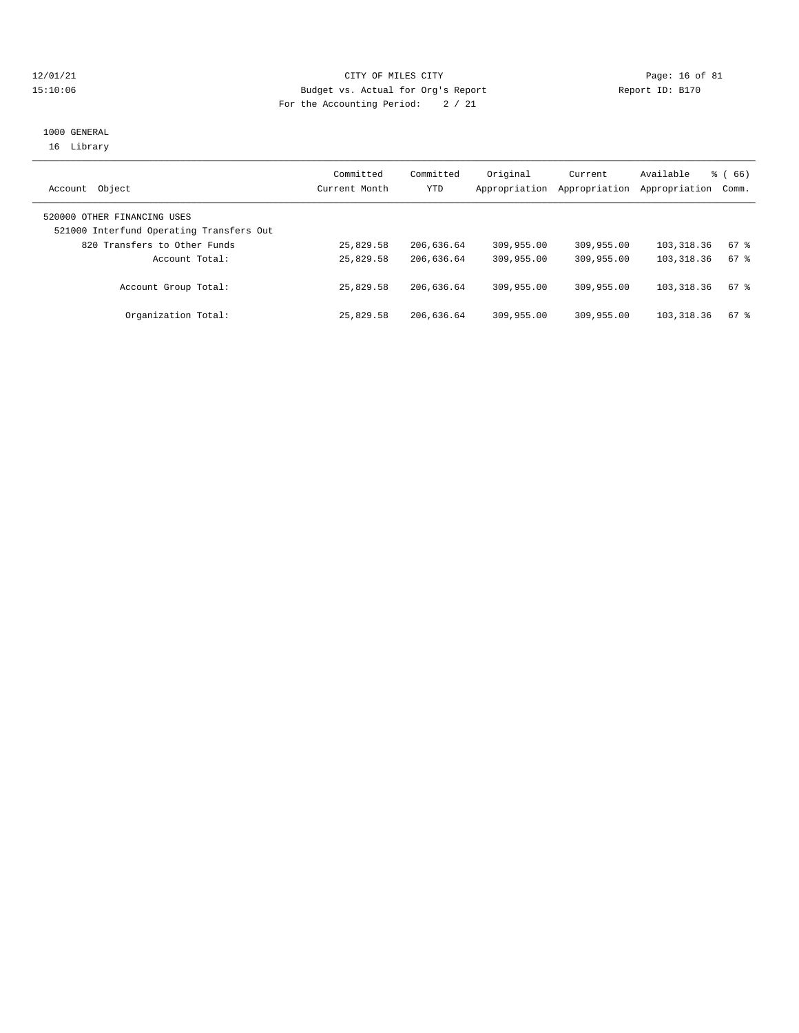#### 12/01/21 Page: 16 of 81 15:10:06 Budget vs. Actual for Org's Report Report ID: B170 For the Accounting Period: 2 / 21

## 1000 GENERAL 16 Library

| Object<br>Account                                                       | Committed<br>Current Month | Committed<br>YTD | Original<br>Appropriation | Current<br>Appropriation | Available<br>Appropriation Comm. | $\frac{3}{6}$ (66) |
|-------------------------------------------------------------------------|----------------------------|------------------|---------------------------|--------------------------|----------------------------------|--------------------|
| 520000 OTHER FINANCING USES<br>521000 Interfund Operating Transfers Out |                            |                  |                           |                          |                                  |                    |
| 820 Transfers to Other Funds                                            | 25,829.58                  | 206,636.64       | 309,955.00                | 309,955.00               | 103,318.36                       | 67 %               |
| Account Total:                                                          | 25,829.58                  | 206,636.64       | 309,955.00                | 309,955.00               | 103, 318, 36                     | 67 %               |
| Account Group Total:                                                    | 25,829.58                  | 206,636.64       | 309,955.00                | 309,955.00               | 103, 318, 36                     | $67$ %             |
| Organization Total:                                                     | 25,829.58                  | 206,636.64       | 309,955.00                | 309,955.00               | 103,318.36                       | 67 %               |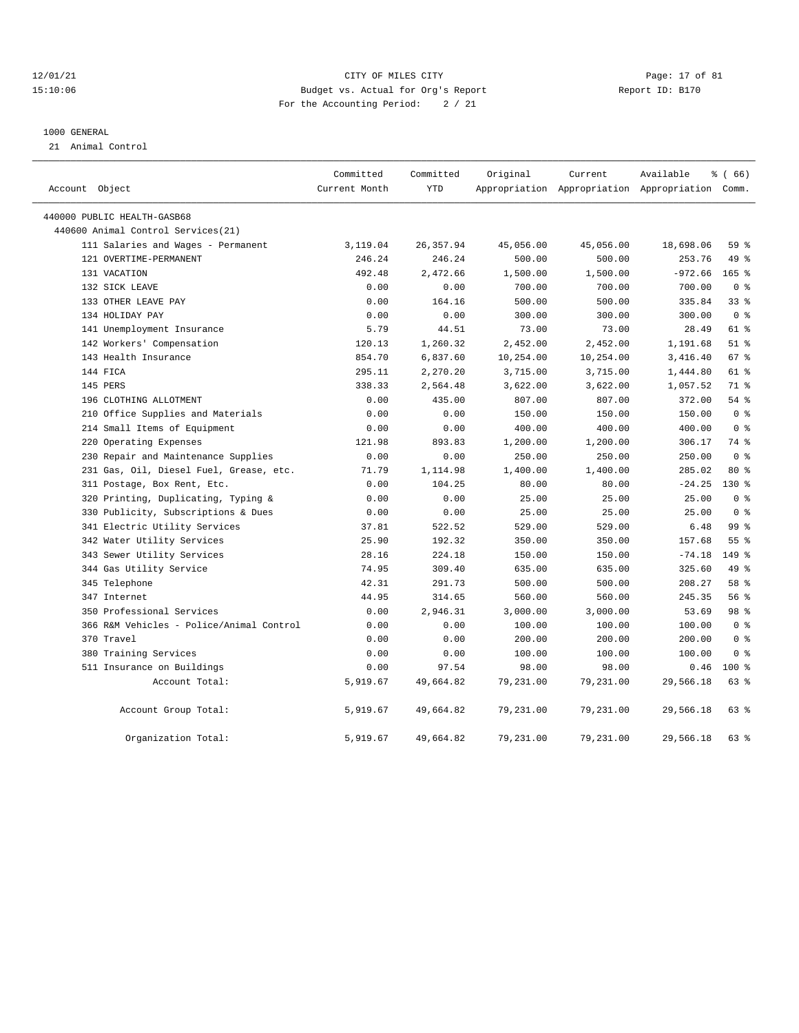#### 12/01/21 Page: 17 of 81 15:10:06 Budget vs. Actual for Org's Report Report ID: B170 For the Accounting Period: 2 / 21

#### 1000 GENERAL

21 Animal Control

|                                          | Committed     | Committed  | Original  | Current   | Available                                       | <sub>ර</sub> ි (66) |
|------------------------------------------|---------------|------------|-----------|-----------|-------------------------------------------------|---------------------|
| Account Object                           | Current Month | YTD        |           |           | Appropriation Appropriation Appropriation Comm. |                     |
| 440000 PUBLIC HEALTH-GASB68              |               |            |           |           |                                                 |                     |
| 440600 Animal Control Services (21)      |               |            |           |           |                                                 |                     |
| 111 Salaries and Wages - Permanent       | 3,119.04      | 26, 357.94 | 45,056.00 | 45,056.00 | 18,698.06                                       | 59%                 |
| 121 OVERTIME-PERMANENT                   | 246.24        | 246.24     | 500.00    | 500.00    | 253.76                                          | 49 %                |
| 131 VACATION                             | 492.48        | 2,472.66   | 1,500.00  | 1,500.00  | $-972.66$                                       | $165$ %             |
| 132 SICK LEAVE                           | 0.00          | 0.00       | 700.00    | 700.00    | 700.00                                          | 0 <sup>8</sup>      |
| 133 OTHER LEAVE PAY                      | 0.00          | 164.16     | 500.00    | 500.00    | 335.84                                          | 338                 |
| 134 HOLIDAY PAY                          | 0.00          | 0.00       | 300.00    | 300.00    | 300.00                                          | 0 <sup>8</sup>      |
| 141 Unemployment Insurance               | 5.79          | 44.51      | 73.00     | 73.00     | 28.49                                           | 61 %                |
| 142 Workers' Compensation                | 120.13        | 1,260.32   | 2,452.00  | 2,452.00  | 1,191.68                                        | $51$ %              |
| 143 Health Insurance                     | 854.70        | 6,837.60   | 10,254.00 | 10,254.00 | 3,416.40                                        | 67 %                |
| 144 FICA                                 | 295.11        | 2,270.20   | 3,715.00  | 3,715.00  | 1,444.80                                        | 61 %                |
| 145 PERS                                 | 338.33        | 2,564.48   | 3,622.00  | 3,622.00  | 1,057.52                                        | 71 %                |
| 196 CLOTHING ALLOTMENT                   | 0.00          | 435.00     | 807.00    | 807.00    | 372.00                                          | 54%                 |
| 210 Office Supplies and Materials        | 0.00          | 0.00       | 150.00    | 150.00    | 150.00                                          | 0 <sup>8</sup>      |
| 214 Small Items of Equipment             | 0.00          | 0.00       | 400.00    | 400.00    | 400.00                                          | 0 <sup>8</sup>      |
| 220 Operating Expenses                   | 121.98        | 893.83     | 1,200.00  | 1,200.00  | 306.17                                          | 74 %                |
| 230 Repair and Maintenance Supplies      | 0.00          | 0.00       | 250.00    | 250.00    | 250.00                                          | 0 <sup>8</sup>      |
| 231 Gas, Oil, Diesel Fuel, Grease, etc.  | 71.79         | 1,114.98   | 1,400.00  | 1,400.00  | 285.02                                          | $80*$               |
| 311 Postage, Box Rent, Etc.              | 0.00          | 104.25     | 80.00     | 80.00     | $-24.25$                                        | $130*$              |
| 320 Printing, Duplicating, Typing &      | 0.00          | 0.00       | 25.00     | 25.00     | 25.00                                           | 0 <sup>8</sup>      |
| 330 Publicity, Subscriptions & Dues      | 0.00          | 0.00       | 25.00     | 25.00     | 25.00                                           | 0 <sup>8</sup>      |
| 341 Electric Utility Services            | 37.81         | 522.52     | 529.00    | 529.00    | 6.48                                            | 99 <sub>8</sub>     |
| 342 Water Utility Services               | 25.90         | 192.32     | 350.00    | 350.00    | 157.68                                          | 55 <sup>8</sup>     |
| 343 Sewer Utility Services               | 28.16         | 224.18     | 150.00    | 150.00    | $-74.18$                                        | $149$ %             |
| 344 Gas Utility Service                  | 74.95         | 309.40     | 635.00    | 635.00    | 325.60                                          | 49 %                |
| 345 Telephone                            | 42.31         | 291.73     | 500.00    | 500.00    | 208.27                                          | 58 %                |
| 347 Internet                             | 44.95         | 314.65     | 560.00    | 560.00    | 245.35                                          | 56 %                |
| 350 Professional Services                | 0.00          | 2,946.31   | 3,000.00  | 3,000.00  | 53.69                                           | 98 %                |
| 366 R&M Vehicles - Police/Animal Control | 0.00          | 0.00       | 100.00    | 100.00    | 100.00                                          | 0 <sup>8</sup>      |
| 370 Travel                               | 0.00          | 0.00       | 200.00    | 200.00    | 200.00                                          | 0 <sup>8</sup>      |
| 380 Training Services                    | 0.00          | 0.00       | 100.00    | 100.00    | 100.00                                          | 0 <sup>8</sup>      |
| 511 Insurance on Buildings               | 0.00          | 97.54      | 98.00     | 98.00     | 0.46                                            | $100*$              |
| Account Total:                           | 5,919.67      | 49,664.82  | 79,231.00 | 79,231.00 | 29,566.18                                       | 63%                 |
| Account Group Total:                     | 5,919.67      | 49,664.82  | 79,231.00 | 79,231.00 | 29,566.18                                       | 63%                 |
| Organization Total:                      | 5,919.67      | 49,664.82  | 79,231.00 | 79,231.00 | 29,566.18                                       | 63%                 |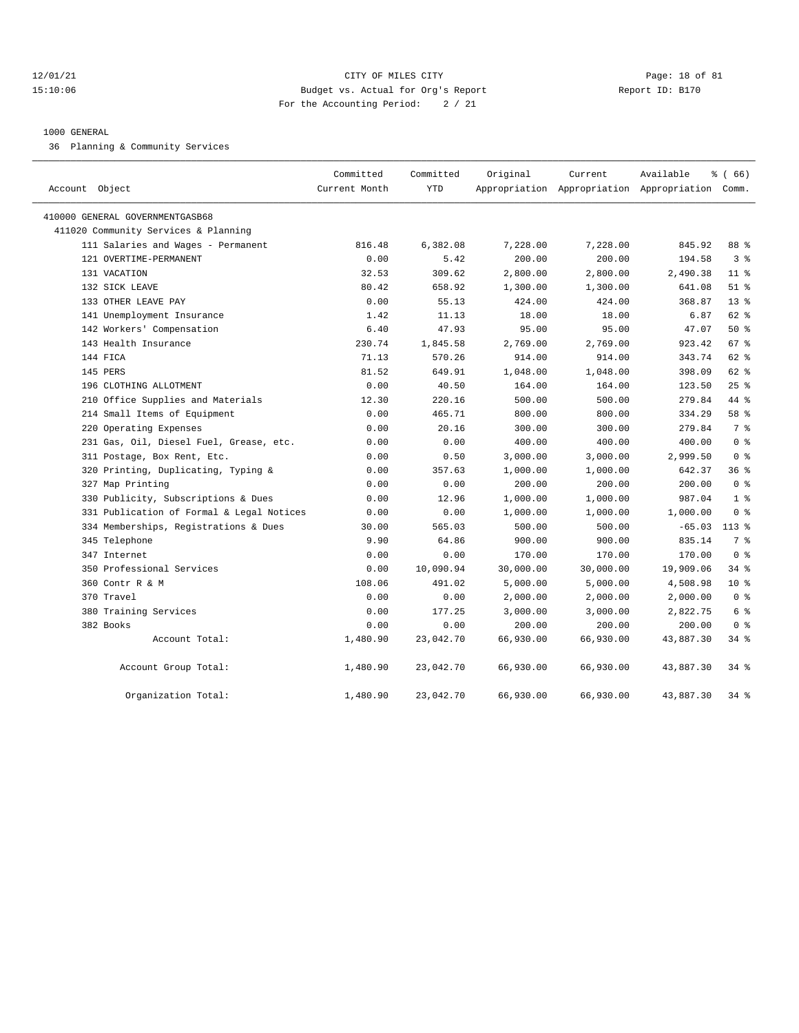#### $12/01/21$  Page: 18 of 81 15:10:06 Budget vs. Actual for Org's Report Report ID: B170 For the Accounting Period: 2 / 21

#### 1000 GENERAL

36 Planning & Community Services

| Account Object                            | Committed<br>Current Month | Committed<br><b>YTD</b> | Original  | Current   | Available<br>Appropriation Appropriation Appropriation Comm. | $*(66)$        |
|-------------------------------------------|----------------------------|-------------------------|-----------|-----------|--------------------------------------------------------------|----------------|
| 410000 GENERAL GOVERNMENTGASB68           |                            |                         |           |           |                                                              |                |
| 411020 Community Services & Planning      |                            |                         |           |           |                                                              |                |
| 111 Salaries and Wages - Permanent        | 816.48                     | 6,382.08                | 7,228.00  | 7,228.00  | 845.92                                                       | 88 %           |
| 121 OVERTIME-PERMANENT                    | 0.00                       | 5.42                    | 200.00    | 200.00    | 194.58                                                       | 3 <sup>8</sup> |
| 131 VACATION                              | 32.53                      | 309.62                  | 2,800.00  | 2,800.00  | 2,490.38                                                     | $11$ %         |
| 132 SICK LEAVE                            | 80.42                      | 658.92                  | 1,300.00  | 1,300.00  | 641.08                                                       | $51$ %         |
| 133 OTHER LEAVE PAY                       | 0.00                       | 55.13                   | 424.00    | 424.00    | 368.87                                                       | $13*$          |
| 141 Unemployment Insurance                | 1.42                       | 11.13                   | 18.00     | 18.00     | 6.87                                                         | 62 %           |
| 142 Workers' Compensation                 | 6.40                       | 47.93                   | 95.00     | 95.00     | 47.07                                                        | 50%            |
| 143 Health Insurance                      | 230.74                     | 1,845.58                | 2,769.00  | 2,769.00  | 923.42                                                       | 67%            |
| 144 FICA                                  | 71.13                      | 570.26                  | 914.00    | 914.00    | 343.74                                                       | 62 %           |
| 145 PERS                                  | 81.52                      | 649.91                  | 1,048.00  | 1,048.00  | 398.09                                                       | 62 %           |
| 196 CLOTHING ALLOTMENT                    | 0.00                       | 40.50                   | 164.00    | 164.00    | 123.50                                                       | $25$ %         |
| 210 Office Supplies and Materials         | 12.30                      | 220.16                  | 500.00    | 500.00    | 279.84                                                       | 44 %           |
| 214 Small Items of Equipment              | 0.00                       | 465.71                  | 800.00    | 800.00    | 334.29                                                       | 58 %           |
| 220 Operating Expenses                    | 0.00                       | 20.16                   | 300.00    | 300.00    | 279.84                                                       | 7 <sup>°</sup> |
| 231 Gas, Oil, Diesel Fuel, Grease, etc.   | 0.00                       | 0.00                    | 400.00    | 400.00    | 400.00                                                       | 0 <sup>8</sup> |
| 311 Postage, Box Rent, Etc.               | 0.00                       | 0.50                    | 3,000.00  | 3,000.00  | 2,999.50                                                     | 0 <sup>8</sup> |
| 320 Printing, Duplicating, Typing &       | 0.00                       | 357.63                  | 1,000.00  | 1,000.00  | 642.37                                                       | 36%            |
| 327 Map Printing                          | 0.00                       | 0.00                    | 200.00    | 200.00    | 200.00                                                       | 0 <sup>8</sup> |
| 330 Publicity, Subscriptions & Dues       | 0.00                       | 12.96                   | 1,000.00  | 1,000.00  | 987.04                                                       | 1 <sup>8</sup> |
| 331 Publication of Formal & Legal Notices | 0.00                       | 0.00                    | 1,000.00  | 1,000.00  | 1,000.00                                                     | 0 <sup>8</sup> |
| 334 Memberships, Registrations & Dues     | 30.00                      | 565.03                  | 500.00    | 500.00    | $-65.03$                                                     | $113*$         |
| 345 Telephone                             | 9.90                       | 64.86                   | 900.00    | 900.00    | 835.14                                                       | 7 %            |
| 347 Internet                              | 0.00                       | 0.00                    | 170.00    | 170.00    | 170.00                                                       | 0 <sup>8</sup> |
| 350 Professional Services                 | 0.00                       | 10,090.94               | 30,000.00 | 30,000.00 | 19,909.06                                                    | 34 %           |
| 360 Contr R & M                           | 108.06                     | 491.02                  | 5,000.00  | 5,000.00  | 4,508.98                                                     | $10*$          |
| 370 Travel                                | 0.00                       | 0.00                    | 2,000.00  | 2,000.00  | 2,000.00                                                     | 0 <sup>8</sup> |
| 380 Training Services                     | 0.00                       | 177.25                  | 3,000.00  | 3,000.00  | 2,822.75                                                     | 6 %            |
| 382 Books                                 | 0.00                       | 0.00                    | 200.00    | 200.00    | 200.00                                                       | 0 <sup>8</sup> |
| Account Total:                            | 1,480.90                   | 23,042.70               | 66,930.00 | 66,930.00 | 43,887.30                                                    | 34 %           |
| Account Group Total:                      | 1,480.90                   | 23,042.70               | 66,930.00 | 66,930.00 | 43,887.30                                                    | $34$ $%$       |
| Organization Total:                       | 1,480.90                   | 23,042.70               | 66,930.00 | 66,930.00 | 43,887.30                                                    | $34$ $%$       |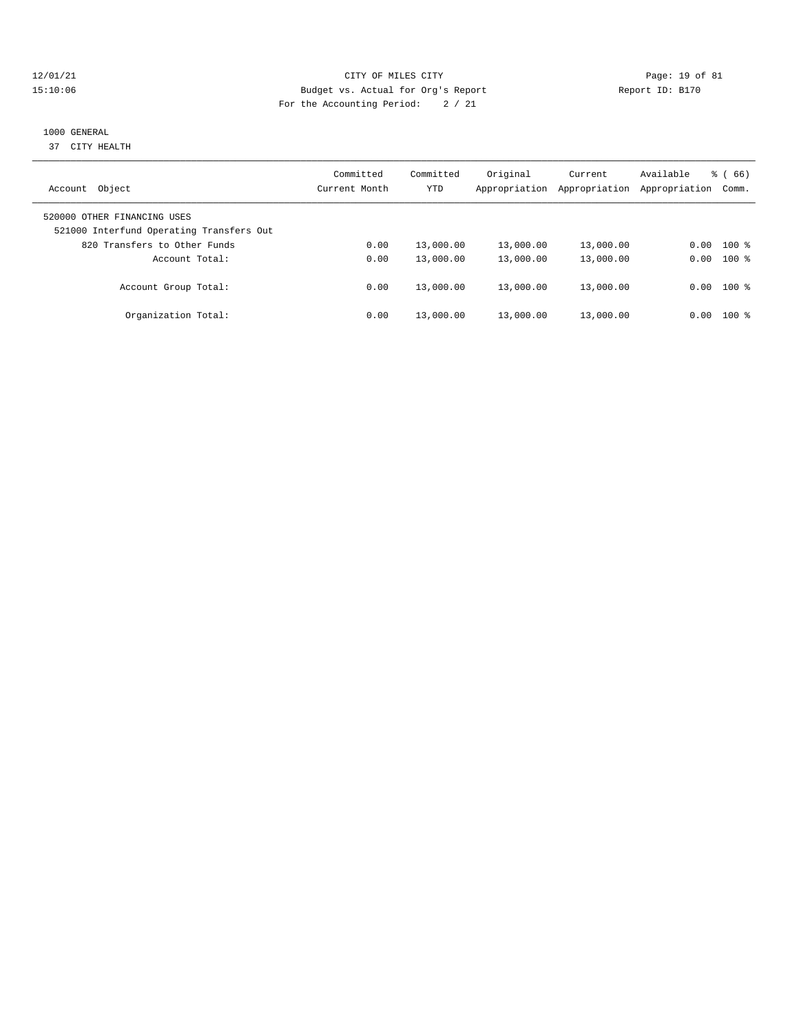#### 12/01/21 Page: 19 of 81 15:10:06 Budget vs. Actual for Org's Report Report ID: B170 For the Accounting Period: 2 / 21

# 1000 GENERAL

37 CITY HEALTH

| Object<br>Account                                                       | Committed<br>Current Month | Committed<br>YTD | Original<br>Appropriation | Current<br>Appropriation | Available<br>Appropriation | 66)<br>ී (<br>Comm. |
|-------------------------------------------------------------------------|----------------------------|------------------|---------------------------|--------------------------|----------------------------|---------------------|
| 520000 OTHER FINANCING USES<br>521000 Interfund Operating Transfers Out |                            |                  |                           |                          |                            |                     |
| 820 Transfers to Other Funds                                            | 0.00                       | 13,000.00        | 13,000.00                 | 13,000.00                | 0.00                       | $100$ %             |
| Account Total:                                                          | 0.00                       | 13,000.00        | 13,000.00                 | 13,000.00                | 0.00                       | $100$ %             |
| Account Group Total:                                                    | 0.00                       | 13,000.00        | 13,000.00                 | 13,000.00                |                            | $0.00$ 100 %        |
| Organization Total:                                                     | 0.00                       | 13,000.00        | 13,000.00                 | 13,000.00                | 0.00                       | $100$ %             |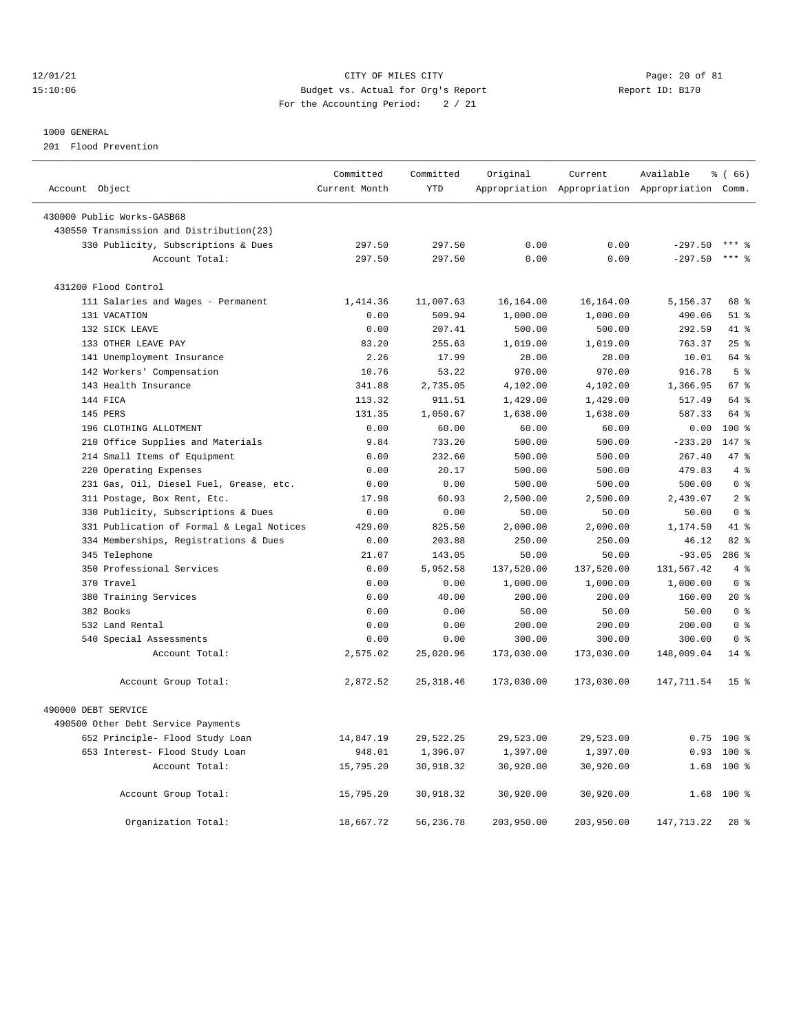#### 12/01/21 Page: 20 of 81 15:10:06 Budget vs. Actual for Org's Report Report ID: B170 For the Accounting Period: 2 / 21

#### 1000 GENERAL

201 Flood Prevention

|                                                                        | Committed           | Committed  | Original   | Current    | Available                                       | % (66)           |  |
|------------------------------------------------------------------------|---------------------|------------|------------|------------|-------------------------------------------------|------------------|--|
| Account Object                                                         | Current Month       | <b>YTD</b> |            |            | Appropriation Appropriation Appropriation Comm. |                  |  |
|                                                                        |                     |            |            |            |                                                 |                  |  |
| 430000 Public Works-GASB68<br>430550 Transmission and Distribution(23) |                     |            |            |            |                                                 |                  |  |
| 330 Publicity, Subscriptions & Dues                                    | 297.50              | 297.50     | 0.00       | 0.00       | $-297.50$                                       | $***$ $%$        |  |
| Account Total:                                                         | 297.50              | 297.50     | 0.00       | 0.00       | $-297.50$                                       | $***$ $%$        |  |
|                                                                        |                     |            |            |            |                                                 |                  |  |
| 431200 Flood Control                                                   |                     |            |            |            |                                                 |                  |  |
| 111 Salaries and Wages - Permanent                                     | 1,414.36            | 11,007.63  | 16,164.00  | 16, 164.00 | 5,156.37                                        | 68 %             |  |
| 131 VACATION                                                           | 0.00                | 509.94     | 1,000.00   | 1,000.00   | 490.06                                          | $51$ %           |  |
| 132 SICK LEAVE                                                         | 0.00                | 207.41     | 500.00     | 500.00     | 292.59                                          | 41 %             |  |
| 133 OTHER LEAVE PAY                                                    | 83.20               | 255.63     | 1,019.00   | 1,019.00   | 763.37                                          | 25%              |  |
| 141 Unemployment Insurance                                             | 2.26                | 17.99      | 28.00      | 28.00      | 10.01                                           | 64 %             |  |
| 142 Workers' Compensation                                              | 10.76               | 53.22      | 970.00     | 970.00     | 916.78                                          | 5 <sup>°</sup>   |  |
| 143 Health Insurance                                                   | 341.88              | 2,735.05   | 4,102.00   | 4,102.00   | 1,366.95                                        | 67%              |  |
| 144 FICA                                                               | 113.32              | 911.51     | 1,429.00   | 1,429.00   | 517.49                                          | 64 %             |  |
| 145 PERS                                                               | 131.35              | 1,050.67   | 1,638.00   | 1,638.00   | 587.33                                          | 64 %             |  |
| 196 CLOTHING ALLOTMENT                                                 | 0.00                | 60.00      | 60.00      | 60.00      | 0.00                                            | $100*$           |  |
| 210 Office Supplies and Materials                                      | 9.84                | 733.20     | 500.00     | 500.00     | $-233.20$                                       | $147*$           |  |
| 214 Small Items of Equipment                                           | 0.00                | 232.60     | 500.00     | 500.00     | 267.40                                          | 47.8             |  |
| 220 Operating Expenses                                                 | 0.00                | 20.17      | 500.00     | 500.00     | 479.83                                          | 4%               |  |
| 231 Gas, Oil, Diesel Fuel, Grease, etc.                                | 0.00                | 0.00       | 500.00     | 500.00     | 500.00                                          | 0 <sup>8</sup>   |  |
| 311 Postage, Box Rent, Etc.                                            | 17.98               | 60.93      | 2,500.00   | 2,500.00   | 2,439.07                                        | 2 <sup>8</sup>   |  |
| 330 Publicity, Subscriptions & Dues                                    | 0.00                | 0.00       | 50.00      | 50.00      | 50.00                                           | 0 <sup>8</sup>   |  |
| 331 Publication of Formal & Legal Notices                              | 429.00              | 825.50     | 2,000.00   | 2,000.00   | 1,174.50                                        | 41 %             |  |
| 334 Memberships, Registrations & Dues                                  | 0.00                | 203.88     | 250.00     | 250.00     | 46.12                                           | 82 %             |  |
| 345 Telephone                                                          | 21.07               | 143.05     | 50.00      | 50.00      | $-93.05$                                        | 286%             |  |
| 350 Professional Services                                              | 0.00                | 5,952.58   | 137,520.00 | 137,520.00 | 131,567.42                                      | 4%               |  |
| 370 Travel                                                             | 0.00                | 0.00       | 1,000.00   | 1,000.00   | 1,000.00                                        | 0 <sup>8</sup>   |  |
| 380 Training Services                                                  | 0.00                | 40.00      | 200.00     | 200.00     | 160.00                                          | $20*$            |  |
| 382 Books                                                              | 0.00                | 0.00       | 50.00      | 50.00      | 50.00                                           | 0 <sup>8</sup>   |  |
| 532 Land Rental                                                        | 0.00                | 0.00       | 200.00     | 200.00     | 200.00                                          | 0 <sup>8</sup>   |  |
| 540 Special Assessments                                                | 0.00                | 0.00       | 300.00     | 300.00     | 300.00                                          | 0 <sup>8</sup>   |  |
| Account Total:                                                         | 2,575.02            | 25,020.96  | 173,030.00 | 173,030.00 | 148,009.04                                      | $14$ %           |  |
|                                                                        |                     |            |            |            |                                                 |                  |  |
| Account Group Total:                                                   | 2,872.52            | 25, 318.46 | 173,030.00 | 173,030.00 | 147,711.54                                      | 15 <sup>8</sup>  |  |
| 490000 DEBT SERVICE                                                    |                     |            |            |            |                                                 |                  |  |
| 490500 Other Debt Service Payments                                     |                     |            |            |            |                                                 |                  |  |
|                                                                        |                     |            |            |            |                                                 |                  |  |
| 652 Principle- Flood Study Loan                                        | 14,847.19<br>948.01 | 29,522.25  | 29,523.00  | 29,523.00  | 0.75<br>0.93                                    | $100*$<br>$100*$ |  |
| 653 Interest- Flood Study Loan                                         |                     | 1,396.07   | 1,397.00   | 1,397.00   |                                                 |                  |  |
| Account Total:                                                         | 15,795.20           | 30,918.32  | 30,920.00  | 30,920.00  | 1.68                                            | $100$ %          |  |
| Account Group Total:                                                   | 15,795.20           | 30,918.32  | 30,920.00  | 30,920.00  | 1.68                                            | $100*$           |  |
|                                                                        |                     |            |            |            |                                                 |                  |  |
| Organization Total:                                                    | 18,667.72           | 56,236.78  | 203,950.00 | 203,950.00 | 147, 713. 22                                    | $28$ %           |  |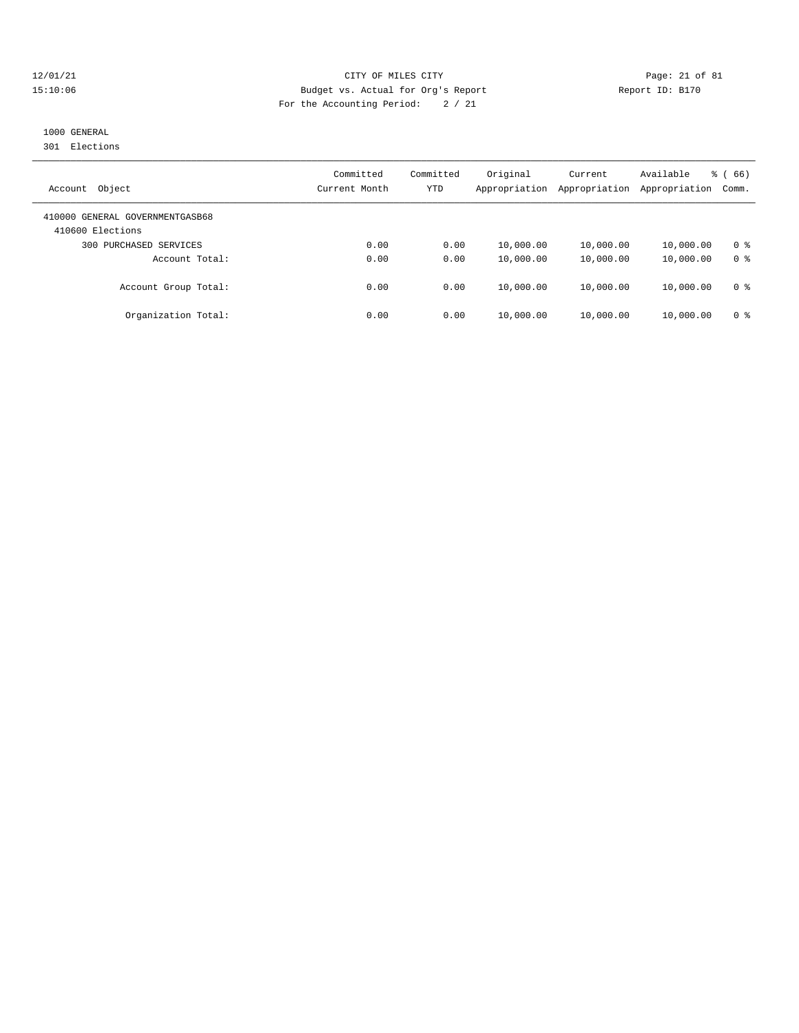#### 12/01/21 Page: 21 of 81 15:10:06 Budget vs. Actual for Org's Report Report ID: B170 For the Accounting Period: 2 / 21

# 1000 GENERAL

301 Elections

| Object<br>Account                                   | Committed<br>Current Month | Committed<br>YTD | Original<br>Appropriation | Current<br>Appropriation | Available<br>Appropriation | $\frac{3}{6}$ (66)<br>Comm. |
|-----------------------------------------------------|----------------------------|------------------|---------------------------|--------------------------|----------------------------|-----------------------------|
| 410000 GENERAL GOVERNMENTGASB68<br>410600 Elections |                            |                  |                           |                          |                            |                             |
| PURCHASED SERVICES<br>300                           | 0.00                       | 0.00             | 10,000.00                 | 10,000.00                | 10,000.00                  | 0 %                         |
| Account Total:                                      | 0.00                       | 0.00             | 10,000.00                 | 10,000.00                | 10,000.00                  | 0 <sup>8</sup>              |
| Account Group Total:                                | 0.00                       | 0.00             | 10,000.00                 | 10,000.00                | 10,000.00                  | 0 <sup>8</sup>              |
| Organization Total:                                 | 0.00                       | 0.00             | 10,000.00                 | 10,000.00                | 10,000.00                  | 0 %                         |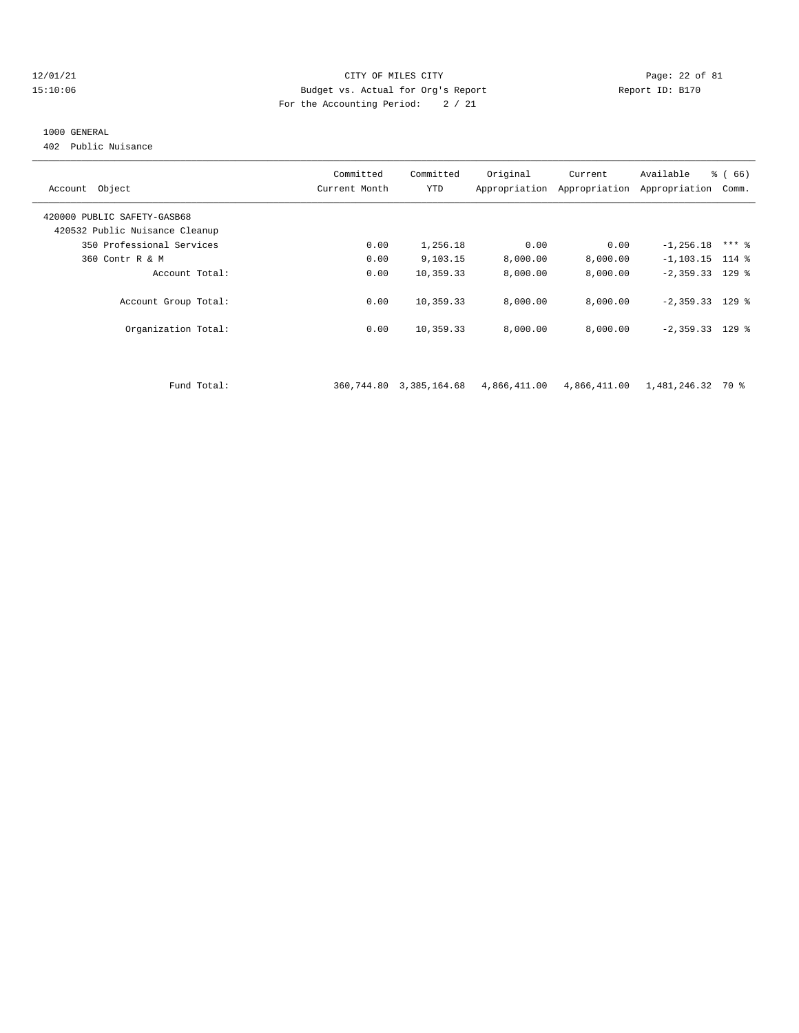#### $12/01/21$  Page: 22 of 81<br>15:10:06 Budget vs. Actual for Org's Report Physics (Page: 22 of 81<br>15:10:06 Page: 22 of 81 15:10:06 Budget vs. Actual for Org's Report Report ID: B170 For the Accounting Period: 2 / 21

#### 1000 GENERAL

402 Public Nuisance

| Account Object                                                | Committed<br>Current Month | Committed<br><b>YTD</b> | Original | Current<br>Appropriation Appropriation | Available<br>Appropriation | % (66)<br>Comm. |
|---------------------------------------------------------------|----------------------------|-------------------------|----------|----------------------------------------|----------------------------|-----------------|
| 420000 PUBLIC SAFETY-GASB68<br>420532 Public Nuisance Cleanup |                            |                         |          |                                        |                            |                 |
| 350 Professional Services                                     | 0.00                       | 1,256.18                | 0.00     | 0.00                                   | $-1, 256.18$               | $***$ %         |
| 360 Contr R & M                                               | 0.00                       | 9,103.15                | 8,000.00 | 8,000.00                               | $-1, 103.15$ 114 %         |                 |
| Account Total:                                                | 0.00                       | 10,359.33               | 8,000.00 | 8,000.00                               | $-2,359.33$ 129 %          |                 |
| Account Group Total:                                          | 0.00                       | 10,359.33               | 8,000.00 | 8.000.00                               | $-2,359.33$ 129 %          |                 |
| Organization Total:                                           | 0.00                       | 10,359.33               | 8,000.00 | 8.000.00                               | $-2,359.33$ 129 %          |                 |
|                                                               |                            |                         |          |                                        |                            |                 |
|                                                               |                            |                         |          |                                        |                            |                 |

Fund Total: 360,744.80 3,385,164.68 4,866,411.00 4,866,411.00 1,481,246.32 70 %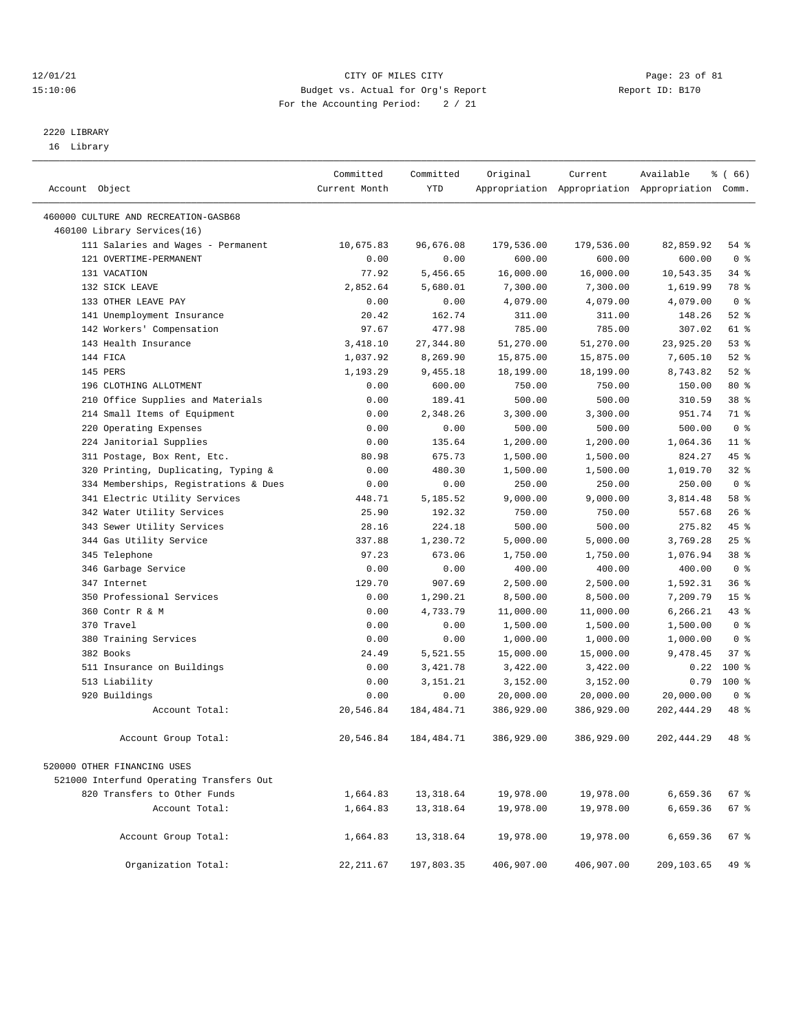#### 12/01/21 Page: 23 of 81 CITY OF MILES CITY CONTRIBUTE CONTRIBUTE CONTRIBUTE CITY PAGE: 23 of 81 CITY CONTRIBUTE CONTRIBUTE CONTRIBUTE CONTRIBUTE CONTRIBUTE CONTRIBUTE CONTRIBUTE CONTRIBUTE CONTRIBUTE CONTRIBUTE CONTRIBUTE 15:10:06 Budget vs. Actual for Org's Report For the Accounting Period: 2 / 21

————————————————————————————————————————————————————————————————————————————————————————————————————————————————————————————————————

# 2220 LIBRARY

16 Library

|                |                                          | Committed     | Committed    | Original   | Current                                         | Available   | % (66)          |  |
|----------------|------------------------------------------|---------------|--------------|------------|-------------------------------------------------|-------------|-----------------|--|
| Account Object |                                          | Current Month | <b>YTD</b>   |            | Appropriation Appropriation Appropriation Comm. |             |                 |  |
|                | 460000 CULTURE AND RECREATION-GASB68     |               |              |            |                                                 |             |                 |  |
|                | 460100 Library Services(16)              |               |              |            |                                                 |             |                 |  |
|                | 111 Salaries and Wages - Permanent       | 10,675.83     | 96,676.08    | 179,536.00 | 179,536.00                                      | 82,859.92   | 54%             |  |
|                | 121 OVERTIME-PERMANENT                   | 0.00          | 0.00         | 600.00     | 600.00                                          | 600.00      | 0 <sup>8</sup>  |  |
|                | 131 VACATION                             | 77.92         | 5,456.65     | 16,000.00  | 16,000.00                                       | 10,543.35   | 34 %            |  |
|                | 132 SICK LEAVE                           | 2,852.64      | 5,680.01     | 7,300.00   | 7,300.00                                        | 1,619.99    | 78 %            |  |
|                | 133 OTHER LEAVE PAY                      | 0.00          | 0.00         | 4,079.00   | 4,079.00                                        | 4,079.00    | 0 <sup>8</sup>  |  |
|                | 141 Unemployment Insurance               | 20.42         | 162.74       | 311.00     | 311.00                                          | 148.26      | $52$ $%$        |  |
|                | 142 Workers' Compensation                | 97.67         | 477.98       | 785.00     | 785.00                                          | 307.02      | 61 %            |  |
|                | 143 Health Insurance                     | 3,418.10      | 27, 344.80   | 51,270.00  | 51,270.00                                       | 23,925.20   | 53%             |  |
| 144 FICA       |                                          | 1,037.92      | 8,269.90     | 15,875.00  | 15,875.00                                       | 7,605.10    | 52%             |  |
| 145 PERS       |                                          | 1,193.29      | 9,455.18     | 18,199.00  | 18,199.00                                       | 8,743.82    | $52$ $%$        |  |
|                | 196 CLOTHING ALLOTMENT                   | 0.00          | 600.00       | 750.00     | 750.00                                          | 150.00      | $80*$           |  |
|                | 210 Office Supplies and Materials        | 0.00          | 189.41       | 500.00     | 500.00                                          | 310.59      | 38 %            |  |
|                | 214 Small Items of Equipment             | 0.00          | 2,348.26     | 3,300.00   | 3,300.00                                        | 951.74      | 71 %            |  |
|                | 220 Operating Expenses                   | 0.00          | 0.00         | 500.00     | 500.00                                          | 500.00      | 0 <sup>8</sup>  |  |
|                | 224 Janitorial Supplies                  | 0.00          | 135.64       | 1,200.00   | 1,200.00                                        | 1,064.36    | $11$ %          |  |
|                | 311 Postage, Box Rent, Etc.              | 80.98         | 675.73       | 1,500.00   | 1,500.00                                        | 824.27      | 45 %            |  |
|                | 320 Printing, Duplicating, Typing &      | 0.00          | 480.30       | 1,500.00   | 1,500.00                                        | 1,019.70    | 32%             |  |
|                | 334 Memberships, Registrations & Dues    | 0.00          | 0.00         | 250.00     | 250.00                                          | 250.00      | 0 <sup>8</sup>  |  |
|                | 341 Electric Utility Services            | 448.71        | 5,185.52     | 9,000.00   | 9,000.00                                        | 3,814.48    | 58 %            |  |
|                | 342 Water Utility Services               | 25.90         | 192.32       | 750.00     | 750.00                                          | 557.68      | 26%             |  |
|                | 343 Sewer Utility Services               | 28.16         | 224.18       | 500.00     | 500.00                                          | 275.82      | $45$ %          |  |
|                | 344 Gas Utility Service                  | 337.88        | 1,230.72     | 5,000.00   | 5,000.00                                        | 3,769.28    | 25%             |  |
|                | 345 Telephone                            | 97.23         | 673.06       | 1,750.00   | 1,750.00                                        | 1,076.94    | 38 %            |  |
|                | 346 Garbage Service                      | 0.00          | 0.00         | 400.00     | 400.00                                          | 400.00      | 0 <sup>8</sup>  |  |
|                | 347 Internet                             | 129.70        | 907.69       | 2,500.00   | 2,500.00                                        | 1,592.31    | 36%             |  |
|                | 350 Professional Services                | 0.00          | 1,290.21     | 8,500.00   | 8,500.00                                        | 7,209.79    | 15 <sup>°</sup> |  |
|                | 360 Contr R & M                          | 0.00          | 4,733.79     | 11,000.00  | 11,000.00                                       | 6,266.21    | 43 %            |  |
|                | 370 Travel                               | 0.00          | 0.00         | 1,500.00   | 1,500.00                                        | 1,500.00    | 0 <sup>8</sup>  |  |
|                | 380 Training Services                    | 0.00          | 0.00         | 1,000.00   | 1,000.00                                        | 1,000.00    | 0 <sup>°</sup>  |  |
|                | 382 Books                                | 24.49         | 5,521.55     | 15,000.00  | 15,000.00                                       | 9,478.45    | 37%             |  |
|                | 511 Insurance on Buildings               | 0.00          | 3,421.78     | 3,422.00   | 3,422.00                                        | 0.22        | $100$ %         |  |
|                | 513 Liability                            | 0.00          | 3,151.21     | 3,152.00   | 3,152.00                                        | 0.79        | $100*$          |  |
|                | 920 Buildings                            | 0.00          | 0.00         | 20,000.00  | 20,000.00                                       | 20,000.00   | 0 <sup>8</sup>  |  |
|                | Account Total:                           | 20,546.84     | 184, 484. 71 | 386,929.00 | 386,929.00                                      | 202, 444.29 | 48 %            |  |
|                | Account Group Total:                     | 20,546.84     | 184,484.71   | 386,929.00 | 386,929.00                                      | 202, 444.29 | 48 %            |  |
|                | 520000 OTHER FINANCING USES              |               |              |            |                                                 |             |                 |  |
|                | 521000 Interfund Operating Transfers Out |               |              |            |                                                 |             |                 |  |
|                | 820 Transfers to Other Funds             | 1,664.83      | 13,318.64    | 19,978.00  | 19,978.00                                       | 6,659.36    | 67 %            |  |
|                | Account Total:                           | 1,664.83      | 13,318.64    | 19,978.00  | 19,978.00                                       | 6,659.36    | 67 %            |  |
|                |                                          |               |              |            |                                                 |             |                 |  |
|                | Account Group Total:                     | 1,664.83      | 13,318.64    | 19,978.00  | 19,978.00                                       | 6,659.36    | 67%             |  |
|                | Organization Total:                      | 22, 211.67    | 197,803.35   | 406,907.00 | 406,907.00                                      | 209,103.65  | 49 %            |  |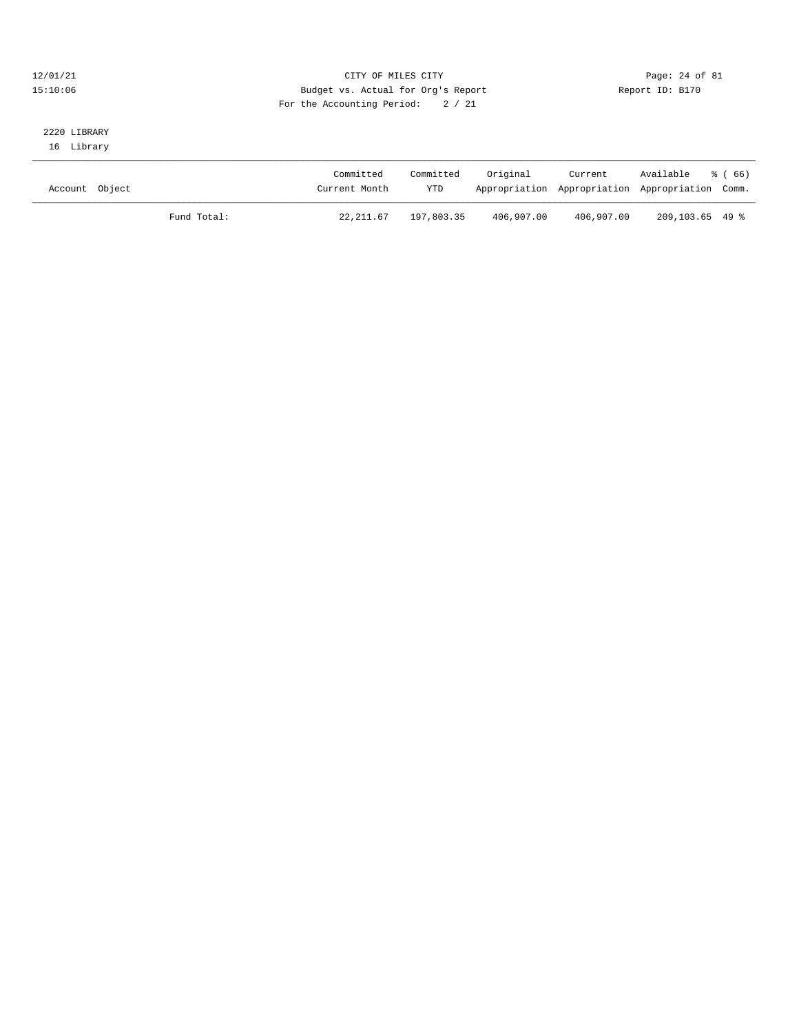#### $12/01/21$  Page: 24 of 81 15:10:06 Budget vs. Actual for Org's Report Report ID: B170 For the Accounting Period: 2 / 21

#### 2220 LIBRARY 16 Library

| Account Object |             | Committed<br>Current Month | Committed<br>YTD | Original   | Current    | Available<br>Appropriation Appropriation Appropriation Comm. | ී (66) |
|----------------|-------------|----------------------------|------------------|------------|------------|--------------------------------------------------------------|--------|
|                | Fund Total: | 22, 211, 67                | 197,803.35       | 406,907.00 | 406,907.00 | 209,103.65 49 %                                              |        |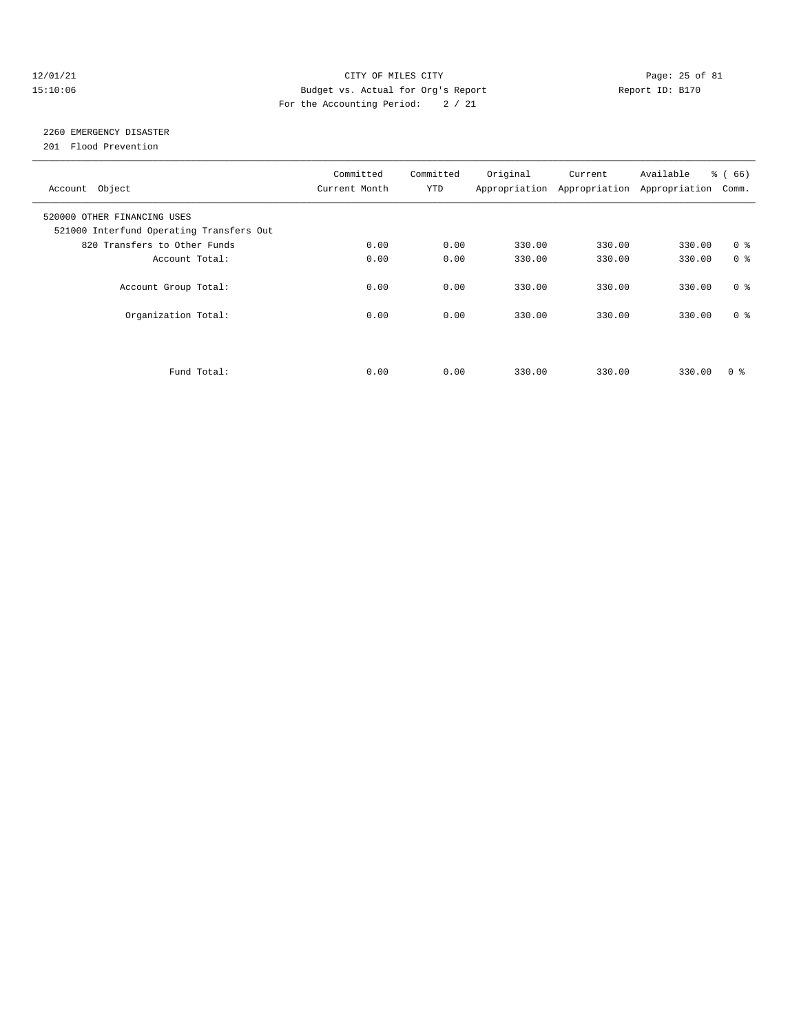#### 12/01/21 Page: 25 of 81 15:10:06 Budget vs. Actual for Org's Report Changer Report ID: B170 For the Accounting Period: 2 / 21

# 2260 EMERGENCY DISASTER

201 Flood Prevention

| Account Object                                                          | Committed<br>Current Month | Committed<br><b>YTD</b> | Original | Current<br>Appropriation Appropriation Appropriation | Available | % (66)<br>Comm. |
|-------------------------------------------------------------------------|----------------------------|-------------------------|----------|------------------------------------------------------|-----------|-----------------|
| 520000 OTHER FINANCING USES<br>521000 Interfund Operating Transfers Out |                            |                         |          |                                                      |           |                 |
| 820 Transfers to Other Funds                                            | 0.00                       | 0.00                    | 330.00   | 330.00                                               | 330.00    | 0 <sup>8</sup>  |
| Account Total:                                                          | 0.00                       | 0.00                    | 330.00   | 330.00                                               | 330.00    | 0 <sup>8</sup>  |
| Account Group Total:                                                    | 0.00                       | 0.00                    | 330.00   | 330.00                                               | 330.00    | 0 <sup>8</sup>  |
| Organization Total:                                                     | 0.00                       | 0.00                    | 330.00   | 330.00                                               | 330.00    | 0 <sup>8</sup>  |
|                                                                         |                            |                         |          |                                                      |           |                 |
| Fund Total:                                                             | 0.00                       | 0.00                    | 330.00   | 330.00                                               | 330.00    | 0 ៖             |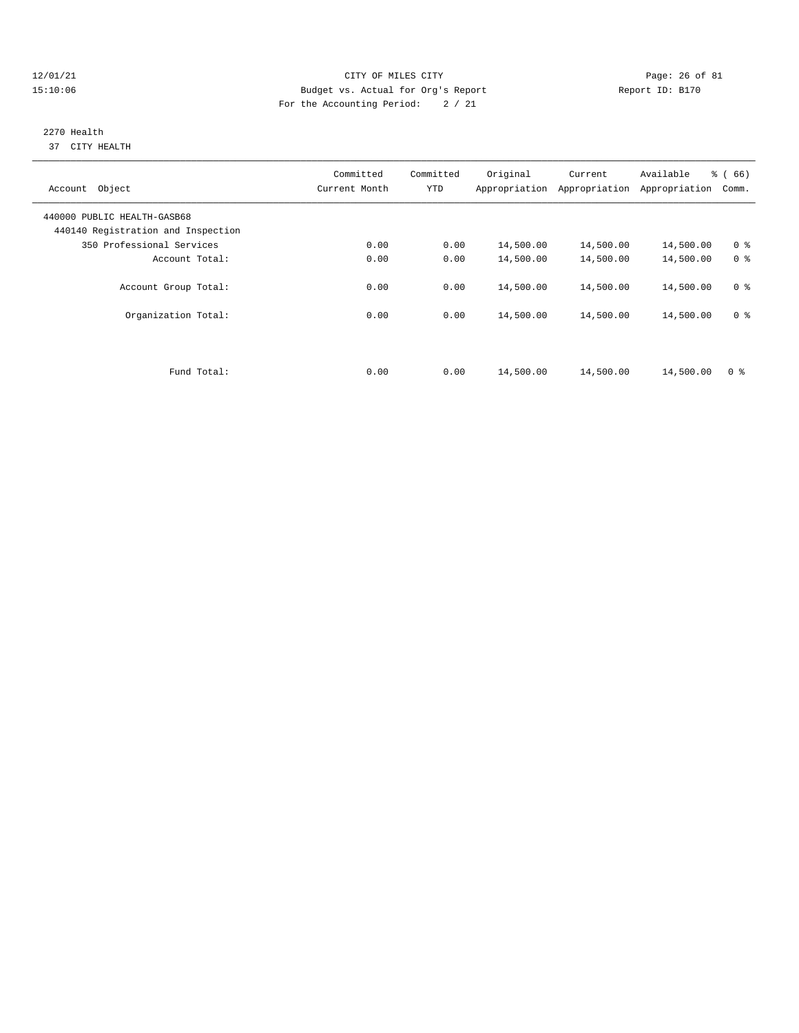#### $12/01/21$  Page: 26 of 81 15:10:06 Budget vs. Actual for Org's Report Report ID: B170 For the Accounting Period: 2 / 21

#### 2270 Health 37 CITY HEALTH

| Account Object                                                    | Committed<br>Current Month | Committed<br><b>YTD</b> | Original<br>Appropriation | Current<br>Appropriation | Available<br>Appropriation | % (66)<br>Comm. |
|-------------------------------------------------------------------|----------------------------|-------------------------|---------------------------|--------------------------|----------------------------|-----------------|
| 440000 PUBLIC HEALTH-GASB68<br>440140 Registration and Inspection |                            |                         |                           |                          |                            |                 |
| 350 Professional Services                                         | 0.00                       | 0.00                    | 14,500.00                 | 14,500.00                | 14,500.00                  | 0 <sup>8</sup>  |
| Account Total:                                                    | 0.00                       | 0.00                    | 14,500.00                 | 14,500.00                | 14,500.00                  | 0 <sup>8</sup>  |
| Account Group Total:                                              | 0.00                       | 0.00                    | 14,500.00                 | 14,500.00                | 14,500.00                  | 0 <sup>8</sup>  |
| Organization Total:                                               | 0.00                       | 0.00                    | 14,500.00                 | 14,500.00                | 14,500.00                  | 0 <sup>8</sup>  |
|                                                                   |                            |                         |                           |                          |                            |                 |
| Fund Total:                                                       | 0.00                       | 0.00                    | 14,500.00                 | 14,500.00                | 14,500.00                  | 0 <sup>8</sup>  |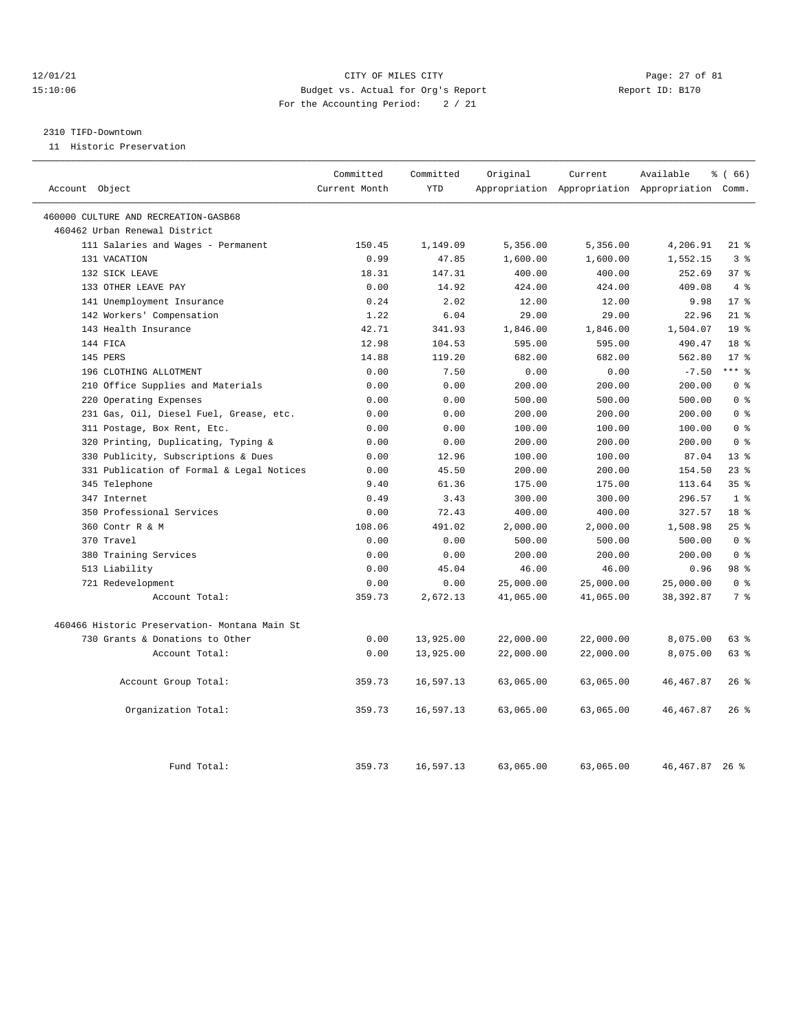#### 12/01/21 Page: 27 of 81 15:10:06 Budget vs. Actual for Org's Report Report ID: B170 For the Accounting Period: 2 / 21

#### 2310 TIFD-Downtown

11 Historic Preservation

| Account Object                                | Committed<br>Current Month | Committed<br><b>YTD</b> | Original  | Current   | Available<br>Appropriation Appropriation Appropriation Comm. | $\frac{3}{6}$ (66) |
|-----------------------------------------------|----------------------------|-------------------------|-----------|-----------|--------------------------------------------------------------|--------------------|
|                                               |                            |                         |           |           |                                                              |                    |
| 460000 CULTURE AND RECREATION-GASB68          |                            |                         |           |           |                                                              |                    |
| 460462 Urban Renewal District                 |                            |                         |           |           |                                                              |                    |
| 111 Salaries and Wages - Permanent            | 150.45                     | 1,149.09                | 5,356.00  | 5,356.00  | 4,206.91                                                     | $21*$              |
| 131 VACATION                                  | 0.99                       | 47.85                   | 1,600.00  | 1,600.00  | 1,552.15                                                     | 3%                 |
| 132 SICK LEAVE                                | 18.31                      | 147.31                  | 400.00    | 400.00    | 252.69                                                       | 37 <sup>8</sup>    |
| 133 OTHER LEAVE PAY                           | 0.00                       | 14.92                   | 424.00    | 424.00    | 409.08                                                       | 4%                 |
| 141 Unemployment Insurance                    | 0.24                       | 2.02                    | 12.00     | 12.00     | 9.98                                                         | $17*$              |
| 142 Workers' Compensation                     | 1.22                       | 6.04                    | 29.00     | 29.00     | 22.96                                                        | $21$ %             |
| 143 Health Insurance                          | 42.71                      | 341.93                  | 1,846.00  | 1,846.00  | 1,504.07                                                     | 19 <sup>°</sup>    |
| 144 FICA                                      | 12.98                      | 104.53                  | 595.00    | 595.00    | 490.47                                                       | 18 <sup>8</sup>    |
| 145 PERS                                      | 14.88                      | 119.20                  | 682.00    | 682.00    | 562.80                                                       | $17*$              |
| 196 CLOTHING ALLOTMENT                        | 0.00                       | 7.50                    | 0.00      | 0.00      | $-7.50$                                                      | $***$ 8            |
| 210 Office Supplies and Materials             | 0.00                       | 0.00                    | 200.00    | 200.00    | 200.00                                                       | 0 <sup>8</sup>     |
| 220 Operating Expenses                        | 0.00                       | 0.00                    | 500.00    | 500.00    | 500.00                                                       | 0 <sup>8</sup>     |
| 231 Gas, Oil, Diesel Fuel, Grease, etc.       | 0.00                       | 0.00                    | 200.00    | 200.00    | 200.00                                                       | 0 <sup>8</sup>     |
| 311 Postage, Box Rent, Etc.                   | 0.00                       | 0.00                    | 100.00    | 100.00    | 100.00                                                       | 0 <sup>8</sup>     |
| 320 Printing, Duplicating, Typing &           | 0.00                       | 0.00                    | 200.00    | 200.00    | 200.00                                                       | 0 <sup>8</sup>     |
| 330 Publicity, Subscriptions & Dues           | 0.00                       | 12.96                   | 100.00    | 100.00    | 87.04                                                        | $13*$              |
| 331 Publication of Formal & Legal Notices     | 0.00                       | 45.50                   | 200.00    | 200.00    | 154.50                                                       | 23%                |
| 345 Telephone                                 | 9.40                       | 61.36                   | 175.00    | 175.00    | 113.64                                                       | 35 <sup>8</sup>    |
| 347 Internet                                  | 0.49                       | 3.43                    | 300.00    | 300.00    | 296.57                                                       | 1 <sup>8</sup>     |
| 350 Professional Services                     | 0.00                       | 72.43                   | 400.00    | 400.00    | 327.57                                                       | 18 <sup>8</sup>    |
| 360 Contr R & M                               | 108.06                     | 491.02                  | 2,000.00  | 2,000.00  | 1,508.98                                                     | 25%                |
| 370 Travel                                    | 0.00                       | 0.00                    | 500.00    | 500.00    | 500.00                                                       | 0 <sup>8</sup>     |
| 380 Training Services                         | 0.00                       | 0.00                    | 200.00    | 200.00    | 200.00                                                       | 0 <sup>8</sup>     |
| 513 Liability                                 | 0.00                       | 45.04                   | 46.00     | 46.00     | 0.96                                                         | 98 %               |
| 721 Redevelopment                             | 0.00                       | 0.00                    | 25,000.00 | 25,000.00 | 25,000.00                                                    | 0 <sup>8</sup>     |
| Account Total:                                | 359.73                     | 2,672.13                | 41,065.00 | 41,065.00 | 38, 392.87                                                   | 7%                 |
| 460466 Historic Preservation- Montana Main St |                            |                         |           |           |                                                              |                    |
| 730 Grants & Donations to Other               | 0.00                       | 13,925.00               | 22,000.00 | 22,000.00 | 8,075.00                                                     | 63 %               |
| Account Total:                                | 0.00                       | 13,925.00               | 22,000.00 | 22,000.00 | 8,075.00                                                     | $63$ $%$           |
| Account Group Total:                          | 359.73                     | 16,597.13               | 63,065.00 | 63,065.00 | 46, 467.87                                                   | 26%                |
| Organization Total:                           | 359.73                     | 16,597.13               | 63,065.00 | 63,065.00 | 46, 467.87                                                   | 26%                |
| Fund Total:                                   | 359.73                     | 16,597.13               | 63,065.00 | 63,065.00 | 46, 467, 87 26 %                                             |                    |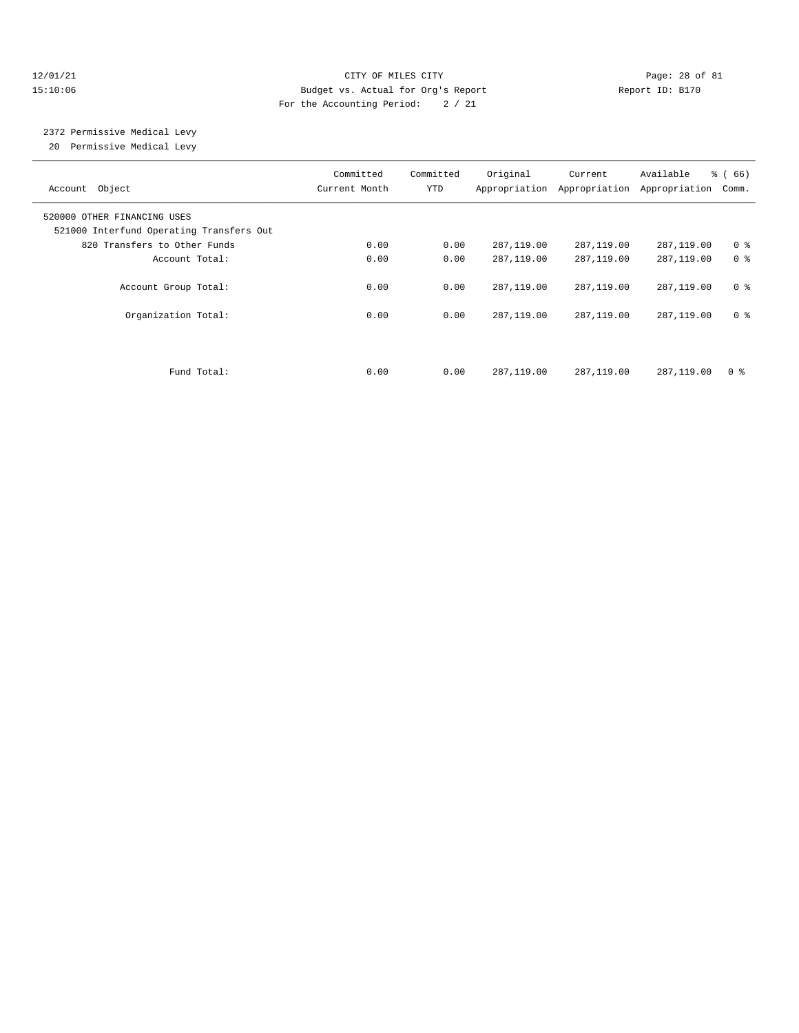#### $12/01/21$  Page: 28 of 81 15:10:06 Budget vs. Actual for Org's Report Report ID: B170 For the Accounting Period: 2 / 21

# 2372 Permissive Medical Levy

20 Permissive Medical Levy

| Account Object                                                          | Committed<br>Current Month | Committed<br><b>YTD</b> | Original     | Current<br>Appropriation Appropriation | Available<br>Appropriation | % (66)<br>Comm. |
|-------------------------------------------------------------------------|----------------------------|-------------------------|--------------|----------------------------------------|----------------------------|-----------------|
| 520000 OTHER FINANCING USES<br>521000 Interfund Operating Transfers Out |                            |                         |              |                                        |                            |                 |
| 820 Transfers to Other Funds                                            | 0.00                       | 0.00                    | 287,119.00   | 287,119.00                             | 287,119.00                 | 0 <sup>8</sup>  |
| Account Total:                                                          | 0.00                       | 0.00                    | 287,119.00   | 287,119.00                             | 287,119.00                 | 0 <sup>8</sup>  |
| Account Group Total:                                                    | 0.00                       | 0.00                    | 287, 119, 00 | 287, 119, 00                           | 287, 119, 00               | 0 <sup>8</sup>  |
| Organization Total:                                                     | 0.00                       | 0.00                    | 287,119.00   | 287,119.00                             | 287,119.00                 | 0 %             |
|                                                                         |                            |                         |              |                                        |                            |                 |
| Fund Total:                                                             | 0.00                       | 0.00                    | 287,119.00   | 287,119.00                             | 287,119.00                 | 0 ક             |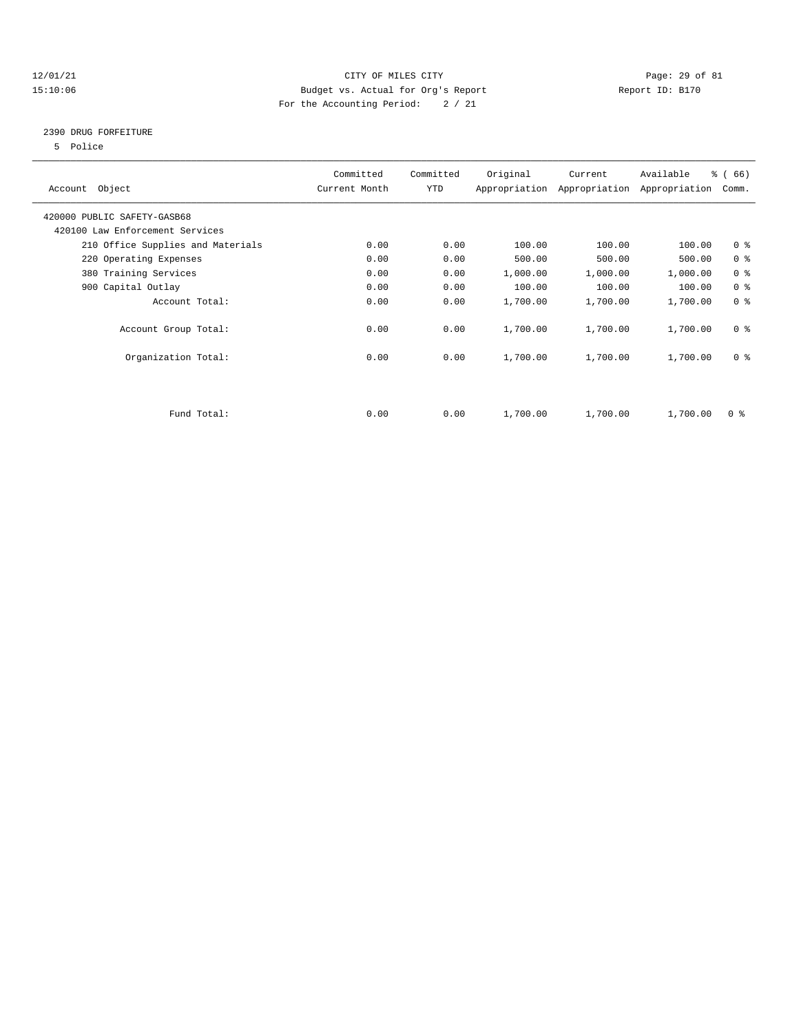#### 12/01/21 Page: 29 of 81 15:10:06 Budget vs. Actual for Org's Report Report ID: B170 For the Accounting Period: 2 / 21

### 2390 DRUG FORFEITURE

5 Police

| Account Object                    | Committed<br>Current Month | Committed<br><b>YTD</b> | Original | Current<br>Appropriation Appropriation | Available<br>Appropriation | % (66)<br>Comm.         |
|-----------------------------------|----------------------------|-------------------------|----------|----------------------------------------|----------------------------|-------------------------|
| 420000 PUBLIC SAFETY-GASB68       |                            |                         |          |                                        |                            |                         |
| 420100 Law Enforcement Services   |                            |                         |          |                                        |                            |                         |
| 210 Office Supplies and Materials | 0.00                       | 0.00                    | 100.00   | 100.00                                 | 100.00                     | 0 <sup>8</sup>          |
| 220 Operating Expenses            | 0.00                       | 0.00                    | 500.00   | 500.00                                 | 500.00                     | 0 <sup>8</sup>          |
| 380 Training Services             | 0.00                       | 0.00                    | 1,000.00 | 1,000.00                               | 1,000.00                   | 0 <sup>8</sup>          |
| 900 Capital Outlay                | 0.00                       | 0.00                    | 100.00   | 100.00                                 | 100.00                     | 0 <sup>8</sup>          |
| Account Total:                    | 0.00                       | 0.00                    | 1,700.00 | 1,700.00                               | 1,700.00                   | 0 <sup>8</sup>          |
| Account Group Total:              | 0.00                       | 0.00                    | 1,700.00 | 1,700.00                               | 1,700.00                   | 0 <sup>8</sup>          |
| Organization Total:               | 0.00                       | 0.00                    | 1,700.00 | 1,700.00                               | 1,700.00                   | 0 <sup>8</sup>          |
|                                   |                            |                         |          |                                        |                            |                         |
| Fund Total:                       | 0.00                       | 0.00                    | 1,700.00 | 1,700.00                               | 1,700.00                   | $0 \text{ }$ $\text{*}$ |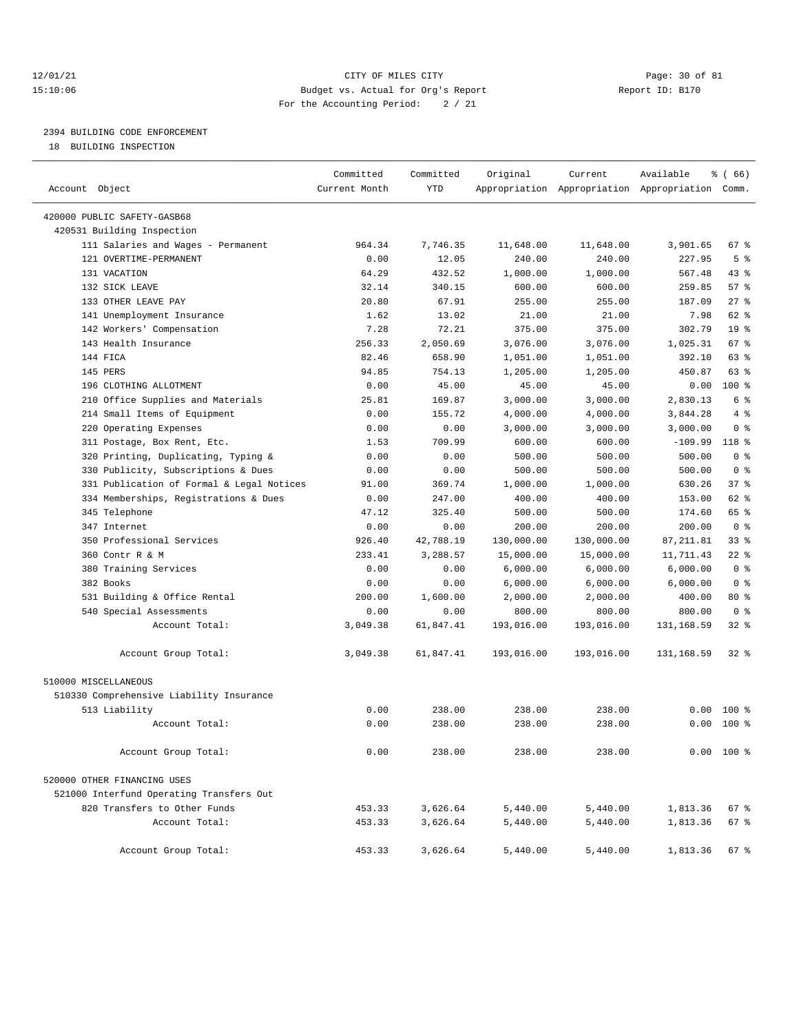#### 12/01/21 Page: 30 of 81 15:10:06 Budget vs. Actual for Org's Report Report ID: B170 For the Accounting Period: 2 / 21

————————————————————————————————————————————————————————————————————————————————————————————————————————————————————————————————————

# 2394 BUILDING CODE ENFORCEMENT

18 BUILDING INSPECTION

|                                           | Committed     | Committed  | Original   | Current    | Available                                       | <sub>ර</sub> ි (66) |  |
|-------------------------------------------|---------------|------------|------------|------------|-------------------------------------------------|---------------------|--|
| Account Object                            | Current Month | <b>YTD</b> |            |            | Appropriation Appropriation Appropriation Comm. |                     |  |
| 420000 PUBLIC SAFETY-GASB68               |               |            |            |            |                                                 |                     |  |
| 420531 Building Inspection                |               |            |            |            |                                                 |                     |  |
| 111 Salaries and Wages - Permanent        | 964.34        | 7,746.35   | 11,648.00  | 11,648.00  | 3,901.65                                        | 67%                 |  |
| 121 OVERTIME-PERMANENT                    | 0.00          | 12.05      | 240.00     | 240.00     | 227.95                                          | 5 <sup>8</sup>      |  |
| 131 VACATION                              | 64.29         | 432.52     | 1,000.00   | 1,000.00   | 567.48                                          | 43 %                |  |
| 132 SICK LEAVE                            | 32.14         | 340.15     | 600.00     | 600.00     | 259.85                                          | 57%                 |  |
| 133 OTHER LEAVE PAY                       | 20.80         | 67.91      | 255.00     | 255.00     | 187.09                                          | $27$ %              |  |
| 141 Unemployment Insurance                | 1.62          | 13.02      | 21.00      | 21.00      | 7.98                                            | 62 %                |  |
| 142 Workers' Compensation                 | 7.28          | 72.21      | 375.00     | 375.00     | 302.79                                          | 19 <sup>°</sup>     |  |
| 143 Health Insurance                      | 256.33        | 2,050.69   | 3,076.00   | 3,076.00   | 1,025.31                                        | 67 %                |  |
| 144 FICA                                  | 82.46         | 658.90     | 1,051.00   | 1,051.00   | 392.10                                          | 63 %                |  |
| 145 PERS                                  | 94.85         | 754.13     | 1,205.00   | 1,205.00   | 450.87                                          | 63 %                |  |
| 196 CLOTHING ALLOTMENT                    | 0.00          | 45.00      | 45.00      | 45.00      | 0.00                                            | $100$ %             |  |
| 210 Office Supplies and Materials         | 25.81         | 169.87     | 3,000.00   | 3,000.00   | 2,830.13                                        | 6 %                 |  |
| 214 Small Items of Equipment              | 0.00          | 155.72     | 4,000.00   | 4,000.00   | 3,844.28                                        | 4%                  |  |
| 220 Operating Expenses                    | 0.00          | 0.00       | 3,000.00   | 3,000.00   | 3,000.00                                        | 0 <sup>8</sup>      |  |
| 311 Postage, Box Rent, Etc.               | 1.53          | 709.99     | 600.00     | 600.00     | $-109.99$                                       | 118 %               |  |
| 320 Printing, Duplicating, Typing &       | 0.00          | 0.00       | 500.00     | 500.00     | 500.00                                          | 0 <sup>8</sup>      |  |
| 330 Publicity, Subscriptions & Dues       | 0.00          | 0.00       | 500.00     | 500.00     | 500.00                                          | 0 <sup>8</sup>      |  |
| 331 Publication of Formal & Legal Notices | 91.00         | 369.74     | 1,000.00   | 1,000.00   | 630.26                                          | 37%                 |  |
| 334 Memberships, Registrations & Dues     | 0.00          | 247.00     | 400.00     | 400.00     | 153.00                                          | 62 %                |  |
| 345 Telephone                             | 47.12         | 325.40     | 500.00     | 500.00     | 174.60                                          | 65 %                |  |
| 347 Internet                              | 0.00          | 0.00       | 200.00     | 200.00     | 200.00                                          | 0 <sup>8</sup>      |  |
| 350 Professional Services                 | 926.40        | 42,788.19  | 130,000.00 | 130,000.00 | 87, 211.81                                      | 33%                 |  |
| 360 Contr R & M                           | 233.41        | 3,288.57   | 15,000.00  | 15,000.00  | 11,711.43                                       | $22$ %              |  |
| 380 Training Services                     | 0.00          | 0.00       | 6,000.00   | 6,000.00   | 6,000.00                                        | 0 <sup>8</sup>      |  |
| 382 Books                                 | 0.00          | 0.00       | 6,000.00   | 6,000.00   | 6,000.00                                        | 0 <sup>8</sup>      |  |
| 531 Building & Office Rental              | 200.00        | 1,600.00   | 2,000.00   | 2,000.00   | 400.00                                          | $80*$               |  |
| 540 Special Assessments                   | 0.00          | 0.00       | 800.00     | 800.00     | 800.00                                          | 0 <sup>8</sup>      |  |
| Account Total:                            | 3,049.38      | 61,847.41  | 193,016.00 | 193,016.00 | 131,168.59                                      | $32$ $%$            |  |
| Account Group Total:                      | 3,049.38      | 61,847.41  | 193,016.00 | 193,016.00 | 131,168.59                                      | 328                 |  |
| 510000 MISCELLANEOUS                      |               |            |            |            |                                                 |                     |  |
| 510330 Comprehensive Liability Insurance  |               |            |            |            |                                                 |                     |  |
| 513 Liability                             | 0.00          | 238.00     | 238.00     | 238.00     | 0.00                                            | $100*$              |  |
| Account Total:                            | 0.00          | 238.00     | 238.00     | 238.00     | 0.00                                            | 100 %               |  |
| Account Group Total:                      | 0.00          | 238.00     | 238.00     | 238.00     |                                                 | $0.00 100$ %        |  |
| 520000 OTHER FINANCING USES               |               |            |            |            |                                                 |                     |  |
| 521000 Interfund Operating Transfers Out  |               |            |            |            |                                                 |                     |  |
| 820 Transfers to Other Funds              | 453.33        | 3,626.64   | 5,440.00   | 5,440.00   | 1,813.36                                        | 67 %                |  |
| Account Total:                            | 453.33        | 3,626.64   | 5,440.00   | 5,440.00   | 1,813.36                                        | 67%                 |  |
| Account Group Total:                      | 453.33        | 3,626.64   | 5,440.00   | 5,440.00   | 1,813.36                                        | 67%                 |  |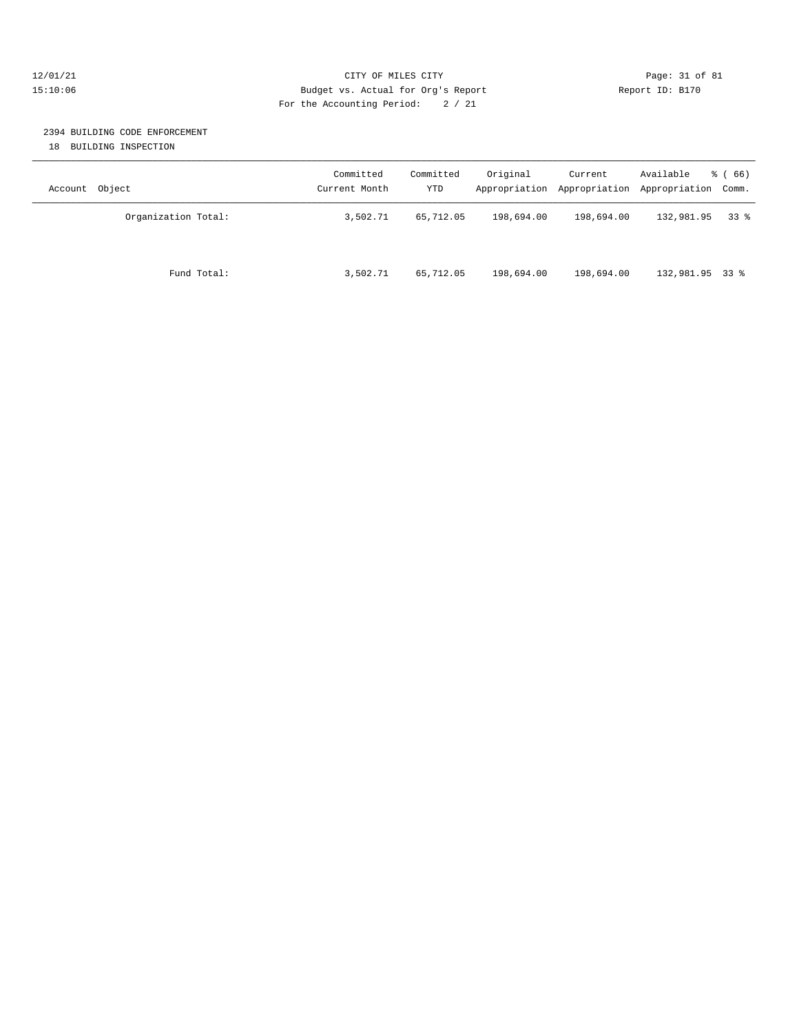#### 12/01/21 Page: 31 of 81 15:10:06 Budget vs. Actual for Org's Report Report ID: B170 For the Accounting Period: 2 / 21

## 2394 BUILDING CODE ENFORCEMENT

18 BUILDING INSPECTION

| Object<br>Account   | Committed<br>Current Month | Committed<br>YTD | Original   | Current    | Available<br>Appropriation Appropriation Appropriation Comm. | $\frac{6}{6}$ (66) |
|---------------------|----------------------------|------------------|------------|------------|--------------------------------------------------------------|--------------------|
| Organization Total: | 3,502.71                   | 65,712.05        | 198,694.00 | 198,694.00 | 132,981.95                                                   | 338                |
| Fund Total:         | 3,502.71                   | 65,712.05        | 198,694.00 | 198,694.00 | 132,981.95 33 %                                              |                    |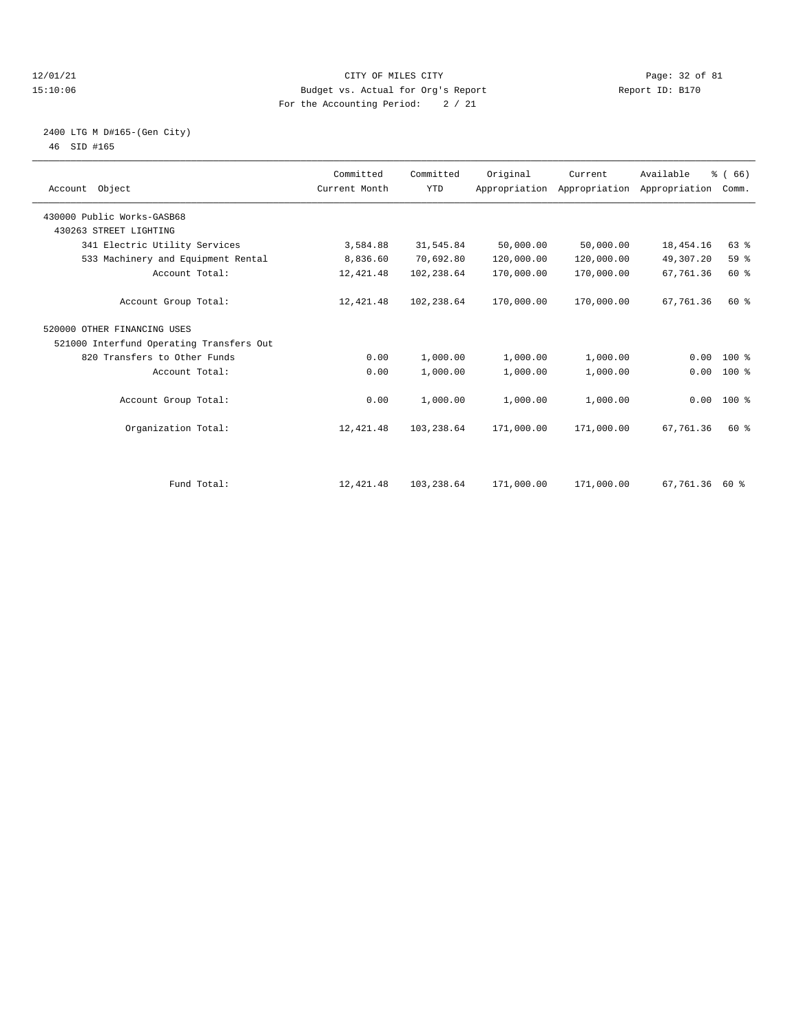#### 12/01/21 Page: 32 of 81 CITY OF MILES CITY CONTRIBUTE CITY PAGE: 32 of 81 Page: 32 of 81 CITY CHANGER PAGE: 15<br>15:10:06 Budget vs. Actual for Org's Report Changer of Report ID: B170 15:10:06 Budget vs. Actual for Org's Report For the Accounting Period: 2 / 21

#### 2400 LTG M D#165-(Gen City) 46 SID #165

| Account Object                           | Committed<br>Current Month | Committed<br><b>YTD</b> | Original   | Current    | Available<br>Appropriation Appropriation Appropriation | % (66)<br>Comm. |  |
|------------------------------------------|----------------------------|-------------------------|------------|------------|--------------------------------------------------------|-----------------|--|
| 430000 Public Works-GASB68               |                            |                         |            |            |                                                        |                 |  |
| 430263 STREET LIGHTING                   |                            |                         |            |            |                                                        |                 |  |
| 341 Electric Utility Services            | 3,584.88                   | 31,545.84               | 50,000.00  | 50,000.00  | 18,454.16                                              | 63%             |  |
| 533 Machinery and Equipment Rental       | 8,836.60                   | 70,692.80               | 120,000.00 | 120,000.00 | 49,307.20                                              | 59 %            |  |
| Account Total:                           | 12,421.48                  | 102,238.64              | 170,000.00 | 170,000.00 | 67,761.36                                              | 60 %            |  |
| Account Group Total:                     | 12,421.48                  | 102,238.64              | 170,000.00 | 170,000.00 | 67,761.36                                              | $60*$           |  |
| 520000 OTHER FINANCING USES              |                            |                         |            |            |                                                        |                 |  |
| 521000 Interfund Operating Transfers Out |                            |                         |            |            |                                                        |                 |  |
| 820 Transfers to Other Funds             | 0.00                       | 1,000.00                | 1,000.00   | 1,000.00   | 0.00                                                   | $100*$          |  |
| Account Total:                           | 0.00                       | 1,000.00                | 1,000.00   | 1,000.00   | 0.00                                                   | $100$ %         |  |
| Account Group Total:                     | 0.00                       | 1,000.00                | 1,000.00   | 1,000.00   |                                                        | $0.00 100$ %    |  |
| Organization Total:                      | 12,421.48                  | 103,238.64              | 171,000.00 | 171,000.00 | 67,761.36                                              | 60 %            |  |
| Fund Total:                              | 12,421.48                  | 103,238.64              | 171,000.00 | 171,000.00 | 67,761.36                                              | 60 %            |  |
|                                          |                            |                         |            |            |                                                        |                 |  |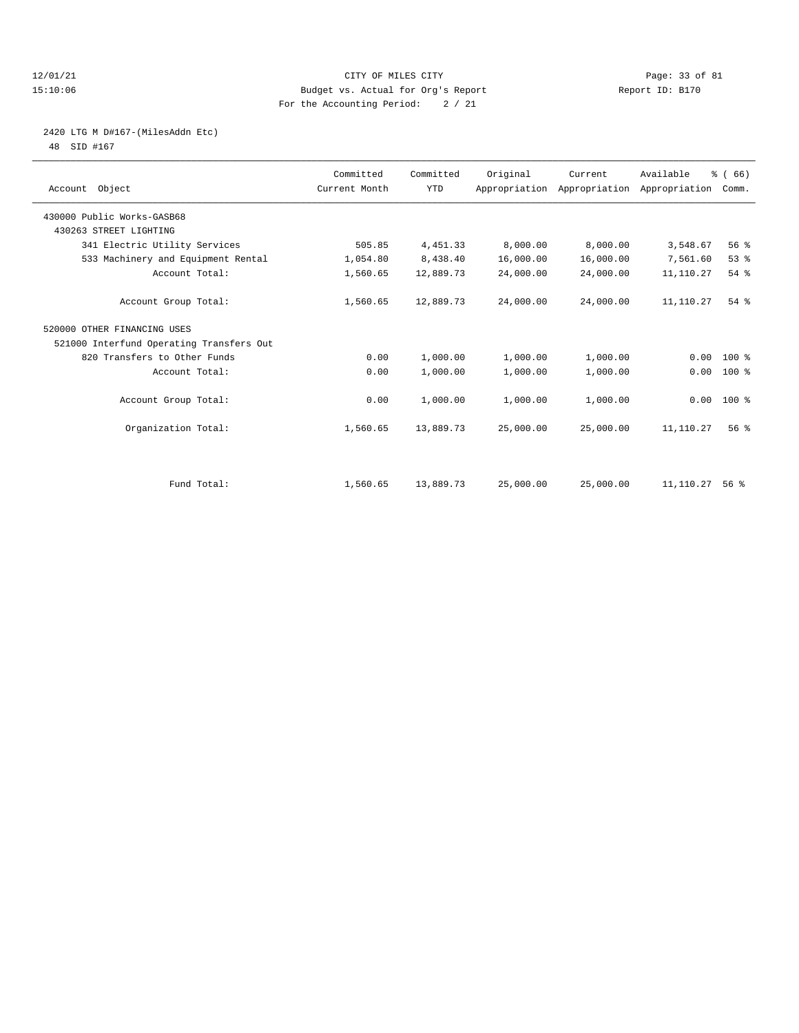#### 12/01/21 Page: 33 of 81 CITY OF MILES CITY CONTRIBUTE CITY PAGE: 33 of 81 Page: 33 of 81 CITY CHES CITY CONTRIBUTE CITY 15:10:06 Budget vs. Actual for Org's Report For the Accounting Period: 2 / 21

# 2420 LTG M D#167-(MilesAddn Etc)

48 SID #167

| Account Object                           | Committed<br>Current Month | Committed<br><b>YTD</b> | Original  | Current<br>Appropriation Appropriation Appropriation | Available | % (66)<br>Comm. |  |
|------------------------------------------|----------------------------|-------------------------|-----------|------------------------------------------------------|-----------|-----------------|--|
| 430000 Public Works-GASB68               |                            |                         |           |                                                      |           |                 |  |
| 430263 STREET LIGHTING                   |                            |                         |           |                                                      |           |                 |  |
| 341 Electric Utility Services            | 505.85                     | 4,451.33                | 8,000.00  | 8,000.00                                             | 3,548.67  | 56 %            |  |
| 533 Machinery and Equipment Rental       | 1,054.80                   | 8,438.40                | 16,000.00 | 16,000.00                                            | 7,561.60  | 53%             |  |
| Account Total:                           | 1,560.65                   | 12,889.73               | 24,000.00 | 24,000.00                                            | 11,110.27 | 54 %            |  |
| Account Group Total:                     | 1,560.65                   | 12,889.73               | 24,000.00 | 24,000.00                                            | 11,110.27 | $54$ $%$        |  |
| 520000 OTHER FINANCING USES              |                            |                         |           |                                                      |           |                 |  |
| 521000 Interfund Operating Transfers Out |                            |                         |           |                                                      |           |                 |  |
| 820 Transfers to Other Funds             | 0.00                       | 1,000.00                | 1,000.00  | 1,000.00                                             | 0.00      | $100*$          |  |
| Account Total:                           | 0.00                       | 1,000.00                | 1,000.00  | 1,000.00                                             | 0.00      | 100 %           |  |
| Account Group Total:                     | 0.00                       | 1,000.00                | 1,000.00  | 1,000.00                                             | 0.00      | $100*$          |  |
| Organization Total:                      | 1,560.65                   | 13,889.73               | 25,000.00 | 25,000.00                                            | 11,110.27 | 56%             |  |
|                                          |                            |                         |           |                                                      |           |                 |  |
| Fund Total:                              | 1,560.65                   | 13,889.73               | 25,000.00 | 25,000.00                                            | 11,110.27 | 56 <sup>8</sup> |  |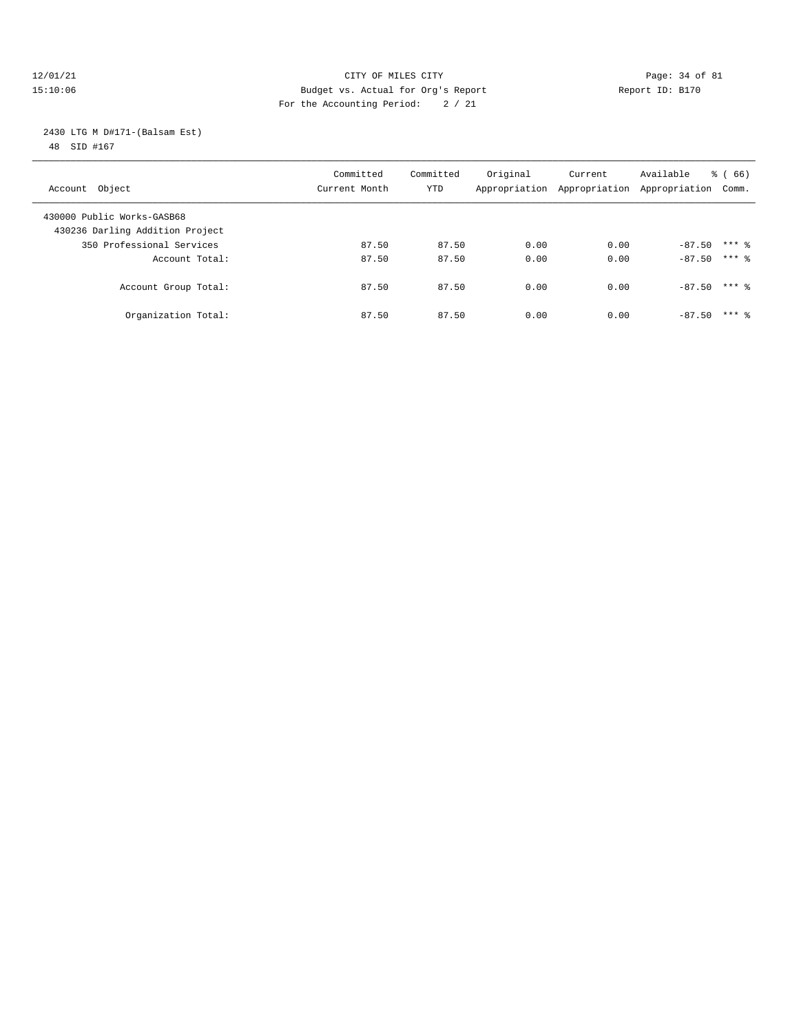#### 12/01/21 Page: 34 of 81 CITY OF MILES CITY CONTRIBUTE CITY PAGE: 34 of 81 Page: 34 of 81 CITY CHRIS CITY CONTRIBUTE CITY PAGE: 34 OF 81 15:10:06 Budget vs. Actual for Org's Report For the Accounting Period: 2 / 21

 2430 LTG M D#171-(Balsam Est) 48 SID #167

| Account Object                                                | Committed<br>Current Month | Committed<br>YTD | Original | Current<br>Appropriation Appropriation | Available<br>Appropriation | $\frac{6}{6}$ (66)<br>Comm. |
|---------------------------------------------------------------|----------------------------|------------------|----------|----------------------------------------|----------------------------|-----------------------------|
| 430000 Public Works-GASB68<br>430236 Darling Addition Project |                            |                  |          |                                        |                            |                             |
| 350 Professional Services                                     | 87.50                      | 87.50            | 0.00     | 0.00                                   | $-87.50$                   | $***$ 2                     |
| Account Total:                                                | 87.50                      | 87.50            | 0.00     | 0.00                                   | $-87.50$ *** $%$           |                             |
| Account Group Total:                                          | 87.50                      | 87.50            | 0.00     | 0.00                                   | $-87.50$                   | $***$ 2                     |
| Organization Total:                                           | 87.50                      | 87.50            | 0.00     | 0.00                                   | $-87.50$                   | $***$ 2                     |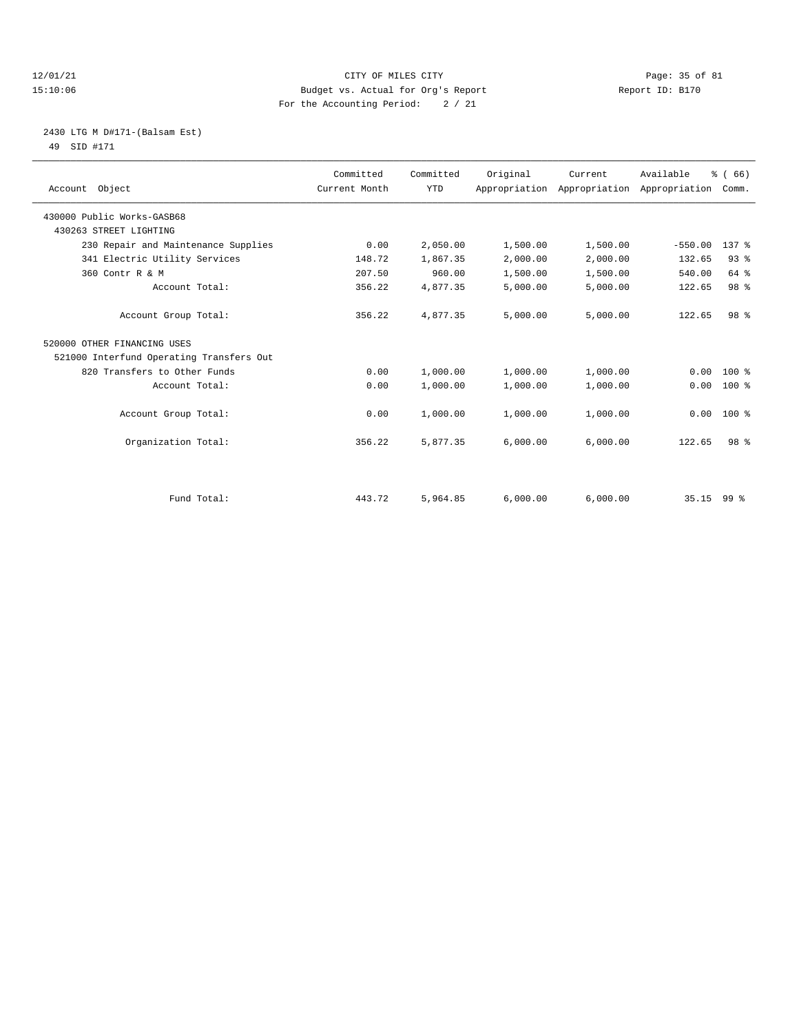#### 12/01/21 Page: 35 of 81 CITY OF MILES CITY CONTRIBUTE CITY PAGE: 35 of 81 Page: 35 of 81 CITY CHANGER PAGE: 15<br>15:10:06 Budget vs. Actual for Org's Report Changer of Report ID: B170 15:10:06 Budget vs. Actual for Org's Report For the Accounting Period: 2 / 21

#### 2430 LTG M D#171-(Balsam Est) 49 SID #171

| Account Object                           | Committed<br>Current Month | Committed<br><b>YTD</b> | Original | Current<br>Appropriation Appropriation Appropriation Comm. | Available    | % (66)           |
|------------------------------------------|----------------------------|-------------------------|----------|------------------------------------------------------------|--------------|------------------|
| 430000 Public Works-GASB68               |                            |                         |          |                                                            |              |                  |
| 430263 STREET LIGHTING                   |                            |                         |          |                                                            |              |                  |
| 230 Repair and Maintenance Supplies      | 0.00                       | 2,050.00                | 1,500.00 | 1,500.00                                                   | $-550.00$    | 137 <sub>8</sub> |
| 341 Electric Utility Services            | 148.72                     | 1,867.35                | 2,000.00 | 2,000.00                                                   | 132.65       | 93%              |
| 360 Contr R & M                          | 207.50                     | 960.00                  | 1,500.00 | 1,500.00                                                   | 540.00       | 64 %             |
| Account Total:                           | 356.22                     | 4,877.35                | 5,000.00 | 5,000.00                                                   | 122.65       | 98 %             |
| Account Group Total:                     | 356.22                     | 4,877.35                | 5,000.00 | 5,000.00                                                   | 122.65       | 98 <sup>8</sup>  |
| 520000 OTHER FINANCING USES              |                            |                         |          |                                                            |              |                  |
| 521000 Interfund Operating Transfers Out |                            |                         |          |                                                            |              |                  |
| 820 Transfers to Other Funds             | 0.00                       | 1,000.00                | 1,000.00 | 1,000.00                                                   | 0.00         | $100*$           |
| Account Total:                           | 0.00                       | 1,000.00                | 1,000.00 | 1,000.00                                                   | 0.00         | $100*$           |
| Account Group Total:                     | 0.00                       | 1,000.00                | 1,000.00 | 1,000.00                                                   | 0.00         | $100*$           |
| Organization Total:                      | 356.22                     | 5,877.35                | 6.000.00 | 6,000.00                                                   | 122.65       | 98 <sup>8</sup>  |
|                                          |                            |                         |          |                                                            |              |                  |
| Fund Total:                              | 443.72                     | 5,964.85                | 6,000.00 | 6,000.00                                                   | $35.15$ 99 % |                  |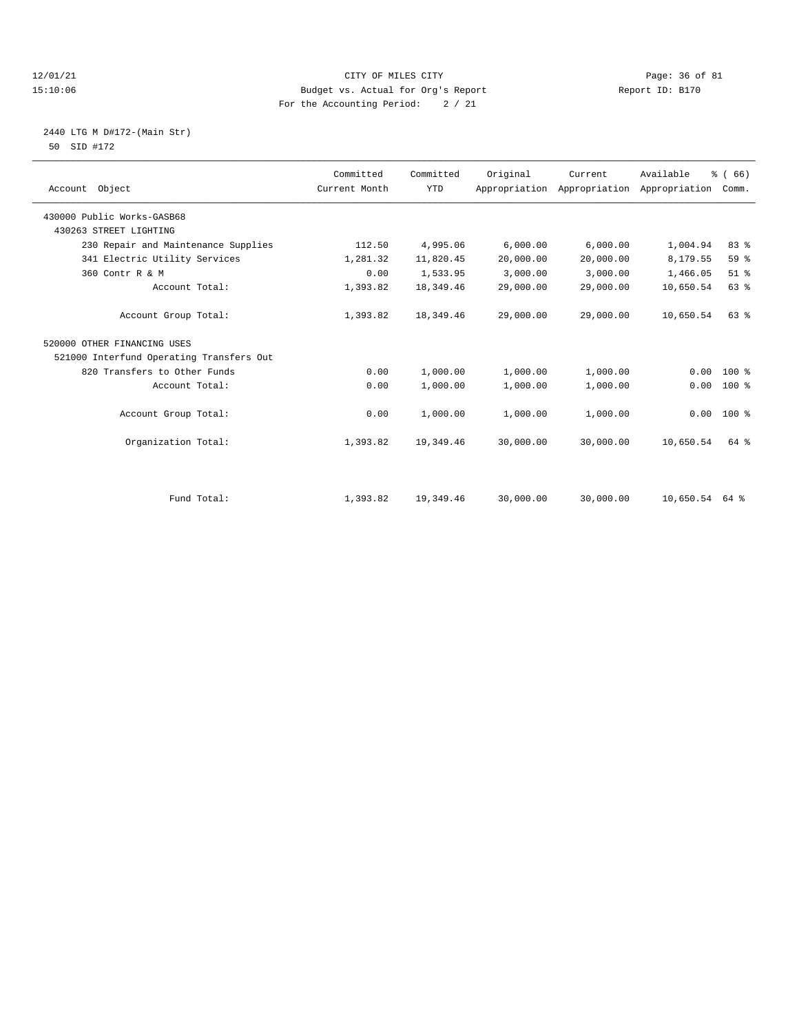#### 12/01/21 Page: 36 of 81 CITY OF MILES CITY CONTRIBUTE CITY PAGE: 36 of 81 Page: 36 of 81 CITY CHANGER PAGE: 15<br>15:10:06 Budget vs. Actual for Org's Report Changer of Report ID: B170 15:10:06 Budget vs. Actual for Org's Report For the Accounting Period: 2 / 21

#### 2440 LTG M D#172-(Main Str) 50 SID #172

| Account Object                           | Committed<br>Current Month | Committed<br><b>YTD</b> | Original  | Current<br>Appropriation Appropriation | Available<br>Appropriation | % (66)<br>Comm. |
|------------------------------------------|----------------------------|-------------------------|-----------|----------------------------------------|----------------------------|-----------------|
| 430000 Public Works-GASB68               |                            |                         |           |                                        |                            |                 |
| 430263 STREET LIGHTING                   |                            |                         |           |                                        |                            |                 |
| 230 Repair and Maintenance Supplies      | 112.50                     | 4,995.06                | 6,000.00  | 6,000.00                               | 1,004.94                   | 83 %            |
| 341 Electric Utility Services            | 1,281.32                   | 11,820.45               | 20,000.00 | 20,000.00                              | 8,179.55                   | 59 %            |
| 360 Contr R & M                          | 0.00                       | 1,533.95                | 3,000.00  | 3,000.00                               | 1,466.05                   | $51$ $%$        |
| Account Total:                           | 1,393.82                   | 18,349.46               | 29,000.00 | 29,000.00                              | 10,650.54                  | 63 %            |
| Account Group Total:                     | 1,393.82                   | 18,349.46               | 29,000.00 | 29,000.00                              | 10,650.54                  | 63%             |
| 520000 OTHER FINANCING USES              |                            |                         |           |                                        |                            |                 |
| 521000 Interfund Operating Transfers Out |                            |                         |           |                                        |                            |                 |
| 820 Transfers to Other Funds             | 0.00                       | 1,000.00                | 1,000.00  | 1,000.00                               | 0.00                       | $100*$          |
| Account Total:                           | 0.00                       | 1,000.00                | 1,000.00  | 1,000.00                               | 0.00                       | 100 %           |
| Account Group Total:                     | 0.00                       | 1,000.00                | 1,000.00  | 1,000.00                               | 0.00                       | $100*$          |
| Organization Total:                      | 1,393.82                   | 19,349.46               | 30,000.00 | 30,000.00                              | 10,650.54                  | 64 %            |
|                                          |                            |                         |           |                                        |                            |                 |
| Fund Total:                              | 1,393.82                   | 19,349.46               | 30,000.00 | 30,000.00                              | 10,650.54                  | 64 %            |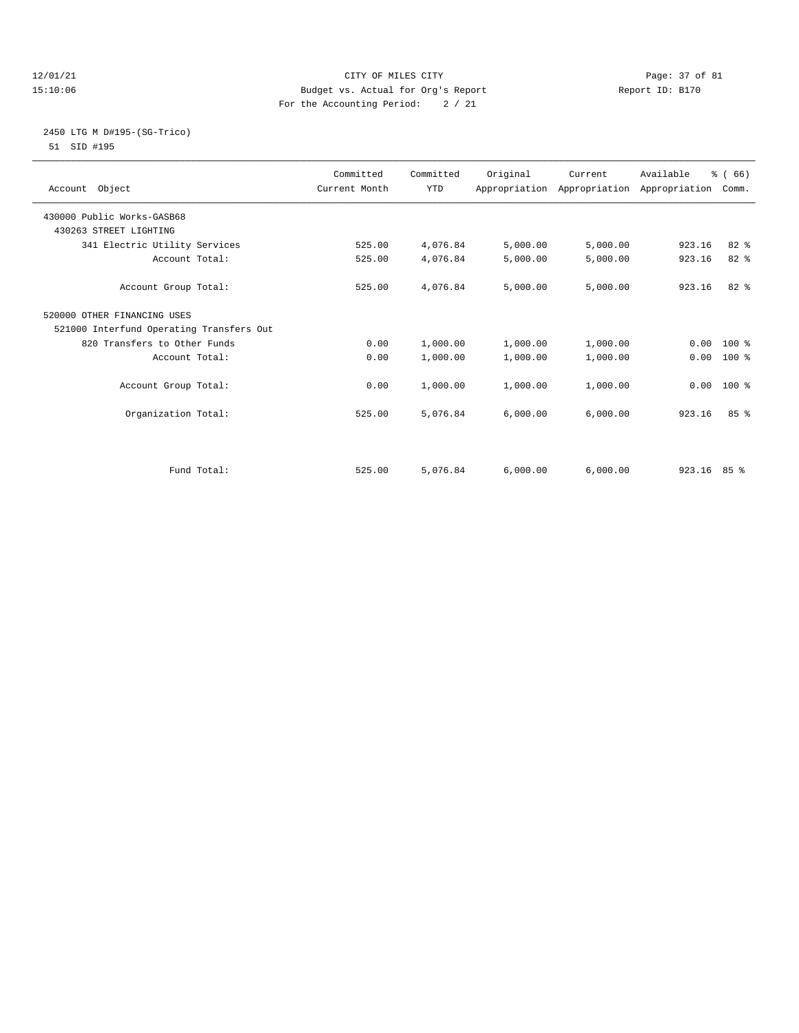## 12/01/21 Page: 37 of 81 CITY OF MILES CITY CONTRIBUTE CITY PAGE: 37 of 81 Page: 37 of 81 CITY CHILES CITY CONTRIBUTE CITY PAGE: 27 OF 81 15:10:06 Budget vs. Actual for Org's Report For the Accounting Period: 2 / 21

## 2450 LTG M D#195-(SG-Trico) 51 SID #195

| Account Object                           | Committed<br>Current Month | Committed<br><b>YTD</b> | Original | Current<br>Appropriation Appropriation Appropriation Comm. | Available     | % (66)       |  |
|------------------------------------------|----------------------------|-------------------------|----------|------------------------------------------------------------|---------------|--------------|--|
| 430000 Public Works-GASB68               |                            |                         |          |                                                            |               |              |  |
| 430263 STREET LIGHTING                   |                            |                         |          |                                                            |               |              |  |
| 341 Electric Utility Services            | 525.00                     | 4,076.84                | 5,000.00 | 5,000.00                                                   | 923.16        | $82*$        |  |
| Account Total:                           | 525.00                     | 4,076.84                | 5,000.00 | 5,000.00                                                   | 923.16        | 82 %         |  |
| Account Group Total:                     | 525.00                     | 4,076.84                | 5,000.00 | 5,000.00                                                   | 923.16        | $82*$        |  |
| 520000 OTHER FINANCING USES              |                            |                         |          |                                                            |               |              |  |
| 521000 Interfund Operating Transfers Out |                            |                         |          |                                                            |               |              |  |
| 820 Transfers to Other Funds             | 0.00                       | 1,000.00                | 1,000.00 | 1,000.00                                                   |               | $0.00 100$ % |  |
| Account Total:                           | 0.00                       | 1,000.00                | 1,000.00 | 1,000.00                                                   | 0.00          | 100 %        |  |
|                                          |                            |                         |          |                                                            |               |              |  |
| Account Group Total:                     | 0.00                       | 1,000.00                | 1,000.00 | 1,000.00                                                   |               | $0.00$ 100 % |  |
| Organization Total:                      | 525.00                     | 5,076.84                | 6.000.00 | 6,000.00                                                   | 923.16        | 85%          |  |
|                                          |                            |                         |          |                                                            |               |              |  |
| Fund Total:                              | 525.00                     | 5,076.84                | 6,000.00 | 6,000.00                                                   | $923.16$ 85 % |              |  |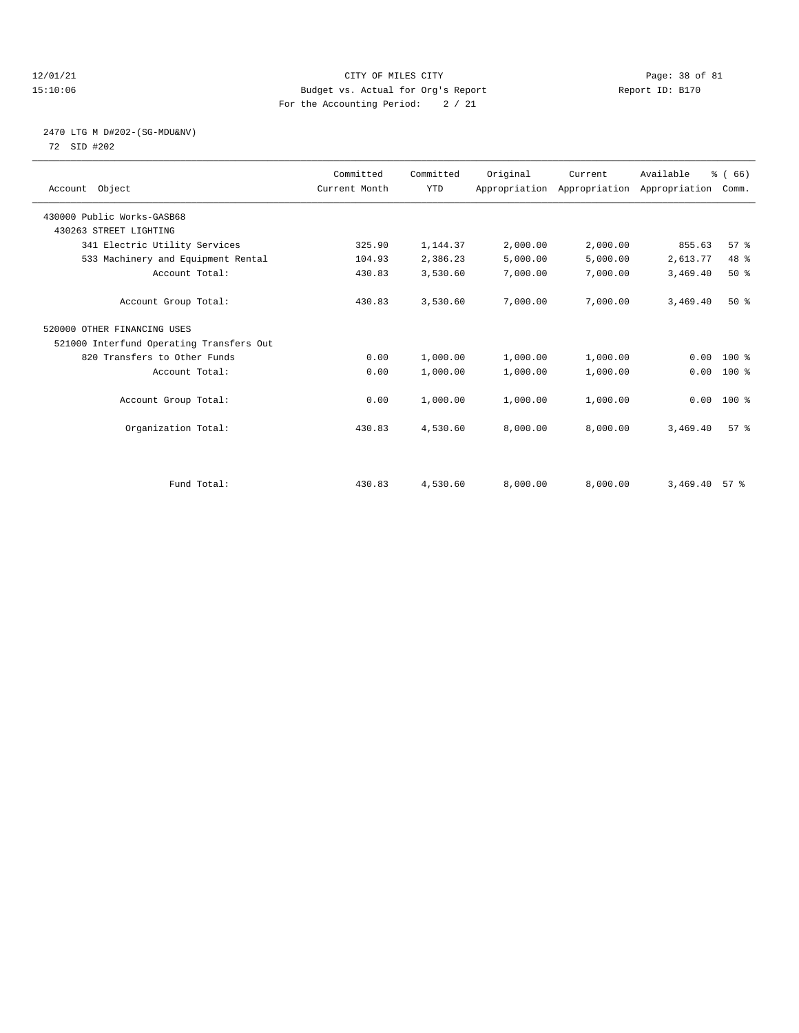## 12/01/21 Page: 38 of 81 CITY OF MILES CITY CONTRIBUTE CITY PAGE: 38 of 81 Page: 38 of 81 CITY CHES CITY CONTRIBUTE CITY PAGE: 15:10:06 15:10:06 Budget vs. Actual for Org's Report For the Accounting Period: 2 / 21

## 2470 LTG M D#202-(SG-MDU&NV) 72 SID #202

| Account Object                           | Committed<br>Current Month | Committed<br><b>YTD</b> | Original | Current<br>Appropriation Appropriation Appropriation | Available | % (66)<br>Comm. |  |
|------------------------------------------|----------------------------|-------------------------|----------|------------------------------------------------------|-----------|-----------------|--|
| 430000 Public Works-GASB68               |                            |                         |          |                                                      |           |                 |  |
| 430263 STREET LIGHTING                   |                            |                         |          |                                                      |           |                 |  |
| 341 Electric Utility Services            | 325.90                     | 1,144.37                | 2,000.00 | 2,000.00                                             | 855.63    | 57%             |  |
| 533 Machinery and Equipment Rental       | 104.93                     | 2,386.23                | 5,000.00 | 5,000.00                                             | 2,613.77  | 48 %            |  |
| Account Total:                           | 430.83                     | 3,530.60                | 7,000.00 | 7,000.00                                             | 3,469.40  | 50%             |  |
| Account Group Total:                     | 430.83                     | 3,530.60                | 7,000.00 | 7,000.00                                             | 3,469.40  | 50%             |  |
| 520000 OTHER FINANCING USES              |                            |                         |          |                                                      |           |                 |  |
| 521000 Interfund Operating Transfers Out |                            |                         |          |                                                      |           |                 |  |
| 820 Transfers to Other Funds             | 0.00                       | 1,000.00                | 1,000.00 | 1,000.00                                             | 0.00      | $100*$          |  |
| Account Total:                           | 0.00                       | 1,000.00                | 1,000.00 | 1,000.00                                             | 0.00      | 100 %           |  |
| Account Group Total:                     | 0.00                       | 1,000.00                | 1,000.00 | 1,000.00                                             |           | $0.00$ 100 %    |  |
| Organization Total:                      | 430.83                     | 4,530.60                | 8,000.00 | 8,000.00                                             | 3,469.40  | 57 <sup>8</sup> |  |
|                                          |                            |                         |          |                                                      |           |                 |  |
| Fund Total:                              | 430.83                     | 4,530.60                | 8,000.00 | 8,000.00                                             | 3,469.40  | $57*$           |  |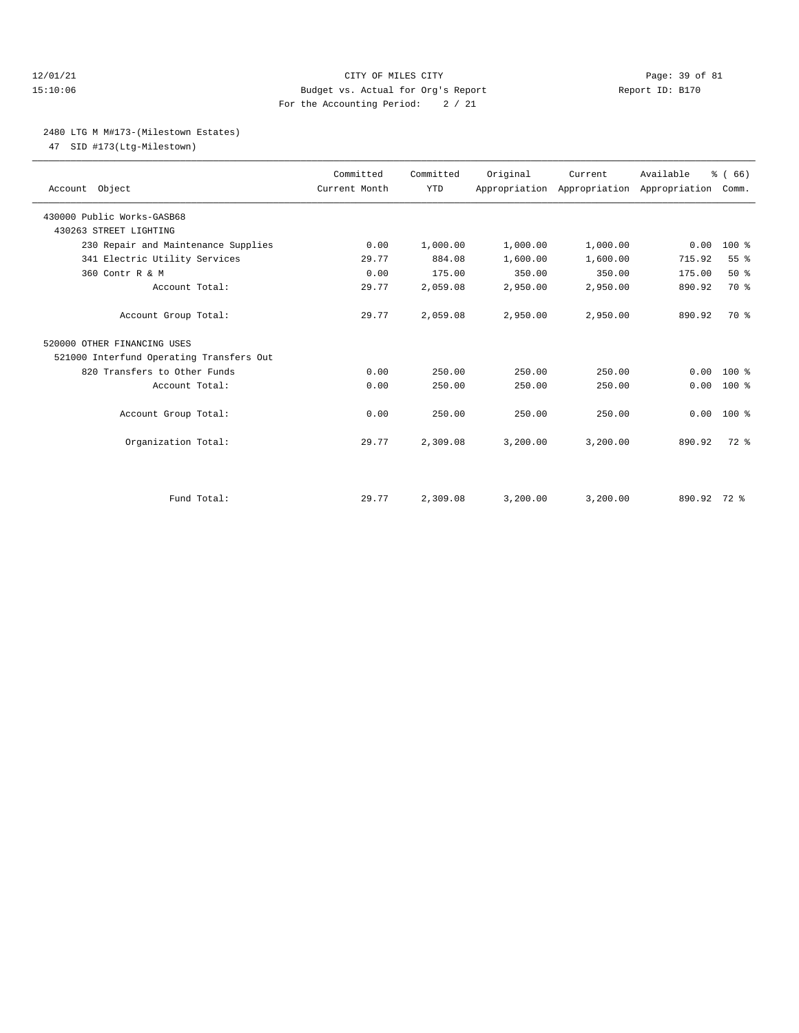## 12/01/21 Page: 39 of 81 15:10:06 Budget vs. Actual for Org's Report Report ID: B170 For the Accounting Period: 2 / 21

## 2480 LTG M M#173-(Milestown Estates)

47 SID #173(Ltg-Milestown)

| Account Object                           | Committed<br>Current Month | Committed<br><b>YTD</b> | Original | Current  | Available<br>Appropriation Appropriation Appropriation Comm. | % (66)       |  |
|------------------------------------------|----------------------------|-------------------------|----------|----------|--------------------------------------------------------------|--------------|--|
| 430000 Public Works-GASB68               |                            |                         |          |          |                                                              |              |  |
| 430263 STREET LIGHTING                   |                            |                         |          |          |                                                              |              |  |
| 230 Repair and Maintenance Supplies      | 0.00                       | 1,000.00                | 1,000.00 | 1,000.00 | 0.00                                                         | $100*$       |  |
| 341 Electric Utility Services            | 29.77                      | 884.08                  | 1,600.00 | 1,600.00 | 715.92                                                       | 55%          |  |
| 360 Contr R & M                          | 0.00                       | 175.00                  | 350.00   | 350.00   | 175.00                                                       | 50%          |  |
| Account Total:                           | 29.77                      | 2,059.08                | 2,950.00 | 2,950.00 | 890.92                                                       | 70 %         |  |
| Account Group Total:                     | 29.77                      | 2,059.08                | 2,950.00 | 2,950.00 | 890.92                                                       | 70 %         |  |
| 520000 OTHER FINANCING USES              |                            |                         |          |          |                                                              |              |  |
| 521000 Interfund Operating Transfers Out |                            |                         |          |          |                                                              |              |  |
| 820 Transfers to Other Funds             | 0.00                       | 250.00                  | 250.00   | 250.00   | 0.00                                                         | $100*$       |  |
| Account Total:                           | 0.00                       | 250.00                  | 250.00   | 250.00   | 0.00                                                         | $100*$       |  |
| Account Group Total:                     | 0.00                       | 250.00                  | 250.00   | 250.00   |                                                              | $0.00 100$ % |  |
| Organization Total:                      | 29.77                      | 2,309.08                | 3,200.00 | 3,200.00 | 890.92                                                       | $72$ $%$     |  |
|                                          |                            |                         |          |          |                                                              |              |  |
| Fund Total:                              | 29.77                      | 2,309.08                | 3,200.00 | 3,200.00 | 890.92 72 %                                                  |              |  |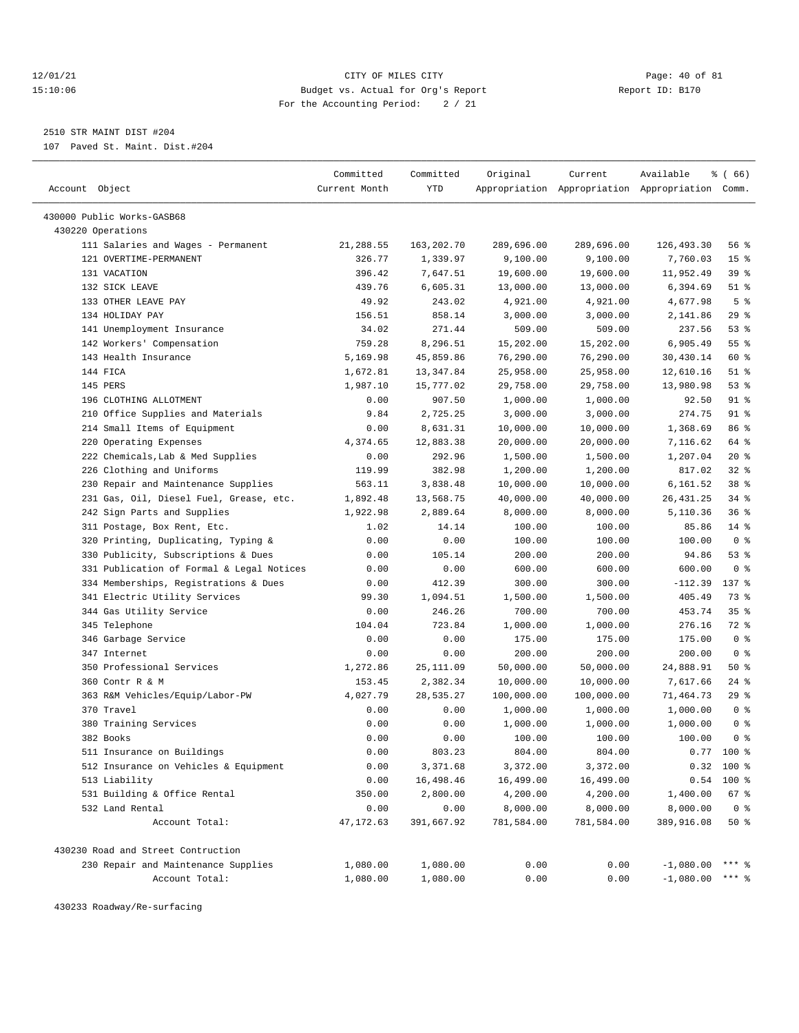## 12/01/21 Page: 40 of 81 15:10:06 Budget vs. Actual for Org's Report Report ID: B170 For the Accounting Period: 2 / 21

————————————————————————————————————————————————————————————————————————————————————————————————————————————————————————————————————

2510 STR MAINT DIST #204

107 Paved St. Maint. Dist.#204

|                                           | Committed     | Committed  | Original   | Current    | Available                                       | % ( 66)         |
|-------------------------------------------|---------------|------------|------------|------------|-------------------------------------------------|-----------------|
| Account Object                            | Current Month | YTD        |            |            | Appropriation Appropriation Appropriation Comm. |                 |
|                                           |               |            |            |            |                                                 |                 |
| 430000 Public Works-GASB68                |               |            |            |            |                                                 |                 |
| 430220 Operations                         |               |            |            |            |                                                 |                 |
| 111 Salaries and Wages - Permanent        | 21,288.55     | 163,202.70 | 289,696.00 | 289,696.00 | 126, 493.30                                     | 56 %            |
| 121 OVERTIME-PERMANENT                    | 326.77        | 1,339.97   | 9,100.00   | 9,100.00   | 7,760.03                                        | 15 <sup>°</sup> |
| 131 VACATION                              | 396.42        | 7,647.51   | 19,600.00  | 19,600.00  | 11,952.49                                       | 39%             |
| 132 SICK LEAVE                            | 439.76        | 6,605.31   | 13,000.00  | 13,000.00  | 6,394.69                                        | $51$ %          |
| 133 OTHER LEAVE PAY                       | 49.92         | 243.02     | 4,921.00   | 4,921.00   | 4,677.98                                        | 5 <sup>8</sup>  |
| 134 HOLIDAY PAY                           | 156.51        | 858.14     | 3,000.00   | 3,000.00   | 2,141.86                                        | 29%             |
| 141 Unemployment Insurance                | 34.02         | 271.44     | 509.00     | 509.00     | 237.56                                          | 53%             |
| 142 Workers' Compensation                 | 759.28        | 8,296.51   | 15,202.00  | 15,202.00  | 6,905.49                                        | 55%             |
| 143 Health Insurance                      | 5,169.98      | 45,859.86  | 76,290.00  | 76,290.00  | 30,430.14                                       | 60 %            |
| 144 FICA                                  | 1,672.81      | 13,347.84  | 25,958.00  | 25,958.00  | 12,610.16                                       | $51$ %          |
| 145 PERS                                  | 1,987.10      | 15,777.02  | 29,758.00  | 29,758.00  | 13,980.98                                       | 53%             |
| 196 CLOTHING ALLOTMENT                    | 0.00          | 907.50     | 1,000.00   | 1,000.00   | 92.50                                           | $91$ %          |
| 210 Office Supplies and Materials         | 9.84          | 2,725.25   | 3,000.00   | 3,000.00   | 274.75                                          | 91 %            |
| 214 Small Items of Equipment              | 0.00          | 8,631.31   | 10,000.00  | 10,000.00  | 1,368.69                                        | 86 %            |
| 220 Operating Expenses                    | 4,374.65      | 12,883.38  | 20,000.00  | 20,000.00  | 7,116.62                                        | 64 %            |
| 222 Chemicals, Lab & Med Supplies         | 0.00          | 292.96     | 1,500.00   | 1,500.00   | 1,207.04                                        | $20*$           |
| 226 Clothing and Uniforms                 | 119.99        | 382.98     | 1,200.00   | 1,200.00   | 817.02                                          | $32$ $%$        |
| 230 Repair and Maintenance Supplies       | 563.11        | 3,838.48   | 10,000.00  | 10,000.00  | 6,161.52                                        | 38 %            |
| 231 Gas, Oil, Diesel Fuel, Grease, etc.   | 1,892.48      | 13,568.75  | 40,000.00  | 40,000.00  | 26, 431.25                                      | $34$ $%$        |
| 242 Sign Parts and Supplies               | 1,922.98      | 2,889.64   | 8,000.00   | 8,000.00   | 5,110.36                                        | 36%             |
| 311 Postage, Box Rent, Etc.               | 1.02          | 14.14      | 100.00     | 100.00     | 85.86                                           | $14$ %          |
| 320 Printing, Duplicating, Typing &       | 0.00          | 0.00       | 100.00     | 100.00     | 100.00                                          | 0 <sup>8</sup>  |
| 330 Publicity, Subscriptions & Dues       | 0.00          | 105.14     | 200.00     | 200.00     | 94.86                                           | 53%             |
| 331 Publication of Formal & Legal Notices | 0.00          | 0.00       | 600.00     | 600.00     | 600.00                                          | 0 <sup>8</sup>  |
| 334 Memberships, Registrations & Dues     | 0.00          | 412.39     | 300.00     | 300.00     | $-112.39$                                       | 137 %           |
| 341 Electric Utility Services             | 99.30         | 1,094.51   | 1,500.00   | 1,500.00   | 405.49                                          | 73 %            |
| 344 Gas Utility Service                   | 0.00          | 246.26     | 700.00     | 700.00     | 453.74                                          | 35%             |
| 345 Telephone                             | 104.04        | 723.84     | 1,000.00   | 1,000.00   | 276.16                                          | 72 %            |
| 346 Garbage Service                       | 0.00          | 0.00       | 175.00     | 175.00     | 175.00                                          | 0 <sup>8</sup>  |
| 347 Internet                              | 0.00          | 0.00       | 200.00     | 200.00     | 200.00                                          | 0 <sup>8</sup>  |
| 350 Professional Services                 | 1,272.86      | 25, 111.09 | 50,000.00  | 50,000.00  | 24,888.91                                       | 50%             |
| 360 Contr R & M                           | 153.45        | 2,382.34   | 10,000.00  | 10,000.00  | 7,617.66                                        | $24$ %          |
| 363 R&M Vehicles/Equip/Labor-PW           | 4,027.79      | 28,535.27  | 100,000.00 | 100,000.00 | 71,464.73                                       | 29%             |
| 370 Travel                                | 0.00          | 0.00       | 1,000.00   | 1,000.00   | 1,000.00                                        | 0 <sup>8</sup>  |
| 380 Training Services                     | 0.00          | 0.00       | 1,000.00   | 1,000.00   | 1,000.00                                        | 0 <sup>8</sup>  |
| 382 Books                                 | 0.00          | 0.00       | 100.00     | 100.00     | 100.00                                          | 0 <sup>8</sup>  |
| 511 Insurance on Buildings                | 0.00          | 803.23     | 804.00     | 804.00     | 0.77                                            | $100*$          |
| 512 Insurance on Vehicles & Equipment     | 0.00          | 3,371.68   | 3,372.00   | 3,372.00   |                                                 | $0.32$ 100 %    |
| 513 Liability                             | 0.00          | 16,498.46  | 16,499.00  | 16,499.00  | 0.54                                            | 100 %           |
| 531 Building & Office Rental              | 350.00        | 2,800.00   | 4,200.00   | 4,200.00   | 1,400.00                                        | 67 %            |
| 532 Land Rental                           | 0.00          | 0.00       | 8,000.00   | 8,000.00   | 8,000.00                                        | 0 <sup>8</sup>  |
| Account Total:                            | 47, 172.63    | 391,667.92 | 781,584.00 | 781,584.00 | 389,916.08                                      | 50%             |
| 430230 Road and Street Contruction        |               |            |            |            |                                                 |                 |
| 230 Repair and Maintenance Supplies       | 1,080.00      | 1,080.00   | 0.00       | 0.00       | $-1,080.00$                                     | $***$ $%$       |
| Account Total:                            | 1,080.00      | 1,080.00   | 0.00       | 0.00       | $-1,080.00$                                     | *** 응           |

430233 Roadway/Re-surfacing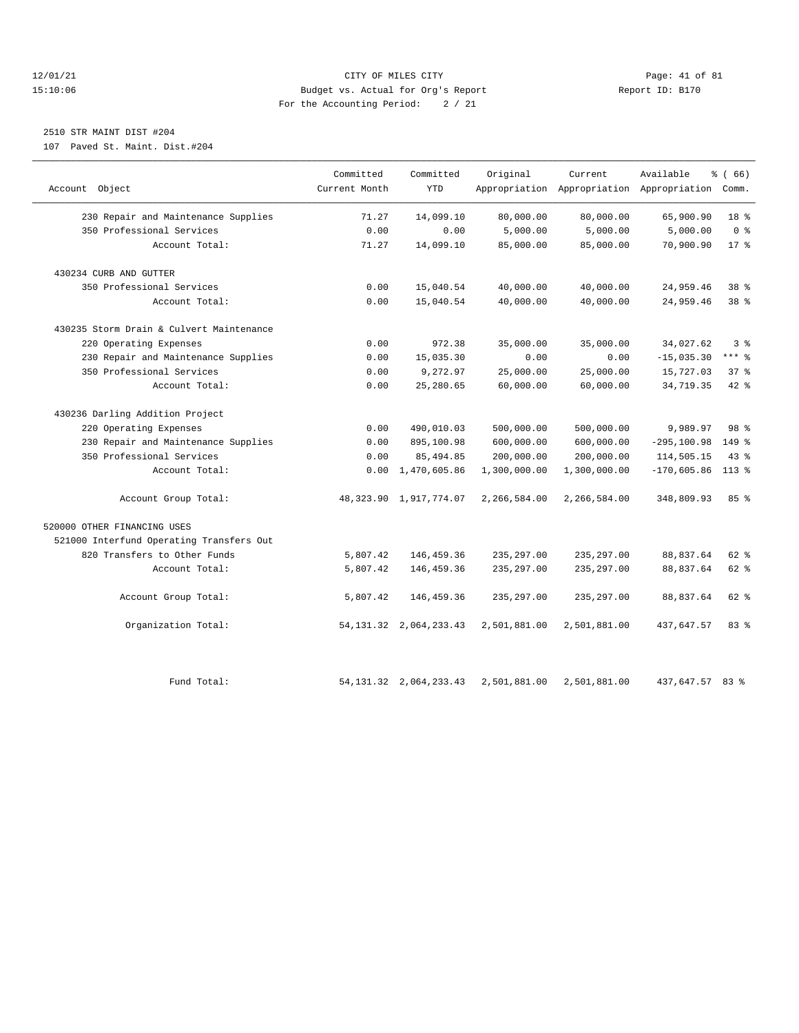## 12/01/21 Page: 41 of 81 CITY OF MILES CITY CONTRIBUTE CITY PAGE: 41 of 81 Page: 41 of 81 CITY CHINES CITY CONTRIBUTE CITY PAGE: 41 OF 81 PAGE: 41 OF 81 PAGE: 41 OF 81 PAGE: 5:10:06 15:10:06 Budget vs. Actual for Org's Report For the Accounting Period: 2 / 21

# 2510 STR MAINT DIST #204

107 Paved St. Maint. Dist.#204

|                                          | Committed     | Committed                   | Original     | Current      | Available                                       | % (66)          |
|------------------------------------------|---------------|-----------------------------|--------------|--------------|-------------------------------------------------|-----------------|
| Account Object                           | Current Month | <b>YTD</b>                  |              |              | Appropriation Appropriation Appropriation Comm. |                 |
| 230 Repair and Maintenance Supplies      | 71.27         | 14,099.10                   | 80,000.00    | 80,000.00    | 65,900.90                                       | 18 %            |
| 350 Professional Services                | 0.00          | 0.00                        | 5,000.00     | 5,000.00     | 5,000.00                                        | 0 <sup>8</sup>  |
| Account Total:                           | 71.27         | 14,099.10                   | 85,000.00    | 85,000.00    | 70,900.90                                       | $17*$           |
| 430234 CURB AND GUTTER                   |               |                             |              |              |                                                 |                 |
| 350 Professional Services                | 0.00          | 15,040.54                   | 40,000.00    | 40,000.00    | 24,959.46                                       | 38 %            |
| Account Total:                           | 0.00          | 15,040.54                   | 40,000.00    | 40,000.00    | 24,959.46                                       | 38 <sup>8</sup> |
| 430235 Storm Drain & Culvert Maintenance |               |                             |              |              |                                                 |                 |
| 220 Operating Expenses                   | 0.00          | 972.38                      | 35,000.00    | 35,000.00    | 34,027.62                                       | 3%              |
| 230 Repair and Maintenance Supplies      | 0.00          | 15,035.30                   | 0.00         | 0.00         | $-15,035.30$                                    | $***$ $-$       |
| 350 Professional Services                | 0.00          | 9,272.97                    | 25,000.00    | 25,000.00    | 15,727.03                                       | 37%             |
| Account Total:                           | 0.00          | 25,280.65                   | 60,000.00    | 60,000.00    | 34,719.35                                       | $42$ $%$        |
| 430236 Darling Addition Project          |               |                             |              |              |                                                 |                 |
| 220 Operating Expenses                   | 0.00          | 490,010.03                  | 500,000.00   | 500,000.00   | 9,989.97                                        | 98 <sup>8</sup> |
| 230 Repair and Maintenance Supplies      | 0.00          | 895,100.98                  | 600,000.00   | 600,000.00   | $-295, 100.98$                                  | 149 %           |
| 350 Professional Services                | 0.00          | 85, 494.85                  | 200,000.00   | 200,000.00   | 114,505.15                                      | $43*$           |
| Account Total:                           | 0.00          | 1,470,605.86                | 1,300,000.00 | 1,300,000.00 | $-170,605.86$                                   | $113*$          |
| Account Group Total:                     |               | 48, 323.90 1, 917, 774.07   | 2,266,584.00 | 2,266,584.00 | 348,809.93                                      | 85%             |
| 520000 OTHER FINANCING USES              |               |                             |              |              |                                                 |                 |
| 521000 Interfund Operating Transfers Out |               |                             |              |              |                                                 |                 |
| 820 Transfers to Other Funds             | 5,807.42      | 146,459.36                  | 235, 297.00  | 235, 297.00  | 88,837.64                                       | $62$ $%$        |
| Account Total:                           | 5,807.42      | 146,459.36                  | 235, 297.00  | 235, 297.00  | 88,837.64                                       | 62 %            |
| Account Group Total:                     | 5,807.42      | 146, 459.36                 | 235, 297.00  | 235, 297.00  | 88,837.64                                       | $62$ $%$        |
| Organization Total:                      |               | 54, 131. 32 2, 064, 233. 43 | 2,501,881.00 | 2,501,881.00 | 437,647.57                                      | 83%             |
| Fund Total:                              |               | 54, 131, 32 2, 064, 233, 43 | 2,501,881.00 | 2,501,881.00 | 437,647.57 83 %                                 |                 |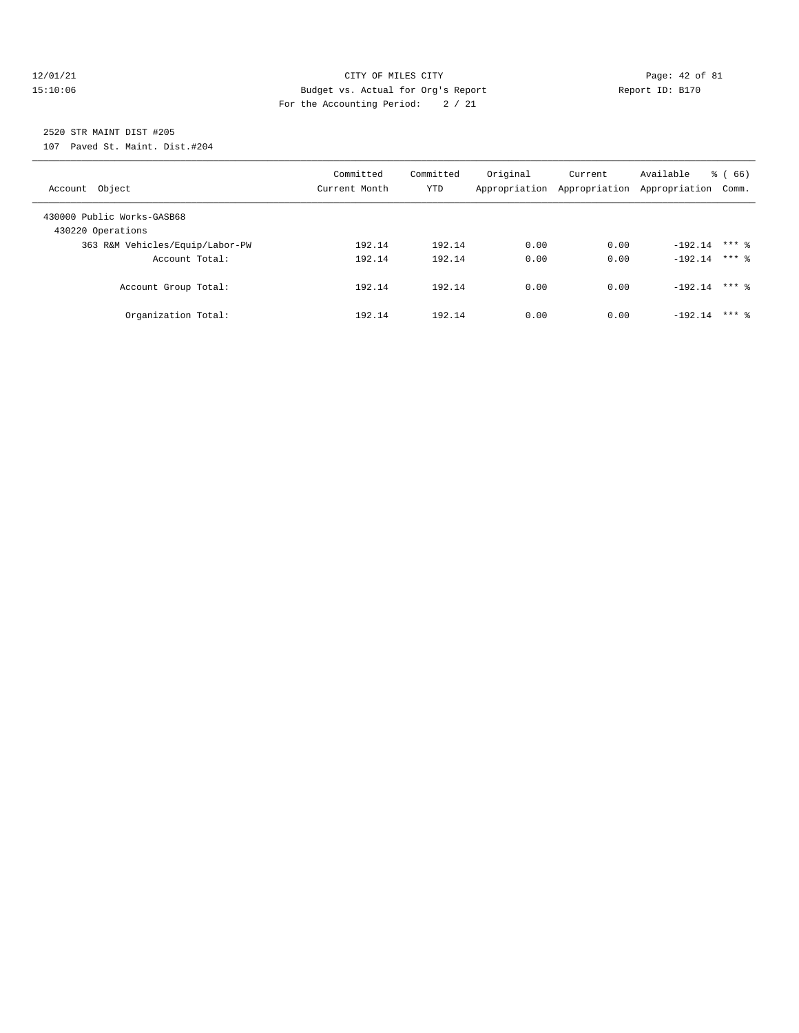## $\verb|12/01/21| \quad \verb|22/01/21| \quad \verb|23/01/21| \quad \verb|24.06| \quad \verb|24.07| \quad \verb|24.07| \quad \verb|24.07| \quad \verb|24.07| \quad \verb|24.07| \quad \verb|24.07| \quad \verb|24.07| \quad \verb|24.07| \quad \verb|24.07| \quad \verb|24.07| \quad \verb|24.07| \quad \verb|24.07| \quad \verb|24.07| \quad \verb|24.07| \quad \verb|24.07| \quad \verb$ 15:10:06 Budget vs. Actual for Org's Report Report ID: B170 For the Accounting Period: 2 / 21

2520 STR MAINT DIST #205

107 Paved St. Maint. Dist.#204

| Account Object                                  | Committed<br>Current Month | Committed<br>YTD | Original | Current<br>Appropriation Appropriation | Available<br>Appropriation | $\frac{6}{6}$ (66)<br>Comm. |
|-------------------------------------------------|----------------------------|------------------|----------|----------------------------------------|----------------------------|-----------------------------|
| 430000 Public Works-GASB68<br>430220 Operations |                            |                  |          |                                        |                            |                             |
| 363 R&M Vehicles/Equip/Labor-PW                 | 192.14                     | 192.14           | 0.00     | 0.00                                   | $-192.14$                  | $***$ 2                     |
| Account Total:                                  | 192.14                     | 192.14           | 0.00     | 0.00                                   | $-192.14$ *** 8            |                             |
| Account Group Total:                            | 192.14                     | 192.14           | 0.00     | 0.00                                   | $-192.14$                  | $***$ 2                     |
| Organization Total:                             | 192.14                     | 192.14           | 0.00     | 0.00                                   | $-192.14$                  | $***$ 2                     |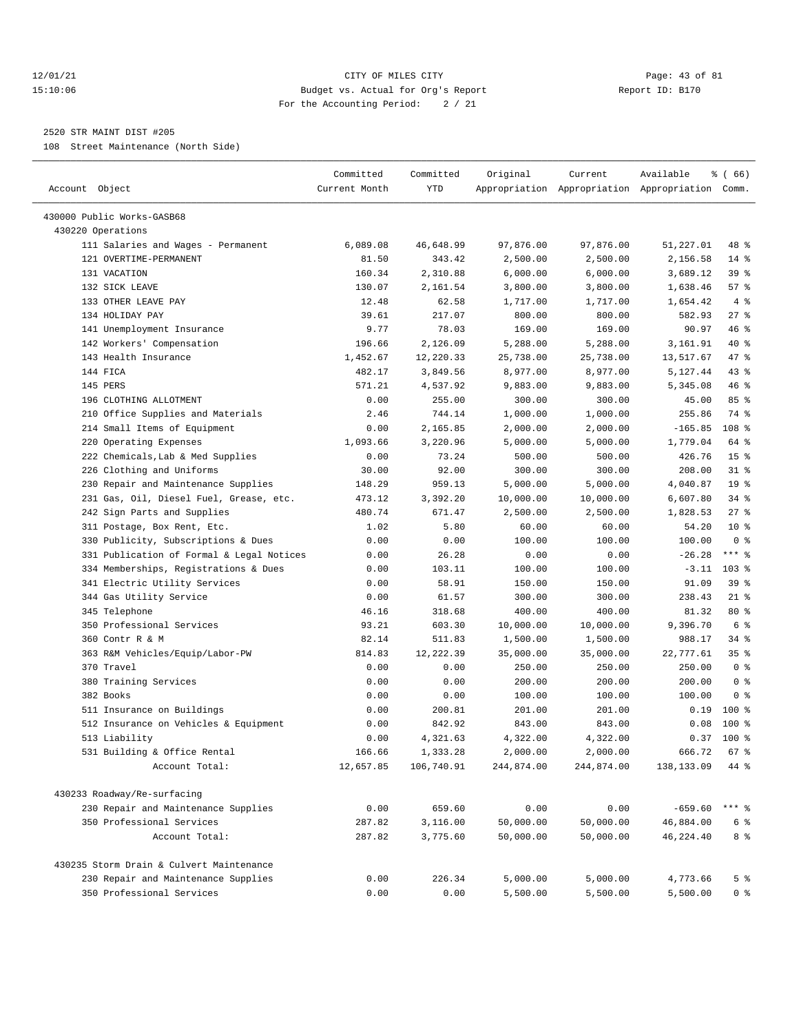## 12/01/21 Page: 43 of 81 15:10:06 Budget vs. Actual for Org's Report Report ID: B170 For the Accounting Period: 2 / 21

————————————————————————————————————————————————————————————————————————————————————————————————————————————————————————————————————

#### 2520 STR MAINT DIST #205

108 Street Maintenance (North Side)

|                                           | Committed     | Committed  | Original   | Current    | Available                                       | ៖ ( 66)         |
|-------------------------------------------|---------------|------------|------------|------------|-------------------------------------------------|-----------------|
| Account Object                            | Current Month | <b>YTD</b> |            |            | Appropriation Appropriation Appropriation Comm. |                 |
| 430000 Public Works-GASB68                |               |            |            |            |                                                 |                 |
| 430220 Operations                         |               |            |            |            |                                                 |                 |
| 111 Salaries and Wages - Permanent        | 6,089.08      | 46,648.99  | 97,876.00  | 97,876.00  | 51,227.01                                       | 48 %            |
| 121 OVERTIME-PERMANENT                    | 81.50         | 343.42     | 2,500.00   | 2,500.00   | 2,156.58                                        | $14$ %          |
| 131 VACATION                              | 160.34        | 2,310.88   | 6,000.00   | 6,000.00   | 3,689.12                                        | 39%             |
| 132 SICK LEAVE                            | 130.07        | 2,161.54   | 3,800.00   | 3,800.00   | 1,638.46                                        | 57%             |
| 133 OTHER LEAVE PAY                       | 12.48         | 62.58      | 1,717.00   | 1,717.00   | 1,654.42                                        | 4%              |
| 134 HOLIDAY PAY                           | 39.61         | 217.07     | 800.00     | 800.00     | 582.93                                          | $27$ %          |
| 141 Unemployment Insurance                | 9.77          | 78.03      | 169.00     | 169.00     | 90.97                                           | 46 %            |
| 142 Workers' Compensation                 | 196.66        | 2,126.09   | 5,288.00   | 5,288.00   | 3,161.91                                        | 40 %            |
| 143 Health Insurance                      | 1,452.67      | 12,220.33  | 25,738.00  | 25,738.00  | 13,517.67                                       | 47 %            |
| 144 FICA                                  | 482.17        | 3,849.56   | 8,977.00   | 8,977.00   | 5,127.44                                        | $43$ %          |
| 145 PERS                                  | 571.21        | 4,537.92   | 9,883.00   | 9,883.00   | 5,345.08                                        | 46%             |
| 196 CLOTHING ALLOTMENT                    | 0.00          | 255.00     | 300.00     | 300.00     | 45.00                                           | 85%             |
| 210 Office Supplies and Materials         | 2.46          | 744.14     | 1,000.00   | 1,000.00   | 255.86                                          | 74 %            |
| 214 Small Items of Equipment              | 0.00          | 2,165.85   | 2,000.00   | 2,000.00   | $-165.85$                                       | 108 %           |
| 220 Operating Expenses                    | 1,093.66      | 3,220.96   | 5,000.00   | 5,000.00   | 1,779.04                                        | 64 %            |
| 222 Chemicals, Lab & Med Supplies         | 0.00          | 73.24      | 500.00     | 500.00     | 426.76                                          | 15 <sup>°</sup> |
| 226 Clothing and Uniforms                 | 30.00         | 92.00      | 300.00     | 300.00     | 208.00                                          | $31$ %          |
| 230 Repair and Maintenance Supplies       | 148.29        | 959.13     | 5,000.00   | 5,000.00   | 4,040.87                                        | 19 <sup>°</sup> |
| 231 Gas, Oil, Diesel Fuel, Grease, etc.   | 473.12        | 3,392.20   | 10,000.00  | 10,000.00  | 6,607.80                                        | $34$ $%$        |
| 242 Sign Parts and Supplies               | 480.74        | 671.47     | 2,500.00   | 2,500.00   | 1,828.53                                        | $27$ %          |
| 311 Postage, Box Rent, Etc.               | 1.02          | 5.80       | 60.00      | 60.00      | 54.20                                           | $10*$           |
| 330 Publicity, Subscriptions & Dues       | 0.00          | 0.00       | 100.00     | 100.00     | 100.00                                          | 0 <sup>8</sup>  |
| 331 Publication of Formal & Legal Notices | 0.00          | 26.28      | 0.00       | 0.00       | $-26.28$                                        | $***$ $%$       |
| 334 Memberships, Registrations & Dues     | 0.00          | 103.11     | 100.00     | 100.00     | $-3.11$                                         | $103$ %         |
| 341 Electric Utility Services             | 0.00          | 58.91      | 150.00     | 150.00     | 91.09                                           | 39%             |
| 344 Gas Utility Service                   | 0.00          | 61.57      | 300.00     | 300.00     | 238.43                                          | $21$ %          |
| 345 Telephone                             | 46.16         | 318.68     | 400.00     | 400.00     | 81.32                                           | 80 %            |
| 350 Professional Services                 | 93.21         | 603.30     | 10,000.00  | 10,000.00  | 9,396.70                                        | 6 %             |
| 360 Contr R & M                           | 82.14         | 511.83     | 1,500.00   | 1,500.00   | 988.17                                          | 34 %            |
| 363 R&M Vehicles/Equip/Labor-PW           | 814.83        | 12,222.39  | 35,000.00  | 35,000.00  | 22,777.61                                       | 35%             |
| 370 Travel                                | 0.00          | 0.00       | 250.00     | 250.00     | 250.00                                          | 0 <sup>8</sup>  |
| 380 Training Services                     | 0.00          | 0.00       | 200.00     | 200.00     | 200.00                                          | 0 <sup>8</sup>  |
| 382 Books                                 | 0.00          | 0.00       | 100.00     | 100.00     | 100.00                                          | 0 <sup>8</sup>  |
| 511 Insurance on Buildings                | 0.00          | 200.81     | 201.00     | 201.00     | 0.19                                            | $100*$          |
| 512 Insurance on Vehicles & Equipment     | 0.00          | 842.92     | 843.00     | 843.00     | 0.08                                            | $100$ %         |
| 513 Liability                             | 0.00          | 4,321.63   | 4,322.00   | 4,322.00   | 0.37                                            | $100*$          |
| 531 Building & Office Rental              | 166.66        | 1,333.28   | 2,000.00   | 2,000.00   | 666.72 67 %                                     |                 |
| Account Total:                            | 12,657.85     |            |            |            |                                                 | 44 %            |
|                                           |               | 106,740.91 | 244,874.00 | 244,874.00 | 138,133.09                                      |                 |
| 430233 Roadway/Re-surfacing               |               |            |            |            |                                                 |                 |
| 230 Repair and Maintenance Supplies       | 0.00          | 659.60     | 0.00       | 0.00       | $-659.60$                                       | *** 응           |
| 350 Professional Services                 | 287.82        | 3,116.00   | 50,000.00  | 50,000.00  | 46,884.00                                       | 6 %             |
| Account Total:                            | 287.82        | 3,775.60   | 50,000.00  | 50,000.00  | 46,224.40                                       | 8 %             |
| 430235 Storm Drain & Culvert Maintenance  |               |            |            |            |                                                 |                 |
| 230 Repair and Maintenance Supplies       | 0.00          | 226.34     | 5,000.00   | 5,000.00   | 4,773.66                                        | 5 %             |
| 350 Professional Services                 | 0.00          | 0.00       | 5,500.00   | 5,500.00   | 5,500.00                                        | 0 %             |
|                                           |               |            |            |            |                                                 |                 |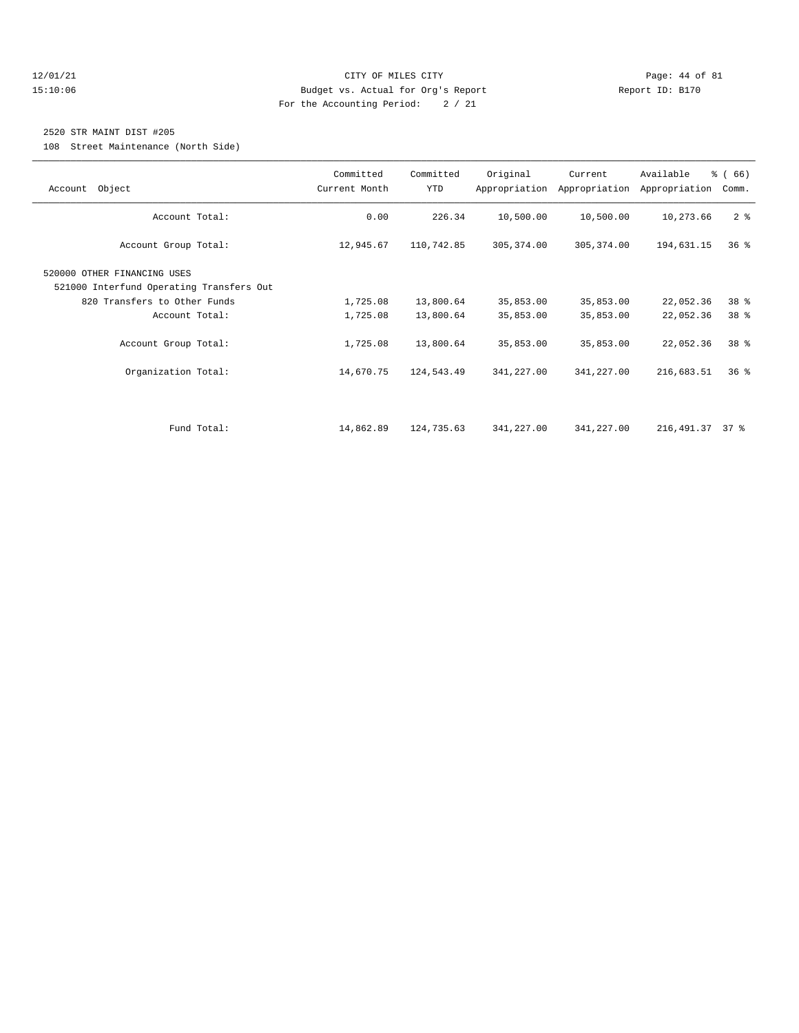## 12/01/21 Page: 44 of 81 15:10:06 Budget vs. Actual for Org's Report Report ID: B170 For the Accounting Period: 2 / 21

## 2520 STR MAINT DIST #205

108 Street Maintenance (North Side)

| Account Object                                                                                                            | Committed<br>Current Month | Committed<br>YTD       | Original               | Current<br>Appropriation Appropriation | Available<br>Appropriation | % (66)<br>Comm. |
|---------------------------------------------------------------------------------------------------------------------------|----------------------------|------------------------|------------------------|----------------------------------------|----------------------------|-----------------|
| Account Total:                                                                                                            | 0.00                       | 226.34                 | 10,500.00              | 10,500.00                              | 10,273.66                  | 2 <sup>8</sup>  |
| Account Group Total:                                                                                                      | 12,945.67                  | 110,742.85             | 305, 374.00            | 305, 374.00                            | 194,631.15                 | 36 <sup>8</sup> |
| 520000 OTHER FINANCING USES<br>521000 Interfund Operating Transfers Out<br>820 Transfers to Other Funds<br>Account Total: | 1,725.08<br>1,725.08       | 13,800.64<br>13,800.64 | 35,853.00<br>35,853.00 | 35,853.00<br>35,853.00                 | 22,052.36<br>22,052.36     | 38 %<br>38 %    |
| Account Group Total:                                                                                                      | 1,725.08                   | 13,800.64              | 35,853.00              | 35,853.00                              | 22,052.36                  | 38 %            |
| Organization Total:                                                                                                       | 14,670.75                  | 124,543.49             | 341,227.00             | 341,227.00                             | 216,683.51                 | 36%             |
| Fund Total:                                                                                                               | 14,862.89                  | 124,735.63             | 341,227.00             | 341,227.00                             | 216, 491.37 37 %           |                 |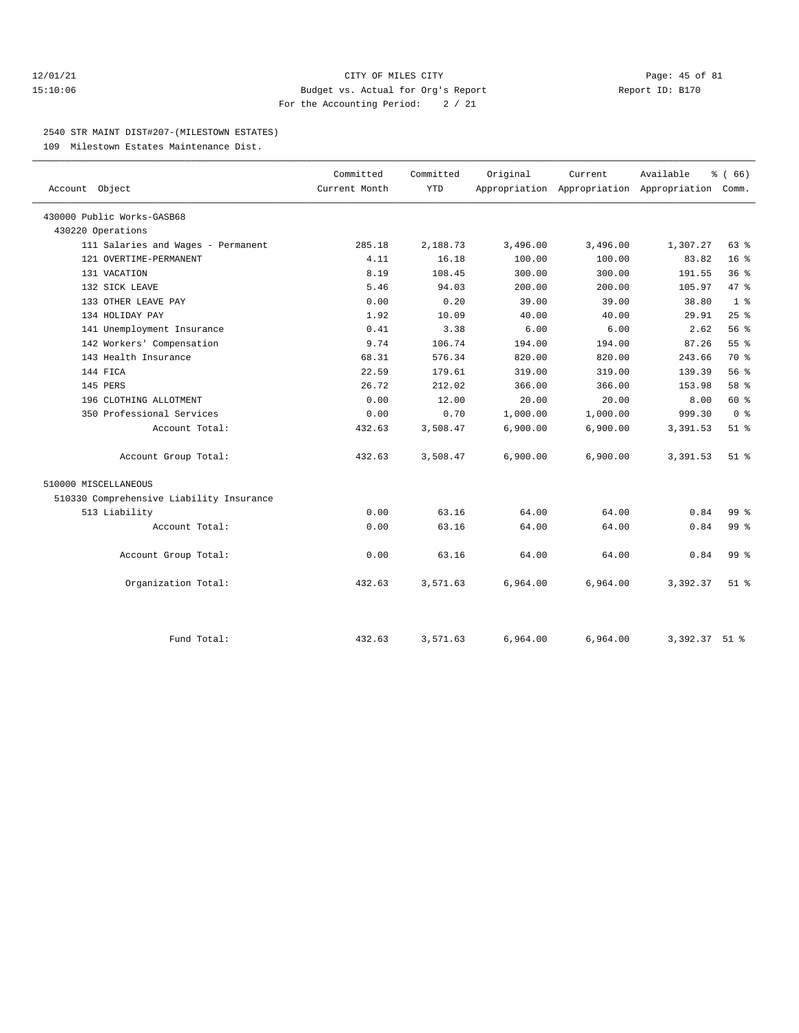## 12/01/21 Page: 45 of 81 15:10:06 Budget vs. Actual for Org's Report Report ID: B170 For the Accounting Period: 2 / 21

#### 2540 STR MAINT DIST#207-(MILESTOWN ESTATES)

109 Milestown Estates Maintenance Dist.

| Account Object                           | Committed<br>Current Month | Committed<br><b>YTD</b> | Original | Current  | Available<br>Appropriation Appropriation Appropriation Comm. | % (66)          |
|------------------------------------------|----------------------------|-------------------------|----------|----------|--------------------------------------------------------------|-----------------|
|                                          |                            |                         |          |          |                                                              |                 |
| 430000 Public Works-GASB68               |                            |                         |          |          |                                                              |                 |
| 430220 Operations                        |                            |                         |          |          |                                                              |                 |
| 111 Salaries and Wages - Permanent       | 285.18                     | 2,188.73                | 3,496.00 | 3,496.00 | 1,307.27                                                     | $63$ $%$        |
| 121 OVERTIME-PERMANENT                   | 4.11                       | 16.18                   | 100.00   | 100.00   | 83.82                                                        | 16 <sup>°</sup> |
| 131 VACATION                             | 8.19                       | 108.45                  | 300.00   | 300.00   | 191.55                                                       | 36%             |
| 132 SICK LEAVE                           | 5.46                       | 94.03                   | 200.00   | 200.00   | 105.97                                                       | 47.8            |
| 133 OTHER LEAVE PAY                      | 0.00                       | 0.20                    | 39.00    | 39.00    | 38.80                                                        | 1 <sup>8</sup>  |
| 134 HOLIDAY PAY                          | 1.92                       | 10.09                   | 40.00    | 40.00    | 29.91                                                        | 25%             |
| 141 Unemployment Insurance               | 0.41                       | 3.38                    | 6.00     | 6.00     | 2.62                                                         | 56%             |
| 142 Workers' Compensation                | 9.74                       | 106.74                  | 194.00   | 194.00   | 87.26                                                        | 55 <sup>8</sup> |
| 143 Health Insurance                     | 68.31                      | 576.34                  | 820.00   | 820.00   | 243.66                                                       | 70 %            |
| 144 FICA                                 | 22.59                      | 179.61                  | 319.00   | 319.00   | 139.39                                                       | 56%             |
| 145 PERS                                 | 26.72                      | 212.02                  | 366.00   | 366.00   | 153.98                                                       | 58 %            |
| 196 CLOTHING ALLOTMENT                   | 0.00                       | 12.00                   | 20.00    | 20.00    | 8.00                                                         | 60 %            |
| 350 Professional Services                | 0.00                       | 0.70                    | 1,000.00 | 1,000.00 | 999.30                                                       | 0 <sup>8</sup>  |
| Account Total:                           | 432.63                     | 3,508.47                | 6,900.00 | 6,900.00 | 3,391.53                                                     | $51$ $%$        |
| Account Group Total:                     | 432.63                     | 3,508.47                | 6,900.00 | 6,900.00 | 3,391.53                                                     | $51$ $%$        |
| 510000 MISCELLANEOUS                     |                            |                         |          |          |                                                              |                 |
| 510330 Comprehensive Liability Insurance |                            |                         |          |          |                                                              |                 |
| 513 Liability                            | 0.00                       | 63.16                   | 64.00    | 64.00    | 0.84                                                         | 99 <sub>8</sub> |
| Account Total:                           | 0.00                       | 63.16                   | 64.00    | 64.00    | 0.84                                                         | 99 <sub>8</sub> |
| Account Group Total:                     | 0.00                       | 63.16                   | 64.00    | 64.00    | 0.84                                                         | 99 %            |
| Organization Total:                      | 432.63                     | 3,571.63                | 6,964.00 | 6,964.00 | 3,392.37                                                     | $51$ $%$        |
| Fund Total:                              | 432.63                     | 3,571.63                | 6,964.00 | 6,964.00 | 3,392.37 51 %                                                |                 |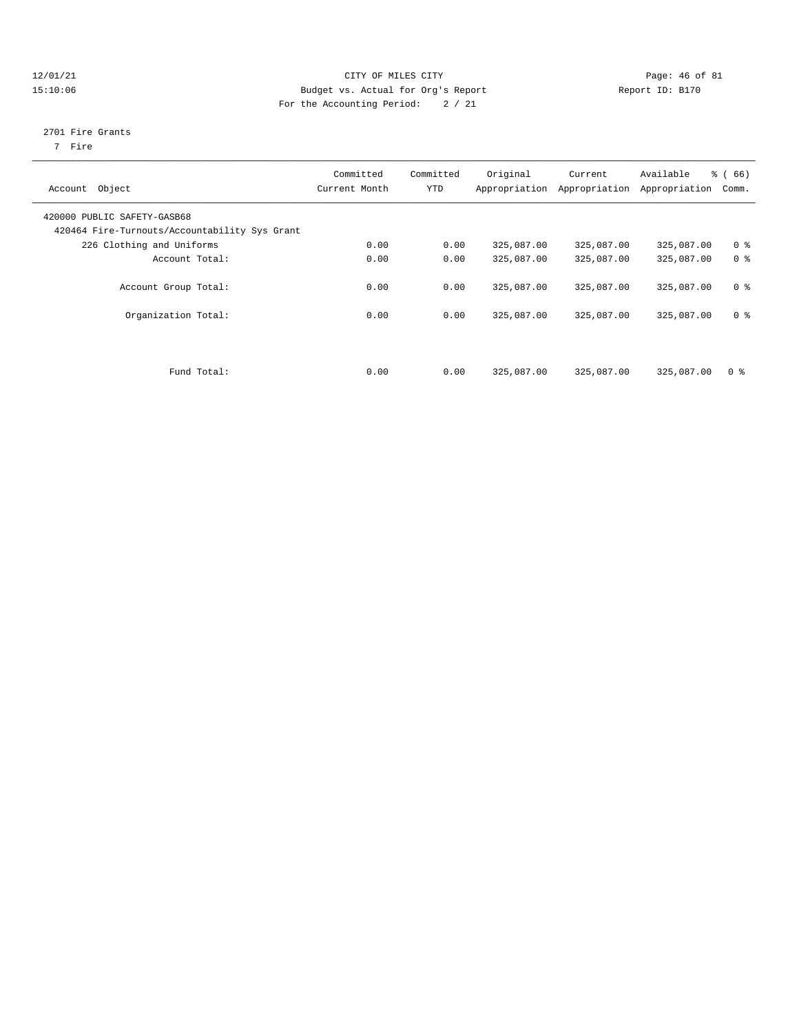## $12/01/21$  Page: 46 of 81 15:10:06 Budget vs. Actual for Org's Report Report ID: B170 For the Accounting Period: 2 / 21

#### 2701 Fire Grants

7 Fire

| Account Object                                                               | Committed<br>Current Month | Committed<br><b>YTD</b> | Original   | Current<br>Appropriation Appropriation | Available<br>Appropriation | $\frac{3}{6}$ (66)<br>Comm. |
|------------------------------------------------------------------------------|----------------------------|-------------------------|------------|----------------------------------------|----------------------------|-----------------------------|
| 420000 PUBLIC SAFETY-GASB68<br>420464 Fire-Turnouts/Accountability Sys Grant |                            |                         |            |                                        |                            |                             |
| 226 Clothing and Uniforms                                                    | 0.00                       | 0.00                    | 325,087.00 | 325,087.00                             | 325,087.00                 | 0 <sup>8</sup>              |
| Account Total:                                                               | 0.00                       | 0.00                    | 325,087.00 | 325,087.00                             | 325,087.00                 | 0 <sup>8</sup>              |
| Account Group Total:                                                         | 0.00                       | 0.00                    | 325,087.00 | 325,087.00                             | 325,087.00                 | 0 <sup>8</sup>              |
| Organization Total:                                                          | 0.00                       | 0.00                    | 325,087.00 | 325,087.00                             | 325,087.00                 | 0 <sup>8</sup>              |
| Fund Total:                                                                  | 0.00                       | 0.00                    | 325,087.00 | 325,087.00                             | 325,087.00                 | 0 <sup>8</sup>              |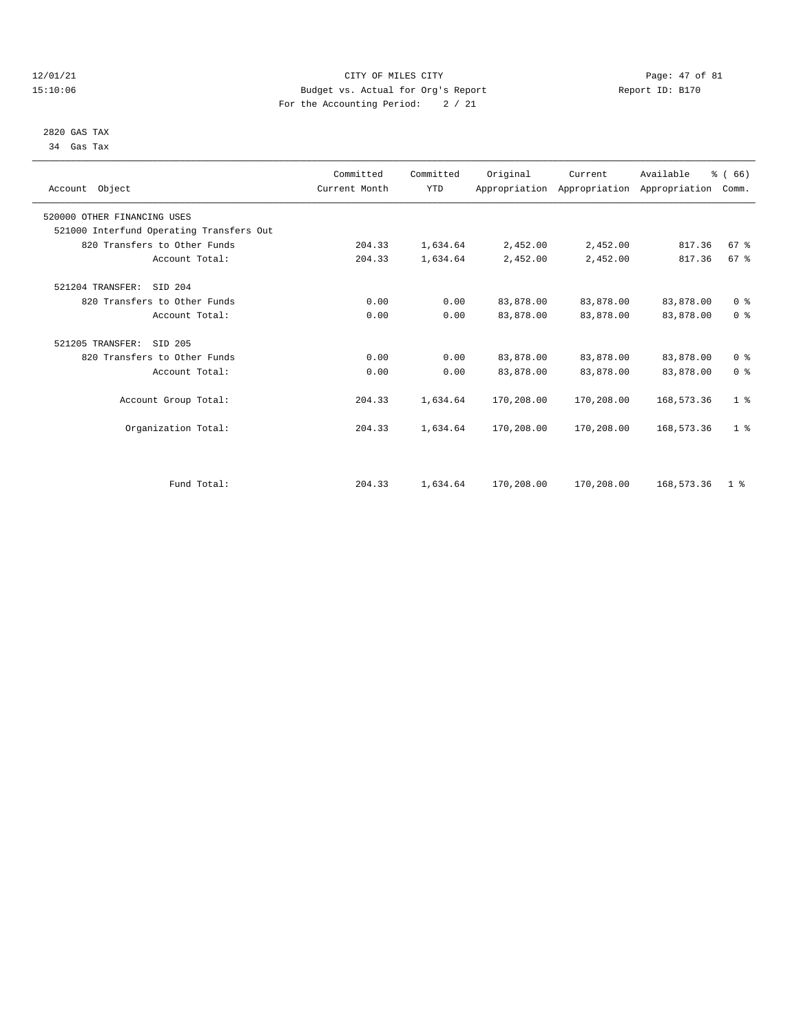## 12/01/21 Page: 47 of 81 CITY OF MILES CITY CONTRIBUTE CITY PAGE: 47 of 81 Page: 47 of 81 CITY CONTRIBUTE CITY 15:10:06 Budget vs. Actual for Org's Report For the Accounting Period: 2 / 21

 2820 GAS TAX 34 Gas Tax

| Account Object                           | Committed<br>Current Month | Committed<br><b>YTD</b> | Original   | Current    | Available<br>Appropriation Appropriation Appropriation | % (66)<br>Comm. |  |
|------------------------------------------|----------------------------|-------------------------|------------|------------|--------------------------------------------------------|-----------------|--|
| 520000 OTHER FINANCING USES              |                            |                         |            |            |                                                        |                 |  |
| 521000 Interfund Operating Transfers Out |                            |                         |            |            |                                                        |                 |  |
| 820 Transfers to Other Funds             | 204.33                     | 1,634.64                | 2,452.00   | 2,452.00   | 817.36                                                 | 67%             |  |
| Account Total:                           | 204.33                     | 1,634.64                | 2,452.00   | 2,452.00   | 817.36                                                 | 67%             |  |
| 521204 TRANSFER:<br>SID 204              |                            |                         |            |            |                                                        |                 |  |
| 820 Transfers to Other Funds             | 0.00                       | 0.00                    | 83,878.00  | 83,878.00  | 83,878.00                                              | 0 <sup>8</sup>  |  |
| Account Total:                           | 0.00                       | 0.00                    | 83,878.00  | 83,878.00  | 83,878.00                                              | 0 <sup>8</sup>  |  |
| 521205 TRANSFER:<br>SID 205              |                            |                         |            |            |                                                        |                 |  |
| 820 Transfers to Other Funds             | 0.00                       | 0.00                    | 83,878.00  | 83,878.00  | 83,878.00                                              | 0 <sup>8</sup>  |  |
| Account Total:                           | 0.00                       | 0.00                    | 83,878.00  | 83,878.00  | 83,878.00                                              | 0 <sup>8</sup>  |  |
| Account Group Total:                     | 204.33                     | 1,634.64                | 170,208.00 | 170,208.00 | 168,573.36                                             | 1 <sup>8</sup>  |  |
| Organization Total:                      | 204.33                     | 1,634.64                | 170,208.00 | 170,208.00 | 168,573.36                                             | 1 <sup>8</sup>  |  |
|                                          |                            |                         |            |            |                                                        |                 |  |
| Fund Total:                              | 204.33                     | 1,634.64                | 170,208.00 | 170,208.00 | 168,573.36                                             | 1 <sup>8</sup>  |  |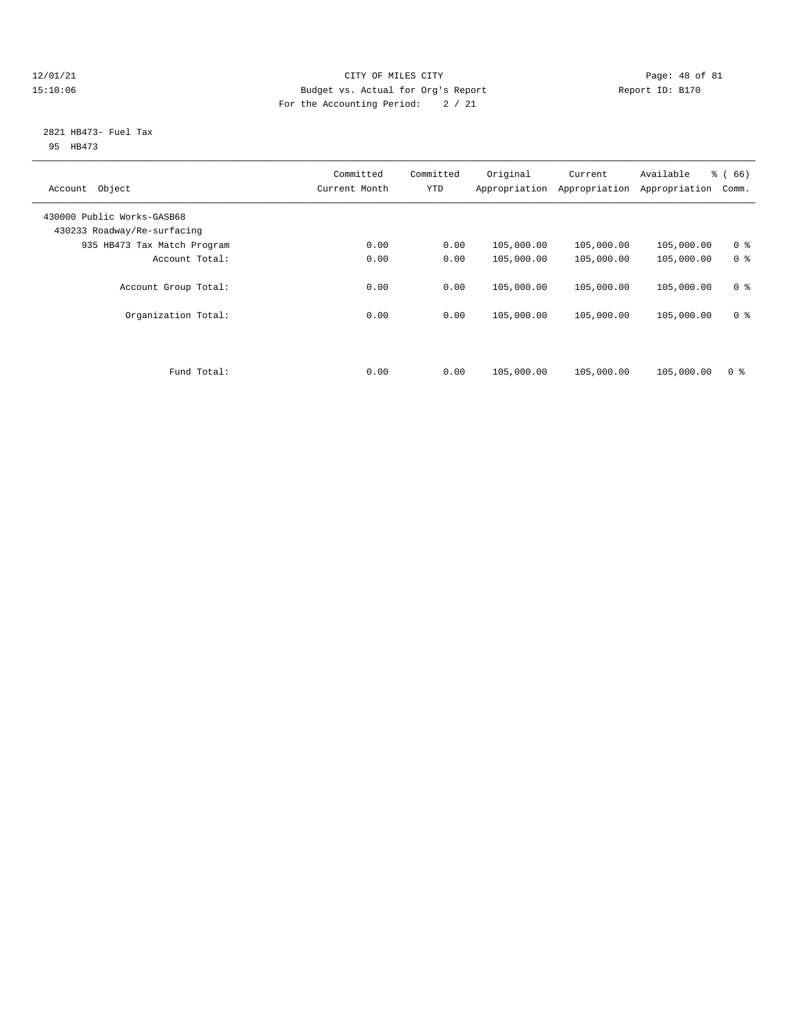## $\begin{tabular}{c} 12/01/21 & \hspace{2.5cm} \textbf{Page: 48 of 81} \\ 15:10:06 & \hspace{2.5cm} \textbf{Bugel: 49 of 81} \\ \end{tabular}$ 15:10:06 Budget vs. Actual for Org's Report Report ID: B170 For the Accounting Period: 2 / 21

#### 2821 HB473- Fuel Tax 95 HB473

| Object<br>Account                                         | Committed<br>Current Month | Committed<br><b>YTD</b> | Original<br>Appropriation | Current<br>Appropriation | Available<br>Appropriation | % (66)<br>Comm. |
|-----------------------------------------------------------|----------------------------|-------------------------|---------------------------|--------------------------|----------------------------|-----------------|
| 430000 Public Works-GASB68<br>430233 Roadway/Re-surfacing |                            |                         |                           |                          |                            |                 |
| 935 HB473 Tax Match Program                               | 0.00                       | 0.00                    | 105,000.00                | 105,000.00               | 105,000.00                 | 0 <sup>8</sup>  |
| Account Total:                                            | 0.00                       | 0.00                    | 105,000.00                | 105,000.00               | 105,000.00                 | 0 <sup>8</sup>  |
| Account Group Total:                                      | 0.00                       | 0.00                    | 105,000.00                | 105,000.00               | 105,000.00                 | 0 <sup>8</sup>  |
| Organization Total:                                       | 0.00                       | 0.00                    | 105,000.00                | 105,000.00               | 105,000.00                 | 0 <sup>8</sup>  |
| Fund Total:                                               | 0.00                       | 0.00                    | 105,000.00                | 105,000.00               | 105,000.00                 | 0 <sup>8</sup>  |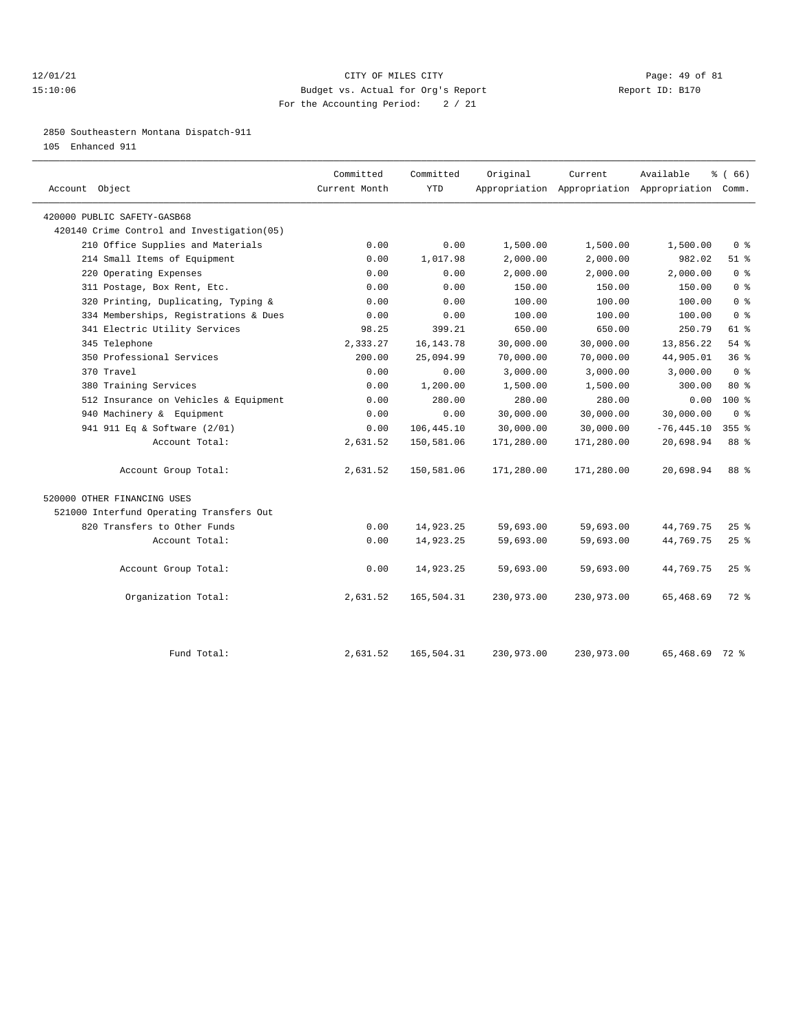## 12/01/21 Page: 49 of 81 15:10:06 Budget vs. Actual for Org's Report Report ID: B170 For the Accounting Period: 2 / 21

2850 Southeastern Montana Dispatch-911

105 Enhanced 911

| Account Object                             | Committed<br>Current Month | Committed<br><b>YTD</b> | Original   | Current    | Available<br>Appropriation Appropriation Appropriation Comm. | $*(66)$                            |
|--------------------------------------------|----------------------------|-------------------------|------------|------------|--------------------------------------------------------------|------------------------------------|
| 420000 PUBLIC SAFETY-GASB68                |                            |                         |            |            |                                                              |                                    |
| 420140 Crime Control and Investigation(05) |                            |                         |            |            |                                                              |                                    |
| 210 Office Supplies and Materials          | 0.00                       | 0.00                    | 1,500.00   | 1,500.00   | 1,500.00                                                     | $0 \text{ }$ $\text{ }$ $\text{ }$ |
| 214 Small Items of Equipment               | 0.00                       | 1,017.98                | 2,000.00   | 2,000.00   | 982.02                                                       | $51$ %                             |
| 220 Operating Expenses                     | 0.00                       | 0.00                    | 2,000.00   | 2,000.00   | 2.000.00                                                     | 0 <sup>8</sup>                     |
| 311 Postage, Box Rent, Etc.                | 0.00                       | 0.00                    | 150.00     | 150.00     | 150.00                                                       | 0 <sup>8</sup>                     |
| 320 Printing, Duplicating, Typing &        | 0.00                       | 0.00                    | 100.00     | 100.00     | 100.00                                                       | 0 <sup>8</sup>                     |
| 334 Memberships, Registrations & Dues      | 0.00                       | 0.00                    | 100.00     | 100.00     | 100.00                                                       | 0 <sup>8</sup>                     |
| 341 Electric Utility Services              | 98.25                      | 399.21                  | 650.00     | 650.00     | 250.79                                                       | 61 %                               |
| 345 Telephone                              | 2,333.27                   | 16, 143. 78             | 30,000.00  | 30,000.00  | 13,856.22                                                    | 54%                                |
| 350 Professional Services                  | 200.00                     | 25,094.99               | 70,000.00  | 70,000.00  | 44,905.01                                                    | 36%                                |
| 370 Travel                                 | 0.00                       | 0.00                    | 3,000.00   | 3,000.00   | 3,000.00                                                     | 0 <sup>8</sup>                     |
| 380 Training Services                      | 0.00                       | 1,200.00                | 1,500.00   | 1,500.00   | 300.00                                                       | $80*$                              |
| 512 Insurance on Vehicles & Equipment      | 0.00                       | 280.00                  | 280.00     | 280.00     | 0.00                                                         | $100*$                             |
| 940 Machinery & Equipment                  | 0.00                       | 0.00                    | 30,000.00  | 30,000.00  | 30,000.00                                                    | $0 \text{ }$ $\text{ }$ $\text{ }$ |
| 941 911 Eq & Software (2/01)               | 0.00                       | 106, 445.10             | 30,000.00  | 30,000.00  | $-76, 445.10$                                                | $355$ $%$                          |
| Account Total:                             | 2,631.52                   | 150,581.06              | 171,280.00 | 171,280.00 | 20,698.94                                                    | 88 %                               |
| Account Group Total:                       | 2,631.52                   | 150,581.06              | 171,280.00 | 171,280.00 | 20,698.94                                                    | 88 %                               |
| 520000 OTHER FINANCING USES                |                            |                         |            |            |                                                              |                                    |
| 521000 Interfund Operating Transfers Out   |                            |                         |            |            |                                                              |                                    |
| 820 Transfers to Other Funds               | 0.00                       | 14,923.25               | 59,693.00  | 59,693.00  | 44,769.75                                                    | $25$ $%$                           |
| Account Total:                             | 0.00                       | 14,923.25               | 59,693.00  | 59,693.00  | 44,769.75                                                    | 25%                                |
| Account Group Total:                       | 0.00                       | 14,923.25               | 59,693.00  | 59,693.00  | 44,769.75                                                    | $25$ $%$                           |
| Organization Total:                        | 2,631.52                   | 165,504.31              | 230,973.00 | 230,973.00 | 65,468.69                                                    | $72*$                              |
| Fund Total:                                | 2,631.52                   | 165,504.31              | 230,973.00 | 230,973.00 | 65,468.69 72 %                                               |                                    |
|                                            |                            |                         |            |            |                                                              |                                    |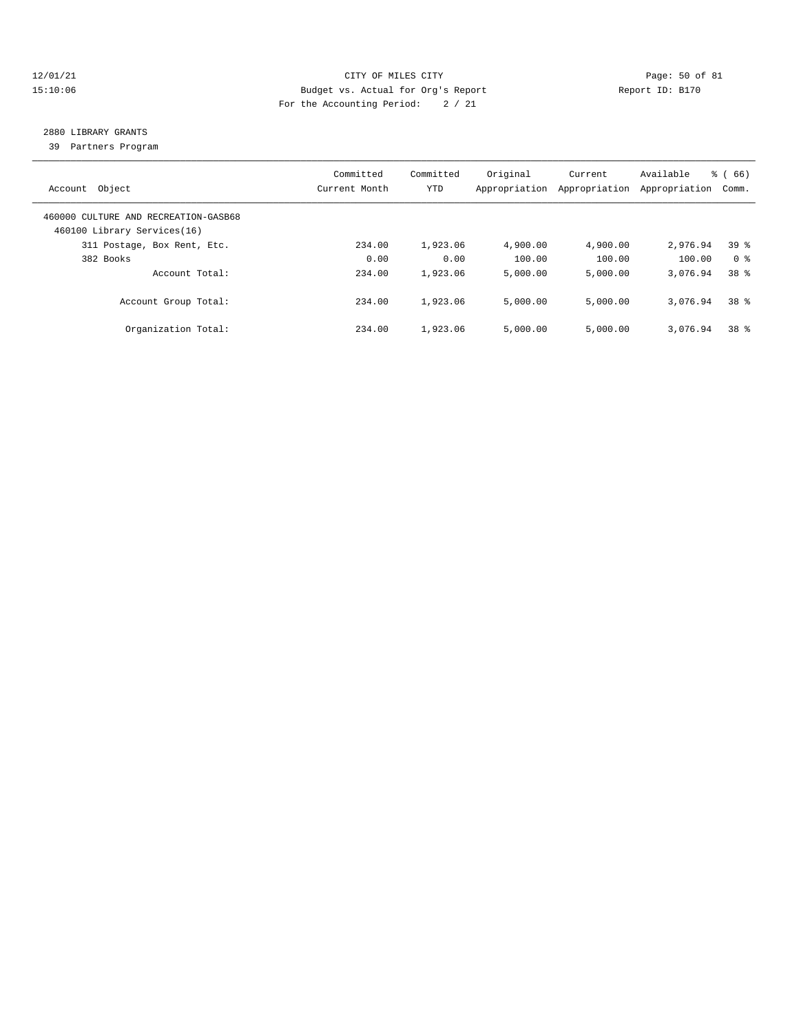## 12/01/21 Page: 50 of 81 15:10:06 Budget vs. Actual for Org's Report Report ID: B170 For the Accounting Period: 2 / 21

# 2880 LIBRARY GRANTS

39 Partners Program

| Account Object                                                      | Committed<br>Current Month | Committed<br>YTD | Original<br>Appropriation | Current<br>Appropriation | Available<br>Appropriation | % (66)<br>Comm. |
|---------------------------------------------------------------------|----------------------------|------------------|---------------------------|--------------------------|----------------------------|-----------------|
| 460000 CULTURE AND RECREATION-GASB68<br>460100 Library Services(16) |                            |                  |                           |                          |                            |                 |
| 311 Postage, Box Rent, Etc.                                         | 234.00                     | 1,923.06         | 4,900.00                  | 4,900.00                 | 2,976.94                   | 39 <sup>8</sup> |
| 382 Books                                                           | 0.00                       | 0.00             | 100.00                    | 100.00                   | 100.00                     | 0 %             |
| Account Total:                                                      | 234.00                     | 1,923.06         | 5,000.00                  | 5.000.00                 | 3,076.94                   | 38 <sup>8</sup> |
| Account Group Total:                                                | 234.00                     | 1,923.06         | 5,000.00                  | 5,000.00                 | 3,076.94                   | 38 %            |
| Organization Total:                                                 | 234.00                     | 1,923.06         | 5,000.00                  | 5.000.00                 | 3,076.94                   | 38 <sup>8</sup> |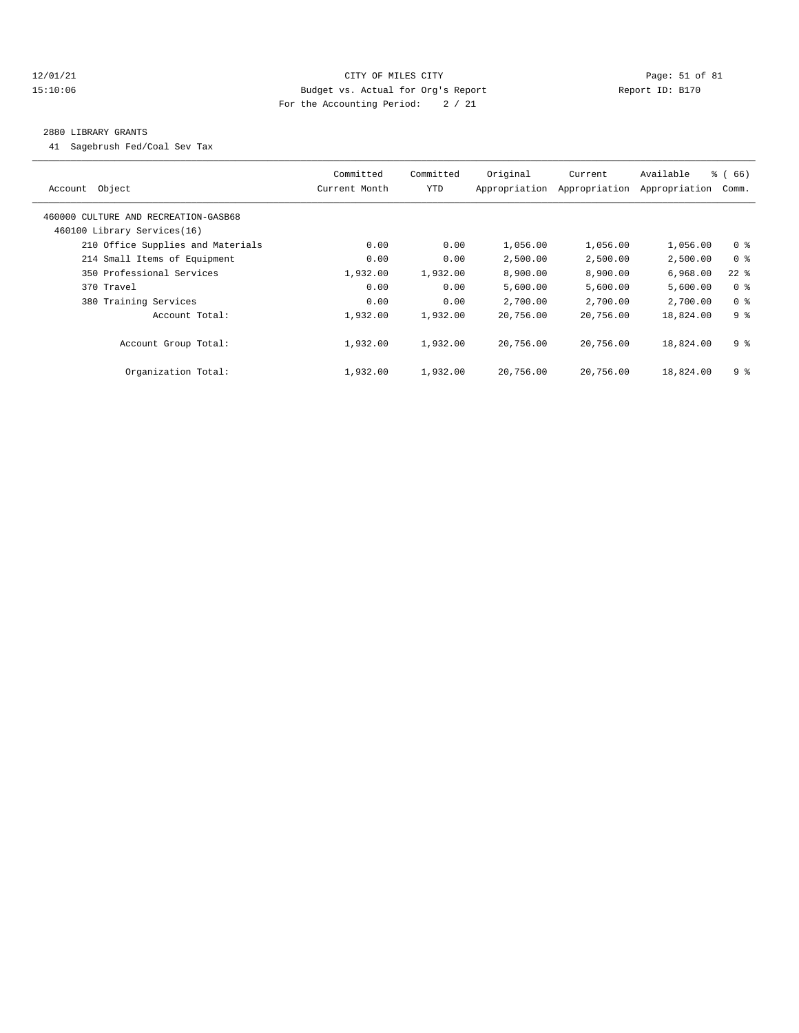## 12/01/21 Page: 51 of 81 15:10:06 Budget vs. Actual for Org's Report Report ID: B170 For the Accounting Period: 2 / 21

#### 2880 LIBRARY GRANTS

41 Sagebrush Fed/Coal Sev Tax

| Object<br>Account                    | Committed<br>Current Month | Committed<br>YTD | Original<br>Appropriation | Current<br>Appropriation | Available<br>Appropriation | $\frac{3}{6}$ (66)<br>Comm. |
|--------------------------------------|----------------------------|------------------|---------------------------|--------------------------|----------------------------|-----------------------------|
| 460000 CULTURE AND RECREATION-GASB68 |                            |                  |                           |                          |                            |                             |
| 460100 Library Services(16)          |                            |                  |                           |                          |                            |                             |
| 210 Office Supplies and Materials    | 0.00                       | 0.00             | 1,056.00                  | 1,056.00                 | 1,056.00                   | 0 <sup>8</sup>              |
| 214 Small Items of Equipment         | 0.00                       | 0.00             | 2,500.00                  | 2,500.00                 | 2,500.00                   | 0 %                         |
| 350 Professional Services            | 1,932.00                   | 1,932.00         | 8,900.00                  | 8,900.00                 | 6,968.00                   | $22$ %                      |
| 370 Travel                           | 0.00                       | 0.00             | 5,600.00                  | 5,600.00                 | 5,600.00                   | 0 <sup>8</sup>              |
| 380 Training Services                | 0.00                       | 0.00             | 2,700.00                  | 2,700.00                 | 2,700.00                   | 0 <sup>8</sup>              |
| Account Total:                       | 1,932.00                   | 1,932.00         | 20,756.00                 | 20,756.00                | 18,824.00                  | 9 <sup>8</sup>              |
| Account Group Total:                 | 1,932.00                   | 1,932.00         | 20,756.00                 | 20,756.00                | 18,824.00                  | 9 %                         |
| Organization Total:                  | 1,932.00                   | 1,932.00         | 20,756.00                 | 20,756.00                | 18,824.00                  | 9%                          |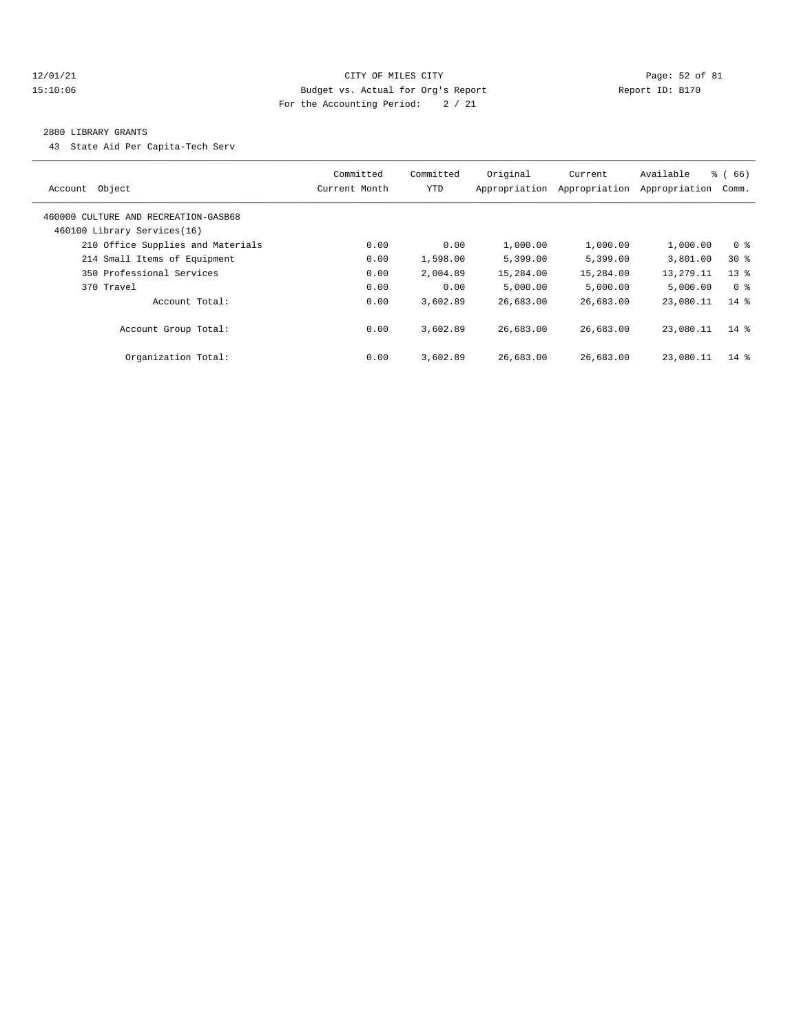## 12/01/21 Page: 52 of 81 15:10:06 Budget vs. Actual for Org's Report Report ID: B170 For the Accounting Period: 2 / 21

#### 2880 LIBRARY GRANTS

43 State Aid Per Capita-Tech Serv

| Account Object                                                      | Committed<br>Current Month | Committed<br>YTD | Original<br>Appropriation | Current<br>Appropriation | Available<br>Appropriation | $\frac{3}{6}$ (66)<br>Comm. |
|---------------------------------------------------------------------|----------------------------|------------------|---------------------------|--------------------------|----------------------------|-----------------------------|
| 460000 CULTURE AND RECREATION-GASB68<br>460100 Library Services(16) |                            |                  |                           |                          |                            |                             |
| 210 Office Supplies and Materials                                   | 0.00                       | 0.00             | 1,000.00                  | 1,000.00                 | 1,000.00                   | 0 <sup>8</sup>              |
| 214 Small Items of Equipment                                        | 0.00                       | 1,598.00         | 5,399.00                  | 5,399.00                 | 3,801.00                   | $30*$                       |
| 350 Professional Services                                           | 0.00                       | 2,004.89         | 15,284.00                 | 15,284.00                | 13,279.11                  | $13*$                       |
| 370 Travel                                                          | 0.00                       | 0.00             | 5,000.00                  | 5.000.00                 | 5,000.00                   | 0 %                         |
| Account Total:                                                      | 0.00                       | 3,602.89         | 26,683.00                 | 26,683.00                | 23,080.11                  | $14*$                       |
| Account Group Total:                                                | 0.00                       | 3,602.89         | 26,683.00                 | 26,683.00                | 23,080.11                  | $14*$                       |
| Organization Total:                                                 | 0.00                       | 3,602.89         | 26,683.00                 | 26,683.00                | 23,080.11                  | $14*$                       |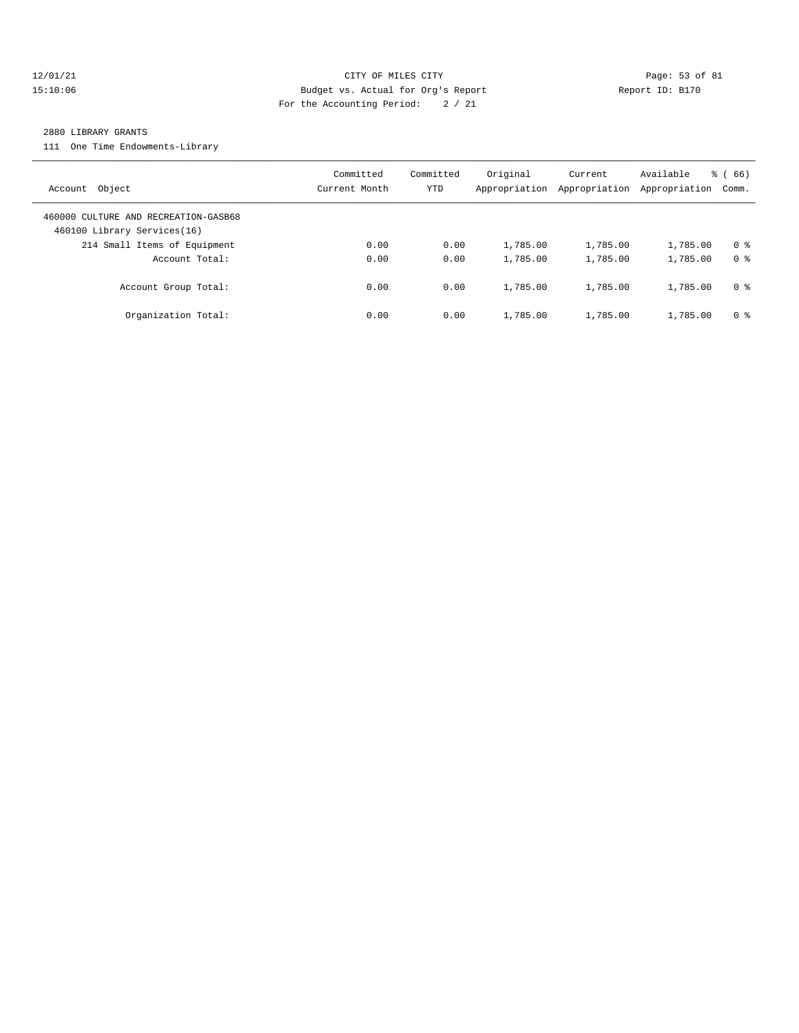## 12/01/21 Page: 53 of 81 15:10:06 Budget vs. Actual for Org's Report Report ID: B170 For the Accounting Period: 2 / 21

#### 2880 LIBRARY GRANTS

111 One Time Endowments-Library

| Account Object                                                      | Committed<br>Current Month | Committed<br>YTD | Original<br>Appropriation | Current<br>Appropriation | Available<br>Appropriation | % (66)<br>Comm. |
|---------------------------------------------------------------------|----------------------------|------------------|---------------------------|--------------------------|----------------------------|-----------------|
| 460000 CULTURE AND RECREATION-GASB68<br>460100 Library Services(16) |                            |                  |                           |                          |                            |                 |
| 214 Small Items of Equipment                                        | 0.00                       | 0.00             | 1,785.00                  | 1,785.00                 | 1,785.00                   | 0 <sup>8</sup>  |
| Account Total:                                                      | 0.00                       | 0.00             | 1,785.00                  | 1,785.00                 | 1,785.00                   | 0 <sup>8</sup>  |
| Account Group Total:                                                | 0.00                       | 0.00             | 1,785.00                  | 1,785.00                 | 1,785.00                   | 0 %             |
| Organization Total:                                                 | 0.00                       | 0.00             | 1,785.00                  | 1,785.00                 | 1,785.00                   | 0 %             |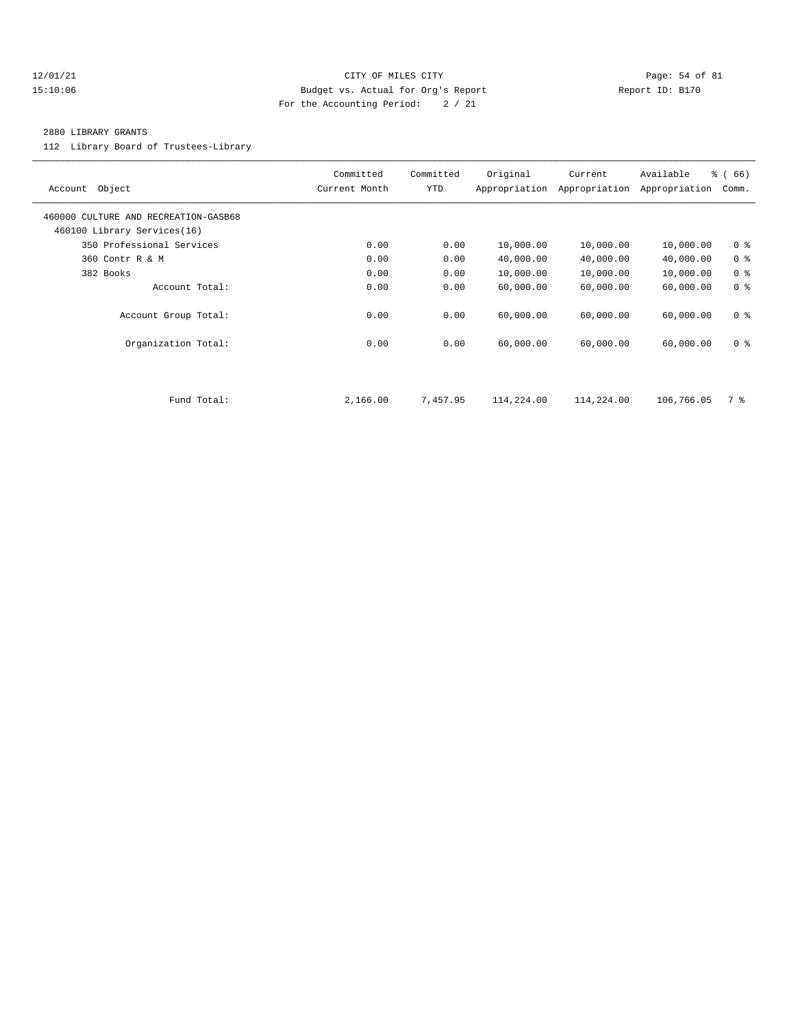## $12/01/21$  Page: 54 of 81 15:10:06 Budget vs. Actual for Org's Report Report ID: B170 For the Accounting Period: 2 / 21

#### 2880 LIBRARY GRANTS

112 Library Board of Trustees-Library

| Object<br>Account                                                   | Committed<br>Current Month | Committed<br>YTD | Original<br>Appropriation | Current<br>Appropriation | Available<br>Appropriation | % (66)<br>Comm. |
|---------------------------------------------------------------------|----------------------------|------------------|---------------------------|--------------------------|----------------------------|-----------------|
| 460000 CULTURE AND RECREATION-GASB68<br>460100 Library Services(16) |                            |                  |                           |                          |                            |                 |
| 350 Professional Services                                           | 0.00                       | 0.00             | 10,000.00                 | 10,000.00                | 10,000.00                  | 0 <sup>8</sup>  |
| 360 Contr R & M                                                     | 0.00                       | 0.00             | 40,000.00                 | 40,000.00                | 40,000.00                  | 0 <sup>8</sup>  |
| 382 Books                                                           | 0.00                       | 0.00             | 10,000.00                 | 10,000.00                | 10,000.00                  | 0 <sup>8</sup>  |
| Account Total:                                                      | 0.00                       | 0.00             | 60,000.00                 | 60,000.00                | 60,000.00                  | 0 <sup>8</sup>  |
| Account Group Total:                                                | 0.00                       | 0.00             | 60,000.00                 | 60,000.00                | 60,000.00                  | 0 <sup>8</sup>  |
| Organization Total:                                                 | 0.00                       | 0.00             | 60,000.00                 | 60,000.00                | 60,000.00                  | 0 <sup>8</sup>  |
|                                                                     |                            |                  |                           |                          |                            |                 |
| Fund Total:                                                         | 2,166.00                   | 7,457.95         | 114,224.00                | 114,224.00               | 106,766.05                 | 7 %             |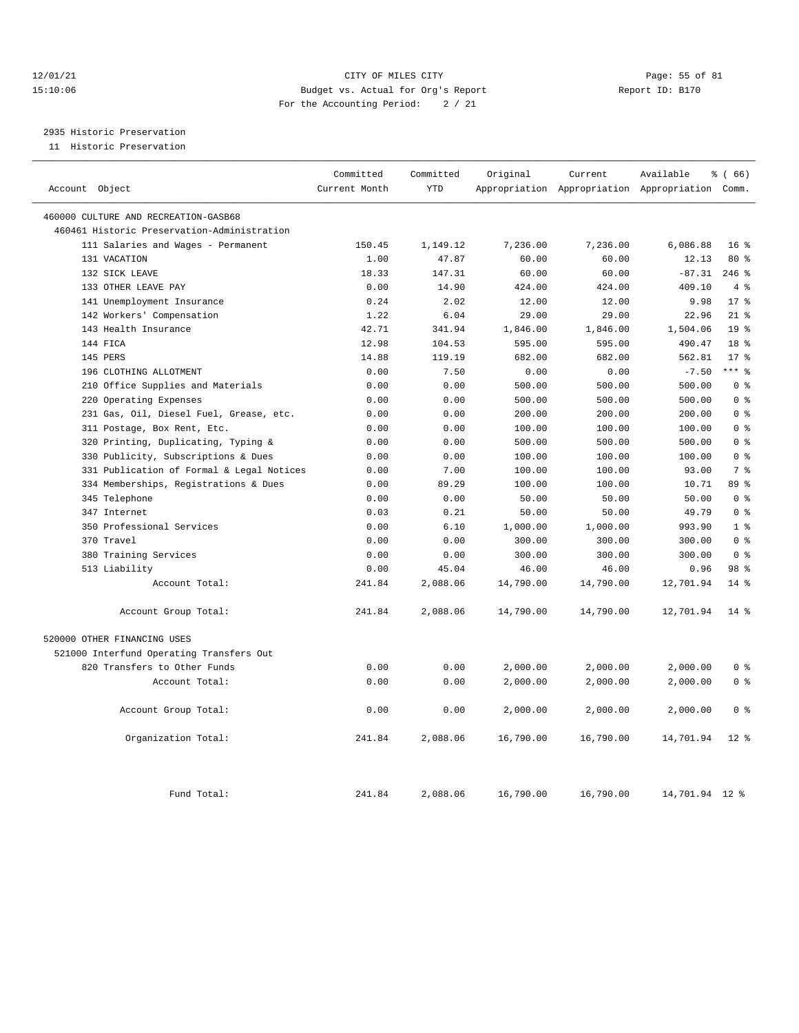## 12/01/21 Page: 55 of 81 15:10:06 Budget vs. Actual for Org's Report Report ID: B170 For the Accounting Period: 2 / 21

# 2935 Historic Preservation

11 Historic Preservation

| Account Object                              | Committed<br>Current Month | Committed<br><b>YTD</b> | Original        | Current<br>Appropriation Appropriation Appropriation Comm. | Available         | % (66)          |
|---------------------------------------------|----------------------------|-------------------------|-----------------|------------------------------------------------------------|-------------------|-----------------|
| 460000 CULTURE AND RECREATION-GASB68        |                            |                         |                 |                                                            |                   |                 |
| 460461 Historic Preservation-Administration |                            |                         |                 |                                                            |                   |                 |
| 111 Salaries and Wages - Permanent          | 150.45                     | 1,149.12                | 7,236.00        | 7,236.00                                                   | 6,086.88          | 16 <sup>8</sup> |
| 131 VACATION                                | 1.00                       | 47.87                   | 60.00           | 60.00                                                      | 12.13             | 80 %            |
| 132 SICK LEAVE                              | 18.33                      | 147.31                  | 60.00           | 60.00                                                      | $-87.31$          | $246$ %         |
| 133 OTHER LEAVE PAY                         | 0.00                       | 14.90                   |                 | 424.00                                                     | 409.10            | 4%              |
| 141 Unemployment Insurance                  | 0.24                       | 2.02                    | 424.00<br>12.00 | 12.00                                                      | 9.98              | $17*$           |
| 142 Workers' Compensation                   | 1.22                       | 6.04                    | 29.00           | 29.00                                                      | 22.96             | $21$ %          |
| 143 Health Insurance                        | 42.71                      | 341.94                  | 1,846.00        | 1,846.00                                                   | 1,504.06          | 19 <sup>8</sup> |
| 144 FICA                                    |                            |                         |                 |                                                            |                   | 18 <sup>8</sup> |
|                                             | 12.98                      | 104.53                  | 595.00          | 595.00                                                     | 490.47            | 17 <sup>8</sup> |
| 145 PERS<br>196 CLOTHING ALLOTMENT          | 14.88<br>0.00              | 119.19<br>7.50          | 682.00<br>0.00  | 682.00<br>0.00                                             | 562.81<br>$-7.50$ | $***$ $%$       |
|                                             |                            |                         | 500.00          | 500.00                                                     | 500.00            | 0 <sup>8</sup>  |
| 210 Office Supplies and Materials           | 0.00                       | 0.00                    |                 |                                                            |                   | 0 <sup>8</sup>  |
| 220 Operating Expenses                      | 0.00                       | 0.00                    | 500.00          | 500.00                                                     | 500.00            |                 |
| 231 Gas, Oil, Diesel Fuel, Grease, etc.     | 0.00                       | 0.00                    | 200.00          | 200.00                                                     | 200.00            | 0 <sup>8</sup>  |
| 311 Postage, Box Rent, Etc.                 | 0.00                       | 0.00                    | 100.00          | 100.00                                                     | 100.00            | 0 <sup>8</sup>  |
| 320 Printing, Duplicating, Typing &         | 0.00                       | 0.00                    | 500.00          | 500.00                                                     | 500.00            | 0 <sup>8</sup>  |
| 330 Publicity, Subscriptions & Dues         | 0.00                       | 0.00                    | 100.00          | 100.00                                                     | 100.00            | 0 <sup>8</sup>  |
| 331 Publication of Formal & Legal Notices   | 0.00                       | 7.00                    | 100.00          | 100.00                                                     | 93.00             | 7 <sup>°</sup>  |
| 334 Memberships, Registrations & Dues       | 0.00                       | 89.29                   | 100.00          | 100.00                                                     | 10.71             | 89 %            |
| 345 Telephone                               | 0.00                       | 0.00                    | 50.00           | 50.00                                                      | 50.00             | 0 <sup>8</sup>  |
| 347 Internet                                | 0.03                       | 0.21                    | 50.00           | 50.00                                                      | 49.79             | 0 <sup>8</sup>  |
| 350 Professional Services                   | 0.00                       | 6.10                    | 1,000.00        | 1,000.00                                                   | 993.90            | 1 <sup>°</sup>  |
| 370 Travel                                  | 0.00                       | 0.00                    | 300.00          | 300.00                                                     | 300.00            | 0 <sup>8</sup>  |
| 380 Training Services                       | 0.00                       | 0.00                    | 300.00          | 300.00                                                     | 300.00            | 0 <sup>8</sup>  |
| 513 Liability                               | 0.00                       | 45.04                   | 46.00           | 46.00                                                      | 0.96              | 98 %            |
| Account Total:                              | 241.84                     | 2,088.06                | 14,790.00       | 14,790.00                                                  | 12,701.94         | $14*$           |
| Account Group Total:                        | 241.84                     | 2,088.06                | 14,790.00       | 14,790.00                                                  | 12,701.94         | $14*$           |
| 520000 OTHER FINANCING USES                 |                            |                         |                 |                                                            |                   |                 |
| 521000 Interfund Operating Transfers Out    |                            |                         |                 |                                                            |                   |                 |
| 820 Transfers to Other Funds                | 0.00                       | 0.00                    | 2,000.00        | 2,000.00                                                   | 2,000.00          | 0 <sup>8</sup>  |
| Account Total:                              | 0.00                       | 0.00                    | 2,000.00        | 2,000.00                                                   | 2,000.00          | 0 <sup>8</sup>  |
| Account Group Total:                        | 0.00                       | 0.00                    | 2,000.00        | 2,000.00                                                   | 2,000.00          | 0 <sup>8</sup>  |
| Organization Total:                         | 241.84                     | 2,088.06                | 16,790.00       | 16,790.00                                                  | 14,701.94         | $12*$           |
| Fund Total:                                 | 241.84                     | 2,088.06                | 16,790.00       | 16,790.00                                                  | 14,701.94 12 %    |                 |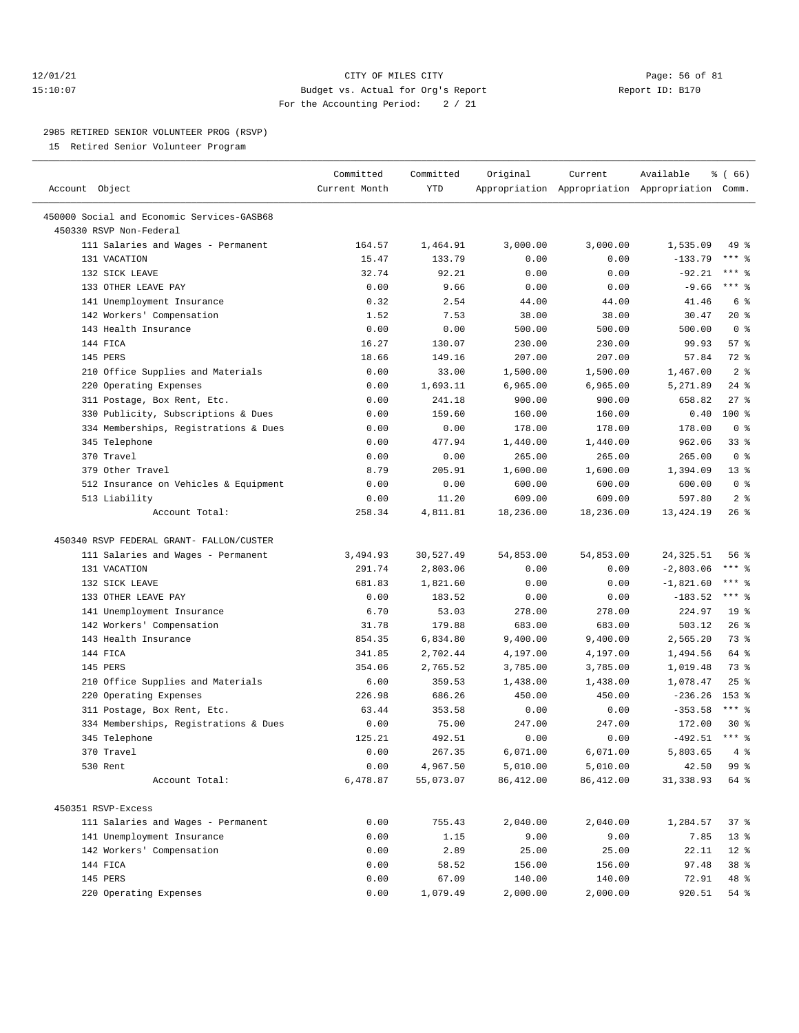## 12/01/21 Page: 56 of 81 15:10:07 Budget vs. Actual for Org's Report Report ID: B170 For the Accounting Period: 2 / 21

————————————————————————————————————————————————————————————————————————————————————————————————————————————————————————————————————

#### 2985 RETIRED SENIOR VOLUNTEER PROG (RSVP)

15 Retired Senior Volunteer Program

|                                            | Committed     | Committed  | Original   | Current    | Available                                       | <sub>ර</sub> ි (66)     |
|--------------------------------------------|---------------|------------|------------|------------|-------------------------------------------------|-------------------------|
| Account Object                             | Current Month | <b>YTD</b> |            |            | Appropriation Appropriation Appropriation Comm. |                         |
| 450000 Social and Economic Services-GASB68 |               |            |            |            |                                                 |                         |
| 450330 RSVP Non-Federal                    |               |            |            |            |                                                 |                         |
| 111 Salaries and Wages - Permanent         | 164.57        | 1,464.91   | 3,000.00   | 3,000.00   | 1,535.09                                        | 49 %                    |
| 131 VACATION                               | 15.47         | 133.79     | 0.00       | 0.00       | $-133.79$                                       | *** 응                   |
| 132 SICK LEAVE                             | 32.74         | 92.21      | 0.00       | 0.00       | $-92.21$                                        | *** 응                   |
| 133 OTHER LEAVE PAY                        | 0.00          | 9.66       | 0.00       | 0.00       | $-9.66$                                         | $***$ $-$               |
| 141 Unemployment Insurance                 | 0.32          | 2.54       | 44.00      | 44.00      | 41.46                                           | 6 %                     |
| 142 Workers' Compensation                  | 1.52          | 7.53       | 38.00      | 38.00      | 30.47                                           | $20*$                   |
| 143 Health Insurance                       | 0.00          | 0.00       | 500.00     | 500.00     | 500.00                                          | 0 <sup>8</sup>          |
| 144 FICA                                   | 16.27         | 130.07     | 230.00     | 230.00     | 99.93                                           | 57%                     |
| 145 PERS                                   | 18.66         | 149.16     | 207.00     | 207.00     | 57.84                                           | 72 %                    |
| 210 Office Supplies and Materials          | 0.00          | 33.00      | 1,500.00   | 1,500.00   | 1,467.00                                        | 2 <sup>8</sup>          |
| 220 Operating Expenses                     | 0.00          | 1,693.11   | 6,965.00   | 6,965.00   | 5,271.89                                        | $24$ %                  |
| 311 Postage, Box Rent, Etc.                | 0.00          | 241.18     | 900.00     | 900.00     | 658.82                                          | $27$ %                  |
| 330 Publicity, Subscriptions & Dues        | 0.00          | 159.60     | 160.00     | 160.00     | 0.40                                            | $100$ %                 |
| 334 Memberships, Registrations & Dues      | 0.00          | 0.00       | 178.00     | 178.00     | 178.00                                          | 0 <sup>8</sup>          |
| 345 Telephone                              | 0.00          | 477.94     | 1,440.00   | 1,440.00   | 962.06                                          | 33%                     |
| 370 Travel                                 | 0.00          | 0.00       | 265.00     | 265.00     | 265.00                                          | 0 <sup>8</sup>          |
| 379 Other Travel                           | 8.79          | 205.91     | 1,600.00   | 1,600.00   | 1,394.09                                        | $13*$                   |
| 512 Insurance on Vehicles & Equipment      | 0.00          | 0.00       | 600.00     | 600.00     | 600.00                                          | 0 <sup>8</sup>          |
| 513 Liability                              | 0.00          | 11.20      | 609.00     | 609.00     | 597.80                                          | 2 <sup>8</sup>          |
| Account Total:                             | 258.34        | 4,811.81   | 18,236.00  | 18,236.00  | 13,424.19                                       | 26%                     |
| 450340 RSVP FEDERAL GRANT- FALLON/CUSTER   |               |            |            |            |                                                 |                         |
| 111 Salaries and Wages - Permanent         | 3,494.93      | 30,527.49  | 54,853.00  | 54,853.00  | 24,325.51                                       | 56%                     |
| 131 VACATION                               | 291.74        | 2,803.06   | 0.00       | 0.00       | $-2,803.06$                                     | $***$ $_{8}$            |
| 132 SICK LEAVE                             | 681.83        | 1,821.60   | 0.00       | 0.00       | $-1,821.60$                                     | $***$ $-$               |
| 133 OTHER LEAVE PAY                        | 0.00          | 183.52     | 0.00       | 0.00       | $-183.52$                                       | $***$ $%$               |
| 141 Unemployment Insurance                 | 6.70          | 53.03      | 278.00     | 278.00     | 224.97                                          | 19 <sup>°</sup>         |
| 142 Workers' Compensation                  | 31.78         | 179.88     | 683.00     | 683.00     | 503.12                                          | 26%                     |
| 143 Health Insurance                       | 854.35        | 6,834.80   | 9,400.00   | 9,400.00   | 2,565.20                                        | 73 %                    |
| 144 FICA                                   | 341.85        | 2,702.44   | 4,197.00   | 4,197.00   | 1,494.56                                        | 64 %                    |
| 145 PERS                                   | 354.06        | 2,765.52   | 3,785.00   | 3,785.00   | 1,019.48                                        | 73 %                    |
| 210 Office Supplies and Materials          | 6.00          | 359.53     | 1,438.00   | 1,438.00   | 1,078.47                                        | 25%                     |
| 220 Operating Expenses                     | 226.98        | 686.26     | 450.00     | 450.00     | $-236.26$                                       | 153 %                   |
| 311 Postage, Box Rent, Etc.                | 63.44         | 353.58     | 0.00       | 0.00       | $-353.58$                                       | $***$ $%$               |
| 334 Memberships, Registrations & Dues      | 0.00          | 75.00      | 247.00     | 247.00     | 172.00                                          | $30*$                   |
| 345 Telephone                              | 125.21        | 492.51     | 0.00       | 0.00       | $-492.51$ *** \$                                |                         |
| 370 Travel                                 | 0.00          | 267.35     | 6,071.00   | 6,071.00   | 5,803.65                                        | $4 \text{ }$ $\text{*}$ |
| 530 Rent                                   | 0.00          | 4,967.50   | 5,010.00   | 5,010.00   | 42.50                                           | 99 %                    |
| Account Total:                             | 6,478.87      | 55,073.07  | 86, 412.00 | 86, 412.00 | 31, 338.93                                      | 64 %                    |
| 450351 RSVP-Excess                         |               |            |            |            |                                                 |                         |
| 111 Salaries and Wages - Permanent         | 0.00          | 755.43     | 2,040.00   | 2,040.00   | 1,284.57                                        | 37 %                    |
| 141 Unemployment Insurance                 | 0.00          | 1.15       | 9.00       | 9.00       | 7.85                                            | 13 <sup>°</sup>         |
| 142 Workers' Compensation                  | 0.00          | 2.89       | 25.00      | 25.00      | 22.11                                           | $12*$                   |
| 144 FICA                                   | 0.00          | 58.52      | 156.00     | 156.00     | 97.48                                           | 38 %                    |
| 145 PERS                                   | 0.00          | 67.09      | 140.00     | 140.00     | 72.91                                           | 48 %                    |
| 220 Operating Expenses                     | 0.00          | 1,079.49   | 2,000.00   | 2,000.00   | 920.51                                          | 54 %                    |
|                                            |               |            |            |            |                                                 |                         |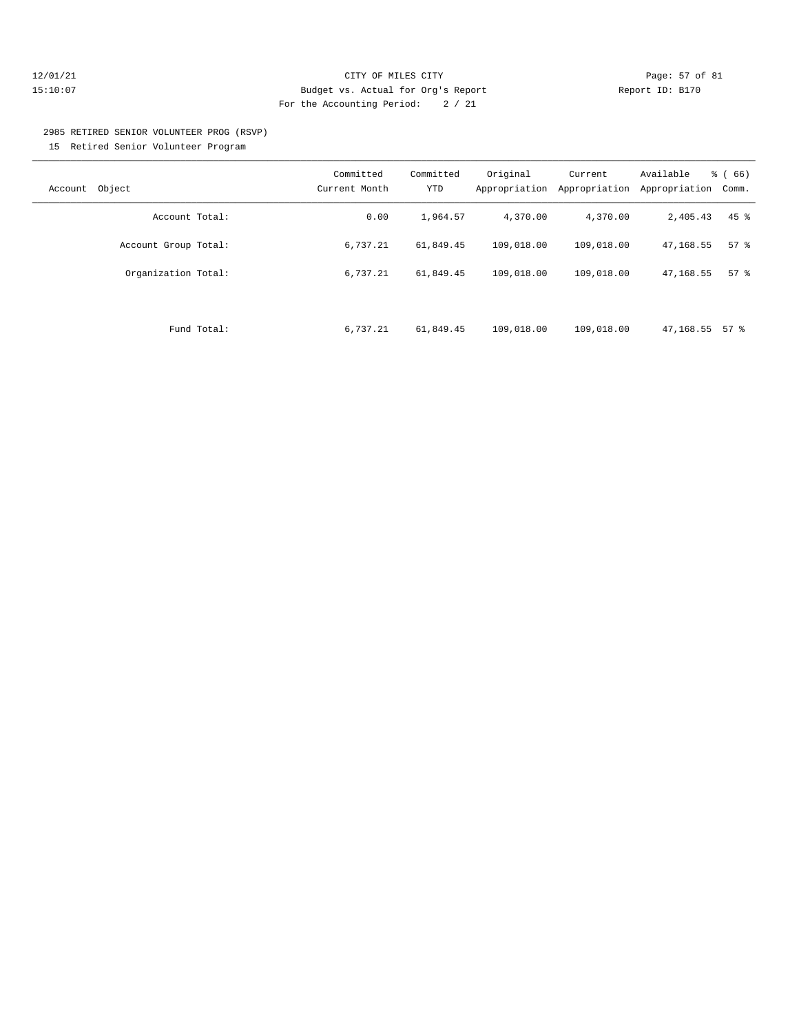## 12/01/21 Page: 57 of 81 15:10:07 Budget vs. Actual for Org's Report Report ID: B170 For the Accounting Period: 2 / 21

## 2985 RETIRED SENIOR VOLUNTEER PROG (RSVP) 15 Retired Senior Volunteer Program

| Object<br>Account    | Committed<br>Current Month | Committed<br><b>YTD</b> | Original<br>Appropriation | Current<br>Appropriation | Available<br>Appropriation | $\frac{6}{6}$ (66)<br>Comm. |
|----------------------|----------------------------|-------------------------|---------------------------|--------------------------|----------------------------|-----------------------------|
| Account Total:       | 0.00                       | 1,964.57                | 4,370.00                  | 4,370.00                 | 2,405.43                   | $45$ %                      |
| Account Group Total: | 6,737.21                   | 61,849.45               | 109,018.00                | 109,018.00               | 47,168.55                  | 57%                         |
| Organization Total:  | 6,737.21                   | 61,849.45               | 109,018.00                | 109,018.00               | 47,168.55                  | 57%                         |
|                      |                            |                         |                           |                          |                            |                             |
| Fund Total:          | 6,737.21                   | 61,849.45               | 109,018.00                | 109,018.00               | 47,168.55                  | 57 %                        |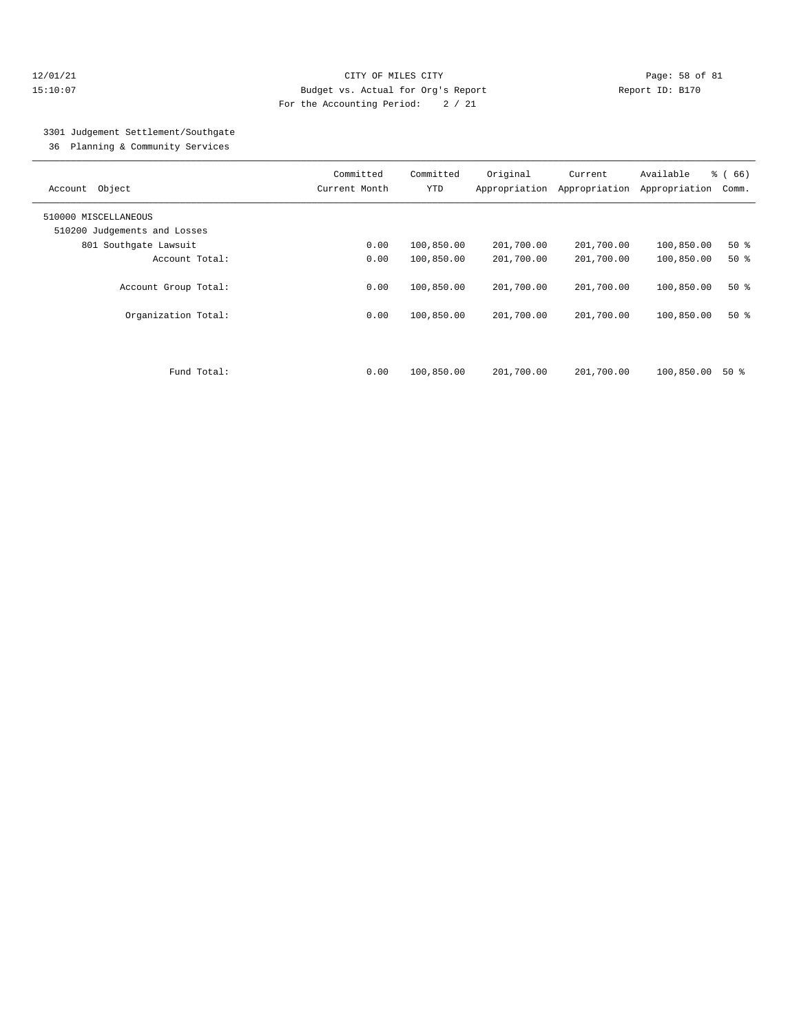## 12/01/21 Page: 58 of 81 15:10:07 Budget vs. Actual for Org's Report Report ID: B170 For the Accounting Period: 2 / 21

# 3301 Judgement Settlement/Southgate

36 Planning & Community Services

| Object<br>Account                           | Committed<br>Current Month | Committed<br><b>YTD</b>  | Original<br>Appropriation | Current<br>Appropriation | Available<br>Appropriation | % (66)<br>Comm. |
|---------------------------------------------|----------------------------|--------------------------|---------------------------|--------------------------|----------------------------|-----------------|
| 510000 MISCELLANEOUS                        |                            |                          |                           |                          |                            |                 |
| 510200 Judgements and Losses                |                            |                          |                           |                          |                            |                 |
| 801 Southqate Lawsuit                       | 0.00                       | 100,850.00               | 201,700.00                | 201,700.00               | 100,850.00                 | 50%             |
| Account Total:                              | 0.00                       | 100,850.00               | 201,700.00                | 201,700.00               | 100,850.00                 | 50%             |
| Account Group Total:<br>Organization Total: | 0.00<br>0.00               | 100,850.00<br>100,850.00 | 201,700.00<br>201,700.00  | 201,700.00<br>201,700.00 | 100,850.00<br>100,850.00   | $50*$<br>$50*$  |
| Fund Total:                                 | 0.00                       | 100,850.00               | 201,700.00                | 201,700.00               | 100,850.00                 | 50 %            |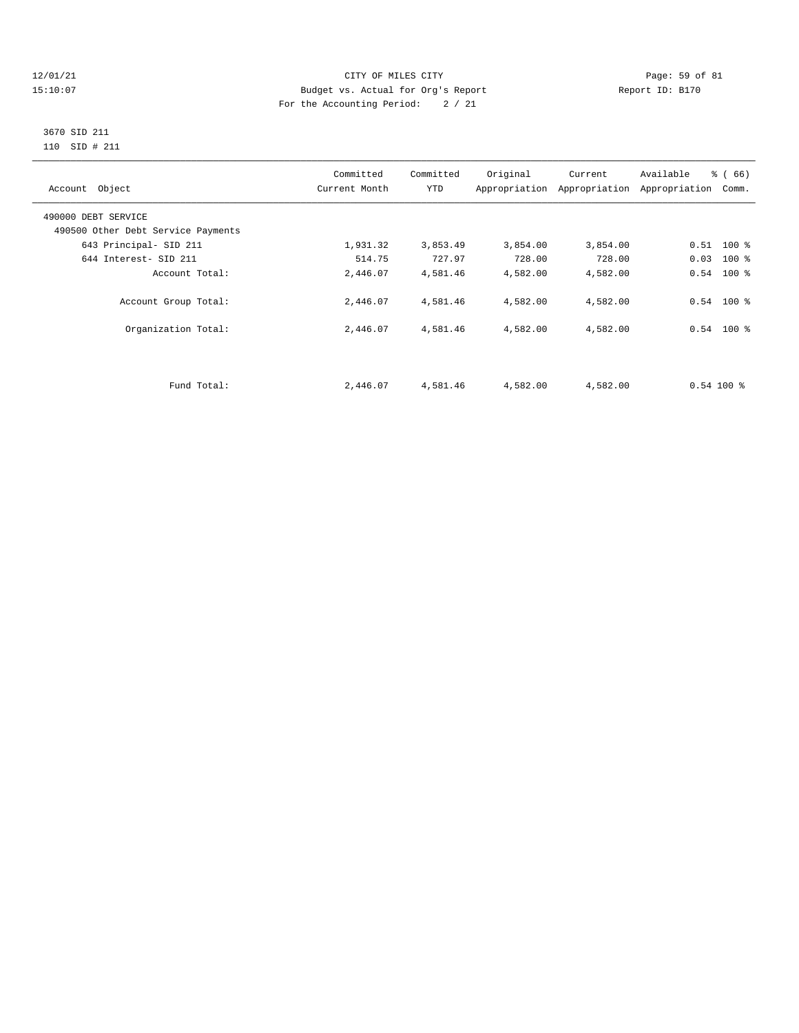## 12/01/21 Page: 59 of 81 CITY OF MILES CITY CONTRIBUTE CITY PAGE: 59 of 81<br>15:10:07 Budget vs. Actual for Org's Report Page: 59 of 81 Page: 59 of 81 15:10:07 Budget vs. Actual for Org's Report For the Accounting Period: 2 / 21

## 3670 SID 211 110 SID # 211

| Account Object                     | Committed<br>Current Month | Committed<br>YTD | Original | Current<br>Appropriation Appropriation | Available<br>Appropriation | % (66)<br>Comm. |  |
|------------------------------------|----------------------------|------------------|----------|----------------------------------------|----------------------------|-----------------|--|
| 490000 DEBT SERVICE                |                            |                  |          |                                        |                            |                 |  |
| 490500 Other Debt Service Payments |                            |                  |          |                                        |                            |                 |  |
| 643 Principal- SID 211             | 1,931.32                   | 3,853.49         | 3,854.00 | 3,854.00                               |                            | $0.51$ 100 %    |  |
| 644 Interest- SID 211              | 514.75                     | 727.97           | 728.00   | 728.00                                 | 0.03                       | $100$ %         |  |
| Account Total:                     | 2,446.07                   | 4,581.46         | 4,582.00 | 4,582.00                               |                            | $0.54$ 100 %    |  |
| Account Group Total:               | 2,446.07                   | 4,581.46         | 4,582.00 | 4,582.00                               |                            | $0.54$ 100 %    |  |
| Organization Total:                | 2,446.07                   | 4,581.46         | 4,582.00 | 4,582.00                               |                            | $0.54$ 100 %    |  |
|                                    |                            |                  |          |                                        |                            |                 |  |
| Fund Total:                        | 2,446.07                   | 4,581.46         | 4,582.00 | 4,582.00                               | $0.54100$ %                |                 |  |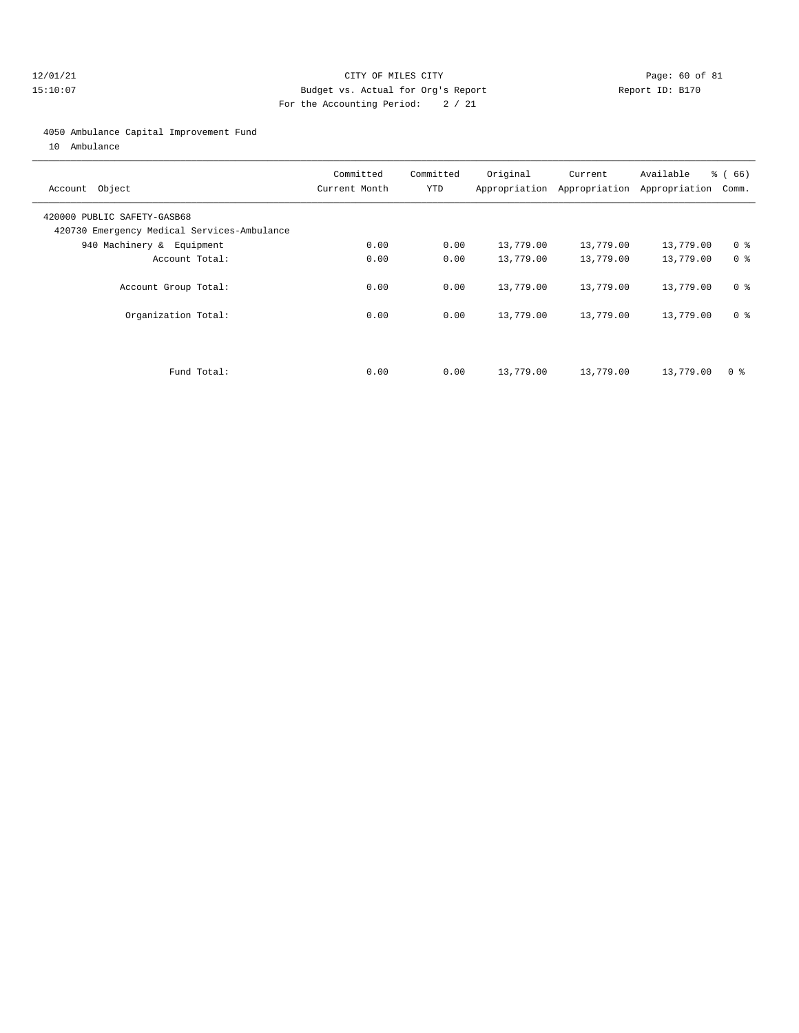## 12/01/21 Page: 60 of 81 15:10:07 Budget vs. Actual for Org's Report Report ID: B170 For the Accounting Period: 2 / 21

## 4050 Ambulance Capital Improvement Fund

10 Ambulance

| Account Object                                                             | Committed<br>Current Month | Committed<br><b>YTD</b> | Original  | Current<br>Appropriation Appropriation | Available<br>Appropriation | $\frac{3}{6}$ (66)<br>Comm. |
|----------------------------------------------------------------------------|----------------------------|-------------------------|-----------|----------------------------------------|----------------------------|-----------------------------|
| 420000 PUBLIC SAFETY-GASB68<br>420730 Emergency Medical Services-Ambulance |                            |                         |           |                                        |                            |                             |
| 940 Machinery & Equipment                                                  | 0.00                       | 0.00                    | 13,779.00 | 13,779.00                              | 13,779.00                  | 0 <sup>8</sup>              |
| Account Total:                                                             | 0.00                       | 0.00                    | 13,779.00 | 13,779.00                              | 13,779.00                  | 0 <sup>8</sup>              |
| Account Group Total:                                                       | 0.00                       | 0.00                    | 13,779.00 | 13,779.00                              | 13,779.00                  | 0 <sup>8</sup>              |
| Organization Total:                                                        | 0.00                       | 0.00                    | 13,779.00 | 13,779.00                              | 13,779.00                  | 0 <sup>8</sup>              |
| Fund Total:                                                                | 0.00                       | 0.00                    | 13,779.00 | 13,779.00                              | 13,779.00                  | 0 ક                         |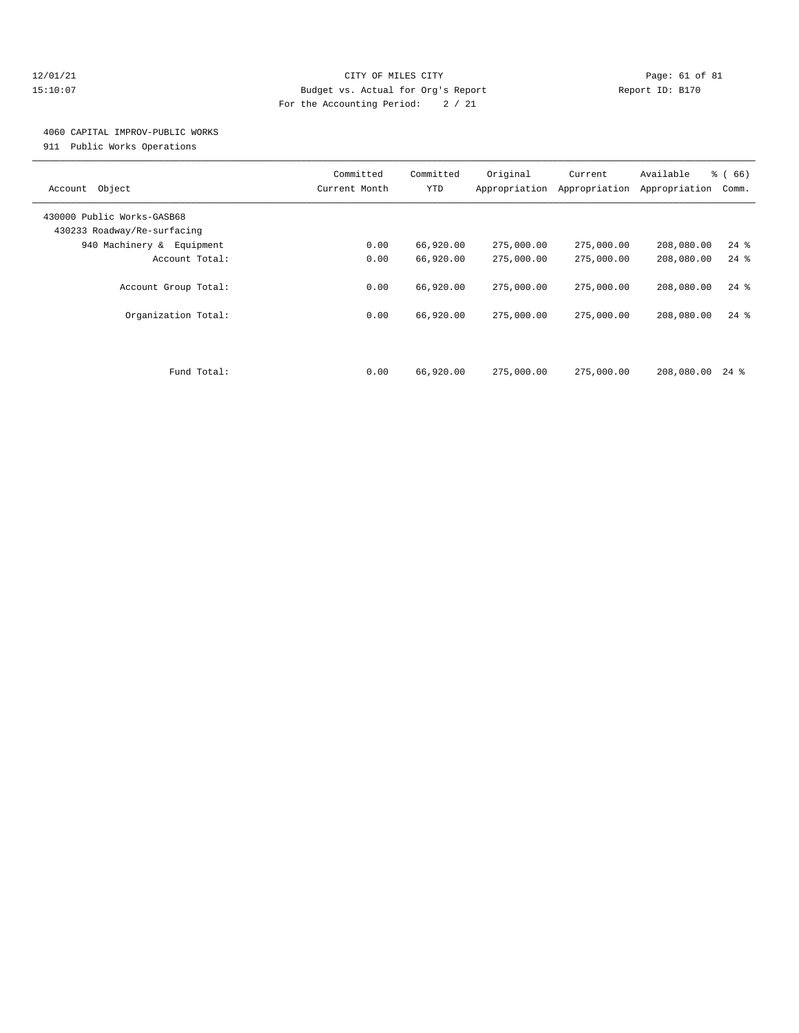## 12/01/21 Page: 61 of 81 15:10:07 Budget vs. Actual for Org's Report Report ID: B170 For the Accounting Period: 2 / 21

# 4060 CAPITAL IMPROV-PUBLIC WORKS

911 Public Works Operations

| Object<br>Account                                         | Committed<br>Current Month | Committed<br><b>YTD</b> | Original<br>Appropriation | Current<br>Appropriation | Available<br>Appropriation | % (66)<br>Comm. |
|-----------------------------------------------------------|----------------------------|-------------------------|---------------------------|--------------------------|----------------------------|-----------------|
| 430000 Public Works-GASB68<br>430233 Roadway/Re-surfacing |                            |                         |                           |                          |                            |                 |
| 940 Machinery & Equipment                                 | 0.00                       | 66,920.00               | 275,000.00                | 275,000.00               | 208,080.00                 | $24$ %          |
| Account Total:                                            | 0.00                       | 66,920.00               | 275,000.00                | 275,000.00               | 208,080.00                 | $24$ $%$        |
| Account Group Total:                                      | 0.00                       | 66,920.00               | 275,000.00                | 275,000.00               | 208,080.00                 | $24$ %          |
| Organization Total:                                       | 0.00                       | 66,920.00               | 275,000.00                | 275,000.00               | 208,080.00                 | $24$ $%$        |
| Fund Total:                                               | 0.00                       | 66,920.00               | 275,000.00                | 275,000.00               | 208,080.00                 | $24$ %          |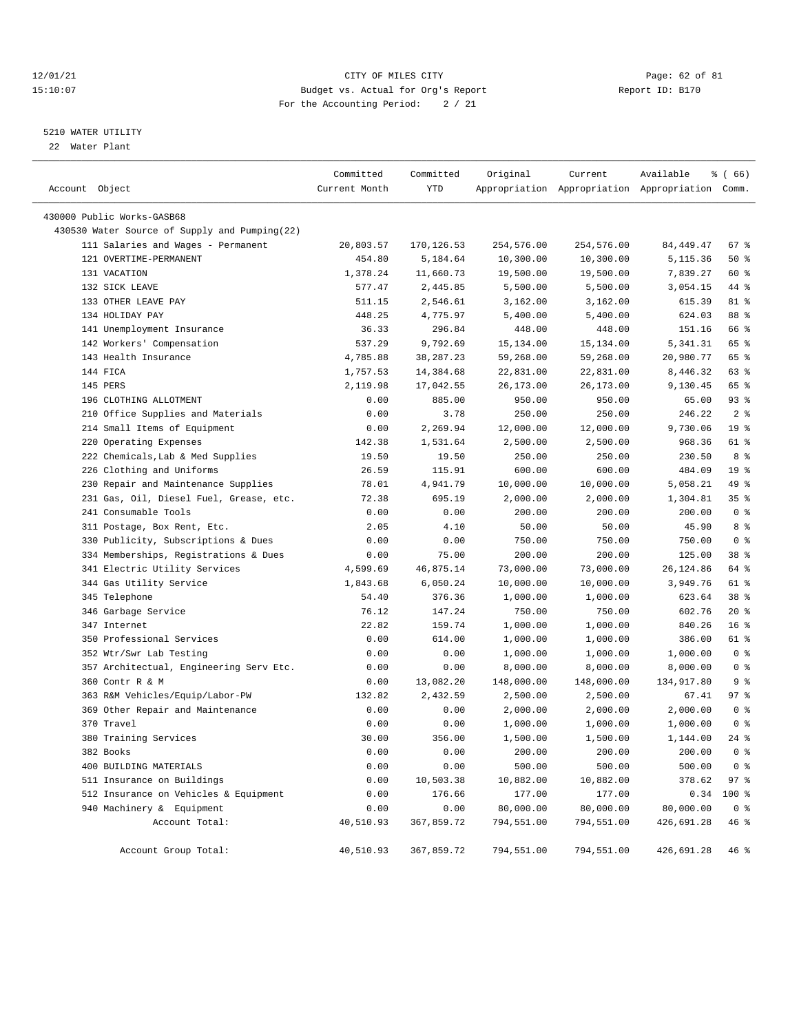## 12/01/21 Page: 62 of 81 CITY OF MILES CITY CONTRIBUTE CITY PAGE: 62 of 81 Page: 62 of 81 CITY CHES CITY CONTRIBUTE CITY PAGE: 15:10:07 15:10:07 Budget vs. Actual for Org's Report For the Accounting Period: 2 / 21

# 5210 WATER UTILITY

22 Water Plant

| Account Object                                           | Committed<br>Current Month | Committed<br>YTD   | Original   | Current    | Available<br>Appropriation Appropriation Appropriation Comm. | <sub>ර</sub> ි (66)      |
|----------------------------------------------------------|----------------------------|--------------------|------------|------------|--------------------------------------------------------------|--------------------------|
| 430000 Public Works-GASB68                               |                            |                    |            |            |                                                              |                          |
| 430530 Water Source of Supply and Pumping(22)            |                            |                    |            |            |                                                              |                          |
| 111 Salaries and Wages - Permanent                       | 20,803.57                  | 170,126.53         | 254,576.00 | 254,576.00 | 84, 449. 47                                                  | 67 %                     |
| 121 OVERTIME-PERMANENT                                   | 454.80                     | 5,184.64           | 10,300.00  | 10,300.00  | 5,115.36                                                     | 50%                      |
| 131 VACATION                                             | 1,378.24                   | 11,660.73          | 19,500.00  | 19,500.00  | 7,839.27                                                     | 60 %                     |
| 132 SICK LEAVE                                           | 577.47                     | 2,445.85           | 5,500.00   | 5,500.00   | 3,054.15                                                     | 44 %                     |
| 133 OTHER LEAVE PAY                                      | 511.15                     | 2,546.61           | 3,162.00   | 3,162.00   | 615.39                                                       | 81 %                     |
| 134 HOLIDAY PAY                                          | 448.25                     | 4,775.97           | 5,400.00   | 5,400.00   | 624.03                                                       | 88 %                     |
| 141 Unemployment Insurance                               | 36.33                      | 296.84             | 448.00     | 448.00     | 151.16                                                       | 66 %                     |
| 142 Workers' Compensation                                | 537.29                     | 9,792.69           | 15, 134.00 | 15,134.00  | 5,341.31                                                     | 65 %                     |
| 143 Health Insurance                                     | 4,785.88                   | 38, 287. 23        | 59,268.00  | 59,268.00  | 20,980.77                                                    | 65 %                     |
| 144 FICA                                                 | 1,757.53                   | 14,384.68          | 22,831.00  | 22,831.00  | 8,446.32                                                     | 63 %                     |
| 145 PERS                                                 | 2,119.98                   | 17,042.55          | 26,173.00  | 26,173.00  | 9,130.45                                                     | 65 %                     |
| 196 CLOTHING ALLOTMENT                                   | 0.00                       | 885.00             | 950.00     | 950.00     | 65.00                                                        | 93%                      |
| 210 Office Supplies and Materials                        | 0.00                       | 3.78               | 250.00     | 250.00     | 246.22                                                       | 2 <sup>8</sup>           |
| 214 Small Items of Equipment                             | 0.00                       | 2,269.94           | 12,000.00  | 12,000.00  | 9,730.06                                                     | 19 <sup>°</sup>          |
| 220 Operating Expenses                                   | 142.38                     | 1,531.64           | 2,500.00   | 2,500.00   | 968.36                                                       | 61 %                     |
| 222 Chemicals, Lab & Med Supplies                        | 19.50                      | 19.50              | 250.00     | 250.00     | 230.50                                                       | 8 %                      |
| 226 Clothing and Uniforms                                | 26.59                      | 115.91             | 600.00     | 600.00     | 484.09                                                       | 19 <sup>°</sup>          |
| 230 Repair and Maintenance Supplies                      | 78.01                      | 4,941.79           | 10,000.00  | 10,000.00  | 5,058.21                                                     | 49 %                     |
| 231 Gas, Oil, Diesel Fuel, Grease, etc.                  | 72.38                      | 695.19             | 2,000.00   | 2,000.00   | 1,304.81                                                     | 35%                      |
| 241 Consumable Tools                                     | 0.00                       | 0.00               | 200.00     | 200.00     | 200.00                                                       | 0 <sup>8</sup>           |
|                                                          | 2.05                       | 4.10               | 50.00      | 50.00      | 45.90                                                        | 8 %                      |
| 311 Postage, Box Rent, Etc.                              | 0.00                       | 0.00               | 750.00     | 750.00     | 750.00                                                       | 0 <sup>8</sup>           |
| 330 Publicity, Subscriptions & Dues                      |                            |                    |            |            |                                                              | 38 %                     |
| 334 Memberships, Registrations & Dues                    | 0.00                       | 75.00<br>46,875.14 | 200.00     | 200.00     | 125.00                                                       | 64 %                     |
| 341 Electric Utility Services<br>344 Gas Utility Service | 4,599.69                   |                    | 73,000.00  | 73,000.00  | 26,124.86                                                    | 61 %                     |
| 345 Telephone                                            | 1,843.68                   | 6,050.24           | 10,000.00  | 10,000.00  | 3,949.76                                                     | 38 %                     |
|                                                          | 54.40                      | 376.36             | 1,000.00   | 1,000.00   | 623.64                                                       | $20*$                    |
| 346 Garbage Service                                      | 76.12                      | 147.24             | 750.00     | 750.00     | 602.76                                                       | 16 <sup>8</sup>          |
| 347 Internet                                             | 22.82                      | 159.74             | 1,000.00   | 1,000.00   | 840.26                                                       |                          |
| 350 Professional Services                                | 0.00                       | 614.00             | 1,000.00   | 1,000.00   | 386.00                                                       | 61 %<br>0 <sup>8</sup>   |
| 352 Wtr/Swr Lab Testing                                  | 0.00                       | 0.00               | 1,000.00   | 1,000.00   | 1,000.00                                                     | 0 <sup>8</sup>           |
| 357 Architectual, Engineering Serv Etc.                  | 0.00                       | 0.00<br>13,082.20  | 8,000.00   | 8,000.00   | 8,000.00                                                     | 9 <sup>8</sup>           |
| 360 Contr R & M                                          | 0.00                       |                    | 148,000.00 | 148,000.00 | 134,917.80                                                   |                          |
| 363 R&M Vehicles/Equip/Labor-PW                          | 132.82                     | 2,432.59           | 2,500.00   | 2,500.00   | 67.41                                                        | 97%                      |
| 369 Other Repair and Maintenance                         | 0.00                       | 0.00               | 2,000.00   | 2,000.00   | 2,000.00                                                     | 0 <sup>8</sup>           |
| 370 Travel                                               | 0.00                       | 0.00               | 1,000.00   | 1,000.00   | 1,000.00                                                     | 0 <sup>8</sup><br>$24$ % |
| 380 Training Services                                    | 30.00                      | 356.00             | 1,500.00   | 1,500.00   | 1,144.00                                                     |                          |
| 382 Books                                                | 0.00                       | 0.00               | 200.00     | 200.00     | 200.00                                                       | 0 <sup>8</sup>           |
| 400 BUILDING MATERIALS                                   | 0.00                       | 0.00               | 500.00     | 500.00     | 500.00                                                       | 0 <sup>8</sup>           |
| 511 Insurance on Buildings                               | 0.00                       | 10,503.38          | 10,882.00  | 10,882.00  | 378.62                                                       | 97%                      |
| 512 Insurance on Vehicles & Equipment                    | 0.00                       | 176.66             | 177.00     | 177.00     | 0.34                                                         | 100 %                    |
| 940 Machinery & Equipment                                | 0.00                       | 0.00               | 80,000.00  | 80,000.00  | 80,000.00                                                    | 0 <sup>8</sup>           |
| Account Total:                                           | 40,510.93                  | 367,859.72         | 794,551.00 | 794,551.00 | 426,691.28                                                   | 46 %                     |
| Account Group Total:                                     | 40,510.93                  | 367,859.72         | 794,551.00 | 794,551.00 | 426,691.28                                                   | 46 %                     |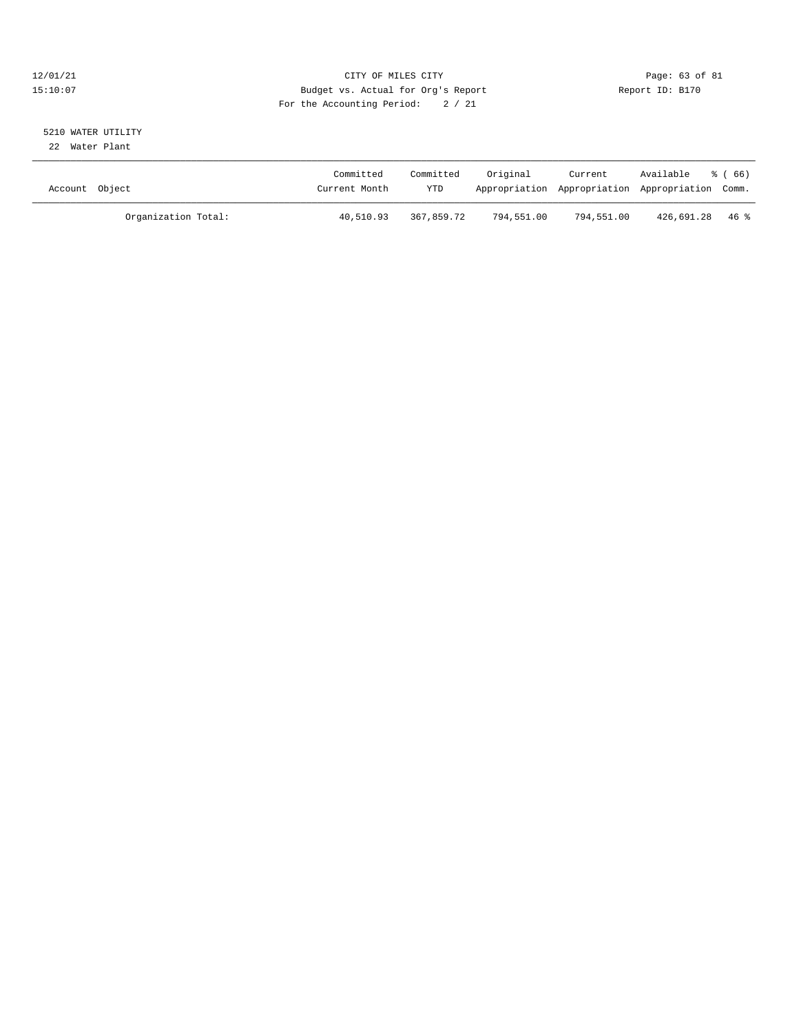## 12/01/21 Page: 63 of 81 CITY OF MILES CITY CONTRIBUTE CITY PAGE: 63 of 81 Page: 63 of 81 CITY CHES CITY CONTRIBUTE CITY PAGE: 15:10:07 15:10:07 Budget vs. Actual for Org's Report For the Accounting Period: 2 / 21

# 5210 WATER UTILITY

22 Water Plant

| Account Object |                     | Committed<br>Current Month | Committed<br>YTD | Original   | Current<br>Appropriation Appropriation Appropriation Comm. | Available      | ී ( 66 ) |
|----------------|---------------------|----------------------------|------------------|------------|------------------------------------------------------------|----------------|----------|
|                | Organization Total: | 40,510.93                  | 367,859.72       | 794,551.00 | 794,551.00                                                 | 426,691.28 46% |          |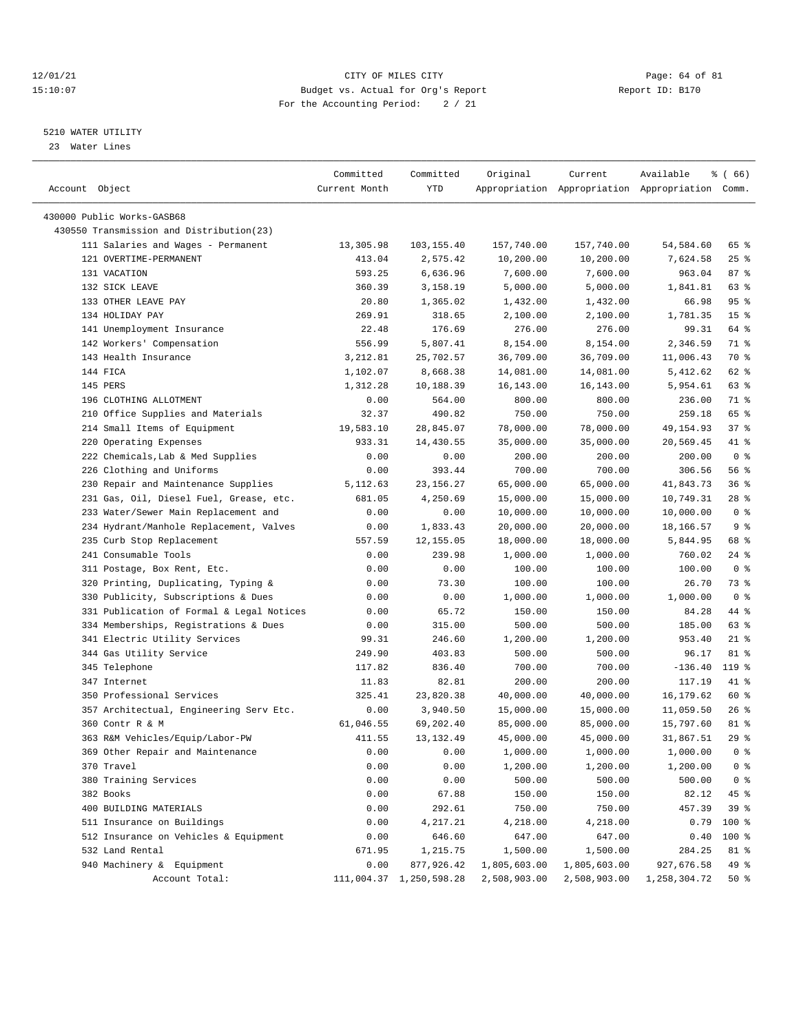## 12/01/21 Page: 64 of 81 CITY OF MILES CITY CONTRIBUTE CITY PAGE: 64 of 81 Page: 64 of 81 Page: 64 of 81 Page: 64 of 81 Page: 64 of 81 Page: 64 of 81 Page: 64 of 81 Page: 64 of 81 Page: 54 OF Page: 54 OF Page: 54 OF Page: 5 15:10:07 Budget vs. Actual for Org's Report For the Accounting Period: 2 / 21

————————————————————————————————————————————————————————————————————————————————————————————————————————————————————————————————————

# 5210 WATER UTILITY

23 Water Lines

|                                                        | Committed            | Committed               | Original               | Current                                         | Available    | $*(66)$         |
|--------------------------------------------------------|----------------------|-------------------------|------------------------|-------------------------------------------------|--------------|-----------------|
| Account Object                                         | Current Month        | YTD                     |                        | Appropriation Appropriation Appropriation Comm. |              |                 |
| 430000 Public Works-GASB68                             |                      |                         |                        |                                                 |              |                 |
| 430550 Transmission and Distribution(23)               |                      |                         |                        |                                                 |              |                 |
| 111 Salaries and Wages - Permanent                     | 13,305.98            | 103,155.40              | 157,740.00             | 157,740.00                                      | 54,584.60    | 65 %            |
| 121 OVERTIME-PERMANENT                                 | 413.04               | 2,575.42                | 10,200.00              | 10,200.00                                       | 7,624.58     | $25$ %          |
| 131 VACATION                                           | 593.25               | 6,636.96                | 7,600.00               | 7,600.00                                        | 963.04       | 87%             |
| 132 SICK LEAVE                                         | 360.39               | 3,158.19                | 5,000.00               | 5,000.00                                        | 1,841.81     | 63%             |
| 133 OTHER LEAVE PAY                                    | 20.80                | 1,365.02                | 1,432.00               | 1,432.00                                        | 66.98        | 95 %            |
| 134 HOLIDAY PAY                                        | 269.91               | 318.65                  | 2,100.00               | 2,100.00                                        | 1,781.35     | 15 <sup>°</sup> |
| 141 Unemployment Insurance                             | 22.48                | 176.69                  | 276.00                 | 276.00                                          | 99.31        | 64 %            |
| 142 Workers' Compensation                              | 556.99               | 5,807.41                | 8,154.00               | 8,154.00                                        | 2,346.59     | 71 %            |
| 143 Health Insurance                                   |                      | 25,702.57               |                        | 36,709.00                                       | 11,006.43    | 70 %            |
| 144 FICA                                               | 3,212.81<br>1,102.07 | 8,668.38                | 36,709.00<br>14,081.00 | 14,081.00                                       | 5,412.62     | 62 %            |
| 145 PERS                                               | 1,312.28             | 10,188.39               | 16,143.00              | 16,143.00                                       | 5,954.61     | 63%             |
| 196 CLOTHING ALLOTMENT                                 | 0.00                 | 564.00                  |                        |                                                 | 236.00       | 71 %            |
|                                                        |                      |                         | 800.00                 | 800.00                                          |              |                 |
| 210 Office Supplies and Materials                      | 32.37                | 490.82                  | 750.00                 | 750.00                                          | 259.18       | 65 %            |
| 214 Small Items of Equipment<br>220 Operating Expenses | 19,583.10            | 28,845.07               | 78,000.00              | 78,000.00                                       | 49,154.93    | 37%             |
|                                                        | 933.31               | 14,430.55               | 35,000.00              | 35,000.00                                       | 20,569.45    | 41 %            |
| 222 Chemicals, Lab & Med Supplies                      | 0.00                 | 0.00                    | 200.00                 | 200.00                                          | 200.00       | 0 <sup>8</sup>  |
| 226 Clothing and Uniforms                              | 0.00                 | 393.44                  | 700.00                 | 700.00                                          | 306.56       | 56%             |
| 230 Repair and Maintenance Supplies                    | 5,112.63             | 23, 156. 27             | 65,000.00              | 65,000.00                                       | 41,843.73    | 36%             |
| 231 Gas, Oil, Diesel Fuel, Grease, etc.                | 681.05               | 4,250.69                | 15,000.00              | 15,000.00                                       | 10,749.31    | $28$ %          |
| 233 Water/Sewer Main Replacement and                   | 0.00                 | 0.00                    | 10,000.00              | 10,000.00                                       | 10,000.00    | 0 <sup>8</sup>  |
| 234 Hydrant/Manhole Replacement, Valves                | 0.00                 | 1,833.43                | 20,000.00              | 20,000.00                                       | 18,166.57    | 9 <sup>8</sup>  |
| 235 Curb Stop Replacement                              | 557.59               | 12,155.05               | 18,000.00              | 18,000.00                                       | 5,844.95     | 68 %            |
| 241 Consumable Tools                                   | 0.00                 | 239.98                  | 1,000.00               | 1,000.00                                        | 760.02       | 24 %            |
| 311 Postage, Box Rent, Etc.                            | 0.00                 | 0.00                    | 100.00                 | 100.00                                          | 100.00       | 0 <sup>8</sup>  |
| 320 Printing, Duplicating, Typing &                    | 0.00                 | 73.30                   | 100.00                 | 100.00                                          | 26.70        | 73 %            |
| 330 Publicity, Subscriptions & Dues                    | 0.00                 | 0.00                    | 1,000.00               | 1,000.00                                        | 1,000.00     | 0 <sup>8</sup>  |
| 331 Publication of Formal & Legal Notices              | 0.00                 | 65.72                   | 150.00                 | 150.00                                          | 84.28        | 44 %            |
| 334 Memberships, Registrations & Dues                  | 0.00                 | 315.00                  | 500.00                 | 500.00                                          | 185.00       | 63%             |
| 341 Electric Utility Services                          | 99.31                | 246.60                  | 1,200.00               | 1,200.00                                        | 953.40       | $21$ %          |
| 344 Gas Utility Service                                | 249.90               | 403.83                  | 500.00                 | 500.00                                          | 96.17        | 81 %            |
| 345 Telephone                                          | 117.82               | 836.40                  | 700.00                 | 700.00                                          | $-136.40$    | 119 %           |
| 347 Internet                                           | 11.83                | 82.81                   | 200.00                 | 200.00                                          | 117.19       | 41 %            |
| 350 Professional Services                              | 325.41               | 23,820.38               | 40,000.00              | 40,000.00                                       | 16, 179.62   | 60 %            |
| 357 Architectual, Engineering Serv Etc.                | 0.00                 | 3,940.50                | 15,000.00              | 15,000.00                                       | 11,059.50    | 26%             |
| 360 Contr R & M                                        | 61,046.55            | 69,202.40               | 85,000.00              | 85,000.00                                       | 15,797.60    | 81 %            |
| 363 R&M Vehicles/Equip/Labor-PW                        | 411.55               | 13, 132.49              | 45,000.00              | 45,000.00                                       | 31,867.51    | 29%             |
| 369 Other Repair and Maintenance                       | 0.00                 | 0.00                    | 1,000.00               | 1,000.00                                        | 1,000.00     | 0 <sup>8</sup>  |
| 370 Travel                                             | 0.00                 | 0.00                    | 1,200.00               | 1,200.00                                        | 1,200.00     | 0 <sup>8</sup>  |
| 380 Training Services                                  | 0.00                 | 0.00                    | 500.00                 | 500.00                                          | 500.00       | 0 <sup>8</sup>  |
| 382 Books                                              | 0.00                 | 67.88                   | 150.00                 | 150.00                                          | 82.12        | 45 %            |
| 400 BUILDING MATERIALS                                 | 0.00                 | 292.61                  | 750.00                 | 750.00                                          | 457.39       | 39 %            |
| 511 Insurance on Buildings                             | 0.00                 | 4,217.21                | 4,218.00               | 4,218.00                                        | 0.79         | 100 %           |
| 512 Insurance on Vehicles & Equipment                  | 0.00                 | 646.60                  | 647.00                 | 647.00                                          | 0.40         | 100 %           |
| 532 Land Rental                                        | 671.95               | 1,215.75                | 1,500.00               | 1,500.00                                        | 284.25       | 81 %            |
| 940 Machinery & Equipment                              | 0.00                 | 877,926.42              | 1,805,603.00           | 1,805,603.00                                    | 927,676.58   | 49 %            |
| Account Total:                                         |                      | 111,004.37 1,250,598.28 | 2,508,903.00           | 2,508,903.00                                    | 1,258,304.72 | 50%             |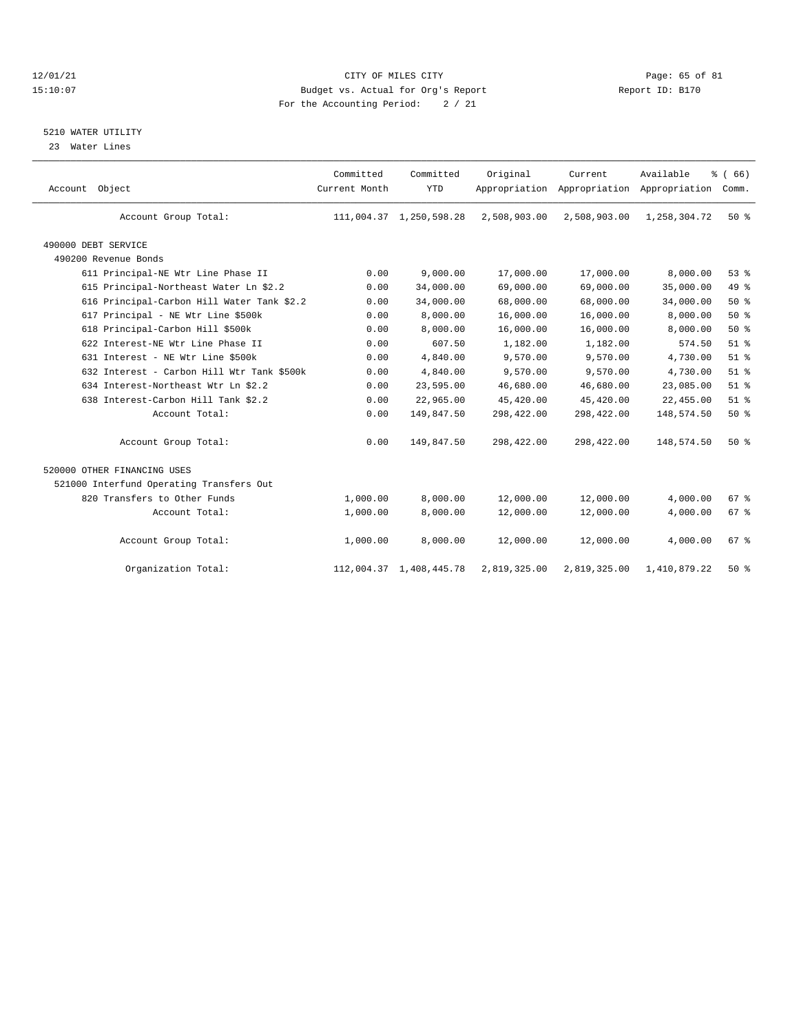## 12/01/21 CITY OF MILES CITY CHES CITY CONTRIBUTE And the Dege: 65 of 81 CITY CITY CITY CITY CITY PAGE: 15:10:07 15:10:07 Budget vs. Actual for Org's Report For the Accounting Period: 2 / 21

# 5210 WATER UTILITY

23 Water Lines

| Account Object                             | Committed<br>Current Month | Committed<br><b>YTD</b> | Original     | Current<br>Appropriation Appropriation Appropriation | Available    | % (66)<br>Comm. |  |
|--------------------------------------------|----------------------------|-------------------------|--------------|------------------------------------------------------|--------------|-----------------|--|
| Account Group Total:                       |                            | 111,004.37 1,250,598.28 | 2,508,903.00 | 2,508,903.00                                         | 1,258,304.72 | $50*$           |  |
| 490000 DEBT SERVICE                        |                            |                         |              |                                                      |              |                 |  |
| 490200 Revenue Bonds                       |                            |                         |              |                                                      |              |                 |  |
| 611 Principal-NE Wtr Line Phase II         | 0.00                       | 9,000.00                | 17,000.00    | 17,000.00                                            | 8,000.00     | 53%             |  |
| 615 Principal-Northeast Water Ln \$2.2     | 0.00                       | 34,000.00               | 69,000.00    | 69,000.00                                            | 35,000.00    | 49.8            |  |
| 616 Principal-Carbon Hill Water Tank \$2.2 | 0.00                       | 34,000.00               | 68,000.00    | 68,000.00                                            | 34,000.00    | 50%             |  |
| 617 Principal - NE Wtr Line \$500k         | 0.00                       | 8,000.00                | 16,000.00    | 16,000.00                                            | 8,000.00     | 50%             |  |
| 618 Principal-Carbon Hill \$500k           | 0.00                       | 8,000.00                | 16,000.00    | 16,000.00                                            | 8,000.00     | 50%             |  |
| 622 Interest-NE Wtr Line Phase II          | 0.00                       | 607.50                  | 1,182.00     | 1,182.00                                             | 574.50       | $51$ $%$        |  |
| 631 Interest - NE Wtr Line \$500k          | 0.00                       | 4,840.00                | 9,570.00     | 9,570.00                                             | 4,730.00     | $51$ $%$        |  |
| 632 Interest - Carbon Hill Wtr Tank \$500k | 0.00                       | 4,840.00                | 9,570.00     | 9,570.00                                             | 4,730.00     | $51$ %          |  |
| 634 Interest-Northeast Wtr Ln \$2.2        | 0.00                       | 23,595.00               | 46,680.00    | 46,680.00                                            | 23,085.00    | $51$ %          |  |
| 638 Interest-Carbon Hill Tank \$2.2        | 0.00                       | 22,965.00               | 45,420.00    | 45,420.00                                            | 22,455.00    | $51$ %          |  |
| Account Total:                             | 0.00                       | 149,847.50              | 298,422.00   | 298,422.00                                           | 148,574.50   | 50%             |  |
| Account Group Total:                       | 0.00                       | 149,847.50              | 298,422.00   | 298,422.00                                           | 148,574.50   | 50%             |  |
| 520000 OTHER FINANCING USES                |                            |                         |              |                                                      |              |                 |  |
| 521000 Interfund Operating Transfers Out   |                            |                         |              |                                                      |              |                 |  |
| 820 Transfers to Other Funds               | 1,000.00                   | 8.000.00                | 12,000.00    | 12,000.00                                            | 4,000.00     | 67 <sup>8</sup> |  |
| Account Total:                             | 1,000.00                   | 8,000.00                | 12,000.00    | 12,000.00                                            | 4,000.00     | 67 <sup>8</sup> |  |
| Account Group Total:                       | 1,000.00                   | 8,000.00                | 12,000.00    | 12,000.00                                            | 4,000.00     | 67 <sup>8</sup> |  |
| Organization Total:                        |                            | 112,004.37 1,408,445.78 | 2,819,325.00 | 2,819,325.00                                         | 1,410,879.22 | $50*$           |  |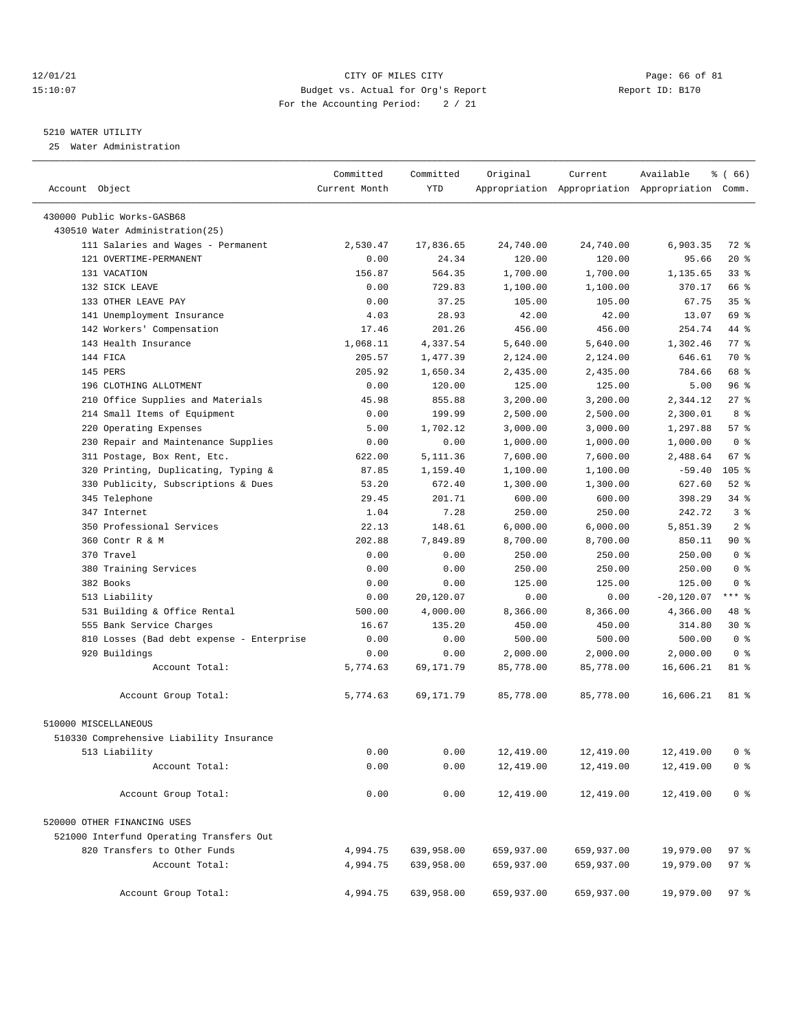## 12/01/21 Page: 66 of 81 CITY OF MILES CITY CONTRIBUTE CITY PAGE: 66 of 81 Page: 66 of 81 CITY CHES CITY CONTRIBUTE CITY PAGE: 15:10:07 15:10:07 Budget vs. Actual for Org's Report For the Accounting Period: 2 / 21

#### 5210 WATER UTILITY

25 Water Administration

|                                           | Committed     | Committed  | Original   | Current    | Available                                       | <sub>ර</sub> ි (66) |
|-------------------------------------------|---------------|------------|------------|------------|-------------------------------------------------|---------------------|
| Account Object                            | Current Month | <b>YTD</b> |            |            | Appropriation Appropriation Appropriation Comm. |                     |
|                                           |               |            |            |            |                                                 |                     |
| 430000 Public Works-GASB68                |               |            |            |            |                                                 |                     |
| 430510 Water Administration(25)           |               |            |            |            |                                                 |                     |
| 111 Salaries and Wages - Permanent        | 2,530.47      | 17,836.65  | 24,740.00  | 24,740.00  | 6,903.35                                        | 72 %                |
| 121 OVERTIME-PERMANENT                    | 0.00          | 24.34      | 120.00     | 120.00     | 95.66                                           | $20*$               |
| 131 VACATION                              | 156.87        | 564.35     | 1,700.00   | 1,700.00   | 1,135.65                                        | 33%                 |
| 132 SICK LEAVE                            | 0.00          | 729.83     | 1,100.00   | 1,100.00   | 370.17                                          | 66 %                |
| 133 OTHER LEAVE PAY                       | 0.00          | 37.25      | 105.00     | 105.00     | 67.75                                           | 35%                 |
| 141 Unemployment Insurance                | 4.03          | 28.93      | 42.00      | 42.00      | 13.07                                           | 69 %                |
| 142 Workers' Compensation                 | 17.46         | 201.26     | 456.00     | 456.00     | 254.74                                          | 44 %                |
| 143 Health Insurance                      | 1,068.11      | 4,337.54   | 5,640.00   | 5,640.00   | 1,302.46                                        | 77 %                |
| 144 FICA                                  | 205.57        | 1,477.39   | 2,124.00   | 2,124.00   | 646.61                                          | 70 %                |
| 145 PERS                                  | 205.92        | 1,650.34   | 2,435.00   | 2,435.00   | 784.66                                          | 68 %                |
| 196 CLOTHING ALLOTMENT                    | 0.00          | 120.00     | 125.00     | 125.00     | 5.00                                            | 96%                 |
| 210 Office Supplies and Materials         | 45.98         | 855.88     | 3,200.00   | 3,200.00   | 2,344.12                                        | 27%                 |
| 214 Small Items of Equipment              | 0.00          | 199.99     | 2,500.00   | 2,500.00   | 2,300.01                                        | 8 %                 |
| 220 Operating Expenses                    | 5.00          | 1,702.12   | 3,000.00   | 3,000.00   | 1,297.88                                        | 57%                 |
| 230 Repair and Maintenance Supplies       | 0.00          | 0.00       | 1,000.00   | 1,000.00   | 1,000.00                                        | 0 <sup>8</sup>      |
| 311 Postage, Box Rent, Etc.               | 622.00        | 5,111.36   | 7,600.00   | 7,600.00   | 2,488.64                                        | 67%                 |
| 320 Printing, Duplicating, Typing &       | 87.85         | 1,159.40   | 1,100.00   | 1,100.00   | $-59.40$                                        | $105$ %             |
| 330 Publicity, Subscriptions & Dues       | 53.20         | 672.40     | 1,300.00   | 1,300.00   | 627.60                                          | $52$ $%$            |
| 345 Telephone                             | 29.45         | 201.71     | 600.00     | 600.00     | 398.29                                          | $34$ $%$            |
| 347 Internet                              | 1.04          | 7.28       | 250.00     | 250.00     | 242.72                                          | 3 <sup>8</sup>      |
| 350 Professional Services                 | 22.13         | 148.61     | 6,000.00   | 6,000.00   | 5,851.39                                        | 2 <sup>8</sup>      |
| 360 Contr R & M                           | 202.88        | 7,849.89   | 8,700.00   | 8,700.00   | 850.11                                          | 90%                 |
| 370 Travel                                | 0.00          | 0.00       | 250.00     | 250.00     | 250.00                                          | 0 <sup>8</sup>      |
| 380 Training Services                     | 0.00          | 0.00       | 250.00     | 250.00     | 250.00                                          | 0 <sup>8</sup>      |
| 382 Books                                 | 0.00          | 0.00       | 125.00     | 125.00     | 125.00                                          | 0 <sup>8</sup>      |
| 513 Liability                             | 0.00          | 20,120.07  | 0.00       | 0.00       | $-20,120.07$                                    | *** *               |
| 531 Building & Office Rental              | 500.00        | 4,000.00   | 8,366.00   | 8,366.00   | 4,366.00                                        | 48 %                |
| 555 Bank Service Charges                  | 16.67         | 135.20     | 450.00     | 450.00     | 314.80                                          | $30*$               |
| 810 Losses (Bad debt expense - Enterprise | 0.00          | 0.00       | 500.00     | 500.00     | 500.00                                          | 0 <sup>8</sup>      |
| 920 Buildings                             | 0.00          | 0.00       | 2,000.00   | 2,000.00   | 2,000.00                                        | 0 <sup>8</sup>      |
| Account Total:                            | 5,774.63      | 69,171.79  | 85,778.00  | 85,778.00  | 16,606.21                                       | 81 %                |
| Account Group Total:                      | 5,774.63      | 69,171.79  | 85,778.00  | 85,778.00  | 16,606.21                                       | 81 %                |
| 510000 MISCELLANEOUS                      |               |            |            |            |                                                 |                     |
| 510330 Comprehensive Liability Insurance  |               |            |            |            |                                                 |                     |
| 513 Liability                             | 0.00          | 0.00       | 12,419.00  | 12,419.00  | 12,419.00                                       | 0 <sup>8</sup>      |
| Account Total:                            | 0.00          | 0.00       | 12,419.00  | 12,419.00  | 12,419.00                                       | 0 <sup>8</sup>      |
|                                           |               |            |            |            |                                                 |                     |
| Account Group Total:                      | 0.00          | 0.00       | 12,419.00  | 12,419.00  | 12,419.00                                       | 0 <sup>8</sup>      |
| 520000 OTHER FINANCING USES               |               |            |            |            |                                                 |                     |
| 521000 Interfund Operating Transfers Out  |               |            |            |            |                                                 |                     |
| 820 Transfers to Other Funds              | 4,994.75      | 639,958.00 | 659,937.00 | 659,937.00 | 19,979.00                                       | 97 %                |
| Account Total:                            | 4,994.75      | 639,958.00 | 659,937.00 | 659,937.00 | 19,979.00                                       | 97%                 |
| Account Group Total:                      | 4,994.75      | 639,958.00 | 659,937.00 | 659,937.00 | 19,979.00                                       | 97%                 |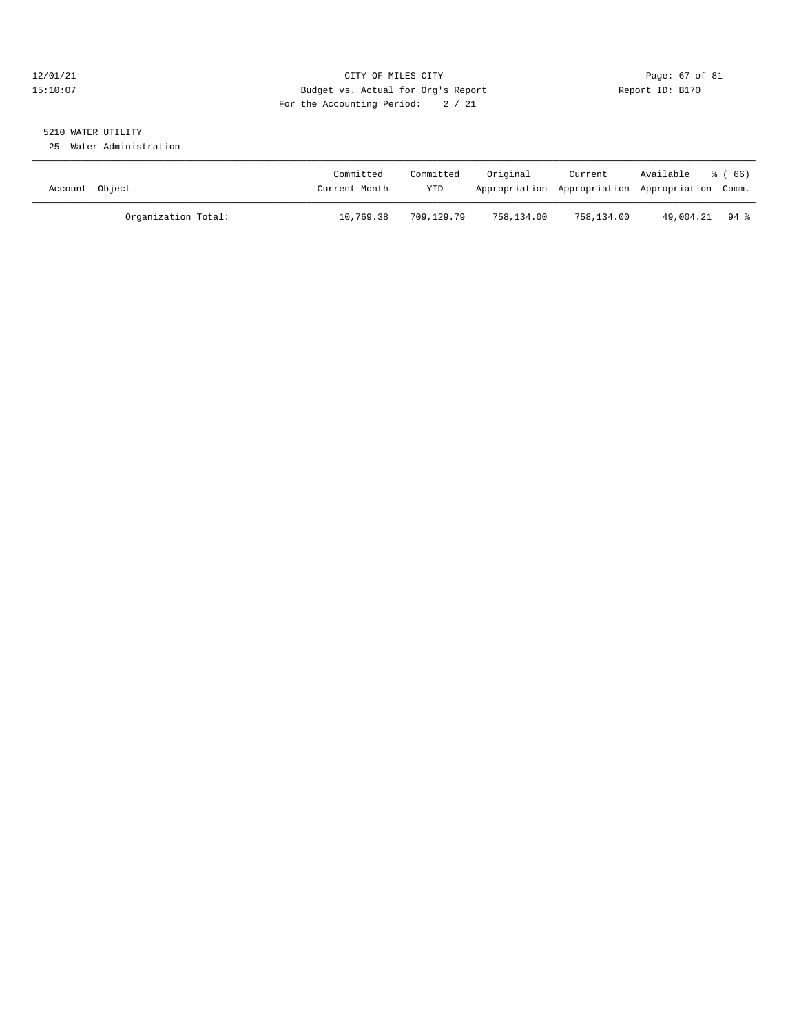## 12/01/21 Page: 67 of 81 CITY OF MILES CITY CONTRIBUTE CITY PAGE: 67 of 81 Page: 67 of 81 CITY CHINES CITY CONTRIBUTE CITY PAGE: 2009 PAGE: 15:10:07 15:10:07 Budget vs. Actual for Org's Report For the Accounting Period: 2 / 21

# 5210 WATER UTILITY

25 Water Administration

| Account Object |                     | Committed<br>Current Month | Committed<br>YTD | Original   | Current    | Available<br>Appropriation Appropriation Appropriation Comm. | ී (66) |
|----------------|---------------------|----------------------------|------------------|------------|------------|--------------------------------------------------------------|--------|
|                | Organization Total: | 10,769.38                  | 709,129.79       | 758,134.00 | 758,134.00 | 49,004.21 94 %                                               |        |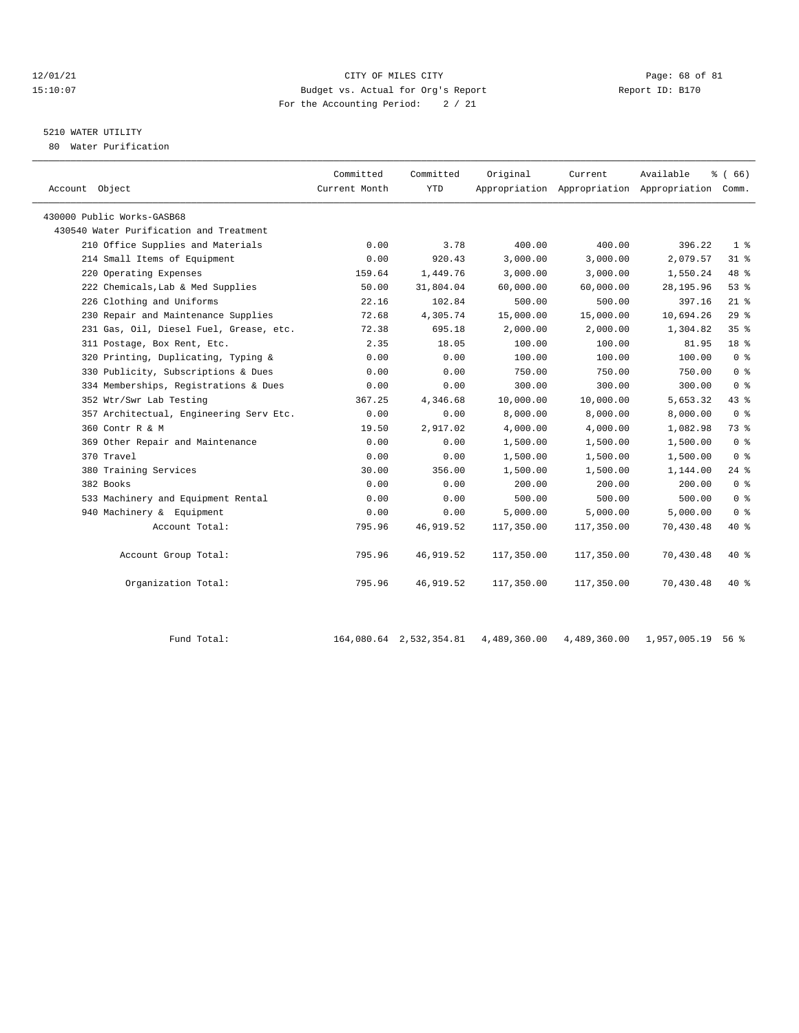## 12/01/21 **CITY OF MILES CITY CITY CITY Page: 68 of 81** 15:10:07 Budget vs. Actual for Org's Report Changer Report ID: B170 For the Accounting Period: 2 / 21

# 5210 WATER UTILITY

80 Water Purification

| Account Object                          | Committed<br>Current Month | Committed<br><b>YTD</b> | Original   | Current    | Available<br>Appropriation Appropriation Appropriation Comm. | % (66)          |
|-----------------------------------------|----------------------------|-------------------------|------------|------------|--------------------------------------------------------------|-----------------|
| 430000 Public Works-GASB68              |                            |                         |            |            |                                                              |                 |
| 430540 Water Purification and Treatment |                            |                         |            |            |                                                              |                 |
| 210 Office Supplies and Materials       | 0.00                       | 3.78                    | 400.00     | 400.00     | 396.22                                                       | 1 <sup>8</sup>  |
| 214 Small Items of Equipment            | 0.00                       | 920.43                  | 3,000.00   | 3,000.00   | 2,079.57                                                     | 318             |
| 220 Operating Expenses                  | 159.64                     | 1,449.76                | 3,000.00   | 3,000.00   | 1,550.24                                                     | 48 %            |
| 222 Chemicals, Lab & Med Supplies       | 50.00                      | 31,804.04               | 60,000.00  | 60,000.00  | 28, 195.96                                                   | 53%             |
| 226 Clothing and Uniforms               | 22.16                      | 102.84                  | 500.00     | 500.00     | 397.16                                                       | $21$ %          |
| 230 Repair and Maintenance Supplies     | 72.68                      | 4,305.74                | 15,000.00  | 15,000.00  | 10,694.26                                                    | 29%             |
| 231 Gas, Oil, Diesel Fuel, Grease, etc. | 72.38                      | 695.18                  | 2,000.00   | 2,000.00   | 1,304.82                                                     | 35%             |
| 311 Postage, Box Rent, Etc.             | 2.35                       | 18.05                   | 100.00     | 100.00     | 81.95                                                        | 18 <sup>8</sup> |
| 320 Printing, Duplicating, Typing &     | 0.00                       | 0.00                    | 100.00     | 100.00     | 100.00                                                       | 0 <sup>8</sup>  |
| 330 Publicity, Subscriptions & Dues     | 0.00                       | 0.00                    | 750.00     | 750.00     | 750.00                                                       | 0 <sup>8</sup>  |
| 334 Memberships, Registrations & Dues   | 0.00                       | 0.00                    | 300.00     | 300.00     | 300.00                                                       | 0 <sup>8</sup>  |
| 352 Wtr/Swr Lab Testing                 | 367.25                     | 4,346.68                | 10,000.00  | 10,000.00  | 5,653.32                                                     | 43.8            |
| 357 Architectual, Engineering Serv Etc. | 0.00                       | 0.00                    | 8,000.00   | 8,000.00   | 8,000.00                                                     | 0 <sup>8</sup>  |
| 360 Contr R & M                         | 19.50                      | 2,917.02                | 4,000.00   | 4,000.00   | 1,082.98                                                     | 73%             |
| 369 Other Repair and Maintenance        | 0.00                       | 0.00                    | 1,500.00   | 1,500.00   | 1,500.00                                                     | 0 <sup>8</sup>  |
| 370 Travel                              | 0.00                       | 0.00                    | 1,500.00   | 1,500.00   | 1,500.00                                                     | 0 <sup>8</sup>  |
| 380 Training Services                   | 30.00                      | 356.00                  | 1,500.00   | 1,500.00   | 1,144.00                                                     | $24$ $%$        |
| 382 Books                               | 0.00                       | 0.00                    | 200.00     | 200.00     | 200.00                                                       | 0 <sup>8</sup>  |
| 533 Machinery and Equipment Rental      | 0.00                       | 0.00                    | 500.00     | 500.00     | 500.00                                                       | 0 <sup>8</sup>  |
| 940 Machinery & Equipment               | 0.00                       | 0.00                    | 5,000.00   | 5,000.00   | 5,000.00                                                     | 0 <sup>8</sup>  |
| Account Total:                          | 795.96                     | 46,919.52               | 117,350.00 | 117,350.00 | 70,430.48                                                    | 40 %            |
| Account Group Total:                    | 795.96                     | 46,919.52               | 117,350.00 | 117,350.00 | 70,430.48                                                    | $40*$           |
| Organization Total:                     | 795.96                     | 46,919.52               | 117,350.00 | 117,350.00 | 70,430.48                                                    | $40*$           |

Fund Total: 164,080.64 2,532,354.81 4,489,360.00 4,489,360.00 1,957,005.19 56 %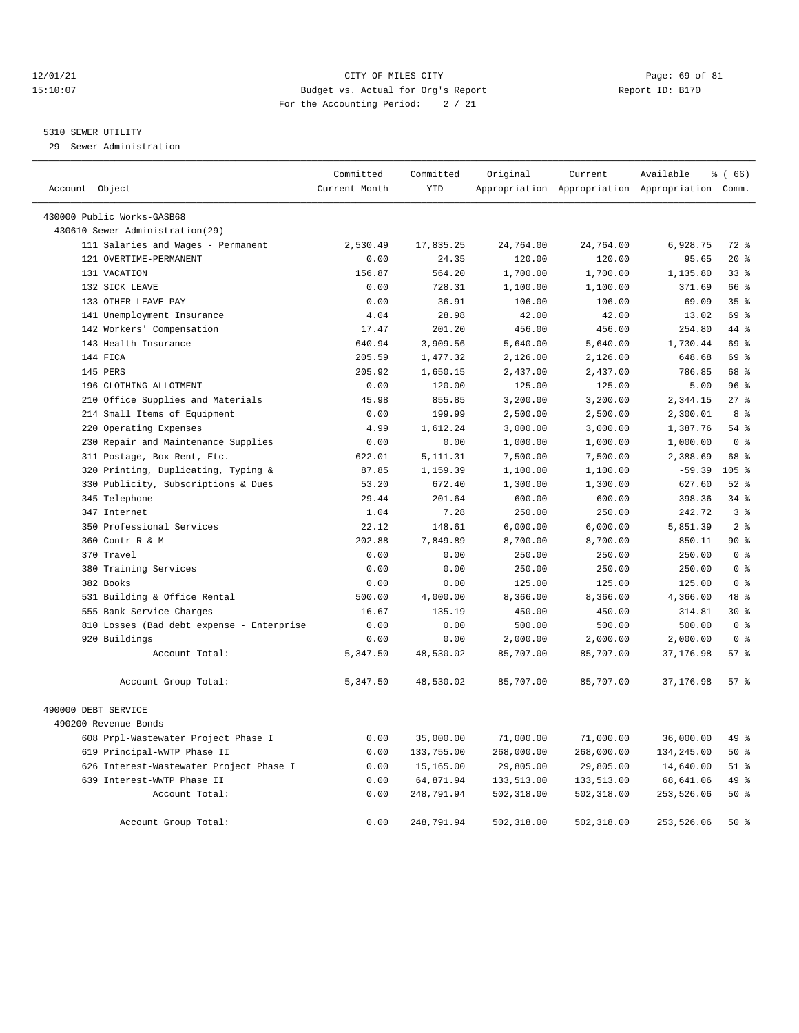## 12/01/21 Page: 69 of 81 CITY OF MILES CITY CONTRIBUTE CITY PAGE: 69 of 81 Page: 69 of 81 CITY CHILES CITY CONTRIBUTE CITY PAGE: 15:10:07 15:10:07 Budget vs. Actual for Org's Report For the Accounting Period: 2 / 21

#### 5310 SEWER UTILITY

29 Sewer Administration

| Account Object |                                                               | Committed<br>Current Month | Committed<br><b>YTD</b> | Original   | Current    | Available<br>Appropriation Appropriation Appropriation Comm. | % (66)           |  |
|----------------|---------------------------------------------------------------|----------------------------|-------------------------|------------|------------|--------------------------------------------------------------|------------------|--|
|                |                                                               |                            |                         |            |            |                                                              |                  |  |
|                | 430000 Public Works-GASB68<br>430610 Sewer Administration(29) |                            |                         |            |            |                                                              |                  |  |
|                | 111 Salaries and Wages - Permanent                            | 2,530.49                   | 17,835.25               | 24,764.00  | 24,764.00  | 6,928.75                                                     | $72*$            |  |
|                | 121 OVERTIME-PERMANENT                                        | 0.00                       | 24.35                   | 120.00     | 120.00     | 95.65                                                        | $20*$            |  |
|                | 131 VACATION                                                  | 156.87                     | 564.20                  | 1,700.00   | 1,700.00   | 1,135.80                                                     | $33$ %           |  |
|                | 132 SICK LEAVE                                                | 0.00                       | 728.31                  | 1,100.00   | 1,100.00   | 371.69                                                       | 66 %             |  |
|                | 133 OTHER LEAVE PAY                                           | 0.00                       | 36.91                   | 106.00     | 106.00     | 69.09                                                        | 35%              |  |
|                | 141 Unemployment Insurance                                    | 4.04                       | 28.98                   | 42.00      | 42.00      | 13.02                                                        | 69 %             |  |
|                | 142 Workers' Compensation                                     | 17.47                      | 201.20                  | 456.00     | 456.00     | 254.80                                                       | 44 %             |  |
|                | 143 Health Insurance                                          | 640.94                     | 3,909.56                | 5,640.00   | 5,640.00   | 1,730.44                                                     | 69 %             |  |
|                | 144 FICA                                                      | 205.59                     | 1,477.32                | 2,126.00   | 2,126.00   | 648.68                                                       | 69 %             |  |
|                | 145 PERS                                                      | 205.92                     | 1,650.15                | 2,437.00   | 2,437.00   | 786.85                                                       | 68 %             |  |
|                | 196 CLOTHING ALLOTMENT                                        | 0.00                       | 120.00                  | 125.00     | 125.00     | 5.00                                                         | 96%              |  |
|                | 210 Office Supplies and Materials                             | 45.98                      | 855.85                  | 3,200.00   | 3,200.00   | 2,344.15                                                     | 27%              |  |
|                | 214 Small Items of Equipment                                  | 0.00                       | 199.99                  | 2,500.00   | 2,500.00   | 2,300.01                                                     | 8 %              |  |
|                | 220 Operating Expenses                                        | 4.99                       | 1,612.24                | 3,000.00   | 3,000.00   | 1,387.76                                                     | 54%              |  |
|                | 230 Repair and Maintenance Supplies                           | 0.00                       | 0.00                    | 1,000.00   | 1,000.00   | 1,000.00                                                     | 0 <sup>8</sup>   |  |
|                | 311 Postage, Box Rent, Etc.                                   | 622.01                     | 5, 111.31               | 7,500.00   | 7,500.00   | 2,388.69                                                     | 68 %             |  |
|                | 320 Printing, Duplicating, Typing &                           | 87.85                      | 1,159.39                | 1,100.00   | 1,100.00   | $-59.39$                                                     | 105 <sub>8</sub> |  |
|                | 330 Publicity, Subscriptions & Dues                           | 53.20                      | 672.40                  | 1,300.00   | 1,300.00   | 627.60                                                       | $52$ $%$         |  |
|                | 345 Telephone                                                 | 29.44                      | 201.64                  | 600.00     | 600.00     | 398.36                                                       | 34%              |  |
|                | 347 Internet                                                  | 1.04                       | 7.28                    | 250.00     | 250.00     | 242.72                                                       | 3 <sup>8</sup>   |  |
|                | 350 Professional Services                                     | 22.12                      | 148.61                  | 6,000.00   | 6,000.00   | 5,851.39                                                     | 2 <sup>8</sup>   |  |
|                | 360 Contr R & M                                               | 202.88                     | 7,849.89                | 8,700.00   | 8,700.00   | 850.11                                                       | 90%              |  |
|                | 370 Travel                                                    | 0.00                       | 0.00                    | 250.00     | 250.00     | 250.00                                                       | 0 <sup>8</sup>   |  |
|                | 380 Training Services                                         | 0.00                       | 0.00                    | 250.00     | 250.00     | 250.00                                                       | 0 <sup>8</sup>   |  |
|                | 382 Books                                                     | 0.00                       | 0.00                    | 125.00     | 125.00     | 125.00                                                       | 0 <sup>8</sup>   |  |
|                | 531 Building & Office Rental                                  | 500.00                     | 4,000.00                | 8,366.00   | 8,366.00   | 4,366.00                                                     | $48$ $%$         |  |
|                | 555 Bank Service Charges                                      | 16.67                      | 135.19                  | 450.00     | 450.00     | 314.81                                                       | $30*$            |  |
|                | 810 Losses (Bad debt expense - Enterprise                     | 0.00                       | 0.00                    | 500.00     | 500.00     | 500.00                                                       | 0 <sup>8</sup>   |  |
|                | 920 Buildings                                                 | 0.00                       | 0.00                    | 2,000.00   | 2,000.00   | 2,000.00                                                     | 0 <sup>8</sup>   |  |
|                | Account Total:                                                | 5,347.50                   | 48,530.02               | 85,707.00  | 85,707.00  | 37, 176.98                                                   | 57%              |  |
|                | Account Group Total:                                          | 5,347.50                   | 48,530.02               | 85,707.00  | 85,707.00  | 37,176.98                                                    | 57%              |  |
|                | 490000 DEBT SERVICE                                           |                            |                         |            |            |                                                              |                  |  |
|                | 490200 Revenue Bonds                                          |                            |                         |            |            |                                                              |                  |  |
|                | 608 Prpl-Wastewater Project Phase I                           | 0.00                       | 35,000.00               | 71,000.00  | 71,000.00  | 36,000.00                                                    | 49 %             |  |
|                | 619 Principal-WWTP Phase II                                   | 0.00                       | 133,755.00              | 268,000.00 | 268,000.00 | 134,245.00                                                   | 50%              |  |
|                | 626 Interest-Wastewater Project Phase I                       | 0.00                       | 15,165.00               | 29,805.00  | 29,805.00  | 14,640.00                                                    | $51$ %           |  |
|                | 639 Interest-WWTP Phase II                                    | 0.00                       | 64,871.94               | 133,513.00 | 133,513.00 | 68,641.06                                                    | 49 %             |  |
|                | Account Total:                                                | 0.00                       | 248,791.94              | 502,318.00 | 502,318.00 | 253,526.06                                                   | 50%              |  |
|                | Account Group Total:                                          | 0.00                       | 248,791.94              | 502,318.00 | 502,318.00 | 253,526.06                                                   | $50*$            |  |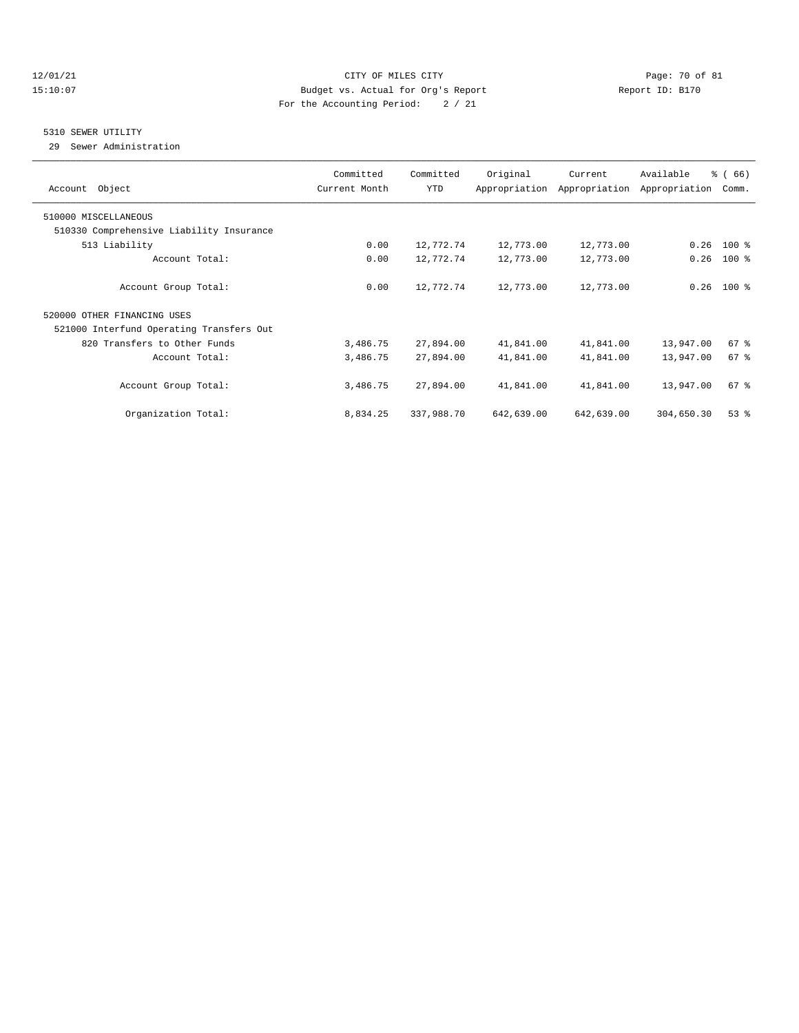## 12/01/21 Page: 70 of 81 15:10:07 Budget vs. Actual for Org's Report Report ID: B170 For the Accounting Period: 2 / 21

## 5310 SEWER UTILITY

29 Sewer Administration

| Account Object                           | Committed<br>Current Month | Committed<br>YTD | Original   | Current<br>Appropriation Appropriation | Available<br>Appropriation | % (66)<br>Comm. |
|------------------------------------------|----------------------------|------------------|------------|----------------------------------------|----------------------------|-----------------|
| 510000 MISCELLANEOUS                     |                            |                  |            |                                        |                            |                 |
| 510330 Comprehensive Liability Insurance |                            |                  |            |                                        |                            |                 |
| 513 Liability                            | 0.00                       | 12,772.74        | 12,773.00  | 12,773.00                              | 0.26                       | 100 %           |
| Account Total:                           | 0.00                       | 12,772.74        | 12,773.00  | 12,773.00                              | 0.26                       | $100*$          |
| Account Group Total:                     | 0.00                       | 12,772.74        | 12,773.00  | 12,773.00                              |                            | $0.26$ 100 %    |
| 520000 OTHER FINANCING USES              |                            |                  |            |                                        |                            |                 |
| 521000 Interfund Operating Transfers Out |                            |                  |            |                                        |                            |                 |
| 820 Transfers to Other Funds             | 3,486.75                   | 27,894.00        | 41,841.00  | 41,841.00                              | 13,947.00                  | 67 %            |
| Account Total:                           | 3,486.75                   | 27,894.00        | 41,841.00  | 41,841.00                              | 13,947.00                  | 67 <sup>8</sup> |
| Account Group Total:                     | 3,486.75                   | 27,894.00        | 41,841.00  | 41,841.00                              | 13,947.00                  | 67 %            |
| Organization Total:                      | 8,834.25                   | 337,988.70       | 642,639.00 | 642,639.00                             | 304,650.30                 | 53%             |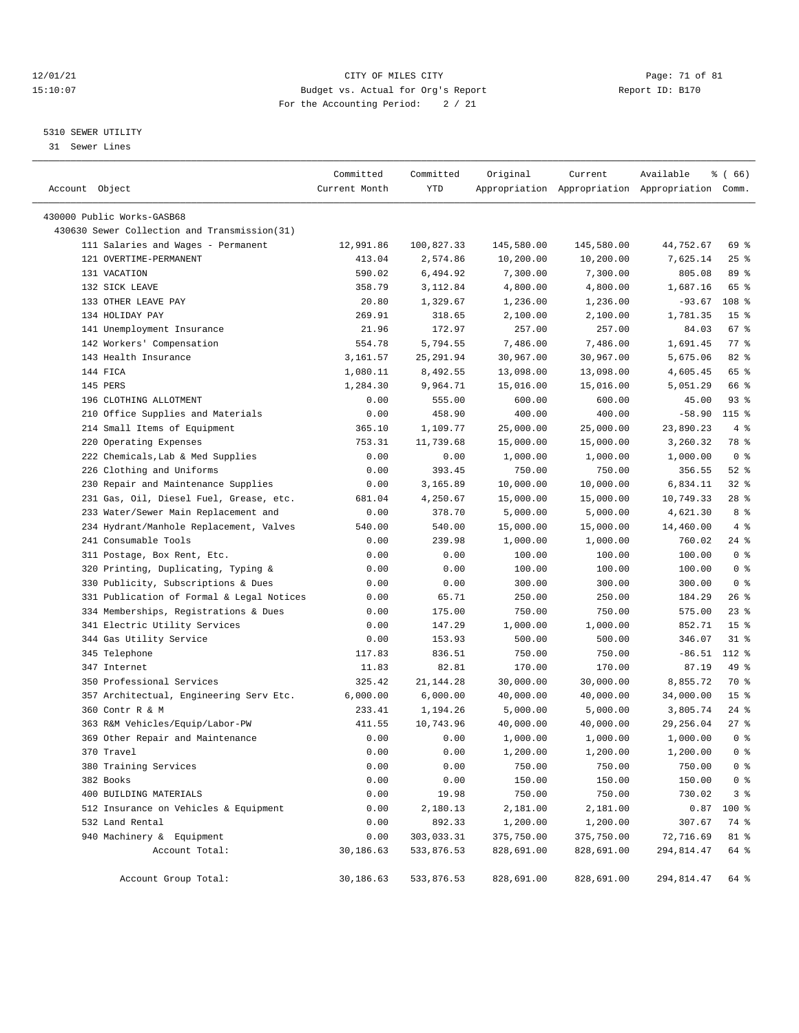## 12/01/21 Page: 71 of 81 CITY OF MILES CITY CONTRIBUTE PAGE: 71 of 81 Page: 71 of 81 Page: 71 of 81 Page: 71 of 81 Page: 71 of 81 Page: 71 of 81 Page: 71 of 81 Page: 71 of 81 Page: 71 of 81 Page: 71 of 81 Page: 71 of 81 Pag 15:10:07 Budget vs. Actual for Org's Report For the Accounting Period: 2 / 21

————————————————————————————————————————————————————————————————————————————————————————————————————————————————————————————————————

# 5310 SEWER UTILITY

31 Sewer Lines

|                                                                                 | Committed          | Committed            | Original              | Current                                         | Available             | <sub>ර</sub> ි (66)  |
|---------------------------------------------------------------------------------|--------------------|----------------------|-----------------------|-------------------------------------------------|-----------------------|----------------------|
| Account Object                                                                  | Current Month      | YTD                  |                       | Appropriation Appropriation Appropriation Comm. |                       |                      |
| 430000 Public Works-GASB68                                                      |                    |                      |                       |                                                 |                       |                      |
| 430630 Sewer Collection and Transmission(31)                                    |                    |                      |                       |                                                 |                       |                      |
| 111 Salaries and Wages - Permanent                                              | 12,991.86          | 100,827.33           | 145,580.00            | 145,580.00                                      | 44,752.67             | 69 %                 |
| 121 OVERTIME-PERMANENT                                                          | 413.04             | 2,574.86             | 10,200.00             | 10,200.00                                       | 7,625.14              | $25$ %               |
| 131 VACATION                                                                    | 590.02             | 6,494.92             | 7,300.00              | 7,300.00                                        | 805.08                | 89 %                 |
| 132 SICK LEAVE                                                                  | 358.79             | 3,112.84             | 4,800.00              | 4,800.00                                        | 1,687.16              | 65 %                 |
| 133 OTHER LEAVE PAY                                                             | 20.80              | 1,329.67             | 1,236.00              | 1,236.00                                        | $-93.67$              | 108 %                |
| 134 HOLIDAY PAY                                                                 | 269.91             | 318.65               | 2,100.00              | 2,100.00                                        | 1,781.35              | 15 <sup>°</sup>      |
| 141 Unemployment Insurance                                                      | 21.96              | 172.97               | 257.00                | 257.00                                          | 84.03                 | 67%                  |
| 142 Workers' Compensation                                                       | 554.78             | 5,794.55             | 7,486.00              | 7,486.00                                        | 1,691.45              | $77$ $\frac{6}{9}$   |
| 143 Health Insurance                                                            | 3,161.57           | 25, 291.94           | 30,967.00             | 30,967.00                                       | 5,675.06              | 82%                  |
| 144 FICA                                                                        | 1,080.11           | 8,492.55             | 13,098.00             | 13,098.00                                       | 4,605.45              | 65 %                 |
| 145 PERS                                                                        | 1,284.30           | 9,964.71             | 15,016.00             | 15,016.00                                       | 5,051.29              | 66 %                 |
| 196 CLOTHING ALLOTMENT                                                          | 0.00               | 555.00               | 600.00                | 600.00                                          | 45.00                 | 93%                  |
| 210 Office Supplies and Materials                                               | 0.00               | 458.90               | 400.00                | 400.00                                          | $-58.90$              | 115 %                |
| 214 Small Items of Equipment                                                    |                    | 1,109.77             | 25,000.00             |                                                 |                       | 4%                   |
| 220 Operating Expenses                                                          | 365.10<br>753.31   | 11,739.68            | 15,000.00             | 25,000.00<br>15,000.00                          | 23,890.23<br>3,260.32 | 78 %                 |
| 222 Chemicals, Lab & Med Supplies                                               | 0.00               | 0.00                 |                       |                                                 |                       | 0 <sup>8</sup>       |
| 226 Clothing and Uniforms                                                       |                    | 393.45               | 1,000.00              | 1,000.00                                        | 1,000.00<br>356.55    |                      |
| 230 Repair and Maintenance Supplies                                             | 0.00               |                      | 750.00                | 750.00<br>10,000.00                             | 6,834.11              | $52$ $%$<br>$32$ $%$ |
|                                                                                 | 0.00               | 3,165.89<br>4,250.67 | 10,000.00             |                                                 |                       | $28$ %               |
| 231 Gas, Oil, Diesel Fuel, Grease, etc.<br>233 Water/Sewer Main Replacement and | 681.04<br>0.00     | 378.70               | 15,000.00<br>5,000.00 | 15,000.00<br>5,000.00                           | 10,749.33<br>4,621.30 | 8 %                  |
| 234 Hydrant/Manhole Replacement, Valves                                         | 540.00             | 540.00               |                       |                                                 | 14,460.00             | 4%                   |
| 241 Consumable Tools                                                            |                    |                      | 15,000.00             | 15,000.00                                       | 760.02                | $24$ %               |
|                                                                                 | 0.00               | 239.98               | 1,000.00              | 1,000.00<br>100.00                              | 100.00                | 0 <sup>8</sup>       |
| 311 Postage, Box Rent, Etc.                                                     | 0.00               | 0.00                 | 100.00                |                                                 |                       | 0 <sup>8</sup>       |
| 320 Printing, Duplicating, Typing &<br>330 Publicity, Subscriptions & Dues      | 0.00               | 0.00                 | 100.00                | 100.00                                          | 100.00<br>300.00      | 0 <sup>8</sup>       |
| 331 Publication of Formal & Legal Notices                                       | 0.00<br>0.00       | 0.00<br>65.71        | 300.00<br>250.00      | 300.00<br>250.00                                | 184.29                | $26$ %               |
|                                                                                 |                    |                      |                       |                                                 | 575.00                | $23$ $%$             |
| 334 Memberships, Registrations & Dues<br>341 Electric Utility Services          | 0.00               | 175.00               | 750.00                | 750.00                                          | 852.71                | 15 <sup>°</sup>      |
|                                                                                 | 0.00               | 147.29               | 1,000.00              | 1,000.00                                        | 346.07                | $31$ %               |
| 344 Gas Utility Service<br>345 Telephone                                        | 0.00<br>117.83     | 153.93<br>836.51     | 500.00<br>750.00      | 500.00<br>750.00                                | $-86.51$              | 112 %                |
| 347 Internet                                                                    | 11.83              | 82.81                | 170.00                | 170.00                                          | 87.19                 | 49 %                 |
| 350 Professional Services                                                       | 325.42             | 21, 144. 28          | 30,000.00             | 30,000.00                                       | 8,855.72              | 70 %                 |
|                                                                                 |                    | 6,000.00             |                       | 40,000.00                                       | 34,000.00             | 15 <sup>°</sup>      |
| 357 Architectual, Engineering Serv Etc.<br>360 Contr R & M                      | 6,000.00<br>233.41 | 1,194.26             | 40,000.00<br>5,000.00 | 5,000.00                                        | 3,805.74              | $24$ %               |
| 363 R&M Vehicles/Equip/Labor-PW                                                 | 411.55             | 10,743.96            | 40,000.00             | 40,000.00                                       | 29,256.04             | $27$ %               |
| 369 Other Repair and Maintenance                                                | 0.00               | 0.00                 | 1,000.00              | 1,000.00                                        | 1,000.00              | 0 <sup>8</sup>       |
| 370 Travel                                                                      | 0.00               | 0.00                 | 1,200.00              | 1,200.00                                        | 1,200.00              | 0 <sup>8</sup>       |
| 380 Training Services                                                           | 0.00               | 0.00                 | 750.00                | 750.00                                          | 750.00                | 0 <sup>8</sup>       |
| 382 Books                                                                       | 0.00               | 0.00                 | 150.00                | 150.00                                          | 150.00                | 0 <sup>8</sup>       |
| 400 BUILDING MATERIALS                                                          | 0.00               | 19.98                | 750.00                | 750.00                                          | 730.02                | 3 <sup>8</sup>       |
| 512 Insurance on Vehicles & Equipment                                           | 0.00               | 2,180.13             | 2,181.00              | 2,181.00                                        | 0.87                  | 100 %                |
| 532 Land Rental                                                                 | 0.00               | 892.33               | 1,200.00              | 1,200.00                                        | 307.67                | 74 %                 |
| 940 Machinery & Equipment                                                       | 0.00               | 303,033.31           | 375,750.00            |                                                 | 72,716.69             |                      |
| Account Total:                                                                  | 30,186.63          | 533,876.53           | 828,691.00            | 375,750.00<br>828,691.00                        | 294,814.47            | 81 %<br>64 %         |
|                                                                                 |                    |                      |                       |                                                 |                       |                      |
| Account Group Total:                                                            | 30,186.63          | 533,876.53           | 828,691.00            | 828,691.00                                      | 294,814.47            | 64 %                 |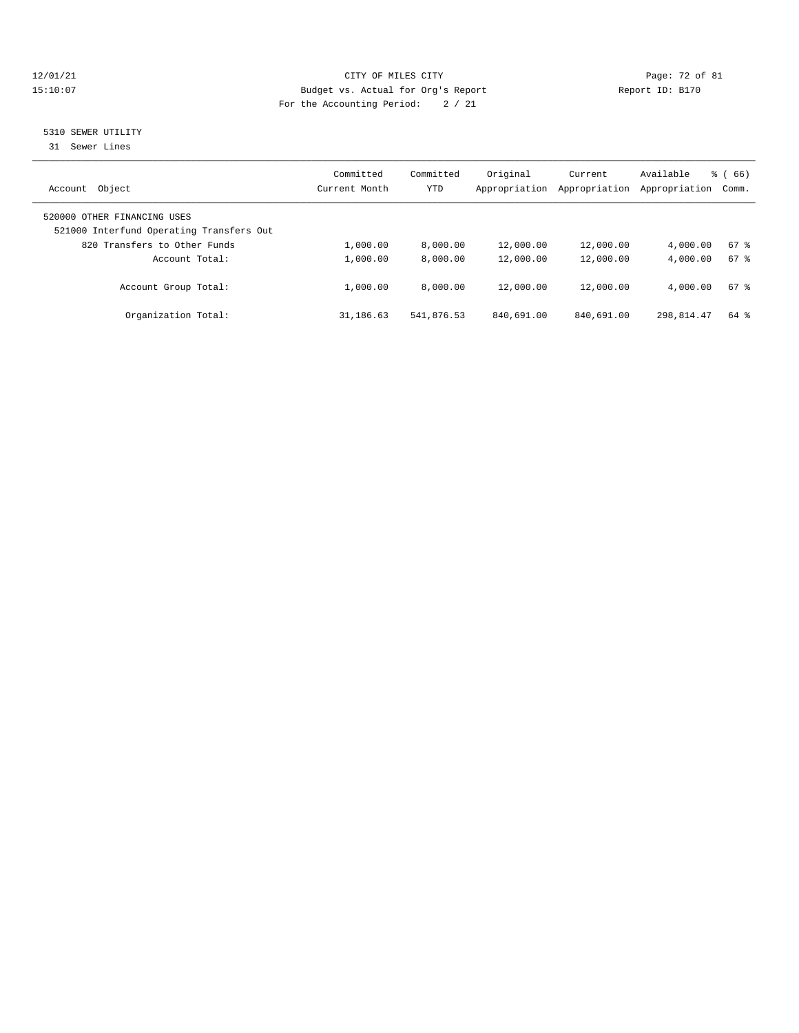## 12/01/21 Page: 72 of 81<br>
Eudget vs. Actual for Org's Report Report Report ID: B170 15:10:07 Budget vs. Actual for Org's Report For the Accounting Period: 2 / 21

## 5310 SEWER UTILITY

31 Sewer Lines

| Object<br>Account                                                       | Committed<br>Current Month | Committed<br>YTD | Original<br>Appropriation | Current<br>Appropriation | Available<br>Appropriation | 66)<br>ී (<br>Comm. |
|-------------------------------------------------------------------------|----------------------------|------------------|---------------------------|--------------------------|----------------------------|---------------------|
| 520000 OTHER FINANCING USES<br>521000 Interfund Operating Transfers Out |                            |                  |                           |                          |                            |                     |
| 820 Transfers to Other Funds                                            | 1,000.00                   | 8,000.00         | 12,000.00                 | 12,000.00                | 4,000.00                   | 67%                 |
| Account Total:                                                          | 1,000.00                   | 8.000.00         | 12,000.00                 | 12,000.00                | 4,000.00                   | 67%                 |
| Account Group Total:                                                    | 1,000.00                   | 8.000.00         | 12,000.00                 | 12,000.00                | 4,000.00                   | 67%                 |
| Organization Total:                                                     | 31,186.63                  | 541,876.53       | 840,691.00                | 840,691.00               | 298,814.47                 | 64 %                |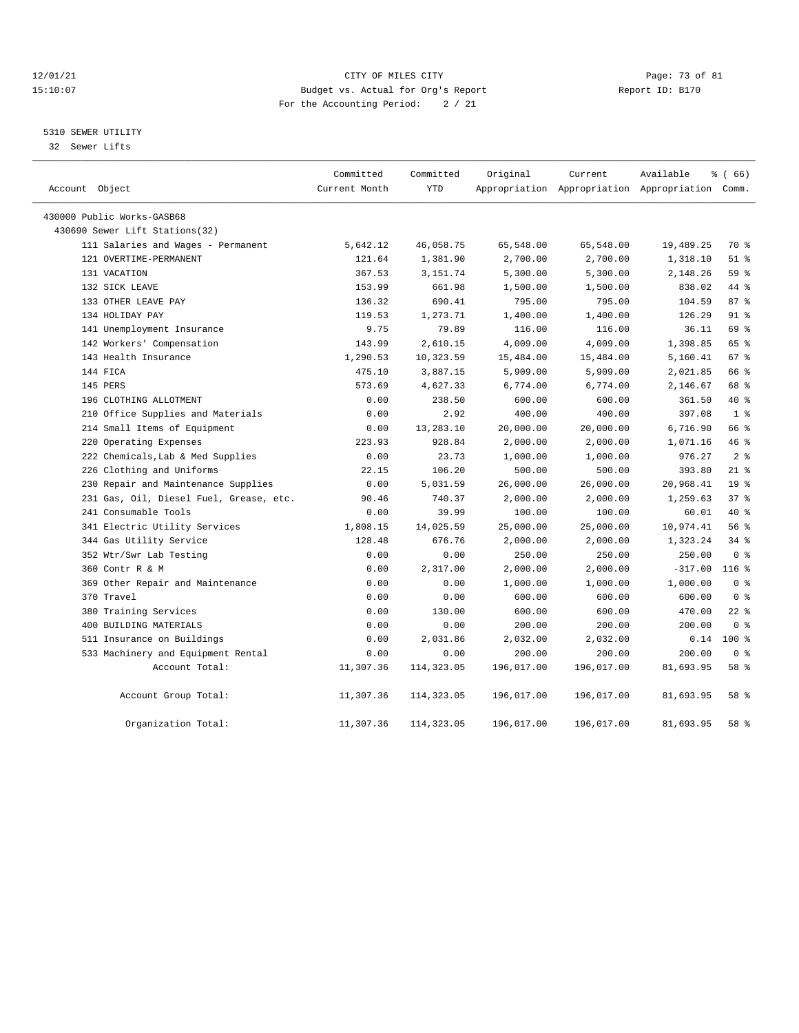### 12/01/21 Page: 73 of 81 CITY OF MILES CITY CONTRIBUTE CITY PAGE: 73 of 81 Page: 73 of 81 CITY CHES CITY CONTRIBUTE CITY 15:10:07 Budget vs. Actual for Org's Report For the Accounting Period: 2 / 21

# 5310 SEWER UTILITY

32 Sewer Lifts

| Account Object                          | Committed<br>Current Month | Committed<br><b>YTD</b> | Original   | Current<br>Appropriation Appropriation Appropriation Comm. | Available | $*(66)$        |
|-----------------------------------------|----------------------------|-------------------------|------------|------------------------------------------------------------|-----------|----------------|
| 430000 Public Works-GASB68              |                            |                         |            |                                                            |           |                |
| 430690 Sewer Lift Stations (32)         |                            |                         |            |                                                            |           |                |
| 111 Salaries and Wages - Permanent      | 5,642.12                   | 46,058.75               | 65,548.00  | 65,548.00                                                  | 19,489.25 | 70 %           |
| 121 OVERTIME-PERMANENT                  | 121.64                     | 1,381.90                | 2,700.00   | 2,700.00                                                   | 1,318.10  | $51$ %         |
| 131 VACATION                            | 367.53                     | 3,151.74                | 5,300.00   | 5,300.00                                                   | 2,148.26  | 59 %           |
| 132 SICK LEAVE                          | 153.99                     | 661.98                  | 1,500.00   | 1,500.00                                                   | 838.02    | 44 %           |
| 133 OTHER LEAVE PAY                     | 136.32                     | 690.41                  | 795.00     | 795.00                                                     | 104.59    | 87%            |
| 134 HOLIDAY PAY                         | 119.53                     | 1,273.71                | 1,400.00   | 1,400.00                                                   | 126.29    | $91$ %         |
| 141 Unemployment Insurance              | 9.75                       | 79.89                   | 116.00     | 116.00                                                     | 36.11     | 69 %           |
| 142 Workers' Compensation               | 143.99                     | 2,610.15                | 4,009.00   | 4,009.00                                                   | 1,398.85  | 65 %           |
| 143 Health Insurance                    | 1,290.53                   | 10,323.59               | 15,484.00  | 15,484.00                                                  | 5,160.41  | 67%            |
| 144 FICA                                | 475.10                     | 3,887.15                | 5,909.00   | 5,909.00                                                   | 2,021.85  | 66 %           |
| 145 PERS                                | 573.69                     | 4,627.33                | 6,774.00   | 6,774.00                                                   | 2,146.67  | 68 %           |
| 196 CLOTHING ALLOTMENT                  | 0.00                       | 238.50                  | 600.00     | 600.00                                                     | 361.50    | 40 %           |
| 210 Office Supplies and Materials       | 0.00                       | 2.92                    | 400.00     | 400.00                                                     | 397.08    | 1 <sup>8</sup> |
| 214 Small Items of Equipment            | 0.00                       | 13,283.10               | 20,000.00  | 20,000.00                                                  | 6,716.90  | 66 %           |
| 220 Operating Expenses                  | 223.93                     | 928.84                  | 2,000.00   | 2,000.00                                                   | 1,071.16  | 46%            |
| 222 Chemicals, Lab & Med Supplies       | 0.00                       | 23.73                   | 1,000.00   | 1,000.00                                                   | 976.27    | 2 <sup>8</sup> |
| 226 Clothing and Uniforms               | 22.15                      | 106.20                  | 500.00     | 500.00                                                     | 393.80    | $21$ %         |
| 230 Repair and Maintenance Supplies     | 0.00                       | 5,031.59                | 26,000.00  | 26,000.00                                                  | 20,968.41 | 19 %           |
| 231 Gas, Oil, Diesel Fuel, Grease, etc. | 90.46                      | 740.37                  | 2,000.00   | 2,000.00                                                   | 1,259.63  | 37%            |
| 241 Consumable Tools                    | 0.00                       | 39.99                   | 100.00     | 100.00                                                     | 60.01     | 40 %           |
| 341 Electric Utility Services           | 1,808.15                   | 14,025.59               | 25,000.00  | 25,000.00                                                  | 10,974.41 | 56 %           |
| 344 Gas Utility Service                 | 128.48                     | 676.76                  | 2,000.00   | 2,000.00                                                   | 1,323.24  | $34$ $%$       |
| 352 Wtr/Swr Lab Testing                 | 0.00                       | 0.00                    | 250.00     | 250.00                                                     | 250.00    | 0 <sup>8</sup> |
| 360 Contr R & M                         | 0.00                       | 2,317.00                | 2,000.00   | 2,000.00                                                   | $-317.00$ | $116$ %        |
| 369 Other Repair and Maintenance        | 0.00                       | 0.00                    | 1,000.00   | 1,000.00                                                   | 1,000.00  | 0 <sup>8</sup> |
| 370 Travel                              | 0.00                       | 0.00                    | 600.00     | 600.00                                                     | 600.00    | 0 <sup>8</sup> |
| 380 Training Services                   | 0.00                       | 130.00                  | 600.00     | 600.00                                                     | 470.00    | $22$ %         |
| 400 BUILDING MATERIALS                  | 0.00                       | 0.00                    | 200.00     | 200.00                                                     | 200.00    | 0 %            |
| 511 Insurance on Buildings              | 0.00                       | 2,031.86                | 2,032.00   | 2,032.00                                                   | 0.14      | $100$ %        |
| 533 Machinery and Equipment Rental      | 0.00                       | 0.00                    | 200.00     | 200.00                                                     | 200.00    | 0 <sup>8</sup> |
| Account Total:                          | 11,307.36                  | 114,323.05              | 196,017.00 | 196,017.00                                                 | 81,693.95 | 58 %           |
| Account Group Total:                    | 11,307.36                  | 114,323.05              | 196,017.00 | 196,017.00                                                 | 81,693.95 | 58 %           |
| Organization Total:                     | 11,307.36                  | 114,323.05              | 196,017.00 | 196,017.00                                                 | 81,693.95 | 58 %           |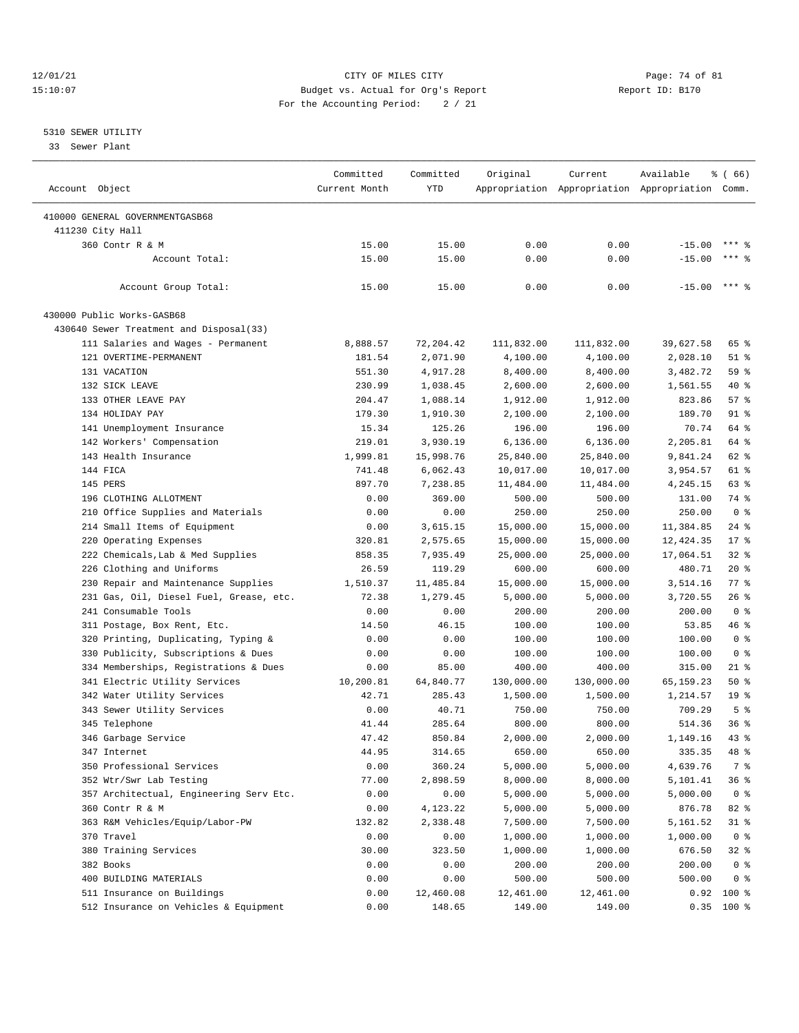### 12/01/21 Page: 74 of 81 CITY OF MILES CITY CONTRIBUTE CITY PAGE: 74 of 81 Page: 74 of 81 CITY CHINES CITY CONTRIBUTE CITY PAGE: 74 OF 81 15:10:07 Budget vs. Actual for Org's Report For the Accounting Period: 2 / 21

# 5310 SEWER UTILITY

33 Sewer Plant

| Account Object                          | Committed<br>Current Month | Committed<br><b>YTD</b> | Original   | Current    | Available<br>Appropriation Appropriation Appropriation Comm. | <sub>ර</sub> ි (66) |
|-----------------------------------------|----------------------------|-------------------------|------------|------------|--------------------------------------------------------------|---------------------|
|                                         |                            |                         |            |            |                                                              |                     |
| 410000 GENERAL GOVERNMENTGASB68         |                            |                         |            |            |                                                              |                     |
| 411230 City Hall<br>360 Contr R & M     | 15.00                      | 15.00                   | 0.00       | 0.00       |                                                              | $***$ 9             |
| Account Total:                          |                            |                         |            |            | $-15.00$                                                     | $***$ 2             |
|                                         | 15.00                      | 15.00                   | 0.00       | 0.00       | $-15.00$                                                     |                     |
| Account Group Total:                    | 15.00                      | 15.00                   | 0.00       | 0.00       | $-15.00$ *** \$                                              |                     |
| 430000 Public Works-GASB68              |                            |                         |            |            |                                                              |                     |
| 430640 Sewer Treatment and Disposal(33) |                            |                         |            |            |                                                              |                     |
| 111 Salaries and Wages - Permanent      | 8,888.57                   | 72, 204.42              | 111,832.00 | 111,832.00 | 39,627.58                                                    | 65 %                |
| 121 OVERTIME-PERMANENT                  | 181.54                     | 2,071.90                | 4,100.00   | 4,100.00   | 2,028.10                                                     | $51$ %              |
| 131 VACATION                            | 551.30                     | 4,917.28                | 8,400.00   | 8,400.00   | 3,482.72                                                     | 59%                 |
| 132 SICK LEAVE                          | 230.99                     | 1,038.45                | 2,600.00   | 2,600.00   | 1,561.55                                                     | 40 %                |
| 133 OTHER LEAVE PAY                     | 204.47                     | 1,088.14                | 1,912.00   | 1,912.00   | 823.86                                                       | 57%                 |
| 134 HOLIDAY PAY                         | 179.30                     | 1,910.30                | 2,100.00   | 2,100.00   | 189.70                                                       | 91 %                |
| 141 Unemployment Insurance              | 15.34                      | 125.26                  | 196.00     | 196.00     | 70.74                                                        | 64 %                |
| 142 Workers' Compensation               | 219.01                     | 3,930.19                | 6, 136.00  | 6,136.00   | 2,205.81                                                     | 64 %                |
| 143 Health Insurance                    | 1,999.81                   | 15,998.76               | 25,840.00  | 25,840.00  | 9,841.24                                                     | 62 %                |
| 144 FICA                                | 741.48                     | 6,062.43                | 10,017.00  | 10,017.00  | 3,954.57                                                     | 61 %                |
| 145 PERS                                | 897.70                     | 7,238.85                | 11,484.00  | 11,484.00  | 4,245.15                                                     | 63 %                |
| 196 CLOTHING ALLOTMENT                  | 0.00                       | 369.00                  | 500.00     | 500.00     | 131.00                                                       | 74 %                |
| 210 Office Supplies and Materials       | 0.00                       | 0.00                    | 250.00     | 250.00     | 250.00                                                       | 0 <sup>8</sup>      |
| 214 Small Items of Equipment            | 0.00                       | 3,615.15                | 15,000.00  | 15,000.00  | 11,384.85                                                    | $24$ %              |
| 220 Operating Expenses                  | 320.81                     | 2,575.65                | 15,000.00  | 15,000.00  | 12, 424.35                                                   | $17*$               |
| 222 Chemicals, Lab & Med Supplies       | 858.35                     | 7,935.49                | 25,000.00  | 25,000.00  | 17,064.51                                                    | $32$ $%$            |
| 226 Clothing and Uniforms               | 26.59                      | 119.29                  | 600.00     | 600.00     | 480.71                                                       | 20%                 |
| 230 Repair and Maintenance Supplies     | 1,510.37                   | 11,485.84               | 15,000.00  | 15,000.00  | 3,514.16                                                     | 77 %                |
| 231 Gas, Oil, Diesel Fuel, Grease, etc. | 72.38                      | 1,279.45                | 5,000.00   | 5,000.00   | 3,720.55                                                     | $26$ %              |
| 241 Consumable Tools                    | 0.00                       | 0.00                    | 200.00     | 200.00     | 200.00                                                       | 0 <sup>8</sup>      |
| 311 Postage, Box Rent, Etc.             | 14.50                      | 46.15                   | 100.00     | 100.00     | 53.85                                                        | 46 %                |
|                                         |                            |                         |            |            |                                                              | 0 <sup>8</sup>      |
| 320 Printing, Duplicating, Typing &     | 0.00                       | 0.00                    | 100.00     | 100.00     | 100.00                                                       | 0 <sup>8</sup>      |
| 330 Publicity, Subscriptions & Dues     | 0.00                       | 0.00                    | 100.00     | 100.00     | 100.00                                                       |                     |
| 334 Memberships, Registrations & Dues   | 0.00                       | 85.00                   | 400.00     | 400.00     | 315.00                                                       | $21$ %              |
| 341 Electric Utility Services           | 10,200.81                  | 64,840.77               | 130,000.00 | 130,000.00 | 65, 159. 23                                                  | 50%                 |
| 342 Water Utility Services              | 42.71                      | 285.43                  | 1,500.00   | 1,500.00   | 1,214.57                                                     | 19 <sup>°</sup>     |
| 343 Sewer Utility Services              | 0.00                       | 40.71                   | 750.00     | 750.00     | 709.29                                                       | 5 <sup>8</sup>      |
| 345 Telephone                           | 41.44                      | 285.64                  | 800.00     | 800.00     | 514.36                                                       | 36%                 |
| 346 Garbage Service                     | 47.42                      | 850.84                  | 2,000.00   | 2,000.00   | 1,149.16                                                     | 43.8                |
| 347 Internet                            | 44.95                      | 314.65                  | 650.00     | 650.00     | 335.35                                                       | 48 %                |
| 350 Professional Services               | 0.00                       | 360.24                  | 5,000.00   | 5,000.00   | 4,639.76                                                     | 7 %                 |
| 352 Wtr/Swr Lab Testing                 | 77.00                      | 2,898.59                | 8,000.00   | 8,000.00   | 5,101.41                                                     | 36%                 |
| 357 Architectual, Engineering Serv Etc. | 0.00                       | 0.00                    | 5,000.00   | 5,000.00   | 5,000.00                                                     | 0 <sup>8</sup>      |
| 360 Contr R & M                         | 0.00                       | 4,123.22                | 5,000.00   | 5,000.00   | 876.78                                                       | 82 %                |
| 363 R&M Vehicles/Equip/Labor-PW         | 132.82                     | 2,338.48                | 7,500.00   | 7,500.00   | 5,161.52                                                     | $31$ %              |
| 370 Travel                              | 0.00                       | 0.00                    | 1,000.00   | 1,000.00   | 1,000.00                                                     | 0 <sup>8</sup>      |
| 380 Training Services                   | 30.00                      | 323.50                  | 1,000.00   | 1,000.00   | 676.50                                                       | 32 %                |
| 382 Books                               | 0.00                       | 0.00                    | 200.00     | 200.00     | 200.00                                                       | 0 <sup>8</sup>      |
| 400 BUILDING MATERIALS                  | 0.00                       | 0.00                    | 500.00     | 500.00     | 500.00                                                       | 0 <sup>8</sup>      |
| 511 Insurance on Buildings              | 0.00                       | 12,460.08               | 12,461.00  | 12,461.00  | 0.92                                                         | 100 %               |
| 512 Insurance on Vehicles & Equipment   | 0.00                       | 148.65                  | 149.00     | 149.00     |                                                              | $0.35$ 100 %        |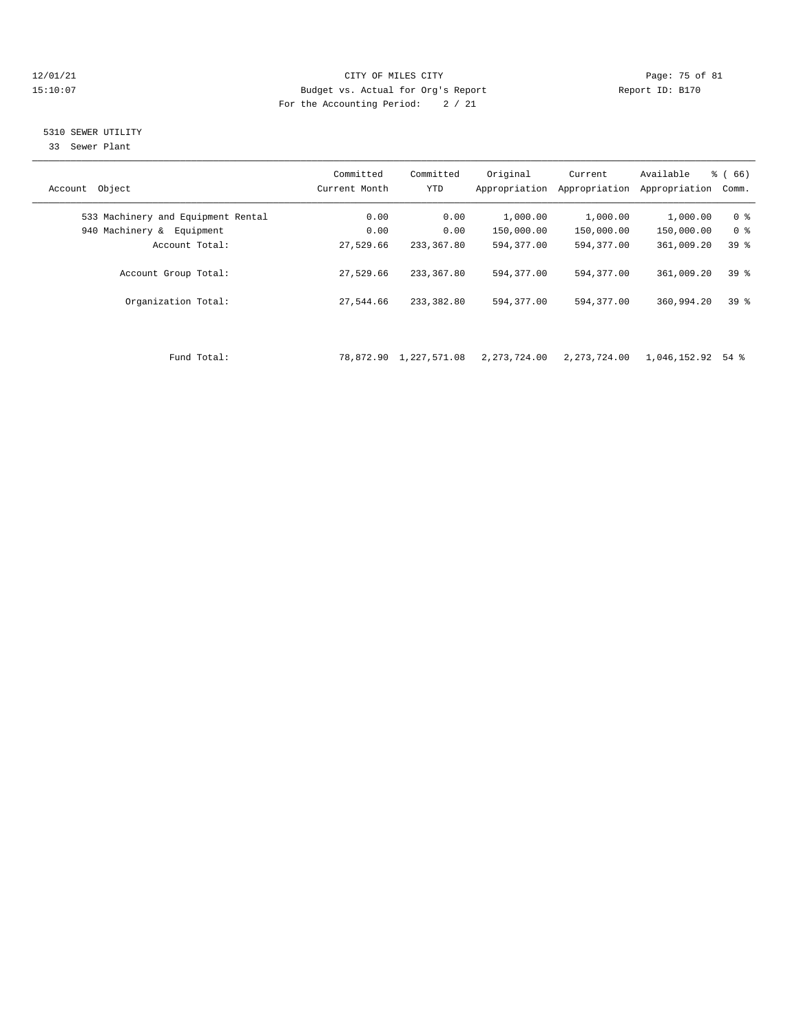### 12/01/21 Page: 75 of 81 CITY OF MILES CITY CONTRIBUTE PAGE: 75 of 81 Page: 75 of 81 Page: 75 of 81 Page: 75 of 81 Page: 75 of 81 Page: 75 of 81 Page: 75 of 81 Page: 75 of 81 Page: 75 of 81 Page: 75 of 81 Page: 75 of 81 Pag 15:10:07 Budget vs. Actual for Org's Report For the Accounting Period: 2 / 21

### 5310 SEWER UTILITY

33 Sewer Plant

| Object<br>Account                  | Committed<br>Current Month | Committed<br><b>YTD</b> | Original<br>Appropriation | Current<br>Appropriation | Available<br>Appropriation | % (66)<br>Comm. |
|------------------------------------|----------------------------|-------------------------|---------------------------|--------------------------|----------------------------|-----------------|
| 533 Machinery and Equipment Rental | 0.00                       | 0.00                    | 1,000.00                  | 1,000.00                 | 1,000.00                   | 0 <sup>8</sup>  |
| 940 Machinery &<br>Equipment       | 0.00                       | 0.00                    | 150,000.00                | 150,000.00               | 150,000.00                 | 0 %             |
| Account Total:                     | 27,529.66                  | 233, 367, 80            | 594,377.00                | 594,377.00               | 361,009.20                 | 39 <sup>8</sup> |
| Account Group Total:               | 27,529.66                  | 233, 367, 80            | 594,377.00                | 594, 377, 00             | 361,009.20                 | 39 <sup>8</sup> |
| Organization Total:                | 27,544.66                  | 233,382.80              | 594, 377, 00              | 594, 377, 00             | 360,994.20                 | 398             |
|                                    |                            |                         |                           |                          |                            |                 |

Fund Total: 78,872.90 1,227,571.08 2,273,724.00 2,273,724.00 1,046,152.92 54 %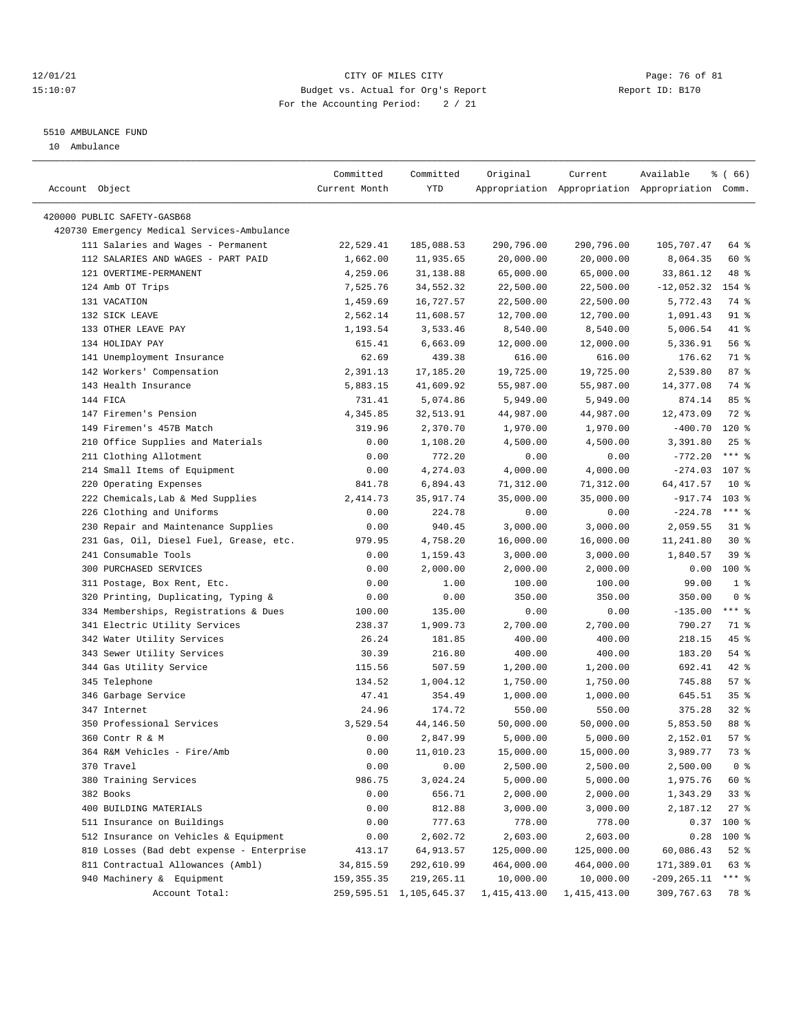### $12/01/21$  Page: 76 of 81 15:10:07 Budget vs. Actual for Org's Report Report ID: B170 For the Accounting Period: 2 / 21

————————————————————————————————————————————————————————————————————————————————————————————————————————————————————————————————————

#### 5510 AMBULANCE FUND

10 Ambulance

|                                             | Committed     | Committed                  | Original     | Current      | Available                                       | % ( 66)          |
|---------------------------------------------|---------------|----------------------------|--------------|--------------|-------------------------------------------------|------------------|
| Account Object                              | Current Month | YTD                        |              |              | Appropriation Appropriation Appropriation Comm. |                  |
| 420000 PUBLIC SAFETY-GASB68                 |               |                            |              |              |                                                 |                  |
| 420730 Emergency Medical Services-Ambulance |               |                            |              |              |                                                 |                  |
| 111 Salaries and Wages - Permanent          | 22,529.41     | 185,088.53                 | 290,796.00   | 290,796.00   | 105,707.47                                      | 64 %             |
| 112 SALARIES AND WAGES - PART PAID          | 1,662.00      | 11,935.65                  | 20,000.00    | 20,000.00    | 8,064.35                                        | 60 %             |
| 121 OVERTIME-PERMANENT                      | 4,259.06      | 31,138.88                  | 65,000.00    | 65,000.00    | 33,861.12                                       | 48 %             |
| 124 Amb OT Trips                            | 7,525.76      | 34,552.32                  | 22,500.00    | 22,500.00    | $-12,052.32$                                    | 154 %            |
| 131 VACATION                                | 1,459.69      | 16,727.57                  | 22,500.00    | 22,500.00    | 5,772.43                                        | 74 %             |
| 132 SICK LEAVE                              | 2,562.14      | 11,608.57                  | 12,700.00    | 12,700.00    | 1,091.43                                        | 91 %             |
| 133 OTHER LEAVE PAY                         | 1,193.54      | 3,533.46                   | 8,540.00     | 8,540.00     | 5,006.54                                        | 41 %             |
| 134 HOLIDAY PAY                             | 615.41        | 6,663.09                   | 12,000.00    | 12,000.00    | 5,336.91                                        | 56%              |
| 141 Unemployment Insurance                  | 62.69         | 439.38                     | 616.00       | 616.00       | 176.62                                          | 71 %             |
| 142 Workers' Compensation                   | 2,391.13      | 17,185.20                  | 19,725.00    | 19,725.00    | 2,539.80                                        | 87%              |
| 143 Health Insurance                        | 5,883.15      | 41,609.92                  | 55,987.00    | 55,987.00    | 14,377.08                                       | 74 %             |
| 144 FICA                                    | 731.41        | 5,074.86                   | 5,949.00     | 5,949.00     | 874.14                                          | 85%              |
| 147 Firemen's Pension                       | 4,345.85      | 32,513.91                  | 44,987.00    | 44,987.00    | 12,473.09                                       | 72 %             |
| 149 Firemen's 457B Match                    | 319.96        | 2,370.70                   | 1,970.00     | 1,970.00     | $-400.70$                                       | $120*$           |
| 210 Office Supplies and Materials           | 0.00          | 1,108.20                   | 4,500.00     | 4,500.00     | 3,391.80                                        | 25%              |
| 211 Clothing Allotment                      | 0.00          | 772.20                     | 0.00         | 0.00         | $-772.20$                                       | $***$ 8          |
| 214 Small Items of Equipment                | 0.00          | 4,274.03                   | 4,000.00     | 4,000.00     | $-274.03$                                       | 107 <sub>8</sub> |
| 220 Operating Expenses                      | 841.78        | 6,894.43                   | 71,312.00    | 71,312.00    | 64, 417.57                                      | $10*$            |
| 222 Chemicals, Lab & Med Supplies           | 2,414.73      | 35, 917.74                 | 35,000.00    | 35,000.00    | $-917.74$                                       | $103$ %          |
| 226 Clothing and Uniforms                   | 0.00          | 224.78                     | 0.00         | 0.00         | $-224.78$                                       | $***$ $_{8}$     |
| 230 Repair and Maintenance Supplies         | 0.00          | 940.45                     | 3,000.00     | 3,000.00     | 2,059.55                                        | $31$ %           |
| 231 Gas, Oil, Diesel Fuel, Grease, etc.     | 979.95        | 4,758.20                   | 16,000.00    | 16,000.00    | 11,241.80                                       | $30*$            |
| 241 Consumable Tools                        | 0.00          | 1,159.43                   | 3,000.00     | 3,000.00     | 1,840.57                                        | 39%              |
| 300 PURCHASED SERVICES                      | 0.00          | 2,000.00                   | 2,000.00     | 2,000.00     | 0.00                                            | 100 %            |
| 311 Postage, Box Rent, Etc.                 | 0.00          | 1.00                       | 100.00       | 100.00       | 99.00                                           | 1 <sup>8</sup>   |
| 320 Printing, Duplicating, Typing &         | 0.00          | 0.00                       | 350.00       | 350.00       | 350.00                                          | 0 <sup>8</sup>   |
| 334 Memberships, Registrations & Dues       | 100.00        | 135.00                     | 0.00         | 0.00         | $-135.00$                                       | $***$ $-$        |
| 341 Electric Utility Services               | 238.37        | 1,909.73                   | 2,700.00     | 2,700.00     | 790.27                                          | 71 %             |
| 342 Water Utility Services                  | 26.24         | 181.85                     | 400.00       | 400.00       | 218.15                                          | $45$ %           |
| 343 Sewer Utility Services                  | 30.39         | 216.80                     | 400.00       | 400.00       | 183.20                                          | $54$ %           |
| 344 Gas Utility Service                     | 115.56        | 507.59                     | 1,200.00     | 1,200.00     | 692.41                                          | $42$ %           |
| 345 Telephone                               | 134.52        | 1,004.12                   | 1,750.00     | 1,750.00     | 745.88                                          | 57%              |
| 346 Garbage Service                         | 47.41         | 354.49                     | 1,000.00     | 1,000.00     | 645.51                                          | 35%              |
| 347 Internet                                | 24.96         | 174.72                     | 550.00       | 550.00       | 375.28                                          | $32$ $%$         |
| 350 Professional Services                   | 3,529.54      | 44,146.50                  | 50,000.00    | 50,000.00    | 5,853.50                                        | 88 %             |
| 360 Contr R & M                             | 0.00          | 2,847.99                   | 5,000.00     | 5,000.00     | 2,152.01                                        | 57%              |
| 364 R&M Vehicles - Fire/Amb                 | 0.00          | 11,010.23                  | 15,000.00    | 15,000.00    | 3,989.77                                        | 73 %             |
| 370 Travel                                  | 0.00          | 0.00                       | 2,500.00     | 2,500.00     | 2,500.00                                        | 0 <sup>8</sup>   |
| 380 Training Services                       | 986.75        | 3,024.24                   | 5,000.00     | 5,000.00     | 1,975.76                                        | 60 %             |
| 382 Books                                   | 0.00          | 656.71                     | 2,000.00     | 2,000.00     | 1,343.29                                        | 33%              |
| 400 BUILDING MATERIALS                      | 0.00          | 812.88                     | 3,000.00     | 3,000.00     | 2,187.12                                        | $27$ %           |
| 511 Insurance on Buildings                  | 0.00          | 777.63                     | 778.00       | 778.00       | 0.37                                            | 100 %            |
| 512 Insurance on Vehicles & Equipment       | 0.00          | 2,602.72                   | 2,603.00     | 2,603.00     | 0.28                                            | 100 %            |
| 810 Losses (Bad debt expense - Enterprise   | 413.17        | 64, 913.57                 | 125,000.00   | 125,000.00   | 60,086.43                                       | $52$ %           |
| 811 Contractual Allowances (Ambl)           | 34,815.59     | 292,610.99                 | 464,000.00   | 464,000.00   | 171,389.01                                      | 63 %             |
| 940 Machinery & Equipment                   | 159, 355.35   | 219,265.11                 | 10,000.00    | 10,000.00    | $-209, 265.11$                                  | $***$ $_{8}$     |
| Account Total:                              |               | 259, 595.51 1, 105, 645.37 | 1,415,413.00 | 1,415,413.00 | 309,767.63                                      | 78 %             |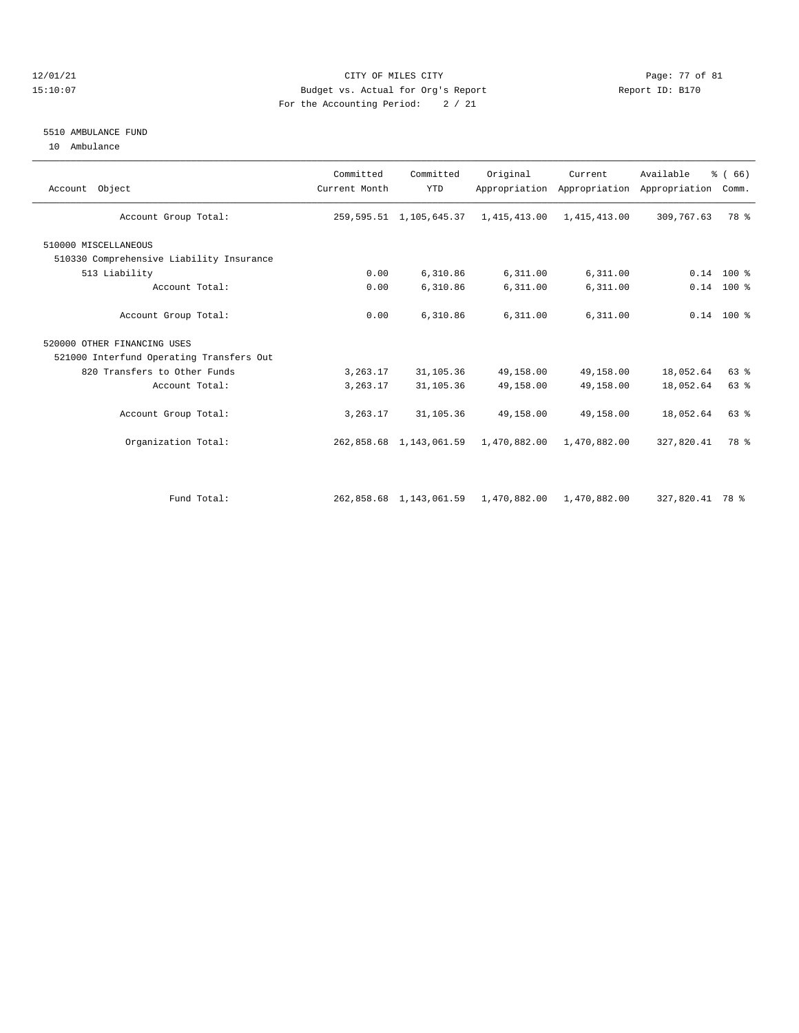### $12/01/21$  Page: 77 of 81 15:10:07 Budget vs. Actual for Org's Report Report ID: B170 For the Accounting Period: 2 / 21

#### 5510 AMBULANCE FUND

10 Ambulance

| Account Object                           | Committed<br>Current Month | Committed<br><b>YTD</b>    | Original                  | Current<br>Appropriation Appropriation | Available<br>Appropriation | % (66)<br>Comm. |
|------------------------------------------|----------------------------|----------------------------|---------------------------|----------------------------------------|----------------------------|-----------------|
| Account Group Total:                     |                            | 259, 595.51 1, 105, 645.37 | 1,415,413.00              | 1,415,413.00                           | 309,767.63                 | 78 %            |
| 510000 MISCELLANEOUS                     |                            |                            |                           |                                        |                            |                 |
| 510330 Comprehensive Liability Insurance |                            |                            |                           |                                        |                            |                 |
| 513 Liability                            | 0.00                       | 6,310.86                   | 6,311.00                  | 6,311.00                               |                            | $0.14$ 100 %    |
| Account Total:                           | 0.00                       | 6,310.86                   | 6,311.00                  | 6,311.00                               |                            | $0.14$ 100 %    |
| Account Group Total:                     | 0.00                       | 6,310.86                   | 6,311.00                  | 6,311.00                               |                            | $0.14$ 100 %    |
| 520000 OTHER FINANCING USES              |                            |                            |                           |                                        |                            |                 |
| 521000 Interfund Operating Transfers Out |                            |                            |                           |                                        |                            |                 |
| 820 Transfers to Other Funds             | 3,263.17                   | 31, 105.36                 | 49,158.00                 | 49,158.00                              | 18,052.64                  | 63%             |
| Account Total:                           | 3,263.17                   | 31, 105.36                 | 49,158.00                 | 49,158.00                              | 18,052.64                  | 63%             |
| Account Group Total:                     | 3,263.17                   | 31, 105.36                 | 49,158.00                 | 49,158.00                              | 18,052.64                  | 63%             |
| Organization Total:                      |                            | 262,858.68 1,143,061.59    | 1,470,882.00              | 1,470,882.00                           | 327,820.41                 | 78 %            |
|                                          |                            |                            |                           |                                        |                            |                 |
| Fund Total:                              |                            | 262,858.68 1,143,061.59    | 1,470,882.00 1,470,882.00 |                                        | 327,820.41 78 %            |                 |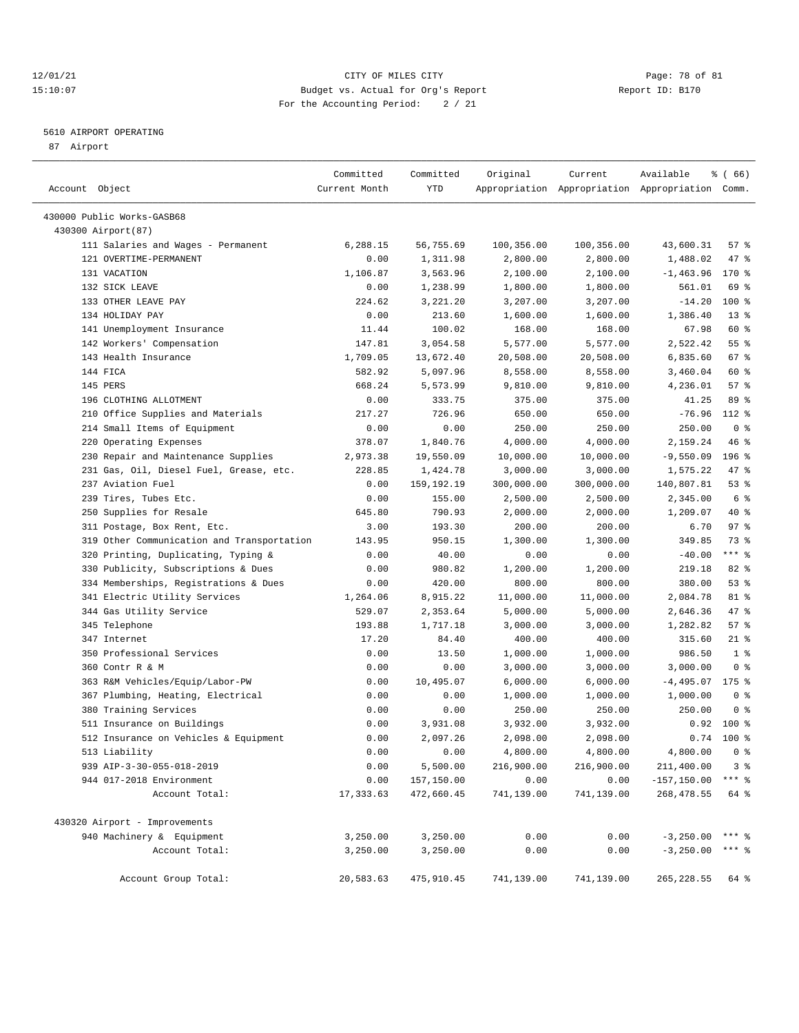### 12/01/21 Page: 78 of 81 CITY OF MILES CITY CONTRIBUTE CITY PAGE: 78 of 81 Page: 78 of 81 CITY CHINES CITY CONTRIBUTE CITY PAGE: 78 OF 81 15:10:07 Budget vs. Actual for Org's Report For the Accounting Period: 2 / 21

————————————————————————————————————————————————————————————————————————————————————————————————————————————————————————————————————

## 5610 AIRPORT OPERATING

87 Airport

|                                            | Committed     | Committed            | Original   | Current    | Available                                       | % (66)         |
|--------------------------------------------|---------------|----------------------|------------|------------|-------------------------------------------------|----------------|
| Account Object                             | Current Month | YTD                  |            |            | Appropriation Appropriation Appropriation Comm. |                |
|                                            |               |                      |            |            |                                                 |                |
| 430000 Public Works-GASB68                 |               |                      |            |            |                                                 |                |
| 430300 Airport (87)                        |               |                      |            |            |                                                 |                |
| 111 Salaries and Wages - Permanent         | 6,288.15      | 56,755.69            | 100,356.00 | 100,356.00 | 43,600.31                                       | 57%            |
| 121 OVERTIME-PERMANENT                     | 0.00          | 1,311.98             | 2,800.00   | 2,800.00   | 1,488.02                                        | 47 %           |
| 131 VACATION                               | 1,106.87      | 3,563.96             | 2,100.00   | 2,100.00   | $-1,463.96$                                     | 170 %          |
| 132 SICK LEAVE                             | 0.00          | 1,238.99             | 1,800.00   | 1,800.00   | 561.01                                          | 69 %           |
| 133 OTHER LEAVE PAY                        | 224.62        | 3,221.20             | 3,207.00   | 3,207.00   | $-14.20$                                        | $100*$         |
| 134 HOLIDAY PAY                            | 0.00          | 213.60               | 1,600.00   | 1,600.00   | 1,386.40                                        | $13*$          |
| 141 Unemployment Insurance                 | 11.44         | 100.02               | 168.00     | 168.00     | 67.98                                           | 60 %           |
| 142 Workers' Compensation                  | 147.81        | 3,054.58             | 5,577.00   | 5,577.00   | 2,522.42                                        | 55%            |
| 143 Health Insurance                       | 1,709.05      | 13,672.40            | 20,508.00  | 20,508.00  | 6,835.60                                        | 67 %           |
| 144 FICA                                   | 582.92        | 5,097.96             | 8,558.00   | 8,558.00   | 3,460.04                                        | 60 %           |
| 145 PERS                                   | 668.24        | 5,573.99             | 9,810.00   | 9,810.00   | 4,236.01                                        | 57%            |
| 196 CLOTHING ALLOTMENT                     | 0.00          | 333.75               | 375.00     | 375.00     | 41.25                                           | 89 %           |
| 210 Office Supplies and Materials          | 217.27        | 726.96               | 650.00     | 650.00     | $-76.96$                                        | 112 %          |
| 214 Small Items of Equipment               | 0.00          | 0.00                 | 250.00     | 250.00     | 250.00                                          | 0 <sup>8</sup> |
| 220 Operating Expenses                     | 378.07        | 1,840.76             | 4,000.00   | 4,000.00   | 2,159.24                                        | 46%            |
| 230 Repair and Maintenance Supplies        | 2,973.38      | 19,550.09            | 10,000.00  | 10,000.00  | $-9,550.09$                                     | $196$ %        |
| 231 Gas, Oil, Diesel Fuel, Grease, etc.    | 228.85        | 1,424.78             | 3,000.00   | 3,000.00   | 1,575.22                                        | 47 %           |
| 237 Aviation Fuel                          | 0.00          | 159,192.19           | 300,000.00 | 300,000.00 | 140,807.81                                      | 53%            |
| 239 Tires, Tubes Etc.                      | 0.00          | 155.00               | 2,500.00   | 2,500.00   | 2,345.00                                        | 6 %            |
| 250 Supplies for Resale                    | 645.80        | 790.93               | 2,000.00   | 2,000.00   | 1,209.07                                        | 40 %           |
| 311 Postage, Box Rent, Etc.                | 3.00          | 193.30               | 200.00     | 200.00     | 6.70                                            | 97%            |
| 319 Other Communication and Transportation | 143.95        | 950.15               | 1,300.00   | 1,300.00   | 349.85                                          | 73 %           |
| 320 Printing, Duplicating, Typing &        | 0.00          | 40.00                | 0.00       | 0.00       | $-40.00$                                        | *** %          |
| 330 Publicity, Subscriptions & Dues        | 0.00          | 980.82               | 1,200.00   | 1,200.00   | 219.18                                          | 82%            |
| 334 Memberships, Registrations & Dues      | 0.00          | 420.00               | 800.00     | 800.00     | 380.00                                          | 53%            |
| 341 Electric Utility Services              | 1,264.06      | 8,915.22             | 11,000.00  | 11,000.00  | 2,084.78                                        | 81 %           |
| 344 Gas Utility Service                    | 529.07        | 2,353.64             | 5,000.00   | 5,000.00   | 2,646.36                                        | 47 %           |
| 345 Telephone                              | 193.88        | 1,717.18             | 3,000.00   | 3,000.00   | 1,282.82                                        | 57%            |
| 347 Internet                               | 17.20         | 84.40                | 400.00     | 400.00     | 315.60                                          | $21$ %         |
| 350 Professional Services                  | 0.00          | 13.50                | 1,000.00   | 1,000.00   | 986.50                                          | 1 <sup>8</sup> |
| 360 Contr R & M                            | 0.00          | 0.00                 | 3,000.00   | 3,000.00   | 3,000.00                                        | 0 <sup>8</sup> |
| 363 R&M Vehicles/Equip/Labor-PW            | 0.00          | 10,495.07            | 6,000.00   | 6,000.00   | $-4,495.07$                                     | $175$ %        |
| 367 Plumbing, Heating, Electrical          | 0.00          | 0.00                 | 1,000.00   | 1,000.00   | 1,000.00                                        | 0 <sup>8</sup> |
| 380 Training Services                      | 0.00          | 0.00                 | 250.00     | 250.00     | 250.00                                          | 0 <sup>8</sup> |
| 511 Insurance on Buildings                 | 0.00          | 3,931.08             | 3,932.00   | 3,932.00   | 0.92                                            | $100*$         |
| 512 Insurance on Vehicles & Equipment      | 0.00          | 2,097.26             | 2,098.00   | 2,098.00   |                                                 | $0.74$ 100 %   |
| 513 Liability                              | 0.00          | 0.00                 | 4,800.00   | 4,800.00   | 4,800.00                                        | $0$ %          |
| 939 AIP-3-30-055-018-2019                  | 0.00          | 5,500.00             | 216,900.00 | 216,900.00 | 211,400.00                                      | 3 <sup>8</sup> |
| 944 017-2018 Environment                   | 0.00          | 157,150.00           | 0.00       | 0.00       | $-157, 150.00$ *** %                            |                |
| Account Total:                             | 17, 333.63    | 472,660.45           | 741,139.00 | 741,139.00 | 268, 478.55                                     | 64 %           |
| 430320 Airport - Improvements              |               |                      |            |            |                                                 |                |
| 940 Machinery & Equipment                  | 3,250.00      |                      |            | 0.00       | $-3,250.00$ *** %                               |                |
|                                            |               | 3,250.00<br>3,250.00 | 0.00       |            |                                                 |                |
| Account Total:                             | 3,250.00      |                      | 0.00       | 0.00       | $-3,250.00$ *** \$                              |                |
| Account Group Total:                       | 20,583.63     | 475,910.45           | 741,139.00 | 741,139.00 | 265, 228.55                                     | 64 %           |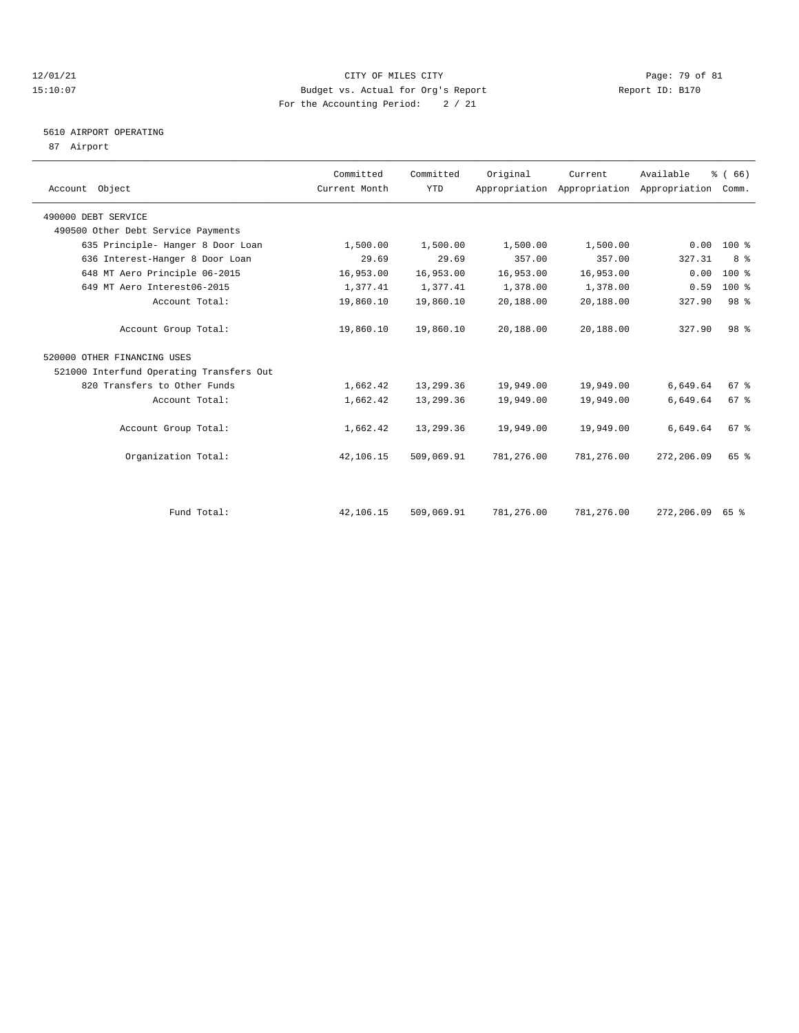### 12/01/21 Page: 79 of 81<br>
1210107 Page: 79 of 81<br>
Budget vs. Actual for Org's Report Physics (Report ID: B170 15:10:07 Budget vs. Actual for Org's Report For the Accounting Period: 2 / 21

# 5610 AIRPORT OPERATING

87 Airport

| Account Object                           | Committed<br>Current Month | Committed<br><b>YTD</b> | Original   | Current    | Available<br>Appropriation Appropriation Appropriation Comm. | % (66)          |  |
|------------------------------------------|----------------------------|-------------------------|------------|------------|--------------------------------------------------------------|-----------------|--|
| 490000 DEBT SERVICE                      |                            |                         |            |            |                                                              |                 |  |
| 490500 Other Debt Service Payments       |                            |                         |            |            |                                                              |                 |  |
| 635 Principle- Hanger 8 Door Loan        | 1,500.00                   | 1,500.00                | 1,500.00   | 1,500.00   | 0.00                                                         | 100 %           |  |
| 636 Interest-Hanger 8 Door Loan          | 29.69                      | 29.69                   | 357.00     | 357.00     | 327.31                                                       | 8 %             |  |
| 648 MT Aero Principle 06-2015            | 16,953.00                  | 16,953.00               | 16,953.00  | 16,953.00  | 0.00                                                         | 100 %           |  |
| 649 MT Aero Interest06-2015              | 1,377.41                   | 1,377.41                | 1,378.00   | 1,378.00   | 0.59                                                         | 100 %           |  |
| Account Total:                           | 19,860.10                  | 19,860.10               | 20,188.00  | 20,188.00  | 327.90                                                       | 98 <sup>8</sup> |  |
| Account Group Total:                     | 19,860.10                  | 19,860.10               | 20,188.00  | 20,188.00  | 327.90                                                       | 98 <sup>8</sup> |  |
| 520000 OTHER FINANCING USES              |                            |                         |            |            |                                                              |                 |  |
| 521000 Interfund Operating Transfers Out |                            |                         |            |            |                                                              |                 |  |
| 820 Transfers to Other Funds             | 1,662.42                   | 13,299.36               | 19,949.00  | 19,949.00  | 6,649.64                                                     | 67%             |  |
| Account Total:                           | 1,662.42                   | 13,299.36               | 19,949.00  | 19,949.00  | 6,649.64                                                     | 67%             |  |
| Account Group Total:                     | 1,662.42                   | 13,299.36               | 19,949.00  | 19,949.00  | 6,649.64                                                     | 67 <sup>8</sup> |  |
| Organization Total:                      | 42,106.15                  | 509,069.91              | 781,276.00 | 781,276.00 | 272,206.09                                                   | 65 %            |  |
|                                          |                            |                         |            |            |                                                              |                 |  |
| Fund Total:                              | 42,106.15                  | 509,069.91              | 781,276.00 | 781,276.00 | 272,206.09                                                   | 65 %            |  |